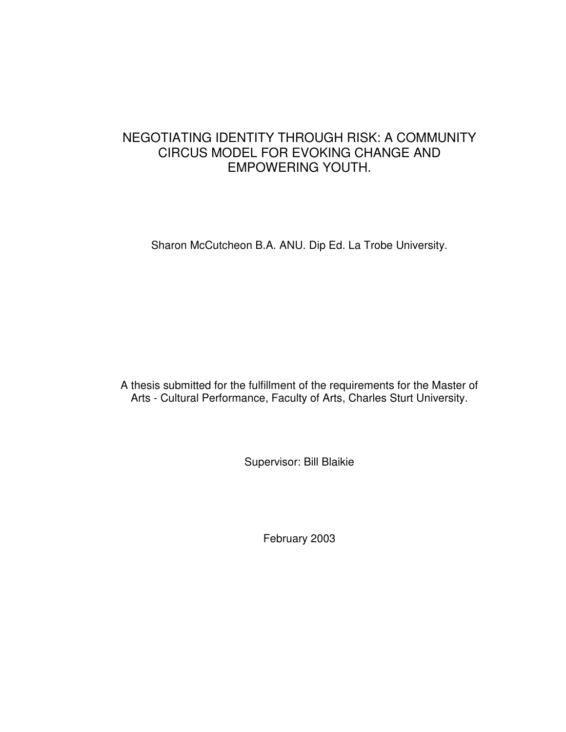# NEGOTIATING IDENTITY THROUGH RISK: A COMMUNITY CIRCUS MODEL FOR EVOKING CHANGE AND EMPOWERING YOUTH.

Sharon McCutcheon B.A. ANU. Dip Ed. La Trobe University.

A thesis submitted for the fulfillment of the requirements for the Master of Arts - Cultural Performance, Faculty of Arts, Charles Sturt University.

Supervisor: Bill Blaikie

February 2003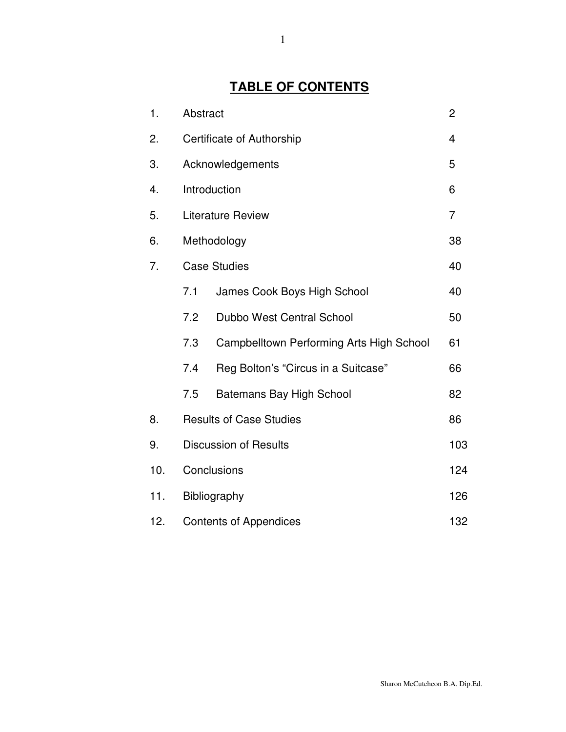# **TABLE OF CONTENTS**

| 1.  | Abstract                             |                                          | $\overline{2}$ |
|-----|--------------------------------------|------------------------------------------|----------------|
| 2.  | Certificate of Authorship            |                                          |                |
| 3.  | Acknowledgements                     |                                          |                |
| 4.  | Introduction                         |                                          | 6              |
| 5.  | <b>Literature Review</b>             |                                          | $\overline{7}$ |
| 6.  | Methodology                          |                                          | 38             |
| 7.  | <b>Case Studies</b>                  |                                          |                |
|     | 7.1                                  | James Cook Boys High School              | 40             |
|     | 7.2                                  | Dubbo West Central School                | 50             |
|     | 7.3                                  | Campbelltown Performing Arts High School | 61             |
|     | 7.4                                  | Reg Bolton's "Circus in a Suitcase"      | 66             |
|     | 7.5                                  | Batemans Bay High School                 | 82             |
| 8.  | <b>Results of Case Studies</b>       |                                          | 86             |
| 9.  | <b>Discussion of Results</b><br>103  |                                          |                |
| 10. | Conclusions<br>124                   |                                          |                |
| 11. | Bibliography<br>126                  |                                          |                |
| 12. | 132<br><b>Contents of Appendices</b> |                                          |                |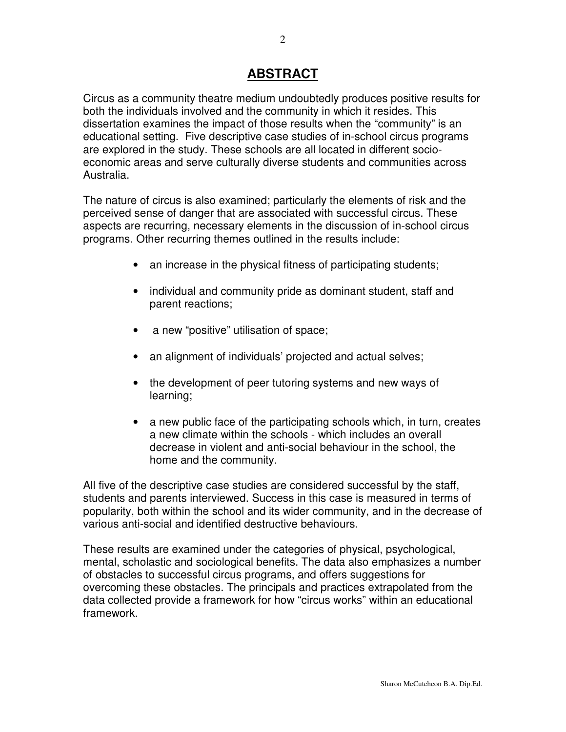# **ABSTRACT**

Circus as a community theatre medium undoubtedly produces positive results for both the individuals involved and the community in which it resides. This dissertation examines the impact of those results when the "community" is an educational setting. Five descriptive case studies of in-school circus programs are explored in the study. These schools are all located in different socioeconomic areas and serve culturally diverse students and communities across Australia.

The nature of circus is also examined; particularly the elements of risk and the perceived sense of danger that are associated with successful circus. These aspects are recurring, necessary elements in the discussion of in-school circus programs. Other recurring themes outlined in the results include:

- an increase in the physical fitness of participating students;
- individual and community pride as dominant student, staff and parent reactions;
- a new "positive" utilisation of space;
- an alignment of individuals' projected and actual selves;
- the development of peer tutoring systems and new ways of learning;
- a new public face of the participating schools which, in turn, creates a new climate within the schools - which includes an overall decrease in violent and anti-social behaviour in the school, the home and the community.

All five of the descriptive case studies are considered successful by the staff, students and parents interviewed. Success in this case is measured in terms of popularity, both within the school and its wider community, and in the decrease of various anti-social and identified destructive behaviours.

These results are examined under the categories of physical, psychological, mental, scholastic and sociological benefits. The data also emphasizes a number of obstacles to successful circus programs, and offers suggestions for overcoming these obstacles. The principals and practices extrapolated from the data collected provide a framework for how "circus works" within an educational framework.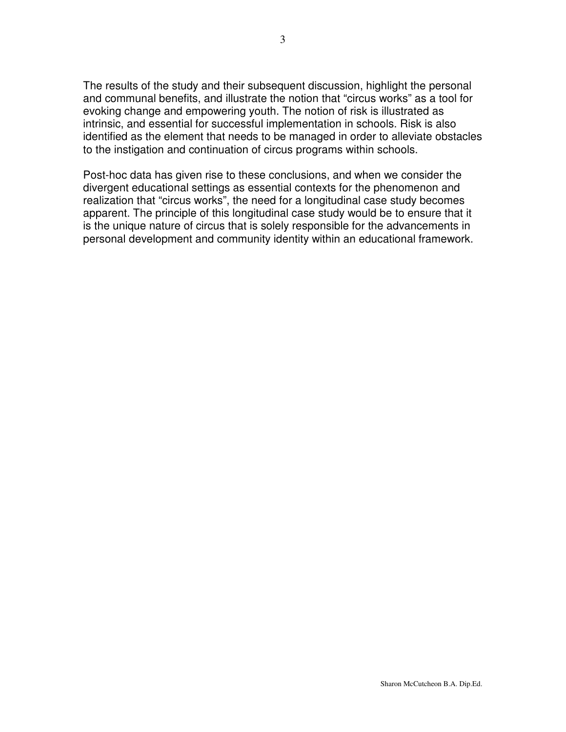The results of the study and their subsequent discussion, highlight the personal and communal benefits, and illustrate the notion that "circus works" as a tool for evoking change and empowering youth. The notion of risk is illustrated as intrinsic, and essential for successful implementation in schools. Risk is also identified as the element that needs to be managed in order to alleviate obstacles to the instigation and continuation of circus programs within schools.

Post-hoc data has given rise to these conclusions, and when we consider the divergent educational settings as essential contexts for the phenomenon and realization that "circus works", the need for a longitudinal case study becomes apparent. The principle of this longitudinal case study would be to ensure that it is the unique nature of circus that is solely responsible for the advancements in personal development and community identity within an educational framework.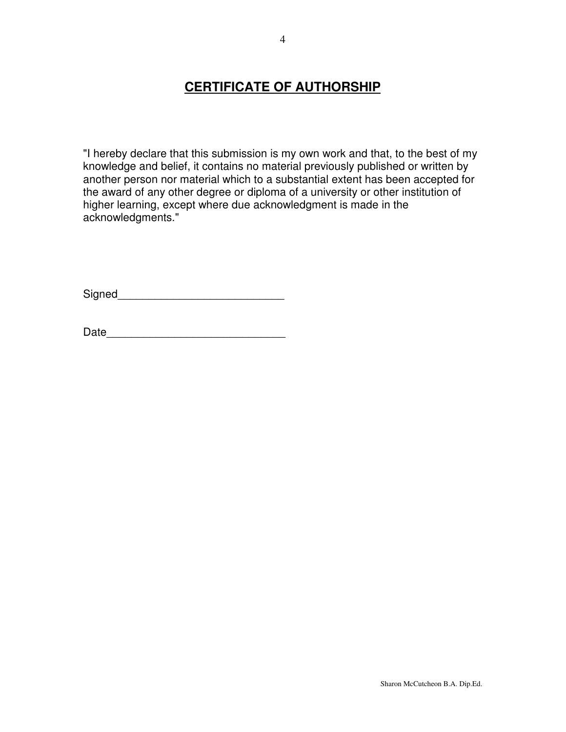# **CERTIFICATE OF AUTHORSHIP**

"I hereby declare that this submission is my own work and that, to the best of my knowledge and belief, it contains no material previously published or written by another person nor material which to a substantial extent has been accepted for the award of any other degree or diploma of a university or other institution of higher learning, except where due acknowledgment is made in the acknowledgments."

Signed\_\_\_\_\_\_\_\_\_\_\_\_\_\_\_\_\_\_\_\_\_\_\_\_\_\_\_

| Date |  |
|------|--|
|      |  |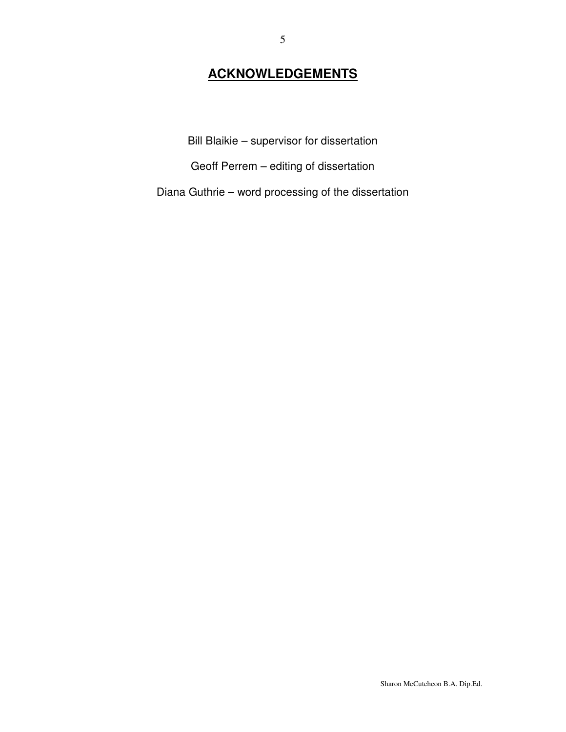# **ACKNOWLEDGEMENTS**

Bill Blaikie – supervisor for dissertation

Geoff Perrem – editing of dissertation

Diana Guthrie – word processing of the dissertation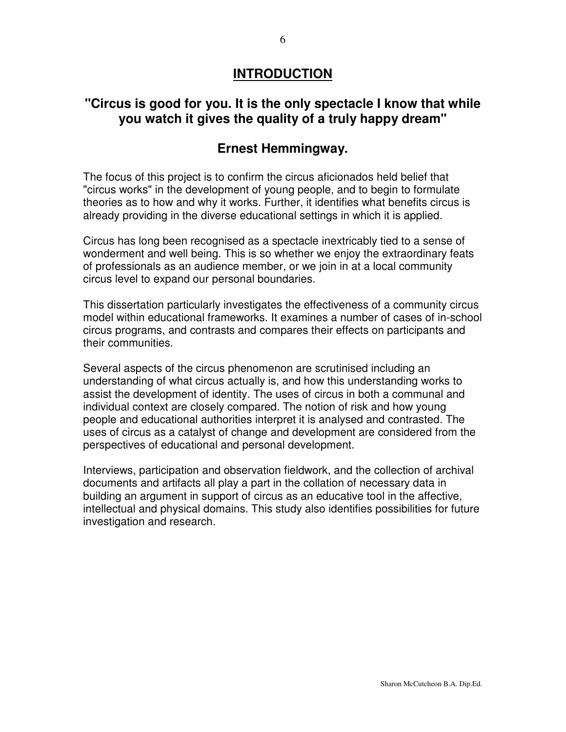## **INTRODUCTION**

# **"Circus is good for you. It is the only spectacle I know that while you watch it gives the quality of a truly happy dream"**

# **Ernest Hemmingway.**

The focus of this project is to confirm the circus aficionados held belief that "circus works" in the development of young people, and to begin to formulate theories as to how and why it works. Further, it identifies what benefits circus is already providing in the diverse educational settings in which it is applied.

Circus has long been recognised as a spectacle inextricably tied to a sense of wonderment and well being. This is so whether we enjoy the extraordinary feats of professionals as an audience member, or we join in at a local community circus level to expand our personal boundaries.

This dissertation particularly investigates the effectiveness of a community circus model within educational frameworks. It examines a number of cases of in-school circus programs, and contrasts and compares their effects on participants and their communities.

Several aspects of the circus phenomenon are scrutinised including an understanding of what circus actually is, and how this understanding works to assist the development of identity. The uses of circus in both a communal and individual context are closely compared. The notion of risk and how young people and educational authorities interpret it is analysed and contrasted. The uses of circus as a catalyst of change and development are considered from the perspectives of educational and personal development.

Interviews, participation and observation fieldwork, and the collection of archival documents and artifacts all play a part in the collation of necessary data in building an argument in support of circus as an educative tool in the affective, intellectual and physical domains. This study also identifies possibilities for future investigation and research.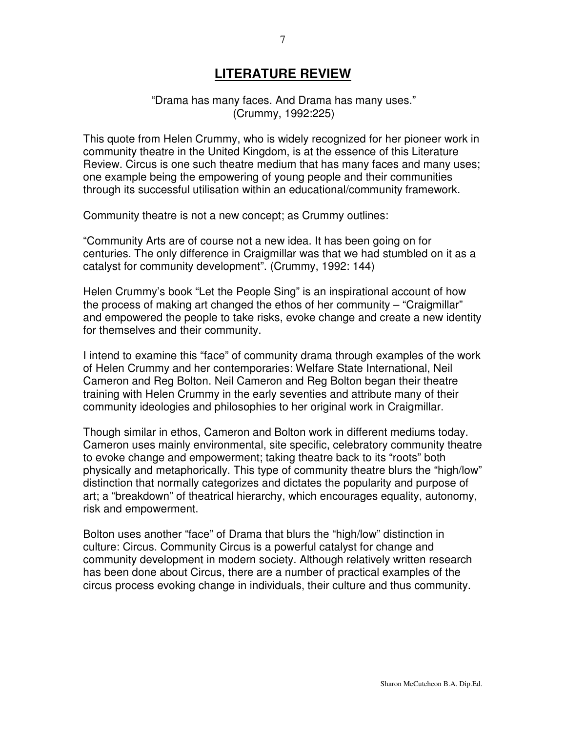## **LITERATURE REVIEW**

#### "Drama has many faces. And Drama has many uses." (Crummy, 1992:225)

This quote from Helen Crummy, who is widely recognized for her pioneer work in community theatre in the United Kingdom, is at the essence of this Literature Review. Circus is one such theatre medium that has many faces and many uses; one example being the empowering of young people and their communities through its successful utilisation within an educational/community framework.

Community theatre is not a new concept; as Crummy outlines:

"Community Arts are of course not a new idea. It has been going on for centuries. The only difference in Craigmillar was that we had stumbled on it as a catalyst for community development". (Crummy, 1992: 144)

Helen Crummy's book "Let the People Sing" is an inspirational account of how the process of making art changed the ethos of her community – "Craigmillar" and empowered the people to take risks, evoke change and create a new identity for themselves and their community.

I intend to examine this "face" of community drama through examples of the work of Helen Crummy and her contemporaries: Welfare State International, Neil Cameron and Reg Bolton. Neil Cameron and Reg Bolton began their theatre training with Helen Crummy in the early seventies and attribute many of their community ideologies and philosophies to her original work in Craigmillar.

Though similar in ethos, Cameron and Bolton work in different mediums today. Cameron uses mainly environmental, site specific, celebratory community theatre to evoke change and empowerment; taking theatre back to its "roots" both physically and metaphorically. This type of community theatre blurs the "high/low" distinction that normally categorizes and dictates the popularity and purpose of art; a "breakdown" of theatrical hierarchy, which encourages equality, autonomy, risk and empowerment.

Bolton uses another "face" of Drama that blurs the "high/low" distinction in culture: Circus. Community Circus is a powerful catalyst for change and community development in modern society. Although relatively written research has been done about Circus, there are a number of practical examples of the circus process evoking change in individuals, their culture and thus community.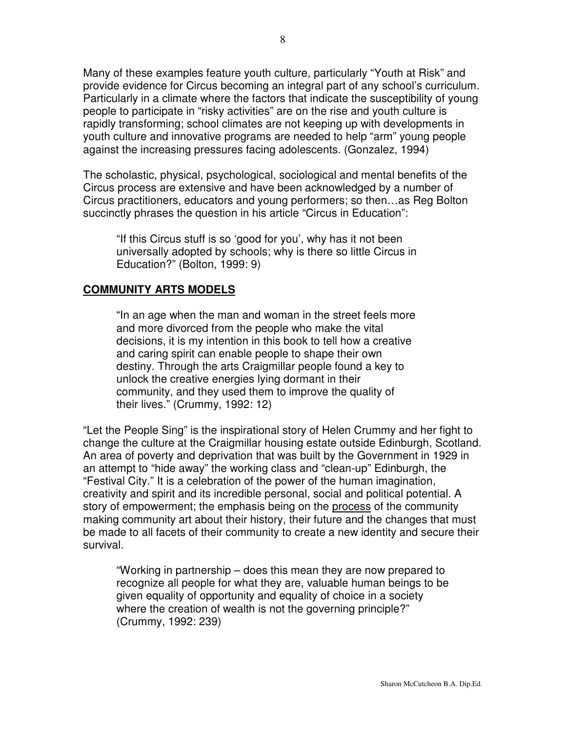Many of these examples feature youth culture, particularly "Youth at Risk" and provide evidence for Circus becoming an integral part of any school's curriculum. Particularly in a climate where the factors that indicate the susceptibility of young people to participate in "risky activities" are on the rise and youth culture is rapidly transforming; school climates are not keeping up with developments in youth culture and innovative programs are needed to help "arm" young people against the increasing pressures facing adolescents. (Gonzalez, 1994)

The scholastic, physical, psychological, sociological and mental benefits of the Circus process are extensive and have been acknowledged by a number of Circus practitioners, educators and young performers; so then…as Reg Bolton succinctly phrases the question in his article "Circus in Education":

"If this Circus stuff is so 'good for you', why has it not been universally adopted by schools; why is there so little Circus in Education?" (Bolton, 1999: 9)

#### **COMMUNITY ARTS MODELS**

"In an age when the man and woman in the street feels more and more divorced from the people who make the vital decisions, it is my intention in this book to tell how a creative and caring spirit can enable people to shape their own destiny. Through the arts Craigmillar people found a key to unlock the creative energies lying dormant in their community, and they used them to improve the quality of their lives." (Crummy, 1992: 12)

"Let the People Sing" is the inspirational story of Helen Crummy and her fight to change the culture at the Craigmillar housing estate outside Edinburgh, Scotland. An area of poverty and deprivation that was built by the Government in 1929 in an attempt to "hide away" the working class and "clean-up" Edinburgh, the "Festival City." It is a celebration of the power of the human imagination, creativity and spirit and its incredible personal, social and political potential. A story of empowerment; the emphasis being on the process of the community making community art about their history, their future and the changes that must be made to all facets of their community to create a new identity and secure their survival.

"Working in partnership – does this mean they are now prepared to recognize all people for what they are, valuable human beings to be given equality of opportunity and equality of choice in a society where the creation of wealth is not the governing principle?" (Crummy, 1992: 239)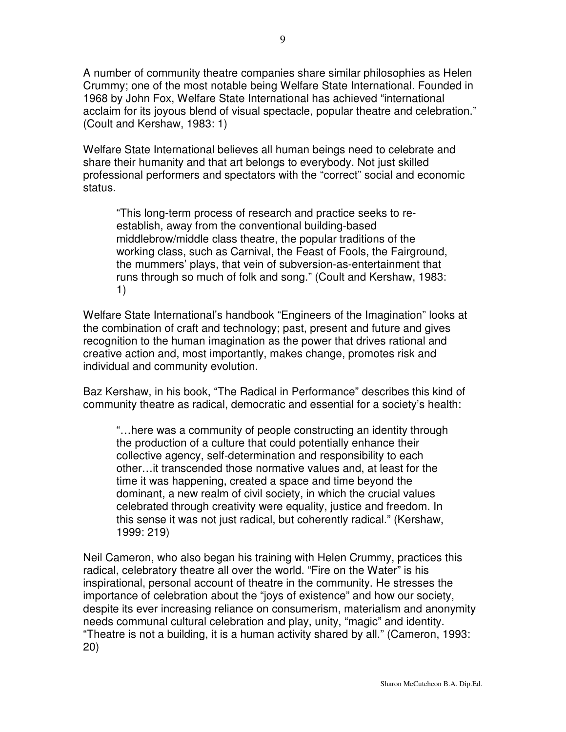A number of community theatre companies share similar philosophies as Helen Crummy; one of the most notable being Welfare State International. Founded in 1968 by John Fox, Welfare State International has achieved "international acclaim for its joyous blend of visual spectacle, popular theatre and celebration." (Coult and Kershaw, 1983: 1)

Welfare State International believes all human beings need to celebrate and share their humanity and that art belongs to everybody. Not just skilled professional performers and spectators with the "correct" social and economic status.

"This long-term process of research and practice seeks to reestablish, away from the conventional building-based middlebrow/middle class theatre, the popular traditions of the working class, such as Carnival, the Feast of Fools, the Fairground, the mummers' plays, that vein of subversion-as-entertainment that runs through so much of folk and song." (Coult and Kershaw, 1983: 1)

Welfare State International's handbook "Engineers of the Imagination" looks at the combination of craft and technology; past, present and future and gives recognition to the human imagination as the power that drives rational and creative action and, most importantly, makes change, promotes risk and individual and community evolution.

Baz Kershaw, in his book, "The Radical in Performance" describes this kind of community theatre as radical, democratic and essential for a society's health:

"…here was a community of people constructing an identity through the production of a culture that could potentially enhance their collective agency, self-determination and responsibility to each other…it transcended those normative values and, at least for the time it was happening, created a space and time beyond the dominant, a new realm of civil society, in which the crucial values celebrated through creativity were equality, justice and freedom. In this sense it was not just radical, but coherently radical." (Kershaw, 1999: 219)

Neil Cameron, who also began his training with Helen Crummy, practices this radical, celebratory theatre all over the world. "Fire on the Water" is his inspirational, personal account of theatre in the community. He stresses the importance of celebration about the "joys of existence" and how our society, despite its ever increasing reliance on consumerism, materialism and anonymity needs communal cultural celebration and play, unity, "magic" and identity. "Theatre is not a building, it is a human activity shared by all." (Cameron, 1993: 20)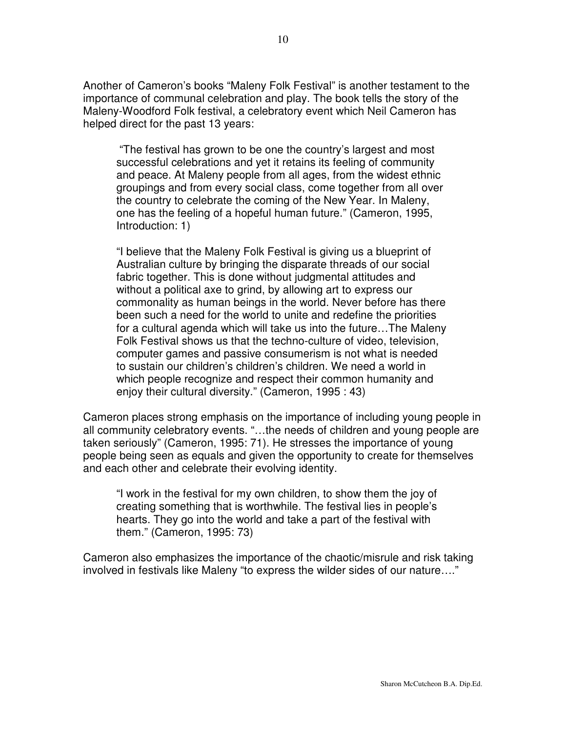Another of Cameron's books "Maleny Folk Festival" is another testament to the importance of communal celebration and play. The book tells the story of the Maleny-Woodford Folk festival, a celebratory event which Neil Cameron has helped direct for the past 13 years:

"The festival has grown to be one the country's largest and most successful celebrations and yet it retains its feeling of community and peace. At Maleny people from all ages, from the widest ethnic groupings and from every social class, come together from all over the country to celebrate the coming of the New Year. In Maleny, one has the feeling of a hopeful human future." (Cameron, 1995, Introduction: 1)

"I believe that the Maleny Folk Festival is giving us a blueprint of Australian culture by bringing the disparate threads of our social fabric together. This is done without judgmental attitudes and without a political axe to grind, by allowing art to express our commonality as human beings in the world. Never before has there been such a need for the world to unite and redefine the priorities for a cultural agenda which will take us into the future…The Maleny Folk Festival shows us that the techno-culture of video, television, computer games and passive consumerism is not what is needed to sustain our children's children's children. We need a world in which people recognize and respect their common humanity and enjoy their cultural diversity." (Cameron, 1995 : 43)

Cameron places strong emphasis on the importance of including young people in all community celebratory events. "…the needs of children and young people are taken seriously" (Cameron, 1995: 71). He stresses the importance of young people being seen as equals and given the opportunity to create for themselves and each other and celebrate their evolving identity.

"I work in the festival for my own children, to show them the joy of creating something that is worthwhile. The festival lies in people's hearts. They go into the world and take a part of the festival with them." (Cameron, 1995: 73)

Cameron also emphasizes the importance of the chaotic/misrule and risk taking involved in festivals like Maleny "to express the wilder sides of our nature…."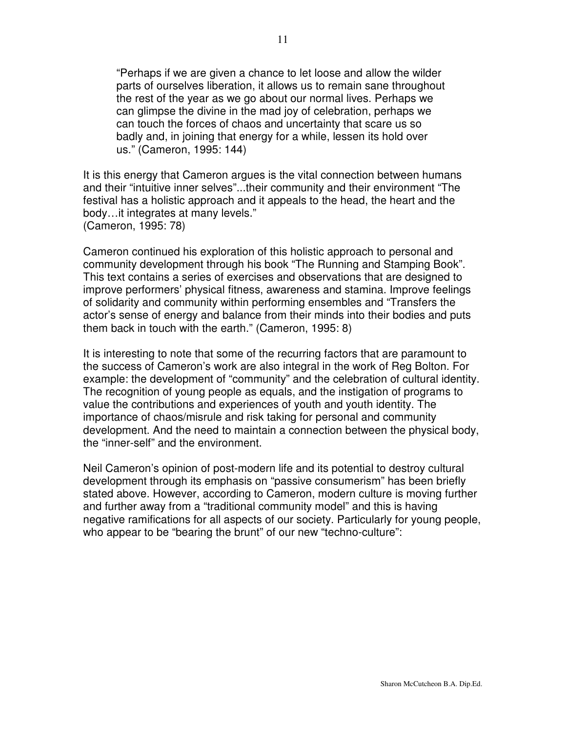"Perhaps if we are given a chance to let loose and allow the wilder parts of ourselves liberation, it allows us to remain sane throughout the rest of the year as we go about our normal lives. Perhaps we can glimpse the divine in the mad joy of celebration, perhaps we can touch the forces of chaos and uncertainty that scare us so badly and, in joining that energy for a while, lessen its hold over us." (Cameron, 1995: 144)

It is this energy that Cameron argues is the vital connection between humans and their "intuitive inner selves"...their community and their environment "The festival has a holistic approach and it appeals to the head, the heart and the body…it integrates at many levels." (Cameron, 1995: 78)

Cameron continued his exploration of this holistic approach to personal and community development through his book "The Running and Stamping Book". This text contains a series of exercises and observations that are designed to improve performers' physical fitness, awareness and stamina. Improve feelings of solidarity and community within performing ensembles and "Transfers the actor's sense of energy and balance from their minds into their bodies and puts them back in touch with the earth." (Cameron, 1995: 8)

It is interesting to note that some of the recurring factors that are paramount to the success of Cameron's work are also integral in the work of Reg Bolton. For example: the development of "community" and the celebration of cultural identity. The recognition of young people as equals, and the instigation of programs to value the contributions and experiences of youth and youth identity. The importance of chaos/misrule and risk taking for personal and community development. And the need to maintain a connection between the physical body, the "inner-self" and the environment.

Neil Cameron's opinion of post-modern life and its potential to destroy cultural development through its emphasis on "passive consumerism" has been briefly stated above. However, according to Cameron, modern culture is moving further and further away from a "traditional community model" and this is having negative ramifications for all aspects of our society. Particularly for young people, who appear to be "bearing the brunt" of our new "techno-culture":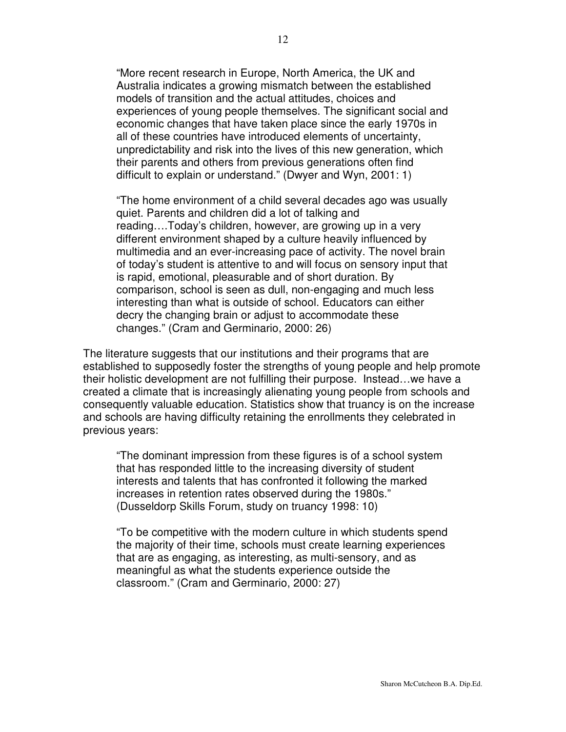"More recent research in Europe, North America, the UK and Australia indicates a growing mismatch between the established models of transition and the actual attitudes, choices and experiences of young people themselves. The significant social and economic changes that have taken place since the early 1970s in all of these countries have introduced elements of uncertainty, unpredictability and risk into the lives of this new generation, which their parents and others from previous generations often find difficult to explain or understand." (Dwyer and Wyn, 2001: 1)

"The home environment of a child several decades ago was usually quiet. Parents and children did a lot of talking and reading….Today's children, however, are growing up in a very different environment shaped by a culture heavily influenced by multimedia and an ever-increasing pace of activity. The novel brain of today's student is attentive to and will focus on sensory input that is rapid, emotional, pleasurable and of short duration. By comparison, school is seen as dull, non-engaging and much less interesting than what is outside of school. Educators can either decry the changing brain or adjust to accommodate these changes." (Cram and Germinario, 2000: 26)

The literature suggests that our institutions and their programs that are established to supposedly foster the strengths of young people and help promote their holistic development are not fulfilling their purpose. Instead…we have a created a climate that is increasingly alienating young people from schools and consequently valuable education. Statistics show that truancy is on the increase and schools are having difficulty retaining the enrollments they celebrated in previous years:

"The dominant impression from these figures is of a school system that has responded little to the increasing diversity of student interests and talents that has confronted it following the marked increases in retention rates observed during the 1980s." (Dusseldorp Skills Forum, study on truancy 1998: 10)

"To be competitive with the modern culture in which students spend the majority of their time, schools must create learning experiences that are as engaging, as interesting, as multi-sensory, and as meaningful as what the students experience outside the classroom." (Cram and Germinario, 2000: 27)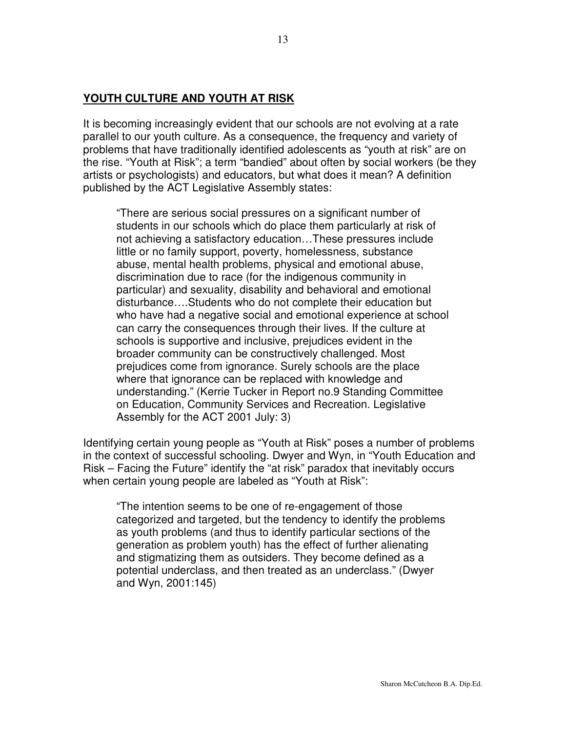### **YOUTH CULTURE AND YOUTH AT RISK**

It is becoming increasingly evident that our schools are not evolving at a rate parallel to our youth culture. As a consequence, the frequency and variety of problems that have traditionally identified adolescents as "youth at risk" are on the rise. "Youth at Risk"; a term "bandied" about often by social workers (be they artists or psychologists) and educators, but what does it mean? A definition published by the ACT Legislative Assembly states:

"There are serious social pressures on a significant number of students in our schools which do place them particularly at risk of not achieving a satisfactory education…These pressures include little or no family support, poverty, homelessness, substance abuse, mental health problems, physical and emotional abuse, discrimination due to race (for the indigenous community in particular) and sexuality, disability and behavioral and emotional disturbance….Students who do not complete their education but who have had a negative social and emotional experience at school can carry the consequences through their lives. If the culture at schools is supportive and inclusive, prejudices evident in the broader community can be constructively challenged. Most prejudices come from ignorance. Surely schools are the place where that ignorance can be replaced with knowledge and understanding." (Kerrie Tucker in Report no.9 Standing Committee on Education, Community Services and Recreation. Legislative Assembly for the ACT 2001 July: 3)

Identifying certain young people as "Youth at Risk" poses a number of problems in the context of successful schooling. Dwyer and Wyn, in "Youth Education and Risk – Facing the Future" identify the "at risk" paradox that inevitably occurs when certain young people are labeled as "Youth at Risk":

"The intention seems to be one of re-engagement of those categorized and targeted, but the tendency to identify the problems as youth problems (and thus to identify particular sections of the generation as problem youth) has the effect of further alienating and stigmatizing them as outsiders. They become defined as a potential underclass, and then treated as an underclass." (Dwyer and Wyn, 2001:145)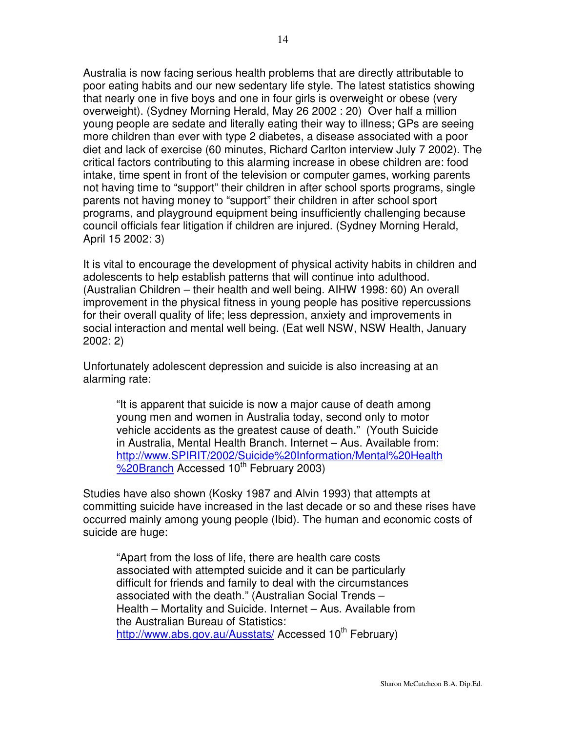Australia is now facing serious health problems that are directly attributable to poor eating habits and our new sedentary life style. The latest statistics showing that nearly one in five boys and one in four girls is overweight or obese (very overweight). (Sydney Morning Herald, May 26 2002 : 20) Over half a million young people are sedate and literally eating their way to illness; GPs are seeing more children than ever with type 2 diabetes, a disease associated with a poor diet and lack of exercise (60 minutes, Richard Carlton interview July 7 2002). The critical factors contributing to this alarming increase in obese children are: food intake, time spent in front of the television or computer games, working parents not having time to "support" their children in after school sports programs, single parents not having money to "support" their children in after school sport programs, and playground equipment being insufficiently challenging because council officials fear litigation if children are injured. (Sydney Morning Herald, April 15 2002: 3)

It is vital to encourage the development of physical activity habits in children and adolescents to help establish patterns that will continue into adulthood. (Australian Children – their health and well being. AIHW 1998: 60) An overall improvement in the physical fitness in young people has positive repercussions for their overall quality of life; less depression, anxiety and improvements in social interaction and mental well being. (Eat well NSW, NSW Health, January 2002: 2)

Unfortunately adolescent depression and suicide is also increasing at an alarming rate:

"It is apparent that suicide is now a major cause of death among young men and women in Australia today, second only to motor vehicle accidents as the greatest cause of death." (Youth Suicide in Australia, Mental Health Branch. Internet – Aus. Available from: http://www.SPIRIT/2002/Suicide%20Information/Mental%20Health %20Branch Accessed 10<sup>th</sup> February 2003)

Studies have also shown (Kosky 1987 and Alvin 1993) that attempts at committing suicide have increased in the last decade or so and these rises have occurred mainly among young people (Ibid). The human and economic costs of suicide are huge:

"Apart from the loss of life, there are health care costs associated with attempted suicide and it can be particularly difficult for friends and family to deal with the circumstances associated with the death." (Australian Social Trends – Health – Mortality and Suicide. Internet – Aus. Available from the Australian Bureau of Statistics: http://www.abs.gov.au/Ausstats/ Accessed 10<sup>th</sup> February)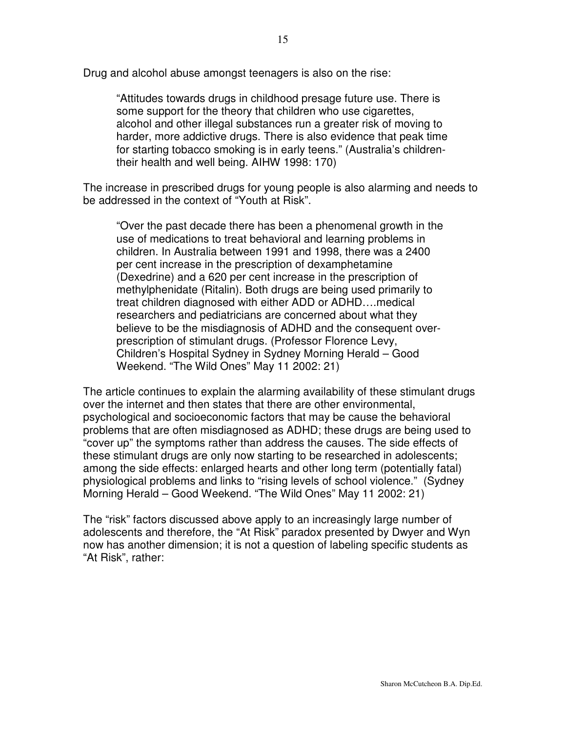Drug and alcohol abuse amongst teenagers is also on the rise:

"Attitudes towards drugs in childhood presage future use. There is some support for the theory that children who use cigarettes, alcohol and other illegal substances run a greater risk of moving to harder, more addictive drugs. There is also evidence that peak time for starting tobacco smoking is in early teens." (Australia's childrentheir health and well being. AIHW 1998: 170)

The increase in prescribed drugs for young people is also alarming and needs to be addressed in the context of "Youth at Risk".

"Over the past decade there has been a phenomenal growth in the use of medications to treat behavioral and learning problems in children. In Australia between 1991 and 1998, there was a 2400 per cent increase in the prescription of dexamphetamine (Dexedrine) and a 620 per cent increase in the prescription of methylphenidate (Ritalin). Both drugs are being used primarily to treat children diagnosed with either ADD or ADHD….medical researchers and pediatricians are concerned about what they believe to be the misdiagnosis of ADHD and the consequent overprescription of stimulant drugs. (Professor Florence Levy, Children's Hospital Sydney in Sydney Morning Herald – Good Weekend. "The Wild Ones" May 11 2002: 21)

The article continues to explain the alarming availability of these stimulant drugs over the internet and then states that there are other environmental, psychological and socioeconomic factors that may be cause the behavioral problems that are often misdiagnosed as ADHD; these drugs are being used to "cover up" the symptoms rather than address the causes. The side effects of these stimulant drugs are only now starting to be researched in adolescents; among the side effects: enlarged hearts and other long term (potentially fatal) physiological problems and links to "rising levels of school violence." (Sydney Morning Herald – Good Weekend. "The Wild Ones" May 11 2002: 21)

The "risk" factors discussed above apply to an increasingly large number of adolescents and therefore, the "At Risk" paradox presented by Dwyer and Wyn now has another dimension; it is not a question of labeling specific students as "At Risk", rather: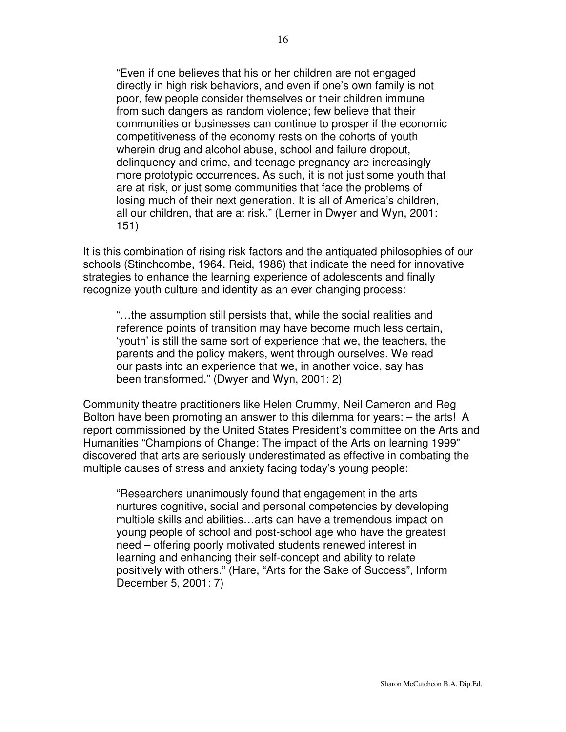"Even if one believes that his or her children are not engaged directly in high risk behaviors, and even if one's own family is not poor, few people consider themselves or their children immune from such dangers as random violence; few believe that their communities or businesses can continue to prosper if the economic competitiveness of the economy rests on the cohorts of youth wherein drug and alcohol abuse, school and failure dropout, delinquency and crime, and teenage pregnancy are increasingly more prototypic occurrences. As such, it is not just some youth that are at risk, or just some communities that face the problems of losing much of their next generation. It is all of America's children, all our children, that are at risk." (Lerner in Dwyer and Wyn, 2001: 151)

It is this combination of rising risk factors and the antiquated philosophies of our schools (Stinchcombe, 1964. Reid, 1986) that indicate the need for innovative strategies to enhance the learning experience of adolescents and finally recognize youth culture and identity as an ever changing process:

"…the assumption still persists that, while the social realities and reference points of transition may have become much less certain, 'youth' is still the same sort of experience that we, the teachers, the parents and the policy makers, went through ourselves. We read our pasts into an experience that we, in another voice, say has been transformed." (Dwyer and Wyn, 2001: 2)

Community theatre practitioners like Helen Crummy, Neil Cameron and Reg Bolton have been promoting an answer to this dilemma for years: – the arts! A report commissioned by the United States President's committee on the Arts and Humanities "Champions of Change: The impact of the Arts on learning 1999" discovered that arts are seriously underestimated as effective in combating the multiple causes of stress and anxiety facing today's young people:

"Researchers unanimously found that engagement in the arts nurtures cognitive, social and personal competencies by developing multiple skills and abilities…arts can have a tremendous impact on young people of school and post-school age who have the greatest need – offering poorly motivated students renewed interest in learning and enhancing their self-concept and ability to relate positively with others." (Hare, "Arts for the Sake of Success", Inform December 5, 2001: 7)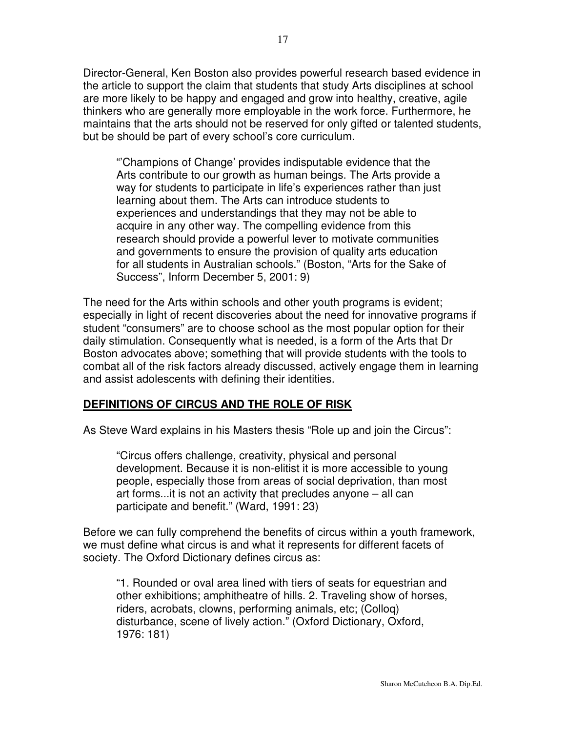Director-General, Ken Boston also provides powerful research based evidence in the article to support the claim that students that study Arts disciplines at school are more likely to be happy and engaged and grow into healthy, creative, agile thinkers who are generally more employable in the work force. Furthermore, he maintains that the arts should not be reserved for only gifted or talented students, but be should be part of every school's core curriculum.

"'Champions of Change' provides indisputable evidence that the Arts contribute to our growth as human beings. The Arts provide a way for students to participate in life's experiences rather than just learning about them. The Arts can introduce students to experiences and understandings that they may not be able to acquire in any other way. The compelling evidence from this research should provide a powerful lever to motivate communities and governments to ensure the provision of quality arts education for all students in Australian schools." (Boston, "Arts for the Sake of Success", Inform December 5, 2001: 9)

The need for the Arts within schools and other youth programs is evident; especially in light of recent discoveries about the need for innovative programs if student "consumers" are to choose school as the most popular option for their daily stimulation. Consequently what is needed, is a form of the Arts that Dr Boston advocates above; something that will provide students with the tools to combat all of the risk factors already discussed, actively engage them in learning and assist adolescents with defining their identities.

### **DEFINITIONS OF CIRCUS AND THE ROLE OF RISK**

As Steve Ward explains in his Masters thesis "Role up and join the Circus":

"Circus offers challenge, creativity, physical and personal development. Because it is non-elitist it is more accessible to young people, especially those from areas of social deprivation, than most art forms...it is not an activity that precludes anyone – all can participate and benefit." (Ward, 1991: 23)

Before we can fully comprehend the benefits of circus within a youth framework, we must define what circus is and what it represents for different facets of society. The Oxford Dictionary defines circus as:

"1. Rounded or oval area lined with tiers of seats for equestrian and other exhibitions; amphitheatre of hills. 2. Traveling show of horses, riders, acrobats, clowns, performing animals, etc; (Colloq) disturbance, scene of lively action." (Oxford Dictionary, Oxford, 1976: 181)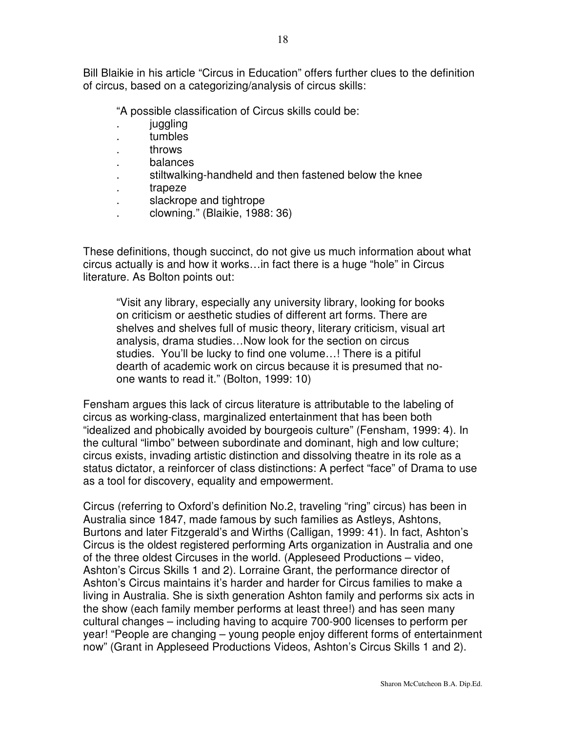Bill Blaikie in his article "Circus in Education" offers further clues to the definition of circus, based on a categorizing/analysis of circus skills:

"A possible classification of Circus skills could be:

- *juggling*
- . tumbles
- . throws
- . balances
- . stiltwalking-handheld and then fastened below the knee
- . trapeze
- . slackrope and tightrope
- . clowning." (Blaikie, 1988: 36)

These definitions, though succinct, do not give us much information about what circus actually is and how it works…in fact there is a huge "hole" in Circus literature. As Bolton points out:

"Visit any library, especially any university library, looking for books on criticism or aesthetic studies of different art forms. There are shelves and shelves full of music theory, literary criticism, visual art analysis, drama studies…Now look for the section on circus studies. You'll be lucky to find one volume…! There is a pitiful dearth of academic work on circus because it is presumed that noone wants to read it." (Bolton, 1999: 10)

Fensham argues this lack of circus literature is attributable to the labeling of circus as working-class, marginalized entertainment that has been both "idealized and phobically avoided by bourgeois culture" (Fensham, 1999: 4). In the cultural "limbo" between subordinate and dominant, high and low culture; circus exists, invading artistic distinction and dissolving theatre in its role as a status dictator, a reinforcer of class distinctions: A perfect "face" of Drama to use as a tool for discovery, equality and empowerment.

Circus (referring to Oxford's definition No.2, traveling "ring" circus) has been in Australia since 1847, made famous by such families as Astleys, Ashtons, Burtons and later Fitzgerald's and Wirths (Calligan, 1999: 41). In fact, Ashton's Circus is the oldest registered performing Arts organization in Australia and one of the three oldest Circuses in the world. (Appleseed Productions – video, Ashton's Circus Skills 1 and 2). Lorraine Grant, the performance director of Ashton's Circus maintains it's harder and harder for Circus families to make a living in Australia. She is sixth generation Ashton family and performs six acts in the show (each family member performs at least three!) and has seen many cultural changes – including having to acquire 700-900 licenses to perform per year! "People are changing – young people enjoy different forms of entertainment now" (Grant in Appleseed Productions Videos, Ashton's Circus Skills 1 and 2).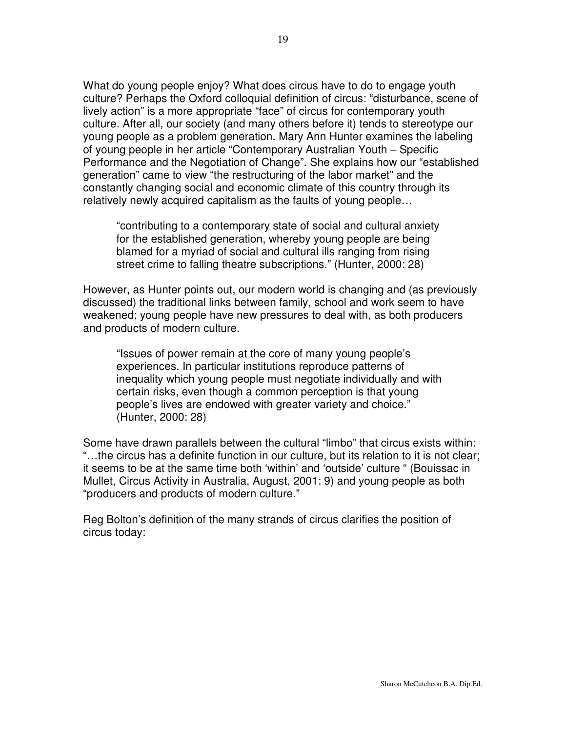What do young people enjoy? What does circus have to do to engage youth culture? Perhaps the Oxford colloquial definition of circus: "disturbance, scene of lively action" is a more appropriate "face" of circus for contemporary youth culture. After all, our society (and many others before it) tends to stereotype our young people as a problem generation. Mary Ann Hunter examines the labeling of young people in her article "Contemporary Australian Youth – Specific Performance and the Negotiation of Change". She explains how our "established generation" came to view "the restructuring of the labor market" and the constantly changing social and economic climate of this country through its relatively newly acquired capitalism as the faults of young people…

"contributing to a contemporary state of social and cultural anxiety for the established generation, whereby young people are being blamed for a myriad of social and cultural ills ranging from rising street crime to falling theatre subscriptions." (Hunter, 2000: 28)

However, as Hunter points out, our modern world is changing and (as previously discussed) the traditional links between family, school and work seem to have weakened; young people have new pressures to deal with, as both producers and products of modern culture.

"Issues of power remain at the core of many young people's experiences. In particular institutions reproduce patterns of inequality which young people must negotiate individually and with certain risks, even though a common perception is that young people's lives are endowed with greater variety and choice." (Hunter, 2000: 28)

Some have drawn parallels between the cultural "limbo" that circus exists within: "…the circus has a definite function in our culture, but its relation to it is not clear; it seems to be at the same time both 'within' and 'outside' culture " (Bouissac in Mullet, Circus Activity in Australia, August, 2001: 9) and young people as both "producers and products of modern culture."

Reg Bolton's definition of the many strands of circus clarifies the position of circus today: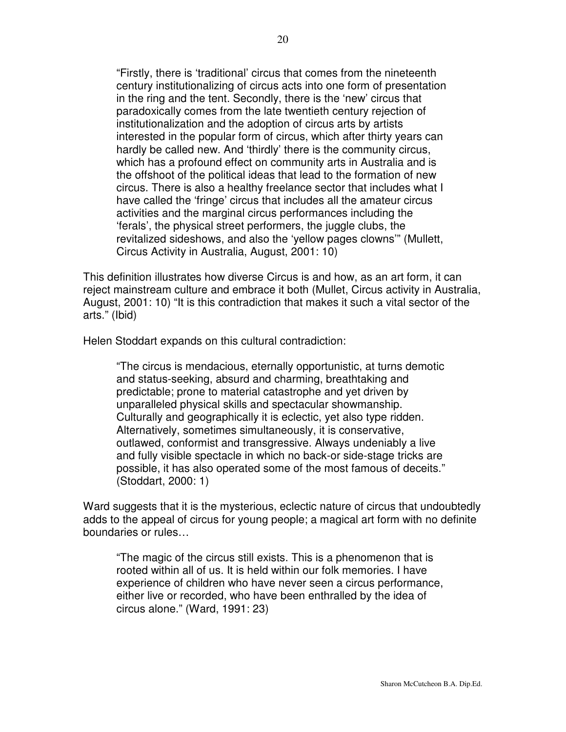"Firstly, there is 'traditional' circus that comes from the nineteenth century institutionalizing of circus acts into one form of presentation in the ring and the tent. Secondly, there is the 'new' circus that paradoxically comes from the late twentieth century rejection of institutionalization and the adoption of circus arts by artists interested in the popular form of circus, which after thirty years can hardly be called new. And 'thirdly' there is the community circus, which has a profound effect on community arts in Australia and is the offshoot of the political ideas that lead to the formation of new circus. There is also a healthy freelance sector that includes what I have called the 'fringe' circus that includes all the amateur circus activities and the marginal circus performances including the 'ferals', the physical street performers, the juggle clubs, the revitalized sideshows, and also the 'yellow pages clowns'" (Mullett, Circus Activity in Australia, August, 2001: 10)

This definition illustrates how diverse Circus is and how, as an art form, it can reject mainstream culture and embrace it both (Mullet, Circus activity in Australia, August, 2001: 10) "It is this contradiction that makes it such a vital sector of the arts." (Ibid)

Helen Stoddart expands on this cultural contradiction:

"The circus is mendacious, eternally opportunistic, at turns demotic and status-seeking, absurd and charming, breathtaking and predictable; prone to material catastrophe and yet driven by unparalleled physical skills and spectacular showmanship. Culturally and geographically it is eclectic, yet also type ridden. Alternatively, sometimes simultaneously, it is conservative, outlawed, conformist and transgressive. Always undeniably a live and fully visible spectacle in which no back-or side-stage tricks are possible, it has also operated some of the most famous of deceits." (Stoddart, 2000: 1)

Ward suggests that it is the mysterious, eclectic nature of circus that undoubtedly adds to the appeal of circus for young people; a magical art form with no definite boundaries or rules…

"The magic of the circus still exists. This is a phenomenon that is rooted within all of us. It is held within our folk memories. I have experience of children who have never seen a circus performance, either live or recorded, who have been enthralled by the idea of circus alone." (Ward, 1991: 23)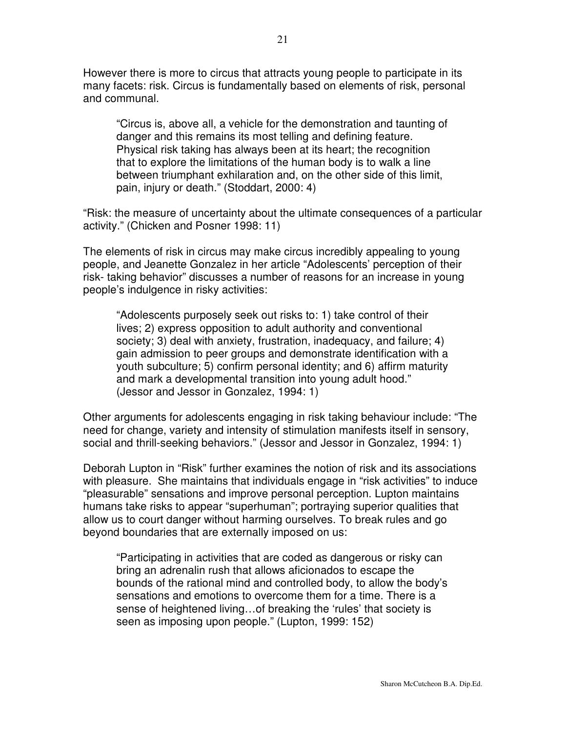However there is more to circus that attracts young people to participate in its many facets: risk. Circus is fundamentally based on elements of risk, personal and communal.

"Circus is, above all, a vehicle for the demonstration and taunting of danger and this remains its most telling and defining feature. Physical risk taking has always been at its heart; the recognition that to explore the limitations of the human body is to walk a line between triumphant exhilaration and, on the other side of this limit, pain, injury or death." (Stoddart, 2000: 4)

"Risk: the measure of uncertainty about the ultimate consequences of a particular activity." (Chicken and Posner 1998: 11)

The elements of risk in circus may make circus incredibly appealing to young people, and Jeanette Gonzalez in her article "Adolescents' perception of their risk- taking behavior" discusses a number of reasons for an increase in young people's indulgence in risky activities:

"Adolescents purposely seek out risks to: 1) take control of their lives; 2) express opposition to adult authority and conventional society; 3) deal with anxiety, frustration, inadequacy, and failure; 4) gain admission to peer groups and demonstrate identification with a youth subculture; 5) confirm personal identity; and 6) affirm maturity and mark a developmental transition into young adult hood." (Jessor and Jessor in Gonzalez, 1994: 1)

Other arguments for adolescents engaging in risk taking behaviour include: "The need for change, variety and intensity of stimulation manifests itself in sensory, social and thrill-seeking behaviors." (Jessor and Jessor in Gonzalez, 1994: 1)

Deborah Lupton in "Risk" further examines the notion of risk and its associations with pleasure. She maintains that individuals engage in "risk activities" to induce "pleasurable" sensations and improve personal perception. Lupton maintains humans take risks to appear "superhuman"; portraying superior qualities that allow us to court danger without harming ourselves. To break rules and go beyond boundaries that are externally imposed on us:

"Participating in activities that are coded as dangerous or risky can bring an adrenalin rush that allows aficionados to escape the bounds of the rational mind and controlled body, to allow the body's sensations and emotions to overcome them for a time. There is a sense of heightened living…of breaking the 'rules' that society is seen as imposing upon people." (Lupton, 1999: 152)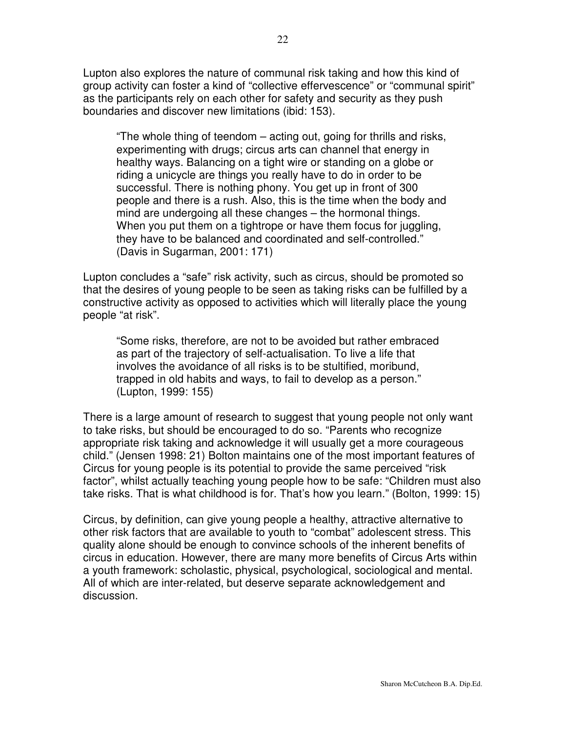Lupton also explores the nature of communal risk taking and how this kind of group activity can foster a kind of "collective effervescence" or "communal spirit" as the participants rely on each other for safety and security as they push boundaries and discover new limitations (ibid: 153).

"The whole thing of teendom – acting out, going for thrills and risks, experimenting with drugs; circus arts can channel that energy in healthy ways. Balancing on a tight wire or standing on a globe or riding a unicycle are things you really have to do in order to be successful. There is nothing phony. You get up in front of 300 people and there is a rush. Also, this is the time when the body and mind are undergoing all these changes – the hormonal things. When you put them on a tightrope or have them focus for juggling, they have to be balanced and coordinated and self-controlled." (Davis in Sugarman, 2001: 171)

Lupton concludes a "safe" risk activity, such as circus, should be promoted so that the desires of young people to be seen as taking risks can be fulfilled by a constructive activity as opposed to activities which will literally place the young people "at risk".

"Some risks, therefore, are not to be avoided but rather embraced as part of the trajectory of self-actualisation. To live a life that involves the avoidance of all risks is to be stultified, moribund, trapped in old habits and ways, to fail to develop as a person." (Lupton, 1999: 155)

There is a large amount of research to suggest that young people not only want to take risks, but should be encouraged to do so. "Parents who recognize appropriate risk taking and acknowledge it will usually get a more courageous child." (Jensen 1998: 21) Bolton maintains one of the most important features of Circus for young people is its potential to provide the same perceived "risk factor", whilst actually teaching young people how to be safe: "Children must also take risks. That is what childhood is for. That's how you learn." (Bolton, 1999: 15)

Circus, by definition, can give young people a healthy, attractive alternative to other risk factors that are available to youth to "combat" adolescent stress. This quality alone should be enough to convince schools of the inherent benefits of circus in education. However, there are many more benefits of Circus Arts within a youth framework: scholastic, physical, psychological, sociological and mental. All of which are inter-related, but deserve separate acknowledgement and discussion.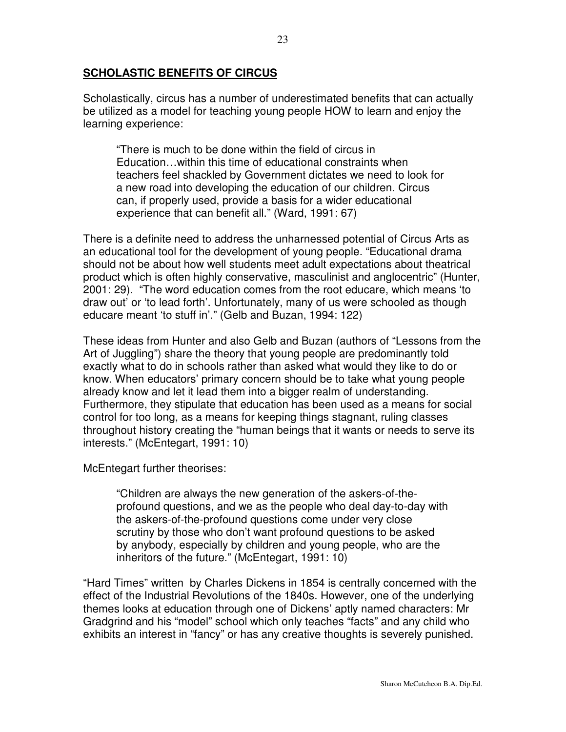#### **SCHOLASTIC BENEFITS OF CIRCUS**

Scholastically, circus has a number of underestimated benefits that can actually be utilized as a model for teaching young people HOW to learn and enjoy the learning experience:

"There is much to be done within the field of circus in Education…within this time of educational constraints when teachers feel shackled by Government dictates we need to look for a new road into developing the education of our children. Circus can, if properly used, provide a basis for a wider educational experience that can benefit all." (Ward, 1991: 67)

There is a definite need to address the unharnessed potential of Circus Arts as an educational tool for the development of young people. "Educational drama should not be about how well students meet adult expectations about theatrical product which is often highly conservative, masculinist and anglocentric" (Hunter, 2001: 29). "The word education comes from the root educare, which means 'to draw out' or 'to lead forth'. Unfortunately, many of us were schooled as though educare meant 'to stuff in'." (Gelb and Buzan, 1994: 122)

These ideas from Hunter and also Gelb and Buzan (authors of "Lessons from the Art of Juggling") share the theory that young people are predominantly told exactly what to do in schools rather than asked what would they like to do or know. When educators' primary concern should be to take what young people already know and let it lead them into a bigger realm of understanding. Furthermore, they stipulate that education has been used as a means for social control for too long, as a means for keeping things stagnant, ruling classes throughout history creating the "human beings that it wants or needs to serve its interests." (McEntegart, 1991: 10)

McEntegart further theorises:

"Children are always the new generation of the askers-of-theprofound questions, and we as the people who deal day-to-day with the askers-of-the-profound questions come under very close scrutiny by those who don't want profound questions to be asked by anybody, especially by children and young people, who are the inheritors of the future." (McEntegart, 1991: 10)

"Hard Times" written by Charles Dickens in 1854 is centrally concerned with the effect of the Industrial Revolutions of the 1840s. However, one of the underlying themes looks at education through one of Dickens' aptly named characters: Mr Gradgrind and his "model" school which only teaches "facts" and any child who exhibits an interest in "fancy" or has any creative thoughts is severely punished.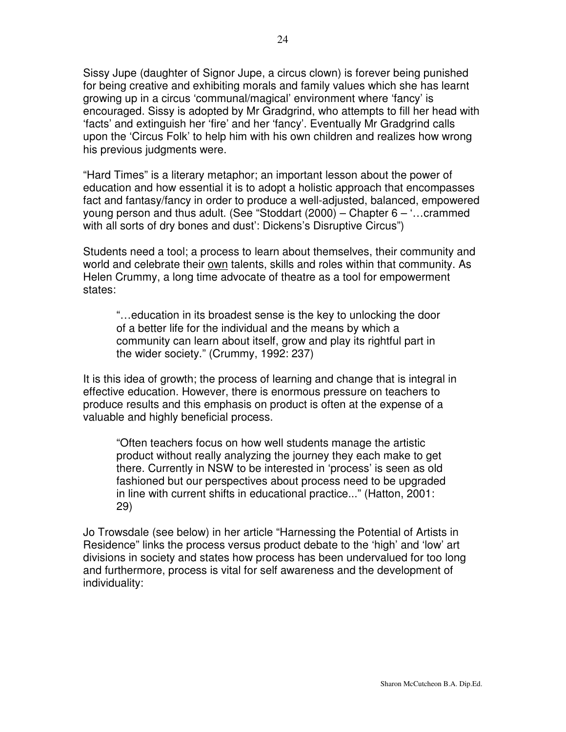Sissy Jupe (daughter of Signor Jupe, a circus clown) is forever being punished for being creative and exhibiting morals and family values which she has learnt growing up in a circus 'communal/magical' environment where 'fancy' is encouraged. Sissy is adopted by Mr Gradgrind, who attempts to fill her head with 'facts' and extinguish her 'fire' and her 'fancy'. Eventually Mr Gradgrind calls upon the 'Circus Folk' to help him with his own children and realizes how wrong his previous judgments were.

"Hard Times" is a literary metaphor; an important lesson about the power of education and how essential it is to adopt a holistic approach that encompasses fact and fantasy/fancy in order to produce a well-adjusted, balanced, empowered young person and thus adult. (See "Stoddart (2000) – Chapter 6 – '…crammed with all sorts of dry bones and dust': Dickens's Disruptive Circus")

Students need a tool; a process to learn about themselves, their community and world and celebrate their own talents, skills and roles within that community. As Helen Crummy, a long time advocate of theatre as a tool for empowerment states:

"…education in its broadest sense is the key to unlocking the door of a better life for the individual and the means by which a community can learn about itself, grow and play its rightful part in the wider society." (Crummy, 1992: 237)

It is this idea of growth; the process of learning and change that is integral in effective education. However, there is enormous pressure on teachers to produce results and this emphasis on product is often at the expense of a valuable and highly beneficial process.

"Often teachers focus on how well students manage the artistic product without really analyzing the journey they each make to get there. Currently in NSW to be interested in 'process' is seen as old fashioned but our perspectives about process need to be upgraded in line with current shifts in educational practice..." (Hatton, 2001: 29)

Jo Trowsdale (see below) in her article "Harnessing the Potential of Artists in Residence" links the process versus product debate to the 'high' and 'low' art divisions in society and states how process has been undervalued for too long and furthermore, process is vital for self awareness and the development of individuality: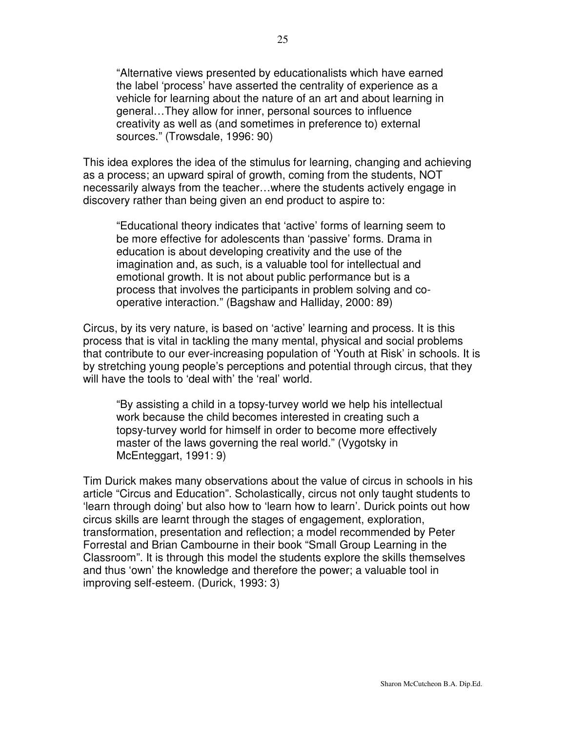"Alternative views presented by educationalists which have earned the label 'process' have asserted the centrality of experience as a vehicle for learning about the nature of an art and about learning in general…They allow for inner, personal sources to influence creativity as well as (and sometimes in preference to) external sources." (Trowsdale, 1996: 90)

This idea explores the idea of the stimulus for learning, changing and achieving as a process; an upward spiral of growth, coming from the students, NOT necessarily always from the teacher…where the students actively engage in discovery rather than being given an end product to aspire to:

"Educational theory indicates that 'active' forms of learning seem to be more effective for adolescents than 'passive' forms. Drama in education is about developing creativity and the use of the imagination and, as such, is a valuable tool for intellectual and emotional growth. It is not about public performance but is a process that involves the participants in problem solving and cooperative interaction." (Bagshaw and Halliday, 2000: 89)

Circus, by its very nature, is based on 'active' learning and process. It is this process that is vital in tackling the many mental, physical and social problems that contribute to our ever-increasing population of 'Youth at Risk' in schools. It is by stretching young people's perceptions and potential through circus, that they will have the tools to 'deal with' the 'real' world.

"By assisting a child in a topsy-turvey world we help his intellectual work because the child becomes interested in creating such a topsy-turvey world for himself in order to become more effectively master of the laws governing the real world." (Vygotsky in McEnteggart, 1991: 9)

Tim Durick makes many observations about the value of circus in schools in his article "Circus and Education". Scholastically, circus not only taught students to 'learn through doing' but also how to 'learn how to learn'. Durick points out how circus skills are learnt through the stages of engagement, exploration, transformation, presentation and reflection; a model recommended by Peter Forrestal and Brian Cambourne in their book "Small Group Learning in the Classroom". It is through this model the students explore the skills themselves and thus 'own' the knowledge and therefore the power; a valuable tool in improving self-esteem. (Durick, 1993: 3)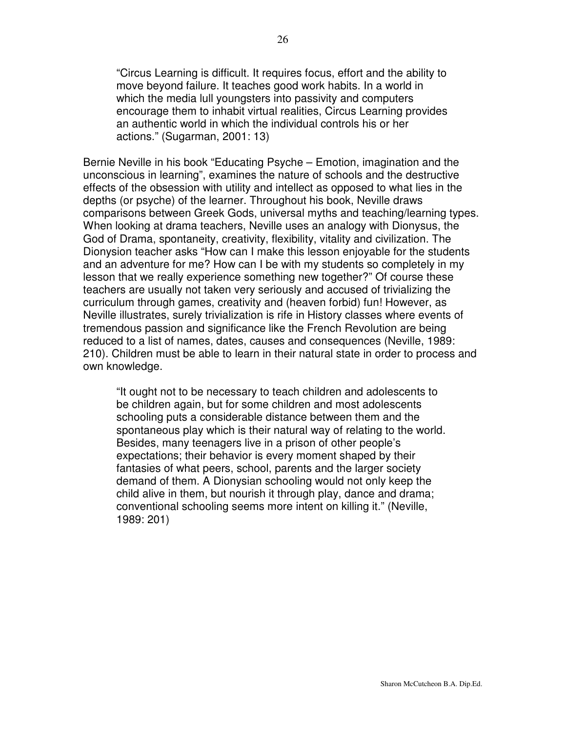"Circus Learning is difficult. It requires focus, effort and the ability to move beyond failure. It teaches good work habits. In a world in which the media lull youngsters into passivity and computers encourage them to inhabit virtual realities, Circus Learning provides an authentic world in which the individual controls his or her actions." (Sugarman, 2001: 13)

Bernie Neville in his book "Educating Psyche – Emotion, imagination and the unconscious in learning", examines the nature of schools and the destructive effects of the obsession with utility and intellect as opposed to what lies in the depths (or psyche) of the learner. Throughout his book, Neville draws comparisons between Greek Gods, universal myths and teaching/learning types. When looking at drama teachers, Neville uses an analogy with Dionysus, the God of Drama, spontaneity, creativity, flexibility, vitality and civilization. The Dionysion teacher asks "How can I make this lesson enjoyable for the students and an adventure for me? How can I be with my students so completely in my lesson that we really experience something new together?" Of course these teachers are usually not taken very seriously and accused of trivializing the curriculum through games, creativity and (heaven forbid) fun! However, as Neville illustrates, surely trivialization is rife in History classes where events of tremendous passion and significance like the French Revolution are being reduced to a list of names, dates, causes and consequences (Neville, 1989: 210). Children must be able to learn in their natural state in order to process and own knowledge.

"It ought not to be necessary to teach children and adolescents to be children again, but for some children and most adolescents schooling puts a considerable distance between them and the spontaneous play which is their natural way of relating to the world. Besides, many teenagers live in a prison of other people's expectations; their behavior is every moment shaped by their fantasies of what peers, school, parents and the larger society demand of them. A Dionysian schooling would not only keep the child alive in them, but nourish it through play, dance and drama; conventional schooling seems more intent on killing it." (Neville, 1989: 201)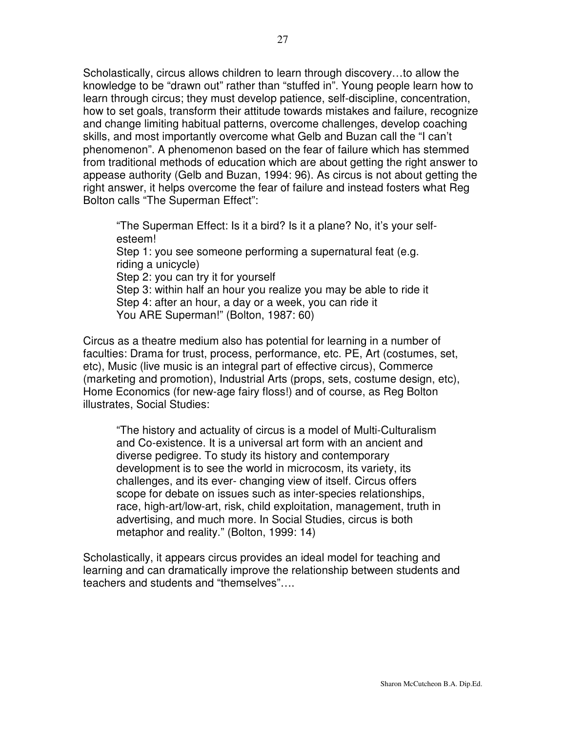Scholastically, circus allows children to learn through discovery…to allow the knowledge to be "drawn out" rather than "stuffed in". Young people learn how to learn through circus; they must develop patience, self-discipline, concentration, how to set goals, transform their attitude towards mistakes and failure, recognize and change limiting habitual patterns, overcome challenges, develop coaching skills, and most importantly overcome what Gelb and Buzan call the "I can't phenomenon". A phenomenon based on the fear of failure which has stemmed from traditional methods of education which are about getting the right answer to appease authority (Gelb and Buzan, 1994: 96). As circus is not about getting the right answer, it helps overcome the fear of failure and instead fosters what Reg Bolton calls "The Superman Effect":

"The Superman Effect: Is it a bird? Is it a plane? No, it's your selfesteem! Step 1: you see someone performing a supernatural feat (e.g. riding a unicycle) Step 2: you can try it for yourself Step 3: within half an hour you realize you may be able to ride it Step 4: after an hour, a day or a week, you can ride it You ARE Superman!" (Bolton, 1987: 60)

Circus as a theatre medium also has potential for learning in a number of faculties: Drama for trust, process, performance, etc. PE, Art (costumes, set, etc), Music (live music is an integral part of effective circus), Commerce (marketing and promotion), Industrial Arts (props, sets, costume design, etc), Home Economics (for new-age fairy floss!) and of course, as Reg Bolton illustrates, Social Studies:

"The history and actuality of circus is a model of Multi-Culturalism and Co-existence. It is a universal art form with an ancient and diverse pedigree. To study its history and contemporary development is to see the world in microcosm, its variety, its challenges, and its ever- changing view of itself. Circus offers scope for debate on issues such as inter-species relationships, race, high-art/low-art, risk, child exploitation, management, truth in advertising, and much more. In Social Studies, circus is both metaphor and reality." (Bolton, 1999: 14)

Scholastically, it appears circus provides an ideal model for teaching and learning and can dramatically improve the relationship between students and teachers and students and "themselves"….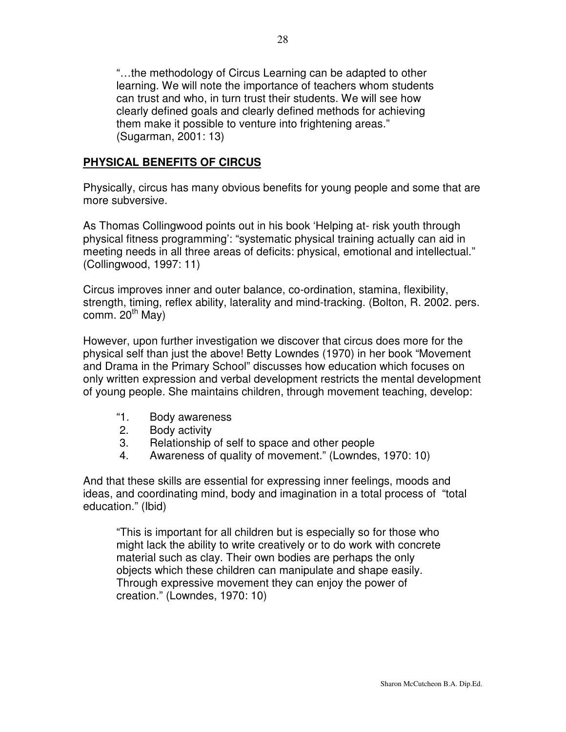"…the methodology of Circus Learning can be adapted to other learning. We will note the importance of teachers whom students can trust and who, in turn trust their students. We will see how clearly defined goals and clearly defined methods for achieving them make it possible to venture into frightening areas." (Sugarman, 2001: 13)

### **PHYSICAL BENEFITS OF CIRCUS**

Physically, circus has many obvious benefits for young people and some that are more subversive.

As Thomas Collingwood points out in his book 'Helping at- risk youth through physical fitness programming': "systematic physical training actually can aid in meeting needs in all three areas of deficits: physical, emotional and intellectual." (Collingwood, 1997: 11)

Circus improves inner and outer balance, co-ordination, stamina, flexibility, strength, timing, reflex ability, laterality and mind-tracking. (Bolton, R. 2002. pers. comm. 20<sup>th</sup> May)

However, upon further investigation we discover that circus does more for the physical self than just the above! Betty Lowndes (1970) in her book "Movement and Drama in the Primary School" discusses how education which focuses on only written expression and verbal development restricts the mental development of young people. She maintains children, through movement teaching, develop:

- "1. Body awareness
- 2. Body activity
- 3. Relationship of self to space and other people
- 4. Awareness of quality of movement." (Lowndes, 1970: 10)

And that these skills are essential for expressing inner feelings, moods and ideas, and coordinating mind, body and imagination in a total process of "total education." (Ibid)

"This is important for all children but is especially so for those who might lack the ability to write creatively or to do work with concrete material such as clay. Their own bodies are perhaps the only objects which these children can manipulate and shape easily. Through expressive movement they can enjoy the power of creation." (Lowndes, 1970: 10)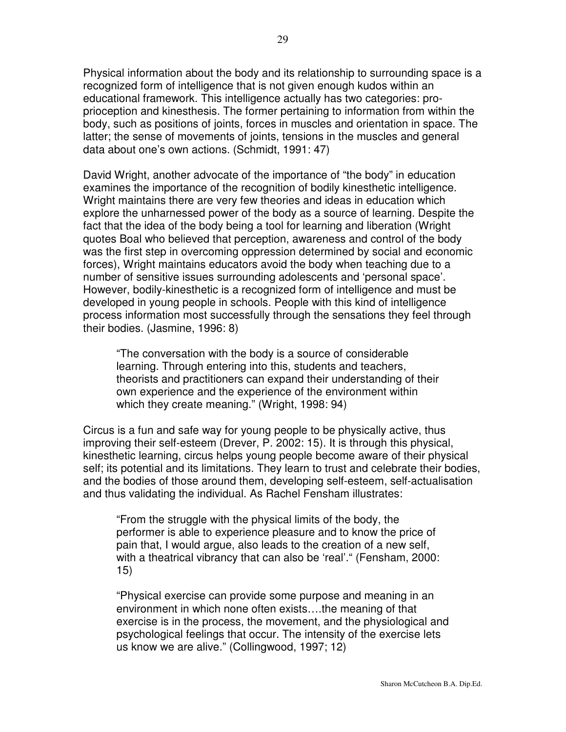Physical information about the body and its relationship to surrounding space is a recognized form of intelligence that is not given enough kudos within an educational framework. This intelligence actually has two categories: proprioception and kinesthesis. The former pertaining to information from within the body, such as positions of joints, forces in muscles and orientation in space. The latter; the sense of movements of joints, tensions in the muscles and general data about one's own actions. (Schmidt, 1991: 47)

David Wright, another advocate of the importance of "the body" in education examines the importance of the recognition of bodily kinesthetic intelligence. Wright maintains there are very few theories and ideas in education which explore the unharnessed power of the body as a source of learning. Despite the fact that the idea of the body being a tool for learning and liberation (Wright quotes Boal who believed that perception, awareness and control of the body was the first step in overcoming oppression determined by social and economic forces), Wright maintains educators avoid the body when teaching due to a number of sensitive issues surrounding adolescents and 'personal space'. However, bodily-kinesthetic is a recognized form of intelligence and must be developed in young people in schools. People with this kind of intelligence process information most successfully through the sensations they feel through their bodies. (Jasmine, 1996: 8)

"The conversation with the body is a source of considerable learning. Through entering into this, students and teachers, theorists and practitioners can expand their understanding of their own experience and the experience of the environment within which they create meaning." (Wright, 1998: 94)

Circus is a fun and safe way for young people to be physically active, thus improving their self-esteem (Drever, P. 2002: 15). It is through this physical, kinesthetic learning, circus helps young people become aware of their physical self; its potential and its limitations. They learn to trust and celebrate their bodies, and the bodies of those around them, developing self-esteem, self-actualisation and thus validating the individual. As Rachel Fensham illustrates:

"From the struggle with the physical limits of the body, the performer is able to experience pleasure and to know the price of pain that, I would argue, also leads to the creation of a new self, with a theatrical vibrancy that can also be 'real'." (Fensham, 2000: 15)

"Physical exercise can provide some purpose and meaning in an environment in which none often exists….the meaning of that exercise is in the process, the movement, and the physiological and psychological feelings that occur. The intensity of the exercise lets us know we are alive." (Collingwood, 1997; 12)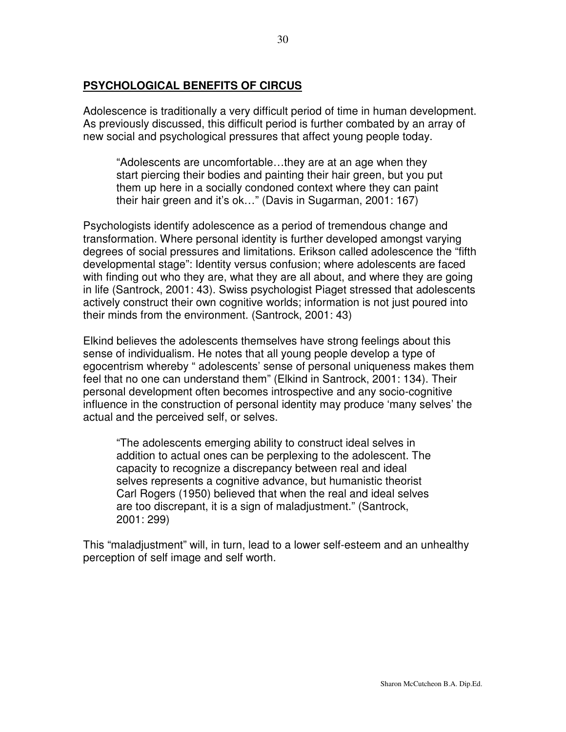### **PSYCHOLOGICAL BENEFITS OF CIRCUS**

Adolescence is traditionally a very difficult period of time in human development. As previously discussed, this difficult period is further combated by an array of new social and psychological pressures that affect young people today.

"Adolescents are uncomfortable…they are at an age when they start piercing their bodies and painting their hair green, but you put them up here in a socially condoned context where they can paint their hair green and it's ok…" (Davis in Sugarman, 2001: 167)

Psychologists identify adolescence as a period of tremendous change and transformation. Where personal identity is further developed amongst varying degrees of social pressures and limitations. Erikson called adolescence the "fifth developmental stage": Identity versus confusion; where adolescents are faced with finding out who they are, what they are all about, and where they are going in life (Santrock, 2001: 43). Swiss psychologist Piaget stressed that adolescents actively construct their own cognitive worlds; information is not just poured into their minds from the environment. (Santrock, 2001: 43)

Elkind believes the adolescents themselves have strong feelings about this sense of individualism. He notes that all young people develop a type of egocentrism whereby " adolescents' sense of personal uniqueness makes them feel that no one can understand them" (Elkind in Santrock, 2001: 134). Their personal development often becomes introspective and any socio-cognitive influence in the construction of personal identity may produce 'many selves' the actual and the perceived self, or selves.

"The adolescents emerging ability to construct ideal selves in addition to actual ones can be perplexing to the adolescent. The capacity to recognize a discrepancy between real and ideal selves represents a cognitive advance, but humanistic theorist Carl Rogers (1950) believed that when the real and ideal selves are too discrepant, it is a sign of maladjustment." (Santrock, 2001: 299)

This "maladjustment" will, in turn, lead to a lower self-esteem and an unhealthy perception of self image and self worth.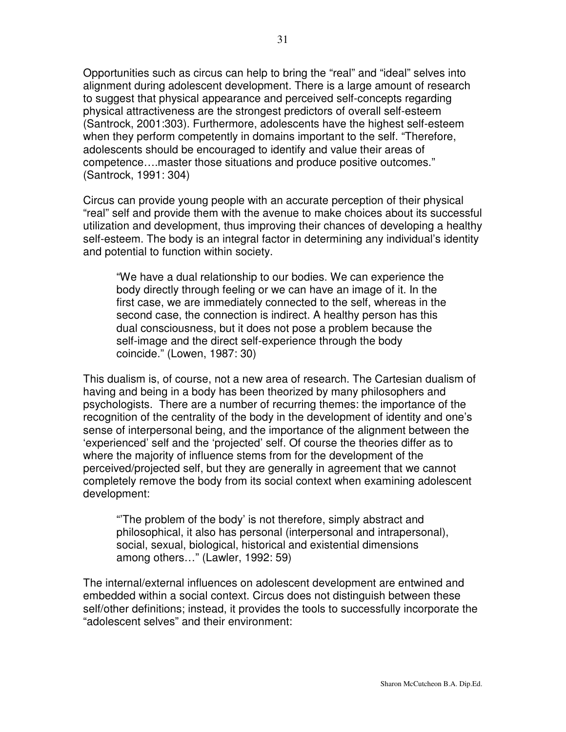Opportunities such as circus can help to bring the "real" and "ideal" selves into alignment during adolescent development. There is a large amount of research to suggest that physical appearance and perceived self-concepts regarding physical attractiveness are the strongest predictors of overall self-esteem (Santrock, 2001:303). Furthermore, adolescents have the highest self-esteem when they perform competently in domains important to the self. "Therefore, adolescents should be encouraged to identify and value their areas of competence….master those situations and produce positive outcomes." (Santrock, 1991: 304)

Circus can provide young people with an accurate perception of their physical "real" self and provide them with the avenue to make choices about its successful utilization and development, thus improving their chances of developing a healthy self-esteem. The body is an integral factor in determining any individual's identity and potential to function within society.

"We have a dual relationship to our bodies. We can experience the body directly through feeling or we can have an image of it. In the first case, we are immediately connected to the self, whereas in the second case, the connection is indirect. A healthy person has this dual consciousness, but it does not pose a problem because the self-image and the direct self-experience through the body coincide." (Lowen, 1987: 30)

This dualism is, of course, not a new area of research. The Cartesian dualism of having and being in a body has been theorized by many philosophers and psychologists. There are a number of recurring themes: the importance of the recognition of the centrality of the body in the development of identity and one's sense of interpersonal being, and the importance of the alignment between the 'experienced' self and the 'projected' self. Of course the theories differ as to where the majority of influence stems from for the development of the perceived/projected self, but they are generally in agreement that we cannot completely remove the body from its social context when examining adolescent development:

"'The problem of the body' is not therefore, simply abstract and philosophical, it also has personal (interpersonal and intrapersonal), social, sexual, biological, historical and existential dimensions among others…" (Lawler, 1992: 59)

The internal/external influences on adolescent development are entwined and embedded within a social context. Circus does not distinguish between these self/other definitions; instead, it provides the tools to successfully incorporate the "adolescent selves" and their environment: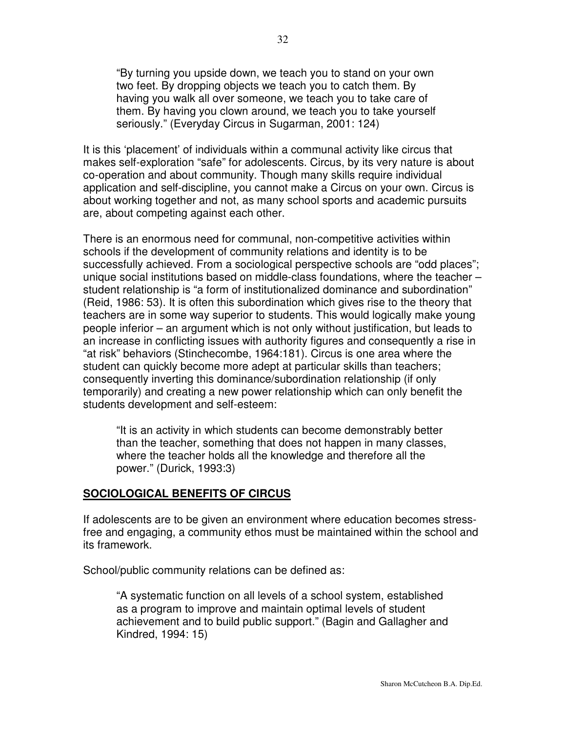"By turning you upside down, we teach you to stand on your own two feet. By dropping objects we teach you to catch them. By having you walk all over someone, we teach you to take care of them. By having you clown around, we teach you to take yourself seriously." (Everyday Circus in Sugarman, 2001: 124)

It is this 'placement' of individuals within a communal activity like circus that makes self-exploration "safe" for adolescents. Circus, by its very nature is about co-operation and about community. Though many skills require individual application and self-discipline, you cannot make a Circus on your own. Circus is about working together and not, as many school sports and academic pursuits are, about competing against each other.

There is an enormous need for communal, non-competitive activities within schools if the development of community relations and identity is to be successfully achieved. From a sociological perspective schools are "odd places"; unique social institutions based on middle-class foundations, where the teacher – student relationship is "a form of institutionalized dominance and subordination" (Reid, 1986: 53). It is often this subordination which gives rise to the theory that teachers are in some way superior to students. This would logically make young people inferior – an argument which is not only without justification, but leads to an increase in conflicting issues with authority figures and consequently a rise in "at risk" behaviors (Stinchecombe, 1964:181). Circus is one area where the student can quickly become more adept at particular skills than teachers; consequently inverting this dominance/subordination relationship (if only temporarily) and creating a new power relationship which can only benefit the students development and self-esteem:

"It is an activity in which students can become demonstrably better than the teacher, something that does not happen in many classes, where the teacher holds all the knowledge and therefore all the power." (Durick, 1993:3)

#### **SOCIOLOGICAL BENEFITS OF CIRCUS**

If adolescents are to be given an environment where education becomes stressfree and engaging, a community ethos must be maintained within the school and its framework.

School/public community relations can be defined as:

"A systematic function on all levels of a school system, established as a program to improve and maintain optimal levels of student achievement and to build public support." (Bagin and Gallagher and Kindred, 1994: 15)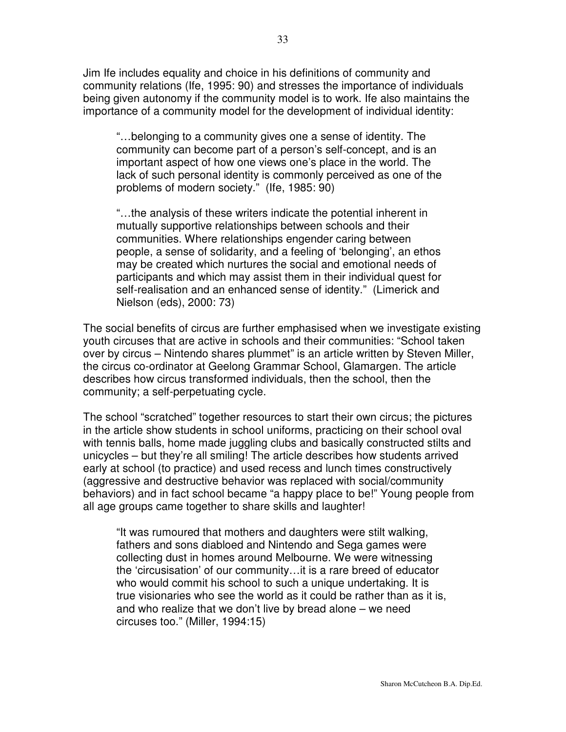Jim Ife includes equality and choice in his definitions of community and community relations (Ife, 1995: 90) and stresses the importance of individuals being given autonomy if the community model is to work. Ife also maintains the importance of a community model for the development of individual identity:

"…belonging to a community gives one a sense of identity. The community can become part of a person's self-concept, and is an important aspect of how one views one's place in the world. The lack of such personal identity is commonly perceived as one of the problems of modern society." (Ife, 1985: 90)

"…the analysis of these writers indicate the potential inherent in mutually supportive relationships between schools and their communities. Where relationships engender caring between people, a sense of solidarity, and a feeling of 'belonging', an ethos may be created which nurtures the social and emotional needs of participants and which may assist them in their individual quest for self-realisation and an enhanced sense of identity." (Limerick and Nielson (eds), 2000: 73)

The social benefits of circus are further emphasised when we investigate existing youth circuses that are active in schools and their communities: "School taken over by circus – Nintendo shares plummet" is an article written by Steven Miller, the circus co-ordinator at Geelong Grammar School, Glamargen. The article describes how circus transformed individuals, then the school, then the community; a self-perpetuating cycle.

The school "scratched" together resources to start their own circus; the pictures in the article show students in school uniforms, practicing on their school oval with tennis balls, home made juggling clubs and basically constructed stilts and unicycles – but they're all smiling! The article describes how students arrived early at school (to practice) and used recess and lunch times constructively (aggressive and destructive behavior was replaced with social/community behaviors) and in fact school became "a happy place to be!" Young people from all age groups came together to share skills and laughter!

"It was rumoured that mothers and daughters were stilt walking, fathers and sons diabloed and Nintendo and Sega games were collecting dust in homes around Melbourne. We were witnessing the 'circusisation' of our community…it is a rare breed of educator who would commit his school to such a unique undertaking. It is true visionaries who see the world as it could be rather than as it is, and who realize that we don't live by bread alone – we need circuses too." (Miller, 1994:15)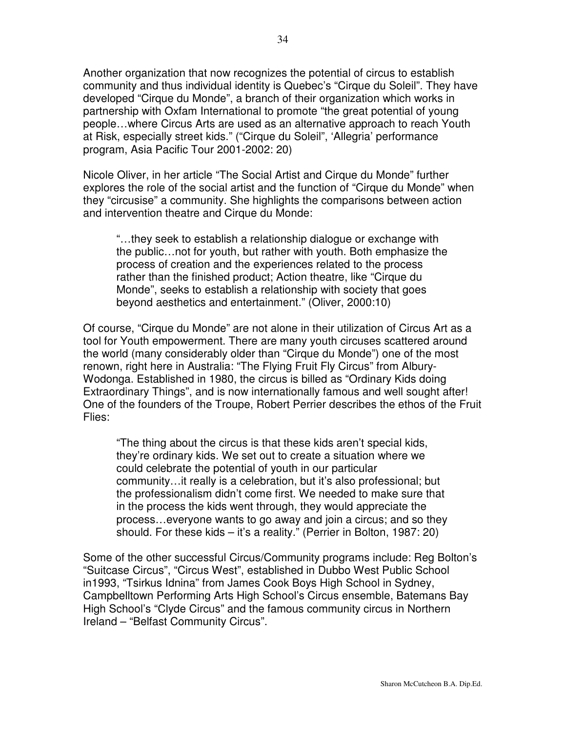Another organization that now recognizes the potential of circus to establish community and thus individual identity is Quebec's "Cirque du Soleil". They have developed "Cirque du Monde", a branch of their organization which works in partnership with Oxfam International to promote "the great potential of young people…where Circus Arts are used as an alternative approach to reach Youth at Risk, especially street kids." ("Cirque du Soleil", 'Allegria' performance program, Asia Pacific Tour 2001-2002: 20)

Nicole Oliver, in her article "The Social Artist and Cirque du Monde" further explores the role of the social artist and the function of "Cirque du Monde" when they "circusise" a community. She highlights the comparisons between action and intervention theatre and Cirque du Monde:

"…they seek to establish a relationship dialogue or exchange with the public…not for youth, but rather with youth. Both emphasize the process of creation and the experiences related to the process rather than the finished product; Action theatre, like "Cirque du Monde", seeks to establish a relationship with society that goes beyond aesthetics and entertainment." (Oliver, 2000:10)

Of course, "Cirque du Monde" are not alone in their utilization of Circus Art as a tool for Youth empowerment. There are many youth circuses scattered around the world (many considerably older than "Cirque du Monde") one of the most renown, right here in Australia: "The Flying Fruit Fly Circus" from Albury-Wodonga. Established in 1980, the circus is billed as "Ordinary Kids doing Extraordinary Things", and is now internationally famous and well sought after! One of the founders of the Troupe, Robert Perrier describes the ethos of the Fruit Flies:

"The thing about the circus is that these kids aren't special kids, they're ordinary kids. We set out to create a situation where we could celebrate the potential of youth in our particular community…it really is a celebration, but it's also professional; but the professionalism didn't come first. We needed to make sure that in the process the kids went through, they would appreciate the process…everyone wants to go away and join a circus; and so they should. For these kids – it's a reality." (Perrier in Bolton, 1987: 20)

Some of the other successful Circus/Community programs include: Reg Bolton's "Suitcase Circus", "Circus West", established in Dubbo West Public School in1993, "Tsirkus Idnina" from James Cook Boys High School in Sydney, Campbelltown Performing Arts High School's Circus ensemble, Batemans Bay High School's "Clyde Circus" and the famous community circus in Northern Ireland – "Belfast Community Circus".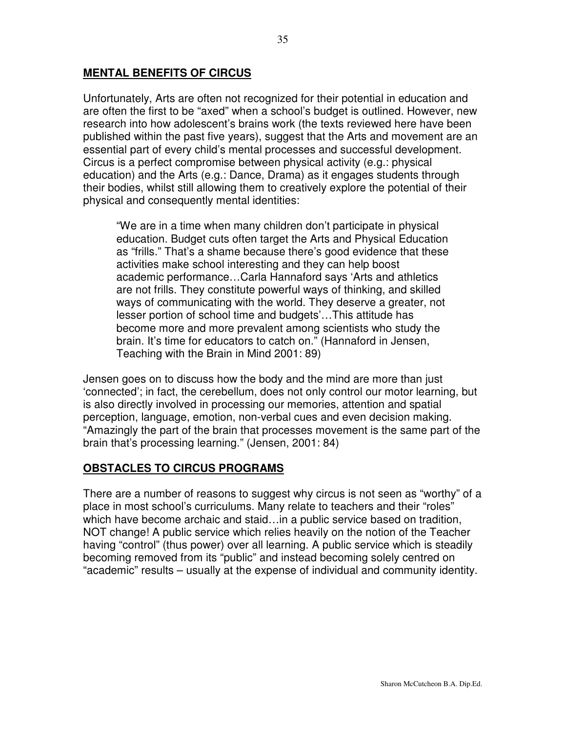### **MENTAL BENEFITS OF CIRCUS**

Unfortunately, Arts are often not recognized for their potential in education and are often the first to be "axed" when a school's budget is outlined. However, new research into how adolescent's brains work (the texts reviewed here have been published within the past five years), suggest that the Arts and movement are an essential part of every child's mental processes and successful development. Circus is a perfect compromise between physical activity (e.g.: physical education) and the Arts (e.g.: Dance, Drama) as it engages students through their bodies, whilst still allowing them to creatively explore the potential of their physical and consequently mental identities:

"We are in a time when many children don't participate in physical education. Budget cuts often target the Arts and Physical Education as "frills." That's a shame because there's good evidence that these activities make school interesting and they can help boost academic performance…Carla Hannaford says 'Arts and athletics are not frills. They constitute powerful ways of thinking, and skilled ways of communicating with the world. They deserve a greater, not lesser portion of school time and budgets'…This attitude has become more and more prevalent among scientists who study the brain. It's time for educators to catch on." (Hannaford in Jensen, Teaching with the Brain in Mind 2001: 89)

Jensen goes on to discuss how the body and the mind are more than just 'connected'; in fact, the cerebellum, does not only control our motor learning, but is also directly involved in processing our memories, attention and spatial perception, language, emotion, non-verbal cues and even decision making. "Amazingly the part of the brain that processes movement is the same part of the brain that's processing learning." (Jensen, 2001: 84)

### **OBSTACLES TO CIRCUS PROGRAMS**

There are a number of reasons to suggest why circus is not seen as "worthy" of a place in most school's curriculums. Many relate to teachers and their "roles" which have become archaic and staid…in a public service based on tradition, NOT change! A public service which relies heavily on the notion of the Teacher having "control" (thus power) over all learning. A public service which is steadily becoming removed from its "public" and instead becoming solely centred on "academic" results – usually at the expense of individual and community identity.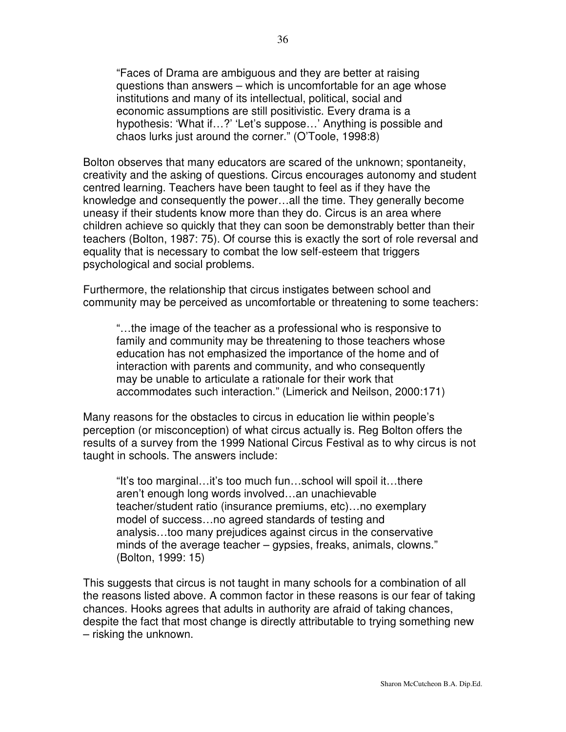"Faces of Drama are ambiguous and they are better at raising questions than answers – which is uncomfortable for an age whose institutions and many of its intellectual, political, social and economic assumptions are still positivistic. Every drama is a hypothesis: 'What if…?' 'Let's suppose…' Anything is possible and chaos lurks just around the corner." (O'Toole, 1998:8)

Bolton observes that many educators are scared of the unknown; spontaneity, creativity and the asking of questions. Circus encourages autonomy and student centred learning. Teachers have been taught to feel as if they have the knowledge and consequently the power…all the time. They generally become uneasy if their students know more than they do. Circus is an area where children achieve so quickly that they can soon be demonstrably better than their teachers (Bolton, 1987: 75). Of course this is exactly the sort of role reversal and equality that is necessary to combat the low self-esteem that triggers psychological and social problems.

Furthermore, the relationship that circus instigates between school and community may be perceived as uncomfortable or threatening to some teachers:

"…the image of the teacher as a professional who is responsive to family and community may be threatening to those teachers whose education has not emphasized the importance of the home and of interaction with parents and community, and who consequently may be unable to articulate a rationale for their work that accommodates such interaction." (Limerick and Neilson, 2000:171)

Many reasons for the obstacles to circus in education lie within people's perception (or misconception) of what circus actually is. Reg Bolton offers the results of a survey from the 1999 National Circus Festival as to why circus is not taught in schools. The answers include:

"It's too marginal…it's too much fun…school will spoil it…there aren't enough long words involved…an unachievable teacher/student ratio (insurance premiums, etc)…no exemplary model of success…no agreed standards of testing and analysis…too many prejudices against circus in the conservative minds of the average teacher – gypsies, freaks, animals, clowns." (Bolton, 1999: 15)

This suggests that circus is not taught in many schools for a combination of all the reasons listed above. A common factor in these reasons is our fear of taking chances. Hooks agrees that adults in authority are afraid of taking chances, despite the fact that most change is directly attributable to trying something new – risking the unknown.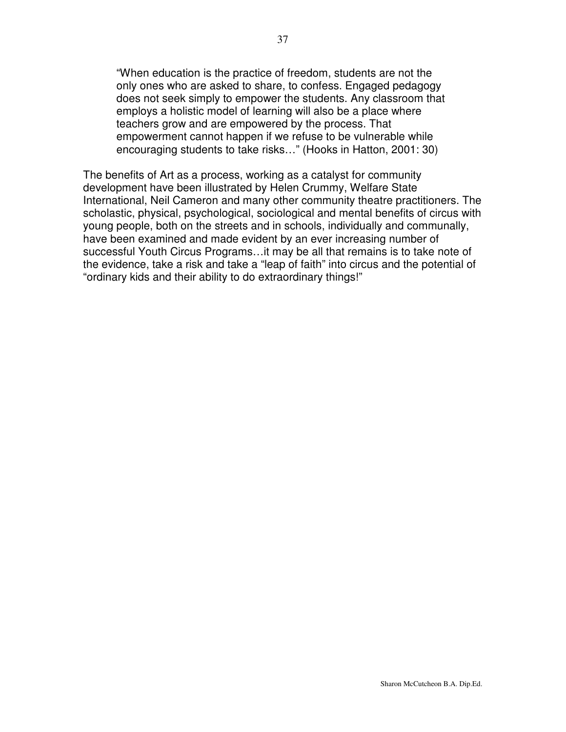"When education is the practice of freedom, students are not the only ones who are asked to share, to confess. Engaged pedagogy does not seek simply to empower the students. Any classroom that employs a holistic model of learning will also be a place where teachers grow and are empowered by the process. That empowerment cannot happen if we refuse to be vulnerable while encouraging students to take risks…" (Hooks in Hatton, 2001: 30)

The benefits of Art as a process, working as a catalyst for community development have been illustrated by Helen Crummy, Welfare State International, Neil Cameron and many other community theatre practitioners. The scholastic, physical, psychological, sociological and mental benefits of circus with young people, both on the streets and in schools, individually and communally, have been examined and made evident by an ever increasing number of successful Youth Circus Programs…it may be all that remains is to take note of the evidence, take a risk and take a "leap of faith" into circus and the potential of "ordinary kids and their ability to do extraordinary things!"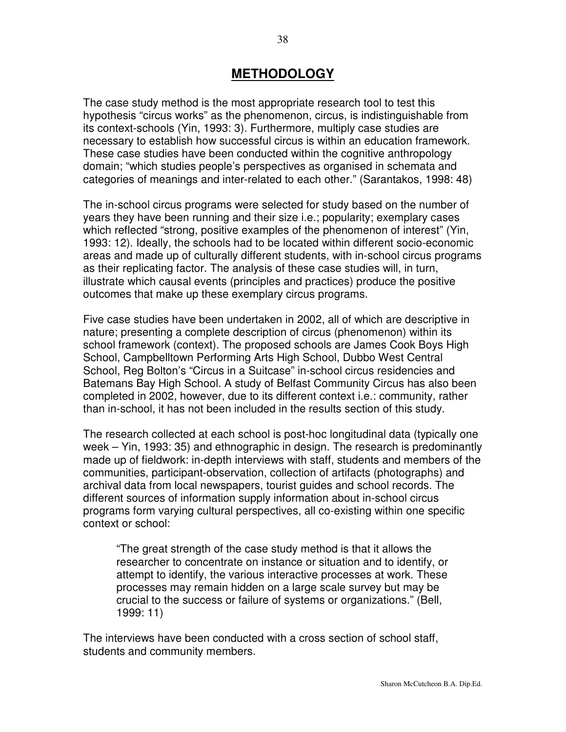# **METHODOLOGY**

The case study method is the most appropriate research tool to test this hypothesis "circus works" as the phenomenon, circus, is indistinguishable from its context-schools (Yin, 1993: 3). Furthermore, multiply case studies are necessary to establish how successful circus is within an education framework. These case studies have been conducted within the cognitive anthropology domain; "which studies people's perspectives as organised in schemata and categories of meanings and inter-related to each other." (Sarantakos, 1998: 48)

The in-school circus programs were selected for study based on the number of years they have been running and their size i.e.; popularity; exemplary cases which reflected "strong, positive examples of the phenomenon of interest" (Yin, 1993: 12). Ideally, the schools had to be located within different socio-economic areas and made up of culturally different students, with in-school circus programs as their replicating factor. The analysis of these case studies will, in turn, illustrate which causal events (principles and practices) produce the positive outcomes that make up these exemplary circus programs.

Five case studies have been undertaken in 2002, all of which are descriptive in nature; presenting a complete description of circus (phenomenon) within its school framework (context). The proposed schools are James Cook Boys High School, Campbelltown Performing Arts High School, Dubbo West Central School, Reg Bolton's "Circus in a Suitcase" in-school circus residencies and Batemans Bay High School. A study of Belfast Community Circus has also been completed in 2002, however, due to its different context i.e.: community, rather than in-school, it has not been included in the results section of this study.

The research collected at each school is post-hoc longitudinal data (typically one week – Yin, 1993: 35) and ethnographic in design. The research is predominantly made up of fieldwork: in-depth interviews with staff, students and members of the communities, participant-observation, collection of artifacts (photographs) and archival data from local newspapers, tourist guides and school records. The different sources of information supply information about in-school circus programs form varying cultural perspectives, all co-existing within one specific context or school:

"The great strength of the case study method is that it allows the researcher to concentrate on instance or situation and to identify, or attempt to identify, the various interactive processes at work. These processes may remain hidden on a large scale survey but may be crucial to the success or failure of systems or organizations." (Bell, 1999: 11)

The interviews have been conducted with a cross section of school staff, students and community members.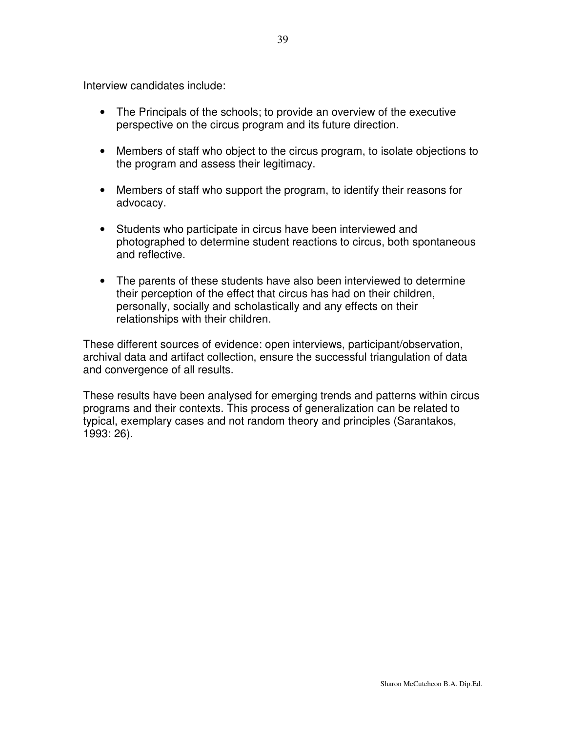Interview candidates include:

- The Principals of the schools; to provide an overview of the executive perspective on the circus program and its future direction.
- Members of staff who object to the circus program, to isolate objections to the program and assess their legitimacy.
- Members of staff who support the program, to identify their reasons for advocacy.
- Students who participate in circus have been interviewed and photographed to determine student reactions to circus, both spontaneous and reflective.
- The parents of these students have also been interviewed to determine their perception of the effect that circus has had on their children, personally, socially and scholastically and any effects on their relationships with their children.

These different sources of evidence: open interviews, participant/observation, archival data and artifact collection, ensure the successful triangulation of data and convergence of all results.

These results have been analysed for emerging trends and patterns within circus programs and their contexts. This process of generalization can be related to typical, exemplary cases and not random theory and principles (Sarantakos, 1993: 26).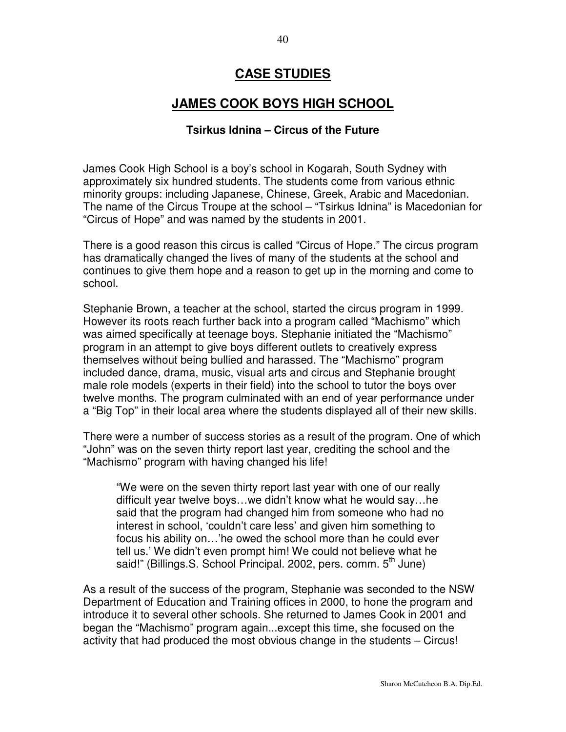### **CASE STUDIES**

## **JAMES COOK BOYS HIGH SCHOOL**

#### **Tsirkus Idnina – Circus of the Future**

James Cook High School is a boy's school in Kogarah, South Sydney with approximately six hundred students. The students come from various ethnic minority groups: including Japanese, Chinese, Greek, Arabic and Macedonian. The name of the Circus Troupe at the school – "Tsirkus Idnina" is Macedonian for "Circus of Hope" and was named by the students in 2001.

There is a good reason this circus is called "Circus of Hope." The circus program has dramatically changed the lives of many of the students at the school and continues to give them hope and a reason to get up in the morning and come to school.

Stephanie Brown, a teacher at the school, started the circus program in 1999. However its roots reach further back into a program called "Machismo" which was aimed specifically at teenage boys. Stephanie initiated the "Machismo" program in an attempt to give boys different outlets to creatively express themselves without being bullied and harassed. The "Machismo" program included dance, drama, music, visual arts and circus and Stephanie brought male role models (experts in their field) into the school to tutor the boys over twelve months. The program culminated with an end of year performance under a "Big Top" in their local area where the students displayed all of their new skills.

There were a number of success stories as a result of the program. One of which "John" was on the seven thirty report last year, crediting the school and the "Machismo" program with having changed his life!

"We were on the seven thirty report last year with one of our really difficult year twelve boys…we didn't know what he would say…he said that the program had changed him from someone who had no interest in school, 'couldn't care less' and given him something to focus his ability on…'he owed the school more than he could ever tell us.' We didn't even prompt him! We could not believe what he said!" (Billings.S. School Principal. 2002, pers. comm. 5<sup>th</sup> June)

As a result of the success of the program, Stephanie was seconded to the NSW Department of Education and Training offices in 2000, to hone the program and introduce it to several other schools. She returned to James Cook in 2001 and began the "Machismo" program again...except this time, she focused on the activity that had produced the most obvious change in the students – Circus!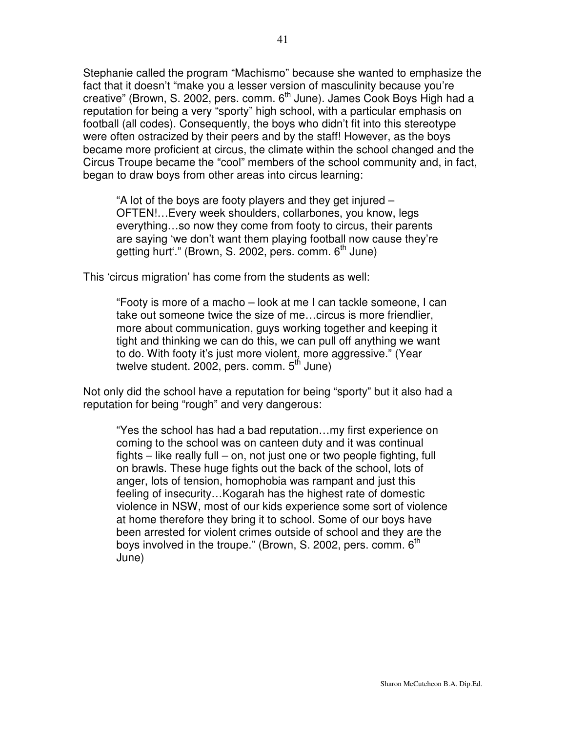Stephanie called the program "Machismo" because she wanted to emphasize the fact that it doesn't "make you a lesser version of masculinity because you're creative" (Brown, S. 2002, pers. comm. 6<sup>th</sup> June). James Cook Boys High had a reputation for being a very "sporty" high school, with a particular emphasis on football (all codes). Consequently, the boys who didn't fit into this stereotype were often ostracized by their peers and by the staff! However, as the boys became more proficient at circus, the climate within the school changed and the Circus Troupe became the "cool" members of the school community and, in fact, began to draw boys from other areas into circus learning:

"A lot of the boys are footy players and they get injured – OFTEN!…Every week shoulders, collarbones, you know, legs everything…so now they come from footy to circus, their parents are saying 'we don't want them playing football now cause they're getting hurt'." (Brown, S. 2002, pers. comm. 6<sup>th</sup> June)

This 'circus migration' has come from the students as well:

"Footy is more of a macho – look at me I can tackle someone, I can take out someone twice the size of me…circus is more friendlier, more about communication, guys working together and keeping it tight and thinking we can do this, we can pull off anything we want to do. With footy it's just more violent, more aggressive." (Year twelve student. 2002, pers. comm. 5<sup>th</sup> June)

Not only did the school have a reputation for being "sporty" but it also had a reputation for being "rough" and very dangerous:

"Yes the school has had a bad reputation…my first experience on coming to the school was on canteen duty and it was continual fights – like really full – on, not just one or two people fighting, full on brawls. These huge fights out the back of the school, lots of anger, lots of tension, homophobia was rampant and just this feeling of insecurity…Kogarah has the highest rate of domestic violence in NSW, most of our kids experience some sort of violence at home therefore they bring it to school. Some of our boys have been arrested for violent crimes outside of school and they are the boys involved in the troupe." (Brown, S. 2002, pers. comm.  $6^{\text{th}}$ June)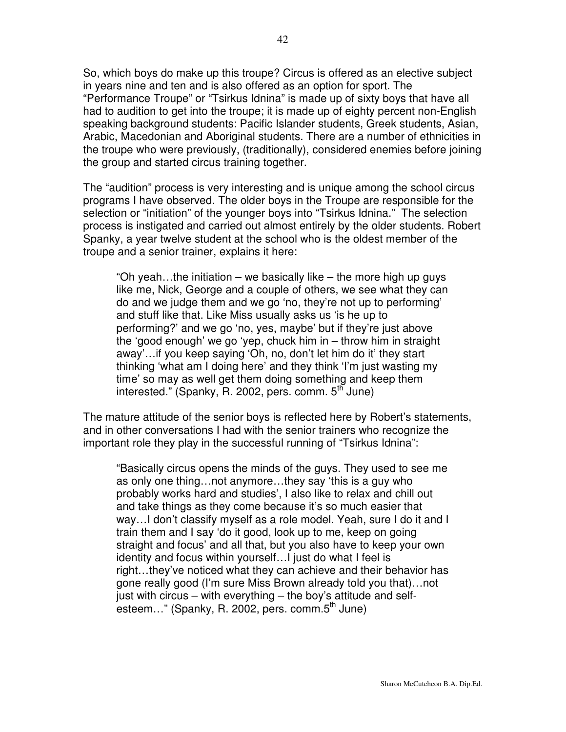So, which boys do make up this troupe? Circus is offered as an elective subject in years nine and ten and is also offered as an option for sport. The "Performance Troupe" or "Tsirkus Idnina" is made up of sixty boys that have all had to audition to get into the troupe; it is made up of eighty percent non-English speaking background students: Pacific Islander students, Greek students, Asian, Arabic, Macedonian and Aboriginal students. There are a number of ethnicities in the troupe who were previously, (traditionally), considered enemies before joining the group and started circus training together.

The "audition" process is very interesting and is unique among the school circus programs I have observed. The older boys in the Troupe are responsible for the selection or "initiation" of the younger boys into "Tsirkus Idnina." The selection process is instigated and carried out almost entirely by the older students. Robert Spanky, a year twelve student at the school who is the oldest member of the troupe and a senior trainer, explains it here:

"Oh yeah...the initiation – we basically like – the more high up guys like me, Nick, George and a couple of others, we see what they can do and we judge them and we go 'no, they're not up to performing' and stuff like that. Like Miss usually asks us 'is he up to performing?' and we go 'no, yes, maybe' but if they're just above the 'good enough' we go 'yep, chuck him in – throw him in straight away'…if you keep saying 'Oh, no, don't let him do it' they start thinking 'what am I doing here' and they think 'I'm just wasting my time' so may as well get them doing something and keep them interested." (Spanky, R. 2002, pers. comm. 5<sup>th</sup> June)

The mature attitude of the senior boys is reflected here by Robert's statements, and in other conversations I had with the senior trainers who recognize the important role they play in the successful running of "Tsirkus Idnina":

"Basically circus opens the minds of the guys. They used to see me as only one thing…not anymore…they say 'this is a guy who probably works hard and studies', I also like to relax and chill out and take things as they come because it's so much easier that way…I don't classify myself as a role model. Yeah, sure I do it and I train them and I say 'do it good, look up to me, keep on going straight and focus' and all that, but you also have to keep your own identity and focus within yourself…I just do what I feel is right…they've noticed what they can achieve and their behavior has gone really good (I'm sure Miss Brown already told you that)…not just with circus – with everything – the boy's attitude and selfesteem..." (Spanky, R. 2002, pers. comm.5<sup>th</sup> June)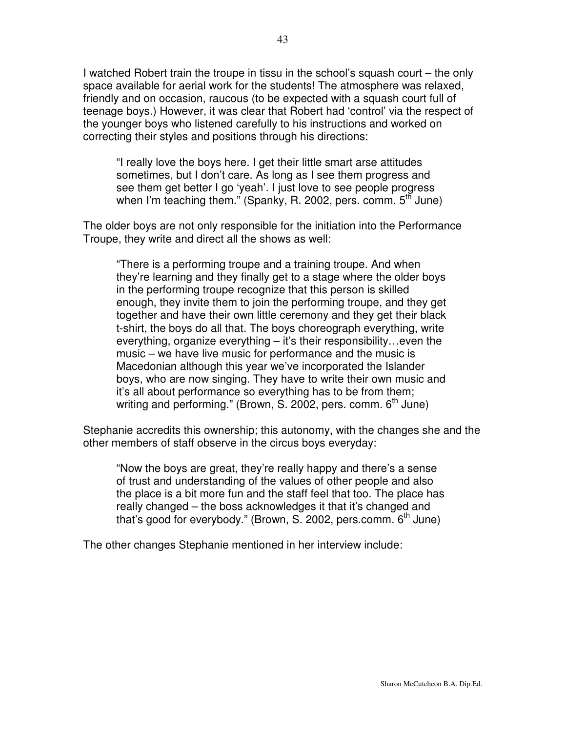I watched Robert train the troupe in tissu in the school's squash court – the only space available for aerial work for the students! The atmosphere was relaxed, friendly and on occasion, raucous (to be expected with a squash court full of teenage boys.) However, it was clear that Robert had 'control' via the respect of the younger boys who listened carefully to his instructions and worked on correcting their styles and positions through his directions:

"I really love the boys here. I get their little smart arse attitudes sometimes, but I don't care. As long as I see them progress and see them get better I go 'yeah'. I just love to see people progress when I'm teaching them." (Spanky, R. 2002, pers. comm. 5<sup>th</sup> June)

The older boys are not only responsible for the initiation into the Performance Troupe, they write and direct all the shows as well:

"There is a performing troupe and a training troupe. And when they're learning and they finally get to a stage where the older boys in the performing troupe recognize that this person is skilled enough, they invite them to join the performing troupe, and they get together and have their own little ceremony and they get their black t-shirt, the boys do all that. The boys choreograph everything, write everything, organize everything – it's their responsibility…even the music – we have live music for performance and the music is Macedonian although this year we've incorporated the Islander boys, who are now singing. They have to write their own music and it's all about performance so everything has to be from them; writing and performing." (Brown, S. 2002, pers. comm. 6<sup>th</sup> June)

Stephanie accredits this ownership; this autonomy, with the changes she and the other members of staff observe in the circus boys everyday:

"Now the boys are great, they're really happy and there's a sense of trust and understanding of the values of other people and also the place is a bit more fun and the staff feel that too. The place has really changed – the boss acknowledges it that it's changed and that's good for everybody." (Brown, S. 2002, pers.comm. 6<sup>th</sup> June)

The other changes Stephanie mentioned in her interview include: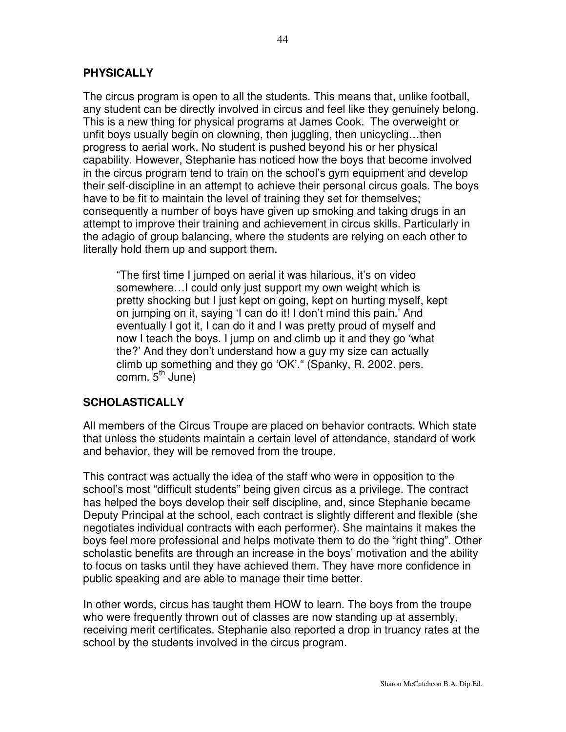### **PHYSICALLY**

The circus program is open to all the students. This means that, unlike football, any student can be directly involved in circus and feel like they genuinely belong. This is a new thing for physical programs at James Cook. The overweight or unfit boys usually begin on clowning, then juggling, then unicycling…then progress to aerial work. No student is pushed beyond his or her physical capability. However, Stephanie has noticed how the boys that become involved in the circus program tend to train on the school's gym equipment and develop their self-discipline in an attempt to achieve their personal circus goals. The boys have to be fit to maintain the level of training they set for themselves; consequently a number of boys have given up smoking and taking drugs in an attempt to improve their training and achievement in circus skills. Particularly in the adagio of group balancing, where the students are relying on each other to literally hold them up and support them.

"The first time I jumped on aerial it was hilarious, it's on video somewhere…I could only just support my own weight which is pretty shocking but I just kept on going, kept on hurting myself, kept on jumping on it, saying 'I can do it! I don't mind this pain.' And eventually I got it, I can do it and I was pretty proud of myself and now I teach the boys. I jump on and climb up it and they go 'what the?' And they don't understand how a guy my size can actually climb up something and they go 'OK'." (Spanky, R. 2002. pers. comm. 5<sup>th</sup> June)

### **SCHOLASTICALLY**

All members of the Circus Troupe are placed on behavior contracts. Which state that unless the students maintain a certain level of attendance, standard of work and behavior, they will be removed from the troupe.

This contract was actually the idea of the staff who were in opposition to the school's most "difficult students" being given circus as a privilege. The contract has helped the boys develop their self discipline, and, since Stephanie became Deputy Principal at the school, each contract is slightly different and flexible (she negotiates individual contracts with each performer). She maintains it makes the boys feel more professional and helps motivate them to do the "right thing". Other scholastic benefits are through an increase in the boys' motivation and the ability to focus on tasks until they have achieved them. They have more confidence in public speaking and are able to manage their time better.

In other words, circus has taught them HOW to learn. The boys from the troupe who were frequently thrown out of classes are now standing up at assembly, receiving merit certificates. Stephanie also reported a drop in truancy rates at the school by the students involved in the circus program.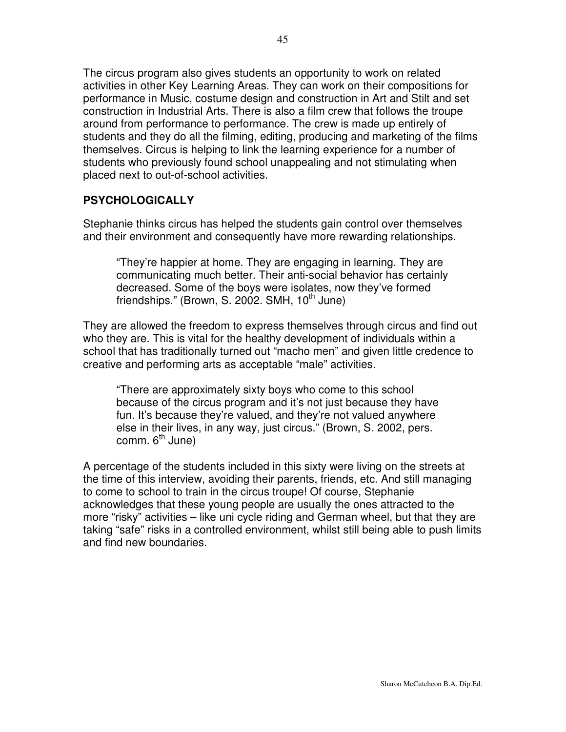The circus program also gives students an opportunity to work on related activities in other Key Learning Areas. They can work on their compositions for performance in Music, costume design and construction in Art and Stilt and set construction in Industrial Arts. There is also a film crew that follows the troupe around from performance to performance. The crew is made up entirely of students and they do all the filming, editing, producing and marketing of the films themselves. Circus is helping to link the learning experience for a number of students who previously found school unappealing and not stimulating when placed next to out-of-school activities.

### **PSYCHOLOGICALLY**

Stephanie thinks circus has helped the students gain control over themselves and their environment and consequently have more rewarding relationships.

"They're happier at home. They are engaging in learning. They are communicating much better. Their anti-social behavior has certainly decreased. Some of the boys were isolates, now they've formed friendships." (Brown, S. 2002. SMH, 10<sup>th</sup> June)

They are allowed the freedom to express themselves through circus and find out who they are. This is vital for the healthy development of individuals within a school that has traditionally turned out "macho men" and given little credence to creative and performing arts as acceptable "male" activities.

"There are approximately sixty boys who come to this school because of the circus program and it's not just because they have fun. It's because they're valued, and they're not valued anywhere else in their lives, in any way, just circus." (Brown, S. 2002, pers. comm. 6<sup>th</sup> June)

A percentage of the students included in this sixty were living on the streets at the time of this interview, avoiding their parents, friends, etc. And still managing to come to school to train in the circus troupe! Of course, Stephanie acknowledges that these young people are usually the ones attracted to the more "risky" activities – like uni cycle riding and German wheel, but that they are taking "safe" risks in a controlled environment, whilst still being able to push limits and find new boundaries.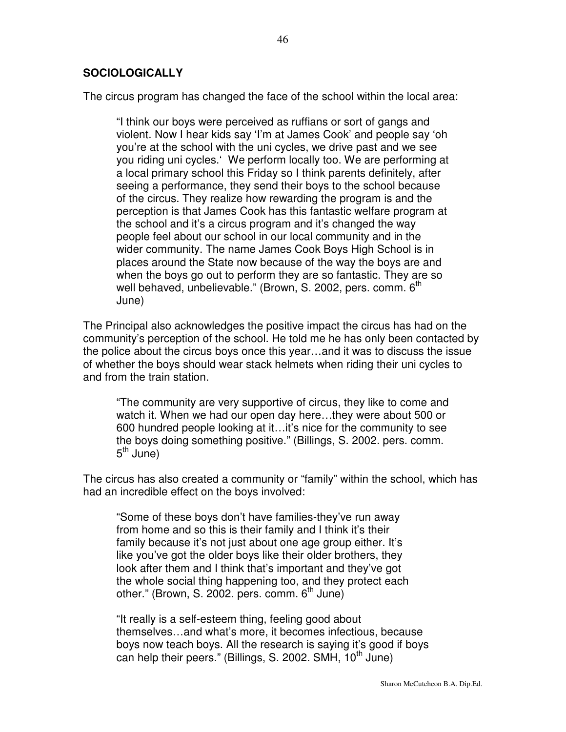#### **SOCIOLOGICALLY**

The circus program has changed the face of the school within the local area:

"I think our boys were perceived as ruffians or sort of gangs and violent. Now I hear kids say 'I'm at James Cook' and people say 'oh you're at the school with the uni cycles, we drive past and we see you riding uni cycles.' We perform locally too. We are performing at a local primary school this Friday so I think parents definitely, after seeing a performance, they send their boys to the school because of the circus. They realize how rewarding the program is and the perception is that James Cook has this fantastic welfare program at the school and it's a circus program and it's changed the way people feel about our school in our local community and in the wider community. The name James Cook Boys High School is in places around the State now because of the way the boys are and when the boys go out to perform they are so fantastic. They are so well behaved, unbelievable." (Brown, S. 2002, pers. comm. 6<sup>th</sup> June)

The Principal also acknowledges the positive impact the circus has had on the community's perception of the school. He told me he has only been contacted by the police about the circus boys once this year…and it was to discuss the issue of whether the boys should wear stack helmets when riding their uni cycles to and from the train station.

"The community are very supportive of circus, they like to come and watch it. When we had our open day here…they were about 500 or 600 hundred people looking at it…it's nice for the community to see the boys doing something positive." (Billings, S. 2002. pers. comm. 5<sup>th</sup> June)

The circus has also created a community or "family" within the school, which has had an incredible effect on the boys involved:

"Some of these boys don't have families-they've run away from home and so this is their family and I think it's their family because it's not just about one age group either. It's like you've got the older boys like their older brothers, they look after them and I think that's important and they've got the whole social thing happening too, and they protect each other." (Brown, S. 2002. pers. comm. 6<sup>th</sup> June)

"It really is a self-esteem thing, feeling good about themselves…and what's more, it becomes infectious, because boys now teach boys. All the research is saying it's good if boys can help their peers." (Billings, S. 2002. SMH, 10<sup>th</sup> June)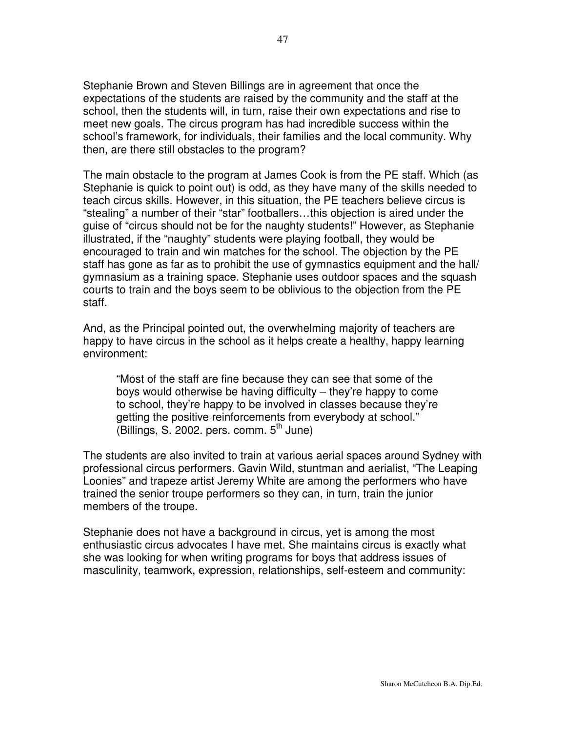Stephanie Brown and Steven Billings are in agreement that once the expectations of the students are raised by the community and the staff at the school, then the students will, in turn, raise their own expectations and rise to meet new goals. The circus program has had incredible success within the school's framework, for individuals, their families and the local community. Why then, are there still obstacles to the program?

The main obstacle to the program at James Cook is from the PE staff. Which (as Stephanie is quick to point out) is odd, as they have many of the skills needed to teach circus skills. However, in this situation, the PE teachers believe circus is "stealing" a number of their "star" footballers…this objection is aired under the guise of "circus should not be for the naughty students!" However, as Stephanie illustrated, if the "naughty" students were playing football, they would be encouraged to train and win matches for the school. The objection by the PE staff has gone as far as to prohibit the use of gymnastics equipment and the hall/ gymnasium as a training space. Stephanie uses outdoor spaces and the squash courts to train and the boys seem to be oblivious to the objection from the PE staff.

And, as the Principal pointed out, the overwhelming majority of teachers are happy to have circus in the school as it helps create a healthy, happy learning environment:

"Most of the staff are fine because they can see that some of the boys would otherwise be having difficulty – they're happy to come to school, they're happy to be involved in classes because they're getting the positive reinforcements from everybody at school." (Billings, S. 2002. pers. comm. 5<sup>th</sup> June)

The students are also invited to train at various aerial spaces around Sydney with professional circus performers. Gavin Wild, stuntman and aerialist, "The Leaping Loonies" and trapeze artist Jeremy White are among the performers who have trained the senior troupe performers so they can, in turn, train the junior members of the troupe.

Stephanie does not have a background in circus, yet is among the most enthusiastic circus advocates I have met. She maintains circus is exactly what she was looking for when writing programs for boys that address issues of masculinity, teamwork, expression, relationships, self-esteem and community: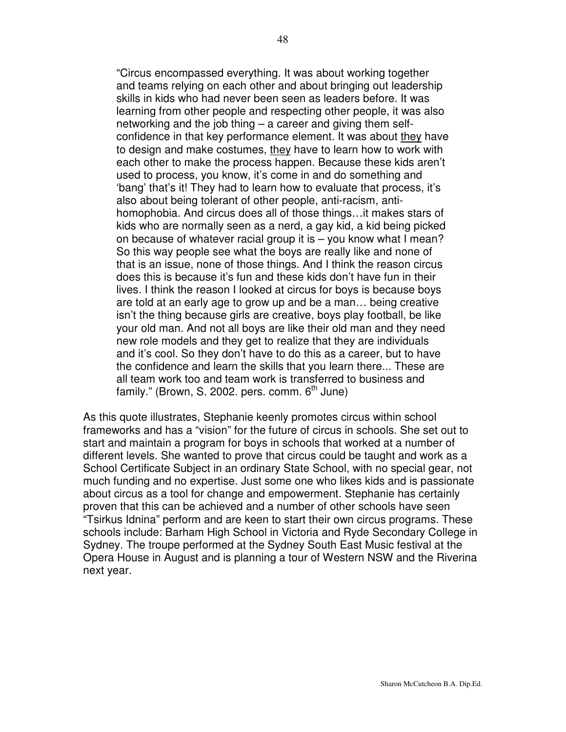"Circus encompassed everything. It was about working together and teams relying on each other and about bringing out leadership skills in kids who had never been seen as leaders before. It was learning from other people and respecting other people, it was also networking and the job thing – a career and giving them selfconfidence in that key performance element. It was about they have to design and make costumes, they have to learn how to work with each other to make the process happen. Because these kids aren't used to process, you know, it's come in and do something and 'bang' that's it! They had to learn how to evaluate that process, it's also about being tolerant of other people, anti-racism, antihomophobia. And circus does all of those things…it makes stars of kids who are normally seen as a nerd, a gay kid, a kid being picked on because of whatever racial group it is – you know what I mean? So this way people see what the boys are really like and none of that is an issue, none of those things. And I think the reason circus does this is because it's fun and these kids don't have fun in their lives. I think the reason I looked at circus for boys is because boys are told at an early age to grow up and be a man… being creative isn't the thing because girls are creative, boys play football, be like your old man. And not all boys are like their old man and they need new role models and they get to realize that they are individuals and it's cool. So they don't have to do this as a career, but to have the confidence and learn the skills that you learn there... These are all team work too and team work is transferred to business and family." (Brown, S. 2002. pers. comm. 6<sup>th</sup> June)

As this quote illustrates, Stephanie keenly promotes circus within school frameworks and has a "vision" for the future of circus in schools. She set out to start and maintain a program for boys in schools that worked at a number of different levels. She wanted to prove that circus could be taught and work as a School Certificate Subject in an ordinary State School, with no special gear, not much funding and no expertise. Just some one who likes kids and is passionate about circus as a tool for change and empowerment. Stephanie has certainly proven that this can be achieved and a number of other schools have seen "Tsirkus Idnina" perform and are keen to start their own circus programs. These schools include: Barham High School in Victoria and Ryde Secondary College in Sydney. The troupe performed at the Sydney South East Music festival at the Opera House in August and is planning a tour of Western NSW and the Riverina next year.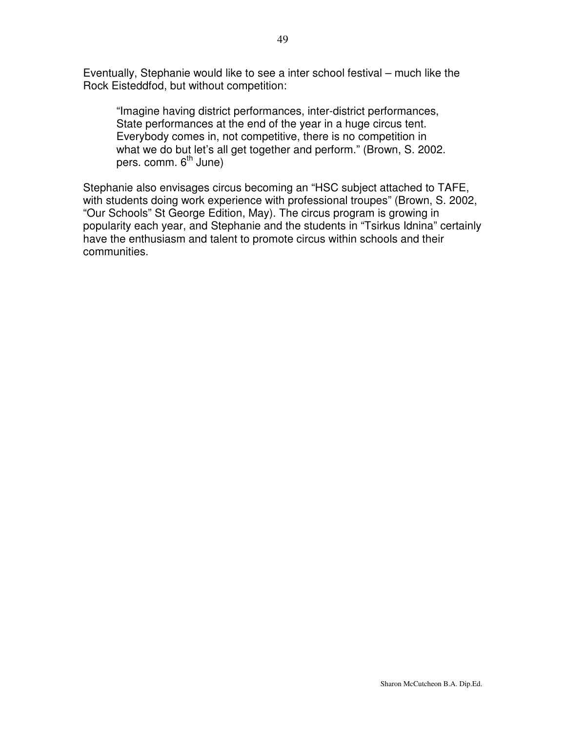Eventually, Stephanie would like to see a inter school festival – much like the Rock Eisteddfod, but without competition:

"Imagine having district performances, inter-district performances, State performances at the end of the year in a huge circus tent. Everybody comes in, not competitive, there is no competition in what we do but let's all get together and perform." (Brown, S. 2002. pers. comm. 6<sup>th</sup> June)

Stephanie also envisages circus becoming an "HSC subject attached to TAFE, with students doing work experience with professional troupes" (Brown, S. 2002, "Our Schools" St George Edition, May). The circus program is growing in popularity each year, and Stephanie and the students in "Tsirkus Idnina" certainly have the enthusiasm and talent to promote circus within schools and their communities.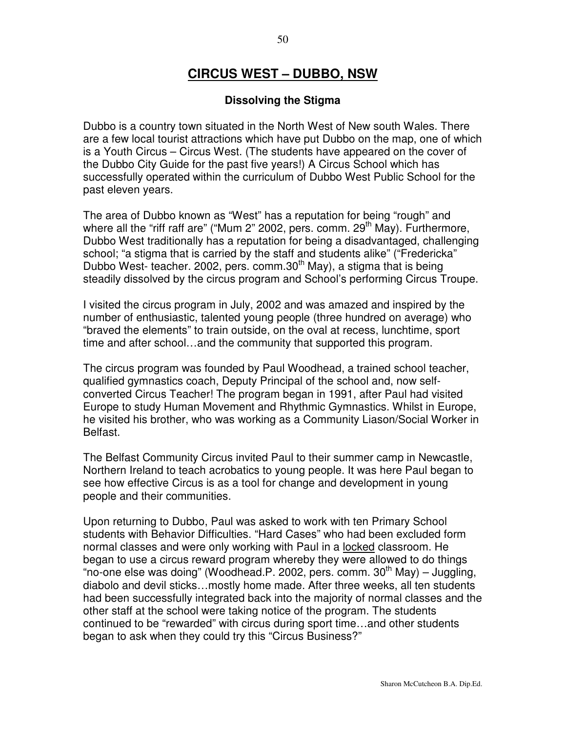# **CIRCUS WEST – DUBBO, NSW**

#### **Dissolving the Stigma**

Dubbo is a country town situated in the North West of New south Wales. There are a few local tourist attractions which have put Dubbo on the map, one of which is a Youth Circus – Circus West. (The students have appeared on the cover of the Dubbo City Guide for the past five years!) A Circus School which has successfully operated within the curriculum of Dubbo West Public School for the past eleven years.

The area of Dubbo known as "West" has a reputation for being "rough" and where all the "riff raff are" ("Mum 2" 2002, pers. comm. 29<sup>th</sup> May). Furthermore, Dubbo West traditionally has a reputation for being a disadvantaged, challenging school; "a stigma that is carried by the staff and students alike" ("Fredericka" Dubbo West- teacher. 2002, pers. comm.30<sup>th</sup> May), a stigma that is being steadily dissolved by the circus program and School's performing Circus Troupe.

I visited the circus program in July, 2002 and was amazed and inspired by the number of enthusiastic, talented young people (three hundred on average) who "braved the elements" to train outside, on the oval at recess, lunchtime, sport time and after school…and the community that supported this program.

The circus program was founded by Paul Woodhead, a trained school teacher, qualified gymnastics coach, Deputy Principal of the school and, now selfconverted Circus Teacher! The program began in 1991, after Paul had visited Europe to study Human Movement and Rhythmic Gymnastics. Whilst in Europe, he visited his brother, who was working as a Community Liason/Social Worker in Belfast.

The Belfast Community Circus invited Paul to their summer camp in Newcastle, Northern Ireland to teach acrobatics to young people. It was here Paul began to see how effective Circus is as a tool for change and development in young people and their communities.

Upon returning to Dubbo, Paul was asked to work with ten Primary School students with Behavior Difficulties. "Hard Cases" who had been excluded form normal classes and were only working with Paul in a <u>locked</u> classroom. He began to use a circus reward program whereby they were allowed to do things "no-one else was doing" (Woodhead.P. 2002, pers. comm. 30<sup>th</sup> May) – Juggling, diabolo and devil sticks…mostly home made. After three weeks, all ten students had been successfully integrated back into the majority of normal classes and the other staff at the school were taking notice of the program. The students continued to be "rewarded" with circus during sport time…and other students began to ask when they could try this "Circus Business?"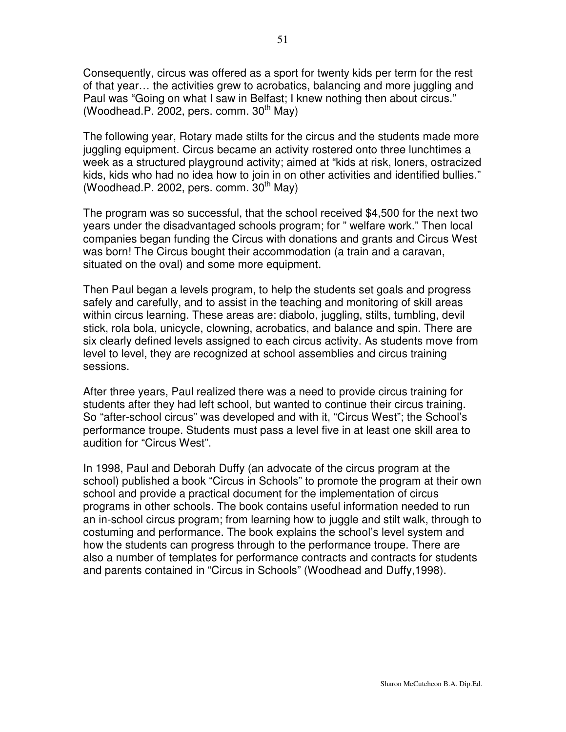Consequently, circus was offered as a sport for twenty kids per term for the rest of that year… the activities grew to acrobatics, balancing and more juggling and Paul was "Going on what I saw in Belfast; I knew nothing then about circus." (Woodhead.P. 2002, pers. comm. 30<sup>th</sup> May)

The following year, Rotary made stilts for the circus and the students made more juggling equipment. Circus became an activity rostered onto three lunchtimes a week as a structured playground activity; aimed at "kids at risk, loners, ostracized kids, kids who had no idea how to join in on other activities and identified bullies." (Woodhead.P. 2002, pers. comm. 30<sup>th</sup> May)

The program was so successful, that the school received \$4,500 for the next two years under the disadvantaged schools program; for " welfare work." Then local companies began funding the Circus with donations and grants and Circus West was born! The Circus bought their accommodation (a train and a caravan, situated on the oval) and some more equipment.

Then Paul began a levels program, to help the students set goals and progress safely and carefully, and to assist in the teaching and monitoring of skill areas within circus learning. These areas are: diabolo, juggling, stilts, tumbling, devil stick, rola bola, unicycle, clowning, acrobatics, and balance and spin. There are six clearly defined levels assigned to each circus activity. As students move from level to level, they are recognized at school assemblies and circus training sessions.

After three years, Paul realized there was a need to provide circus training for students after they had left school, but wanted to continue their circus training. So "after-school circus" was developed and with it, "Circus West"; the School's performance troupe. Students must pass a level five in at least one skill area to audition for "Circus West".

In 1998, Paul and Deborah Duffy (an advocate of the circus program at the school) published a book "Circus in Schools" to promote the program at their own school and provide a practical document for the implementation of circus programs in other schools. The book contains useful information needed to run an in-school circus program; from learning how to juggle and stilt walk, through to costuming and performance. The book explains the school's level system and how the students can progress through to the performance troupe. There are also a number of templates for performance contracts and contracts for students and parents contained in "Circus in Schools" (Woodhead and Duffy,1998).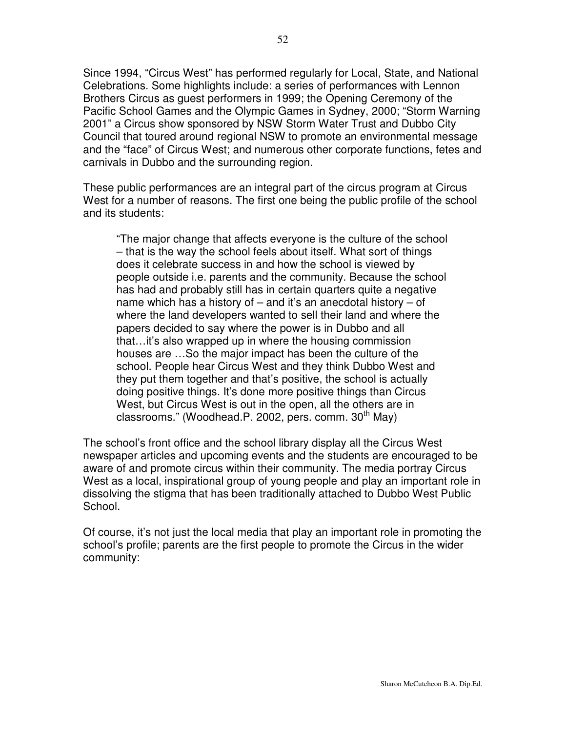Since 1994, "Circus West" has performed regularly for Local, State, and National Celebrations. Some highlights include: a series of performances with Lennon Brothers Circus as guest performers in 1999; the Opening Ceremony of the Pacific School Games and the Olympic Games in Sydney, 2000; "Storm Warning 2001" a Circus show sponsored by NSW Storm Water Trust and Dubbo City Council that toured around regional NSW to promote an environmental message and the "face" of Circus West; and numerous other corporate functions, fetes and carnivals in Dubbo and the surrounding region.

These public performances are an integral part of the circus program at Circus West for a number of reasons. The first one being the public profile of the school and its students:

"The major change that affects everyone is the culture of the school – that is the way the school feels about itself. What sort of things does it celebrate success in and how the school is viewed by people outside i.e. parents and the community. Because the school has had and probably still has in certain quarters quite a negative name which has a history of – and it's an anecdotal history – of where the land developers wanted to sell their land and where the papers decided to say where the power is in Dubbo and all that…it's also wrapped up in where the housing commission houses are …So the major impact has been the culture of the school. People hear Circus West and they think Dubbo West and they put them together and that's positive, the school is actually doing positive things. It's done more positive things than Circus West, but Circus West is out in the open, all the others are in classrooms." (Woodhead.P. 2002, pers. comm. 30<sup>th</sup> May)

The school's front office and the school library display all the Circus West newspaper articles and upcoming events and the students are encouraged to be aware of and promote circus within their community. The media portray Circus West as a local, inspirational group of young people and play an important role in dissolving the stigma that has been traditionally attached to Dubbo West Public School.

Of course, it's not just the local media that play an important role in promoting the school's profile; parents are the first people to promote the Circus in the wider community: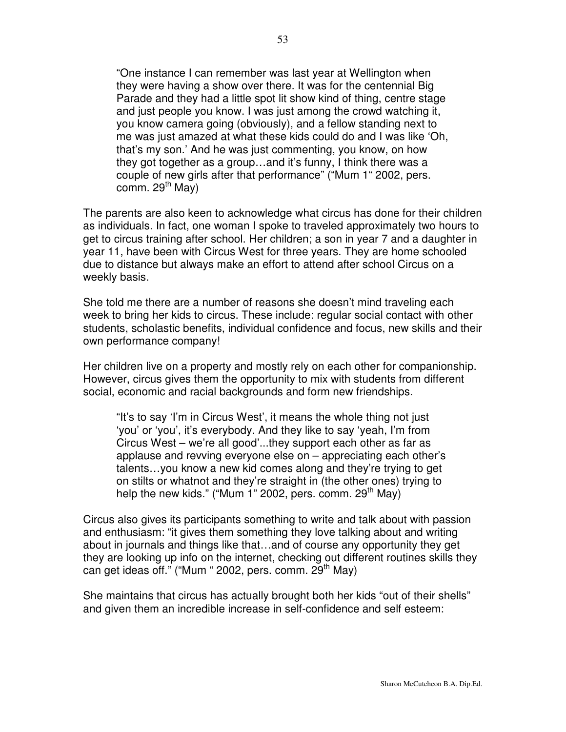"One instance I can remember was last year at Wellington when they were having a show over there. It was for the centennial Big Parade and they had a little spot lit show kind of thing, centre stage and just people you know. I was just among the crowd watching it, you know camera going (obviously), and a fellow standing next to me was just amazed at what these kids could do and I was like 'Oh, that's my son.' And he was just commenting, you know, on how they got together as a group…and it's funny, I think there was a couple of new girls after that performance" ("Mum 1" 2002, pers. comm. 29<sup>th</sup> May)

The parents are also keen to acknowledge what circus has done for their children as individuals. In fact, one woman I spoke to traveled approximately two hours to get to circus training after school. Her children; a son in year 7 and a daughter in year 11, have been with Circus West for three years. They are home schooled due to distance but always make an effort to attend after school Circus on a weekly basis.

She told me there are a number of reasons she doesn't mind traveling each week to bring her kids to circus. These include: regular social contact with other students, scholastic benefits, individual confidence and focus, new skills and their own performance company!

Her children live on a property and mostly rely on each other for companionship. However, circus gives them the opportunity to mix with students from different social, economic and racial backgrounds and form new friendships.

"It's to say 'I'm in Circus West', it means the whole thing not just 'you' or 'you', it's everybody. And they like to say 'yeah, I'm from Circus West – we're all good'...they support each other as far as applause and revving everyone else on – appreciating each other's talents…you know a new kid comes along and they're trying to get on stilts or whatnot and they're straight in (the other ones) trying to help the new kids." ("Mum 1" 2002, pers. comm. 29<sup>th</sup> May)

Circus also gives its participants something to write and talk about with passion and enthusiasm: "it gives them something they love talking about and writing about in journals and things like that…and of course any opportunity they get they are looking up info on the internet, checking out different routines skills they can get ideas off." ("Mum " 2002, pers. comm. 29<sup>th</sup> May)

She maintains that circus has actually brought both her kids "out of their shells" and given them an incredible increase in self-confidence and self esteem: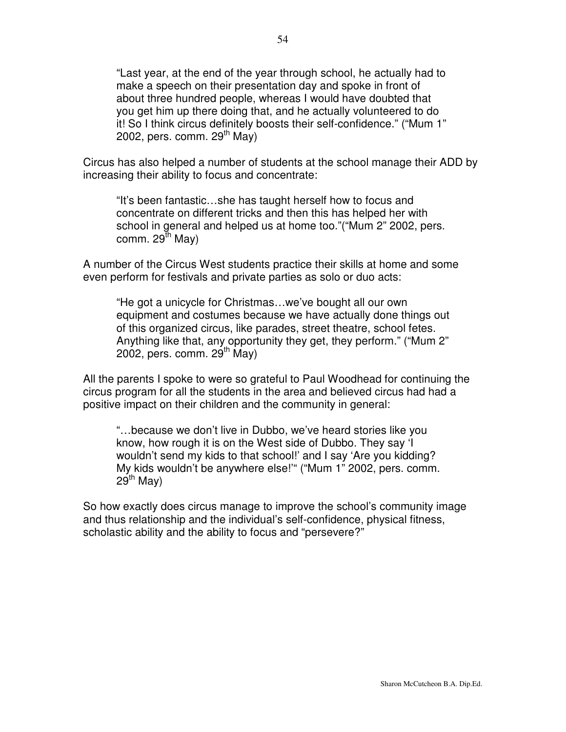"Last year, at the end of the year through school, he actually had to make a speech on their presentation day and spoke in front of about three hundred people, whereas I would have doubted that you get him up there doing that, and he actually volunteered to do it! So I think circus definitely boosts their self-confidence." ("Mum 1" 2002, pers. comm. 29<sup>th</sup> May)

Circus has also helped a number of students at the school manage their ADD by increasing their ability to focus and concentrate:

"It's been fantastic…she has taught herself how to focus and concentrate on different tricks and then this has helped her with school in general and helped us at home too."("Mum 2" 2002, pers. comm. 29<sup>th</sup> May)

A number of the Circus West students practice their skills at home and some even perform for festivals and private parties as solo or duo acts:

"He got a unicycle for Christmas…we've bought all our own equipment and costumes because we have actually done things out of this organized circus, like parades, street theatre, school fetes. Anything like that, any opportunity they get, they perform." ("Mum 2" 2002, pers. comm. 29<sup>th</sup> May)

All the parents I spoke to were so grateful to Paul Woodhead for continuing the circus program for all the students in the area and believed circus had had a positive impact on their children and the community in general:

"…because we don't live in Dubbo, we've heard stories like you know, how rough it is on the West side of Dubbo. They say 'I wouldn't send my kids to that school!' and I say 'Are you kidding? My kids wouldn't be anywhere else!'" ("Mum 1" 2002, pers. comm. 29<sup>th</sup> May)

So how exactly does circus manage to improve the school's community image and thus relationship and the individual's self-confidence, physical fitness, scholastic ability and the ability to focus and "persevere?"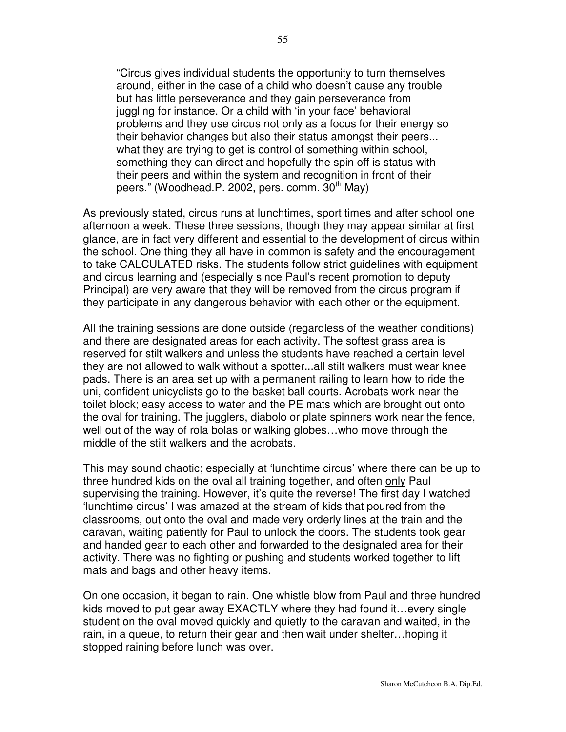"Circus gives individual students the opportunity to turn themselves around, either in the case of a child who doesn't cause any trouble but has little perseverance and they gain perseverance from juggling for instance. Or a child with 'in your face' behavioral problems and they use circus not only as a focus for their energy so their behavior changes but also their status amongst their peers... what they are trying to get is control of something within school, something they can direct and hopefully the spin off is status with their peers and within the system and recognition in front of their peers." (Woodhead.P. 2002, pers. comm. 30<sup>th</sup> May)

As previously stated, circus runs at lunchtimes, sport times and after school one afternoon a week. These three sessions, though they may appear similar at first glance, are in fact very different and essential to the development of circus within the school. One thing they all have in common is safety and the encouragement to take CALCULATED risks. The students follow strict guidelines with equipment and circus learning and (especially since Paul's recent promotion to deputy Principal) are very aware that they will be removed from the circus program if they participate in any dangerous behavior with each other or the equipment.

All the training sessions are done outside (regardless of the weather conditions) and there are designated areas for each activity. The softest grass area is reserved for stilt walkers and unless the students have reached a certain level they are not allowed to walk without a spotter...all stilt walkers must wear knee pads. There is an area set up with a permanent railing to learn how to ride the uni, confident unicyclists go to the basket ball courts. Acrobats work near the toilet block; easy access to water and the PE mats which are brought out onto the oval for training. The jugglers, diabolo or plate spinners work near the fence, well out of the way of rola bolas or walking globes…who move through the middle of the stilt walkers and the acrobats.

This may sound chaotic; especially at 'lunchtime circus' where there can be up to three hundred kids on the oval all training together, and often only Paul supervising the training. However, it's quite the reverse! The first day I watched 'lunchtime circus' I was amazed at the stream of kids that poured from the classrooms, out onto the oval and made very orderly lines at the train and the caravan, waiting patiently for Paul to unlock the doors. The students took gear and handed gear to each other and forwarded to the designated area for their activity. There was no fighting or pushing and students worked together to lift mats and bags and other heavy items.

On one occasion, it began to rain. One whistle blow from Paul and three hundred kids moved to put gear away EXACTLY where they had found it…every single student on the oval moved quickly and quietly to the caravan and waited, in the rain, in a queue, to return their gear and then wait under shelter…hoping it stopped raining before lunch was over.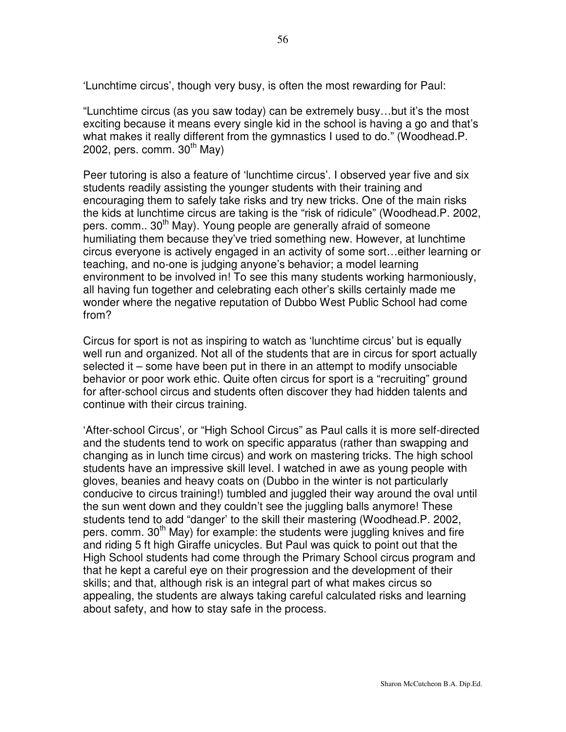"Lunchtime circus (as you saw today) can be extremely busy…but it's the most exciting because it means every single kid in the school is having a go and that's what makes it really different from the gymnastics I used to do." (Woodhead.P. 2002, pers. comm. 30<sup>th</sup> May)

Peer tutoring is also a feature of 'lunchtime circus'. I observed year five and six students readily assisting the younger students with their training and encouraging them to safely take risks and try new tricks. One of the main risks the kids at lunchtime circus are taking is the "risk of ridicule" (Woodhead.P. 2002, pers. comm.. 30<sup>th</sup> May). Young people are generally afraid of someone humiliating them because they've tried something new. However, at lunchtime circus everyone is actively engaged in an activity of some sort…either learning or teaching, and no-one is judging anyone's behavior; a model learning environment to be involved in! To see this many students working harmoniously, all having fun together and celebrating each other's skills certainly made me wonder where the negative reputation of Dubbo West Public School had come from?

Circus for sport is not as inspiring to watch as 'lunchtime circus' but is equally well run and organized. Not all of the students that are in circus for sport actually selected it – some have been put in there in an attempt to modify unsociable behavior or poor work ethic. Quite often circus for sport is a "recruiting" ground for after-school circus and students often discover they had hidden talents and continue with their circus training.

'After-school Circus', or "High School Circus" as Paul calls it is more self-directed and the students tend to work on specific apparatus (rather than swapping and changing as in lunch time circus) and work on mastering tricks. The high school students have an impressive skill level. I watched in awe as young people with gloves, beanies and heavy coats on (Dubbo in the winter is not particularly conducive to circus training!) tumbled and juggled their way around the oval until the sun went down and they couldn't see the juggling balls anymore! These students tend to add "danger' to the skill their mastering (Woodhead.P. 2002, pers. comm. 30<sup>th</sup> May) for example: the students were juggling knives and fire and riding 5 ft high Giraffe unicycles. But Paul was quick to point out that the High School students had come through the Primary School circus program and that he kept a careful eye on their progression and the development of their skills; and that, although risk is an integral part of what makes circus so appealing, the students are always taking careful calculated risks and learning about safety, and how to stay safe in the process.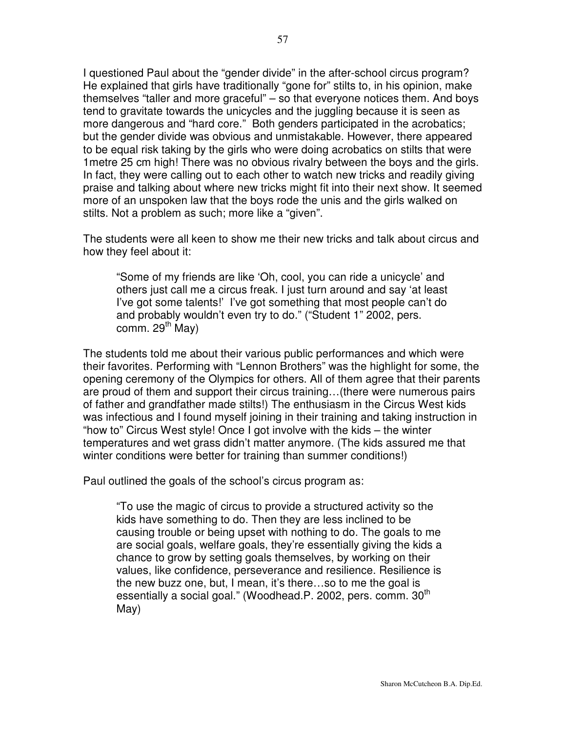I questioned Paul about the "gender divide" in the after-school circus program? He explained that girls have traditionally "gone for" stilts to, in his opinion, make themselves "taller and more graceful" – so that everyone notices them. And boys tend to gravitate towards the unicycles and the juggling because it is seen as more dangerous and "hard core." Both genders participated in the acrobatics; but the gender divide was obvious and unmistakable. However, there appeared to be equal risk taking by the girls who were doing acrobatics on stilts that were 1metre 25 cm high! There was no obvious rivalry between the boys and the girls. In fact, they were calling out to each other to watch new tricks and readily giving praise and talking about where new tricks might fit into their next show. It seemed more of an unspoken law that the boys rode the unis and the girls walked on stilts. Not a problem as such; more like a "given".

The students were all keen to show me their new tricks and talk about circus and how they feel about it:

"Some of my friends are like 'Oh, cool, you can ride a unicycle' and others just call me a circus freak. I just turn around and say 'at least I've got some talents!' I've got something that most people can't do and probably wouldn't even try to do." ("Student 1" 2002, pers. comm. 29<sup>th</sup> May)

The students told me about their various public performances and which were their favorites. Performing with "Lennon Brothers" was the highlight for some, the opening ceremony of the Olympics for others. All of them agree that their parents are proud of them and support their circus training…(there were numerous pairs of father and grandfather made stilts!) The enthusiasm in the Circus West kids was infectious and I found myself joining in their training and taking instruction in "how to" Circus West style! Once I got involve with the kids – the winter temperatures and wet grass didn't matter anymore. (The kids assured me that winter conditions were better for training than summer conditions!)

Paul outlined the goals of the school's circus program as:

"To use the magic of circus to provide a structured activity so the kids have something to do. Then they are less inclined to be causing trouble or being upset with nothing to do. The goals to me are social goals, welfare goals, they're essentially giving the kids a chance to grow by setting goals themselves, by working on their values, like confidence, perseverance and resilience. Resilience is the new buzz one, but, I mean, it's there…so to me the goal is essentially a social goal." (Woodhead.P. 2002, pers. comm. 30<sup>th</sup> May)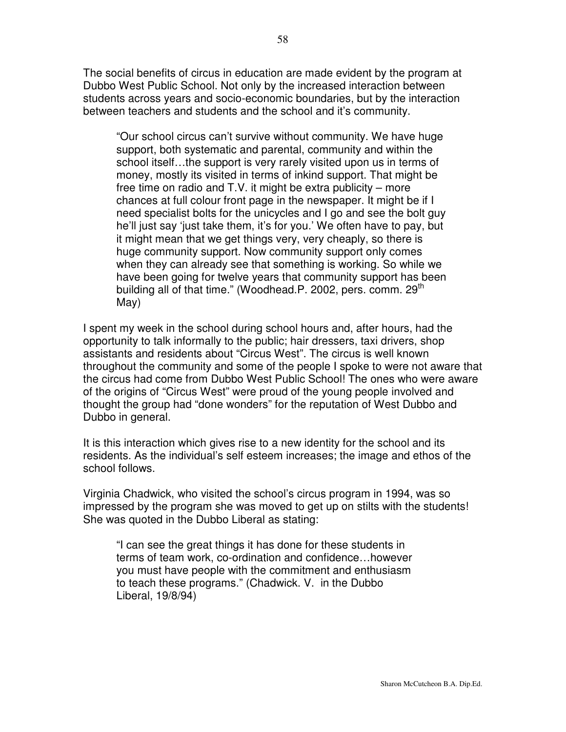The social benefits of circus in education are made evident by the program at Dubbo West Public School. Not only by the increased interaction between students across years and socio-economic boundaries, but by the interaction between teachers and students and the school and it's community.

"Our school circus can't survive without community. We have huge support, both systematic and parental, community and within the school itself…the support is very rarely visited upon us in terms of money, mostly its visited in terms of inkind support. That might be free time on radio and T.V. it might be extra publicity – more chances at full colour front page in the newspaper. It might be if I need specialist bolts for the unicycles and I go and see the bolt guy he'll just say 'just take them, it's for you.' We often have to pay, but it might mean that we get things very, very cheaply, so there is huge community support. Now community support only comes when they can already see that something is working. So while we have been going for twelve years that community support has been building all of that time." (Woodhead.P. 2002, pers. comm. 29<sup>th</sup> May)

I spent my week in the school during school hours and, after hours, had the opportunity to talk informally to the public; hair dressers, taxi drivers, shop assistants and residents about "Circus West". The circus is well known throughout the community and some of the people I spoke to were not aware that the circus had come from Dubbo West Public School! The ones who were aware of the origins of "Circus West" were proud of the young people involved and thought the group had "done wonders" for the reputation of West Dubbo and Dubbo in general.

It is this interaction which gives rise to a new identity for the school and its residents. As the individual's self esteem increases; the image and ethos of the school follows.

Virginia Chadwick, who visited the school's circus program in 1994, was so impressed by the program she was moved to get up on stilts with the students! She was quoted in the Dubbo Liberal as stating:

"I can see the great things it has done for these students in terms of team work, co-ordination and confidence…however you must have people with the commitment and enthusiasm to teach these programs." (Chadwick. V. in the Dubbo Liberal, 19/8/94)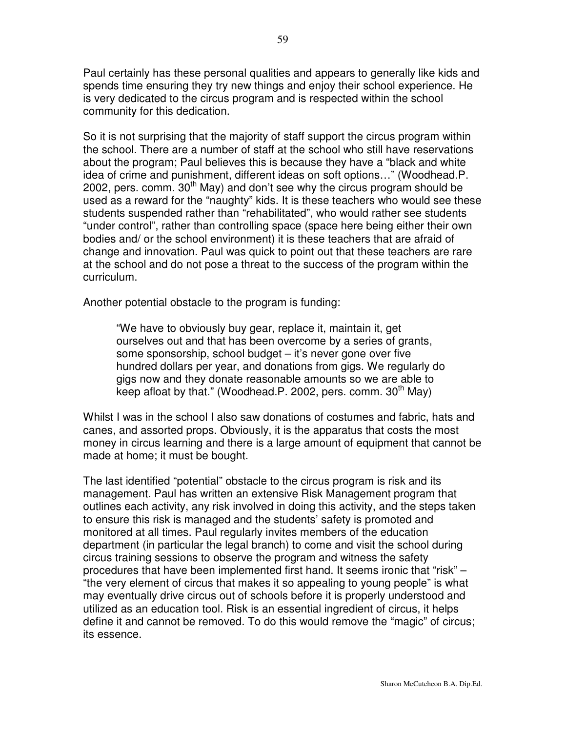Paul certainly has these personal qualities and appears to generally like kids and spends time ensuring they try new things and enjoy their school experience. He is very dedicated to the circus program and is respected within the school community for this dedication.

So it is not surprising that the majority of staff support the circus program within the school. There are a number of staff at the school who still have reservations about the program; Paul believes this is because they have a "black and white idea of crime and punishment, different ideas on soft options…" (Woodhead.P. 2002, pers. comm.  $30<sup>th</sup>$  May) and don't see why the circus program should be used as a reward for the "naughty" kids. It is these teachers who would see these students suspended rather than "rehabilitated", who would rather see students "under control", rather than controlling space (space here being either their own bodies and/ or the school environment) it is these teachers that are afraid of change and innovation. Paul was quick to point out that these teachers are rare at the school and do not pose a threat to the success of the program within the curriculum.

Another potential obstacle to the program is funding:

"We have to obviously buy gear, replace it, maintain it, get ourselves out and that has been overcome by a series of grants, some sponsorship, school budget – it's never gone over five hundred dollars per year, and donations from gigs. We regularly do gigs now and they donate reasonable amounts so we are able to keep afloat by that." (Woodhead.P. 2002, pers. comm. 30<sup>th</sup> May)

Whilst I was in the school I also saw donations of costumes and fabric, hats and canes, and assorted props. Obviously, it is the apparatus that costs the most money in circus learning and there is a large amount of equipment that cannot be made at home; it must be bought.

The last identified "potential" obstacle to the circus program is risk and its management. Paul has written an extensive Risk Management program that outlines each activity, any risk involved in doing this activity, and the steps taken to ensure this risk is managed and the students' safety is promoted and monitored at all times. Paul regularly invites members of the education department (in particular the legal branch) to come and visit the school during circus training sessions to observe the program and witness the safety procedures that have been implemented first hand. It seems ironic that "risk" – "the very element of circus that makes it so appealing to young people" is what may eventually drive circus out of schools before it is properly understood and utilized as an education tool. Risk is an essential ingredient of circus, it helps define it and cannot be removed. To do this would remove the "magic" of circus; its essence.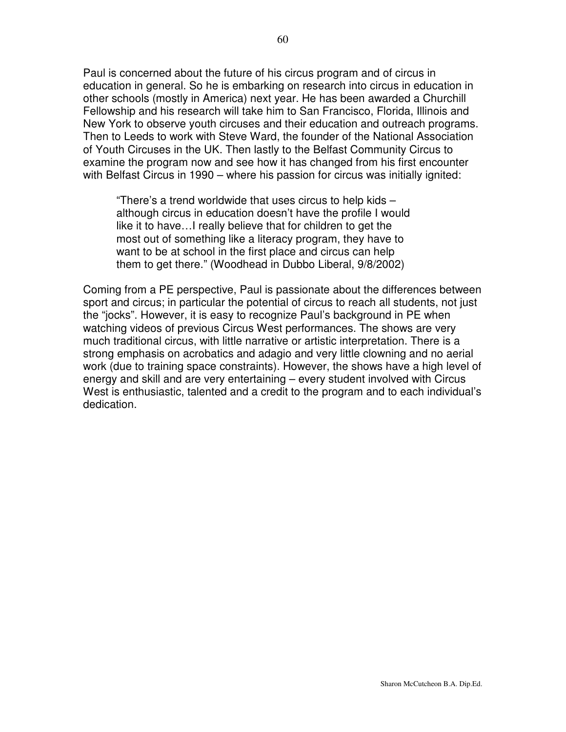Paul is concerned about the future of his circus program and of circus in education in general. So he is embarking on research into circus in education in other schools (mostly in America) next year. He has been awarded a Churchill Fellowship and his research will take him to San Francisco, Florida, Illinois and New York to observe youth circuses and their education and outreach programs. Then to Leeds to work with Steve Ward, the founder of the National Association of Youth Circuses in the UK. Then lastly to the Belfast Community Circus to examine the program now and see how it has changed from his first encounter with Belfast Circus in 1990 – where his passion for circus was initially ignited:

"There's a trend worldwide that uses circus to help kids – although circus in education doesn't have the profile I would like it to have…I really believe that for children to get the most out of something like a literacy program, they have to want to be at school in the first place and circus can help them to get there." (Woodhead in Dubbo Liberal, 9/8/2002)

Coming from a PE perspective, Paul is passionate about the differences between sport and circus; in particular the potential of circus to reach all students, not just the "jocks". However, it is easy to recognize Paul's background in PE when watching videos of previous Circus West performances. The shows are very much traditional circus, with little narrative or artistic interpretation. There is a strong emphasis on acrobatics and adagio and very little clowning and no aerial work (due to training space constraints). However, the shows have a high level of energy and skill and are very entertaining – every student involved with Circus West is enthusiastic, talented and a credit to the program and to each individual's dedication.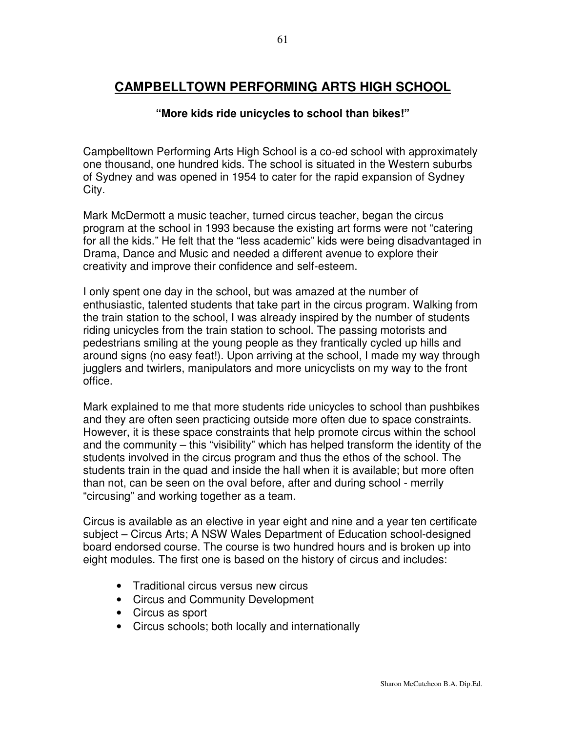# **CAMPBELLTOWN PERFORMING ARTS HIGH SCHOOL**

### **"More kids ride unicycles to school than bikes!"**

Campbelltown Performing Arts High School is a co-ed school with approximately one thousand, one hundred kids. The school is situated in the Western suburbs of Sydney and was opened in 1954 to cater for the rapid expansion of Sydney City.

Mark McDermott a music teacher, turned circus teacher, began the circus program at the school in 1993 because the existing art forms were not "catering for all the kids." He felt that the "less academic" kids were being disadvantaged in Drama, Dance and Music and needed a different avenue to explore their creativity and improve their confidence and self-esteem.

I only spent one day in the school, but was amazed at the number of enthusiastic, talented students that take part in the circus program. Walking from the train station to the school, I was already inspired by the number of students riding unicycles from the train station to school. The passing motorists and pedestrians smiling at the young people as they frantically cycled up hills and around signs (no easy feat!). Upon arriving at the school, I made my way through jugglers and twirlers, manipulators and more unicyclists on my way to the front office.

Mark explained to me that more students ride unicycles to school than pushbikes and they are often seen practicing outside more often due to space constraints. However, it is these space constraints that help promote circus within the school and the community – this "visibility" which has helped transform the identity of the students involved in the circus program and thus the ethos of the school. The students train in the quad and inside the hall when it is available; but more often than not, can be seen on the oval before, after and during school - merrily "circusing" and working together as a team.

Circus is available as an elective in year eight and nine and a year ten certificate subject – Circus Arts; A NSW Wales Department of Education school-designed board endorsed course. The course is two hundred hours and is broken up into eight modules. The first one is based on the history of circus and includes:

- Traditional circus versus new circus
- Circus and Community Development
- Circus as sport
- Circus schools; both locally and internationally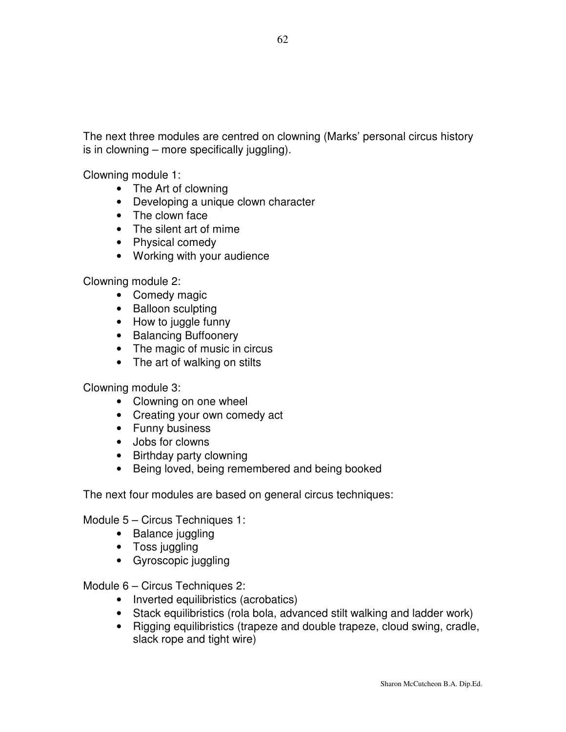The next three modules are centred on clowning (Marks' personal circus history is in clowning – more specifically juggling).

Clowning module 1:

- The Art of clowning
- Developing a unique clown character
- The clown face
- The silent art of mime
- Physical comedy
- Working with your audience

Clowning module 2:

- Comedy magic
- Balloon sculpting
- How to juggle funny
- Balancing Buffoonery
- The magic of music in circus
- The art of walking on stilts

Clowning module 3:

- Clowning on one wheel
- Creating your own comedy act
- Funny business
- Jobs for clowns
- Birthday party clowning
- Being loved, being remembered and being booked

The next four modules are based on general circus techniques:

Module 5 – Circus Techniques 1:

- Balance juggling
- Toss juggling
- Gyroscopic juggling

Module 6 – Circus Techniques 2:

- Inverted equilibristics (acrobatics)
- Stack equilibristics (rola bola, advanced stilt walking and ladder work)
- Rigging equilibristics (trapeze and double trapeze, cloud swing, cradle, slack rope and tight wire)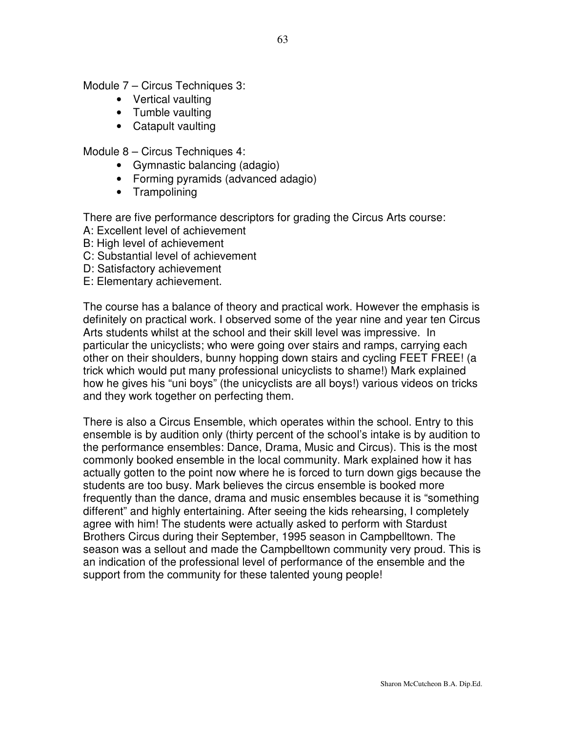Module 7 – Circus Techniques 3:

- Vertical vaulting
- Tumble vaulting
- Catapult vaulting

Module 8 – Circus Techniques 4:

- Gymnastic balancing (adagio)
- Forming pyramids (advanced adagio)
- Trampolining

There are five performance descriptors for grading the Circus Arts course:

- A: Excellent level of achievement
- B: High level of achievement
- C: Substantial level of achievement
- D: Satisfactory achievement
- E: Elementary achievement.

The course has a balance of theory and practical work. However the emphasis is definitely on practical work. I observed some of the year nine and year ten Circus Arts students whilst at the school and their skill level was impressive. In particular the unicyclists; who were going over stairs and ramps, carrying each other on their shoulders, bunny hopping down stairs and cycling FEET FREE! (a trick which would put many professional unicyclists to shame!) Mark explained how he gives his "uni boys" (the unicyclists are all boys!) various videos on tricks and they work together on perfecting them.

There is also a Circus Ensemble, which operates within the school. Entry to this ensemble is by audition only (thirty percent of the school's intake is by audition to the performance ensembles: Dance, Drama, Music and Circus). This is the most commonly booked ensemble in the local community. Mark explained how it has actually gotten to the point now where he is forced to turn down gigs because the students are too busy. Mark believes the circus ensemble is booked more frequently than the dance, drama and music ensembles because it is "something different" and highly entertaining. After seeing the kids rehearsing, I completely agree with him! The students were actually asked to perform with Stardust Brothers Circus during their September, 1995 season in Campbelltown. The season was a sellout and made the Campbelltown community very proud. This is an indication of the professional level of performance of the ensemble and the support from the community for these talented young people!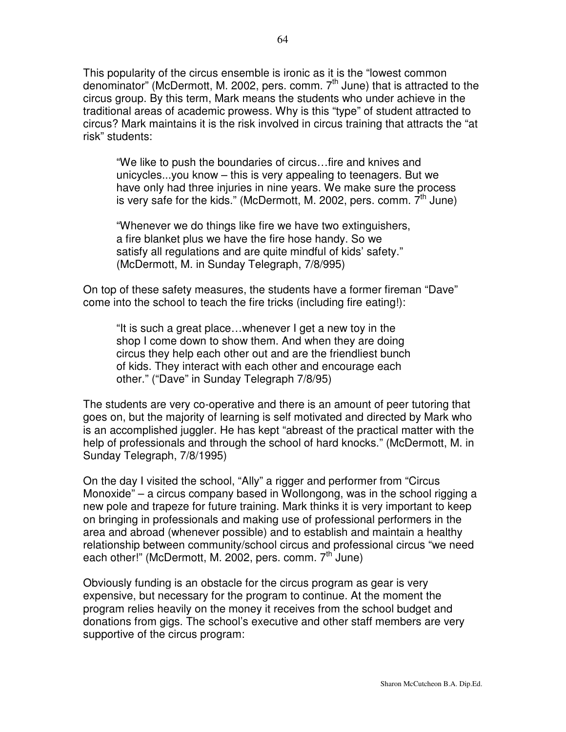This popularity of the circus ensemble is ironic as it is the "lowest common denominator" (McDermott, M. 2002, pers. comm. 7<sup>th</sup> June) that is attracted to the circus group. By this term, Mark means the students who under achieve in the traditional areas of academic prowess. Why is this "type" of student attracted to circus? Mark maintains it is the risk involved in circus training that attracts the "at risk" students:

"We like to push the boundaries of circus…fire and knives and unicycles...you know – this is very appealing to teenagers. But we have only had three injuries in nine years. We make sure the process is very safe for the kids." (McDermott, M. 2002, pers. comm. 7<sup>th</sup> June)

"Whenever we do things like fire we have two extinguishers, a fire blanket plus we have the fire hose handy. So we satisfy all regulations and are quite mindful of kids' safety." (McDermott, M. in Sunday Telegraph, 7/8/995)

On top of these safety measures, the students have a former fireman "Dave" come into the school to teach the fire tricks (including fire eating!):

"It is such a great place…whenever I get a new toy in the shop I come down to show them. And when they are doing circus they help each other out and are the friendliest bunch of kids. They interact with each other and encourage each other." ("Dave" in Sunday Telegraph 7/8/95)

The students are very co-operative and there is an amount of peer tutoring that goes on, but the majority of learning is self motivated and directed by Mark who is an accomplished juggler. He has kept "abreast of the practical matter with the help of professionals and through the school of hard knocks." (McDermott, M. in Sunday Telegraph, 7/8/1995)

On the day I visited the school, "Ally" a rigger and performer from "Circus Monoxide" – a circus company based in Wollongong, was in the school rigging a new pole and trapeze for future training. Mark thinks it is very important to keep on bringing in professionals and making use of professional performers in the area and abroad (whenever possible) and to establish and maintain a healthy relationship between community/school circus and professional circus "we need each other!" (McDermott, M. 2002, pers. comm. 7<sup>th</sup> June)

Obviously funding is an obstacle for the circus program as gear is very expensive, but necessary for the program to continue. At the moment the program relies heavily on the money it receives from the school budget and donations from gigs. The school's executive and other staff members are very supportive of the circus program: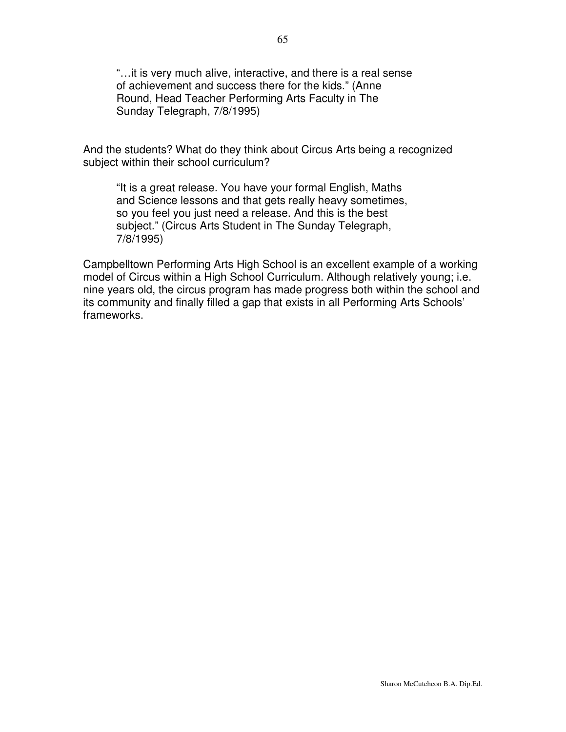"…it is very much alive, interactive, and there is a real sense of achievement and success there for the kids." (Anne Round, Head Teacher Performing Arts Faculty in The Sunday Telegraph, 7/8/1995)

And the students? What do they think about Circus Arts being a recognized subject within their school curriculum?

"It is a great release. You have your formal English, Maths and Science lessons and that gets really heavy sometimes, so you feel you just need a release. And this is the best subject." (Circus Arts Student in The Sunday Telegraph, 7/8/1995)

Campbelltown Performing Arts High School is an excellent example of a working model of Circus within a High School Curriculum. Although relatively young; i.e. nine years old, the circus program has made progress both within the school and its community and finally filled a gap that exists in all Performing Arts Schools' frameworks.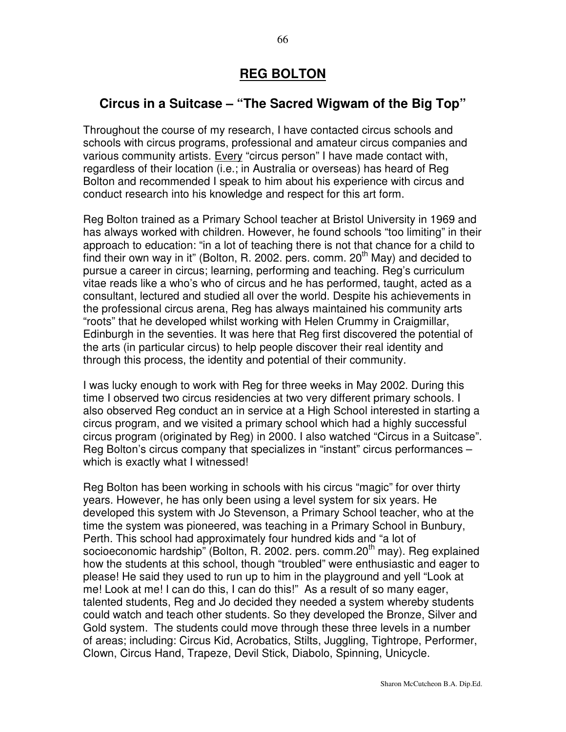## **REG BOLTON**

# **Circus in a Suitcase – "The Sacred Wigwam of the Big Top"**

Throughout the course of my research, I have contacted circus schools and schools with circus programs, professional and amateur circus companies and various community artists. Every "circus person" I have made contact with, regardless of their location (i.e.; in Australia or overseas) has heard of Reg Bolton and recommended I speak to him about his experience with circus and conduct research into his knowledge and respect for this art form.

Reg Bolton trained as a Primary School teacher at Bristol University in 1969 and has always worked with children. However, he found schools "too limiting" in their approach to education: "in a lot of teaching there is not that chance for a child to find their own way in it" (Bolton, R. 2002. pers. comm. 20<sup>th</sup> May) and decided to pursue a career in circus; learning, performing and teaching. Reg's curriculum vitae reads like a who's who of circus and he has performed, taught, acted as a consultant, lectured and studied all over the world. Despite his achievements in the professional circus arena, Reg has always maintained his community arts "roots" that he developed whilst working with Helen Crummy in Craigmillar, Edinburgh in the seventies. It was here that Reg first discovered the potential of the arts (in particular circus) to help people discover their real identity and through this process, the identity and potential of their community.

I was lucky enough to work with Reg for three weeks in May 2002. During this time I observed two circus residencies at two very different primary schools. I also observed Reg conduct an in service at a High School interested in starting a circus program, and we visited a primary school which had a highly successful circus program (originated by Reg) in 2000. I also watched "Circus in a Suitcase". Reg Bolton's circus company that specializes in "instant" circus performances – which is exactly what I witnessed!

Reg Bolton has been working in schools with his circus "magic" for over thirty years. However, he has only been using a level system for six years. He developed this system with Jo Stevenson, a Primary School teacher, who at the time the system was pioneered, was teaching in a Primary School in Bunbury, Perth. This school had approximately four hundred kids and "a lot of socioeconomic hardship" (Bolton, R. 2002. pers. comm.20<sup>th</sup> may). Reg explained how the students at this school, though "troubled" were enthusiastic and eager to please! He said they used to run up to him in the playground and yell "Look at me! Look at me! I can do this, I can do this!" As a result of so many eager, talented students, Reg and Jo decided they needed a system whereby students could watch and teach other students. So they developed the Bronze, Silver and Gold system. The students could move through these three levels in a number of areas; including: Circus Kid, Acrobatics, Stilts, Juggling, Tightrope, Performer, Clown, Circus Hand, Trapeze, Devil Stick, Diabolo, Spinning, Unicycle.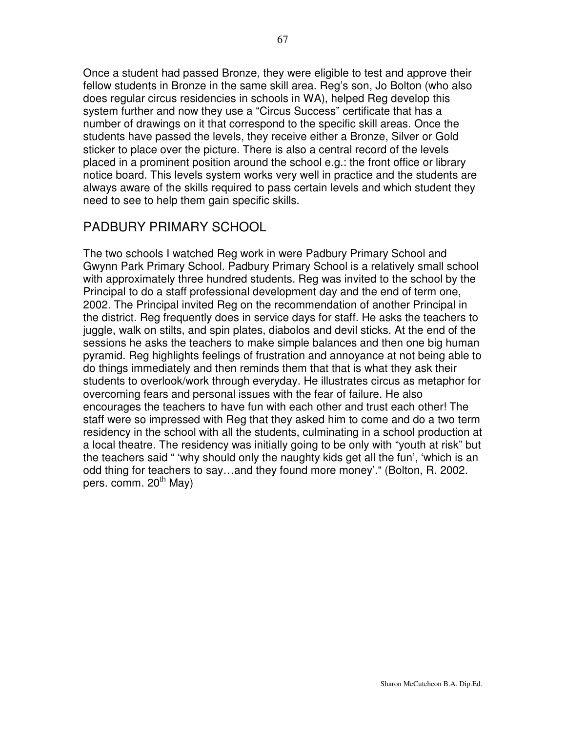Once a student had passed Bronze, they were eligible to test and approve their fellow students in Bronze in the same skill area. Reg's son, Jo Bolton (who also does regular circus residencies in schools in WA), helped Reg develop this system further and now they use a "Circus Success" certificate that has a number of drawings on it that correspond to the specific skill areas. Once the students have passed the levels, they receive either a Bronze, Silver or Gold sticker to place over the picture. There is also a central record of the levels placed in a prominent position around the school e.g.: the front office or library notice board. This levels system works very well in practice and the students are always aware of the skills required to pass certain levels and which student they need to see to help them gain specific skills.

## PADBURY PRIMARY SCHOOL

The two schools I watched Reg work in were Padbury Primary School and Gwynn Park Primary School. Padbury Primary School is a relatively small school with approximately three hundred students. Reg was invited to the school by the Principal to do a staff professional development day and the end of term one, 2002. The Principal invited Reg on the recommendation of another Principal in the district. Reg frequently does in service days for staff. He asks the teachers to juggle, walk on stilts, and spin plates, diabolos and devil sticks. At the end of the sessions he asks the teachers to make simple balances and then one big human pyramid. Reg highlights feelings of frustration and annoyance at not being able to do things immediately and then reminds them that that is what they ask their students to overlook/work through everyday. He illustrates circus as metaphor for overcoming fears and personal issues with the fear of failure. He also encourages the teachers to have fun with each other and trust each other! The staff were so impressed with Reg that they asked him to come and do a two term residency in the school with all the students, culminating in a school production at a local theatre. The residency was initially going to be only with "youth at risk" but the teachers said " 'why should only the naughty kids get all the fun', 'which is an odd thing for teachers to say…and they found more money'." (Bolton, R. 2002. pers. comm. 20<sup>th</sup> May)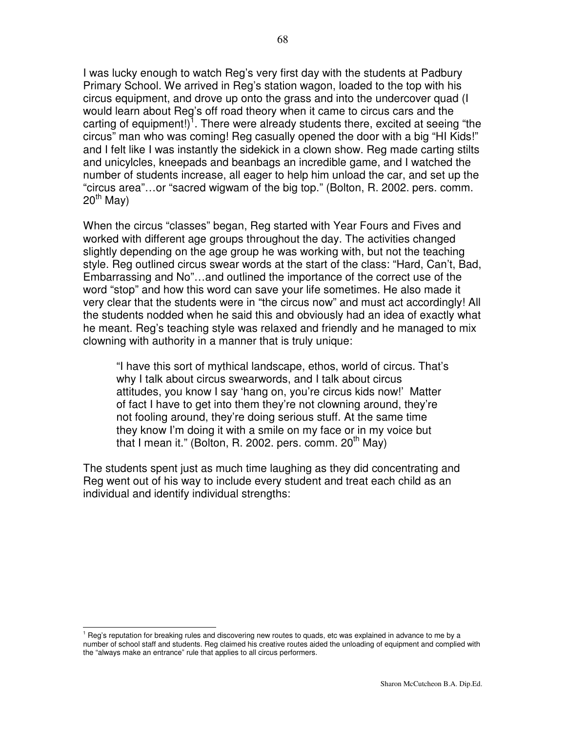I was lucky enough to watch Reg's very first day with the students at Padbury Primary School. We arrived in Reg's station wagon, loaded to the top with his circus equipment, and drove up onto the grass and into the undercover quad (I would learn about Reg's off road theory when it came to circus cars and the carting of equipment!)<sup>1</sup>. There were already students there, excited at seeing "the circus" man who was coming! Reg casually opened the door with a big "HI Kids!" and I felt like I was instantly the sidekick in a clown show. Reg made carting stilts and unicylcles, kneepads and beanbags an incredible game, and I watched the number of students increase, all eager to help him unload the car, and set up the "circus area"…or "sacred wigwam of the big top." (Bolton, R. 2002. pers. comm. 20<sup>th</sup> May)

When the circus "classes" began, Reg started with Year Fours and Fives and worked with different age groups throughout the day. The activities changed slightly depending on the age group he was working with, but not the teaching style. Reg outlined circus swear words at the start of the class: "Hard, Can't, Bad, Embarrassing and No"…and outlined the importance of the correct use of the word "stop" and how this word can save your life sometimes. He also made it very clear that the students were in "the circus now" and must act accordingly! All the students nodded when he said this and obviously had an idea of exactly what he meant. Reg's teaching style was relaxed and friendly and he managed to mix clowning with authority in a manner that is truly unique:

"I have this sort of mythical landscape, ethos, world of circus. That's why I talk about circus swearwords, and I talk about circus attitudes, you know I say 'hang on, you're circus kids now!' Matter of fact I have to get into them they're not clowning around, they're not fooling around, they're doing serious stuff. At the same time they know I'm doing it with a smile on my face or in my voice but that I mean it." (Bolton, R. 2002. pers. comm. 20<sup>th</sup> May)

The students spent just as much time laughing as they did concentrating and Reg went out of his way to include every student and treat each child as an individual and identify individual strengths:

 $1$  Reg's reputation for breaking rules and discovering new routes to quads, etc was explained in advance to me by a number of school staff and students. Reg claimed his creative routes aided the unloading of equipment and complied with the "always make an entrance" rule that applies to all circus performers.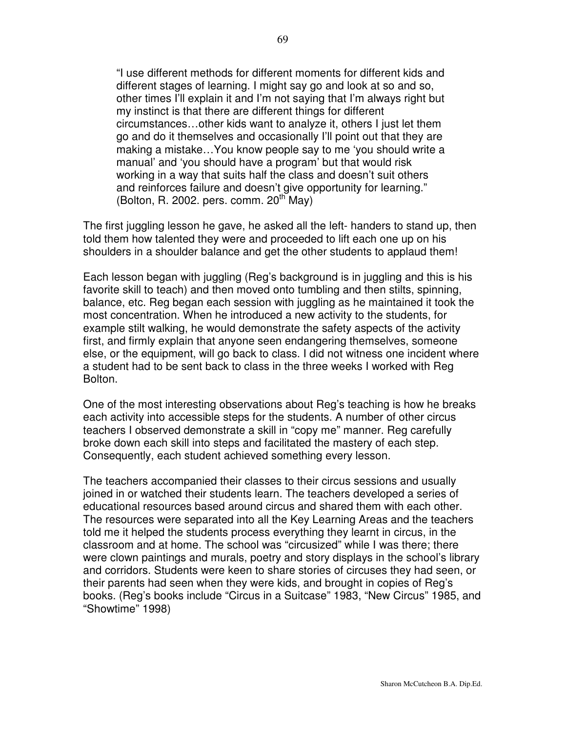"I use different methods for different moments for different kids and different stages of learning. I might say go and look at so and so, other times I'll explain it and I'm not saying that I'm always right but my instinct is that there are different things for different circumstances…other kids want to analyze it, others I just let them go and do it themselves and occasionally I'll point out that they are making a mistake…You know people say to me 'you should write a manual' and 'you should have a program' but that would risk working in a way that suits half the class and doesn't suit others and reinforces failure and doesn't give opportunity for learning." (Bolton, R. 2002. pers. comm.  $20^{th}$  May)

The first juggling lesson he gave, he asked all the left- handers to stand up, then told them how talented they were and proceeded to lift each one up on his shoulders in a shoulder balance and get the other students to applaud them!

Each lesson began with juggling (Reg's background is in juggling and this is his favorite skill to teach) and then moved onto tumbling and then stilts, spinning, balance, etc. Reg began each session with juggling as he maintained it took the most concentration. When he introduced a new activity to the students, for example stilt walking, he would demonstrate the safety aspects of the activity first, and firmly explain that anyone seen endangering themselves, someone else, or the equipment, will go back to class. I did not witness one incident where a student had to be sent back to class in the three weeks I worked with Reg Bolton.

One of the most interesting observations about Reg's teaching is how he breaks each activity into accessible steps for the students. A number of other circus teachers I observed demonstrate a skill in "copy me" manner. Reg carefully broke down each skill into steps and facilitated the mastery of each step. Consequently, each student achieved something every lesson.

The teachers accompanied their classes to their circus sessions and usually joined in or watched their students learn. The teachers developed a series of educational resources based around circus and shared them with each other. The resources were separated into all the Key Learning Areas and the teachers told me it helped the students process everything they learnt in circus, in the classroom and at home. The school was "circusized" while I was there; there were clown paintings and murals, poetry and story displays in the school's library and corridors. Students were keen to share stories of circuses they had seen, or their parents had seen when they were kids, and brought in copies of Reg's books. (Reg's books include "Circus in a Suitcase" 1983, "New Circus" 1985, and "Showtime" 1998)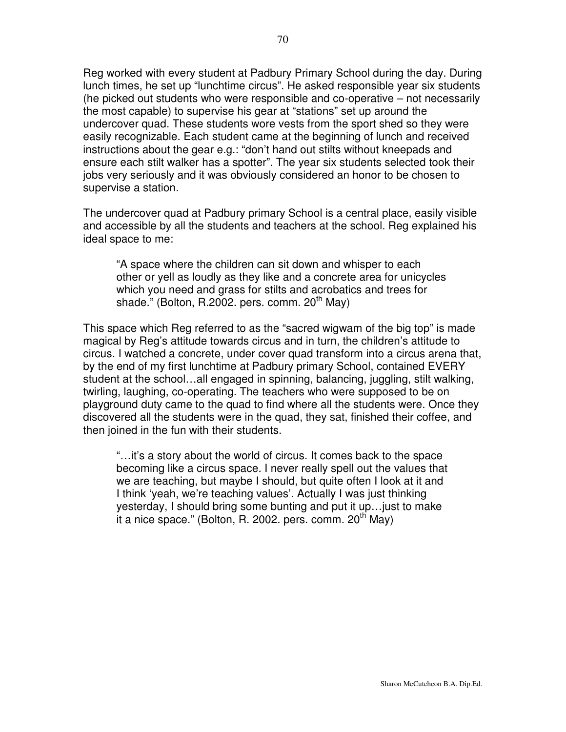Reg worked with every student at Padbury Primary School during the day. During lunch times, he set up "lunchtime circus". He asked responsible year six students (he picked out students who were responsible and co-operative – not necessarily the most capable) to supervise his gear at "stations" set up around the undercover quad. These students wore vests from the sport shed so they were easily recognizable. Each student came at the beginning of lunch and received instructions about the gear e.g.: "don't hand out stilts without kneepads and ensure each stilt walker has a spotter". The year six students selected took their jobs very seriously and it was obviously considered an honor to be chosen to supervise a station.

The undercover quad at Padbury primary School is a central place, easily visible and accessible by all the students and teachers at the school. Reg explained his ideal space to me:

"A space where the children can sit down and whisper to each other or yell as loudly as they like and a concrete area for unicycles which you need and grass for stilts and acrobatics and trees for shade." (Bolton, R.2002. pers. comm. 20<sup>th</sup> May)

This space which Reg referred to as the "sacred wigwam of the big top" is made magical by Reg's attitude towards circus and in turn, the children's attitude to circus. I watched a concrete, under cover quad transform into a circus arena that, by the end of my first lunchtime at Padbury primary School, contained EVERY student at the school…all engaged in spinning, balancing, juggling, stilt walking, twirling, laughing, co-operating. The teachers who were supposed to be on playground duty came to the quad to find where all the students were. Once they discovered all the students were in the quad, they sat, finished their coffee, and then joined in the fun with their students.

"…it's a story about the world of circus. It comes back to the space becoming like a circus space. I never really spell out the values that we are teaching, but maybe I should, but quite often I look at it and I think 'yeah, we're teaching values'. Actually I was just thinking yesterday, I should bring some bunting and put it up…just to make it a nice space." (Bolton, R. 2002. pers. comm. 20<sup>th</sup> May)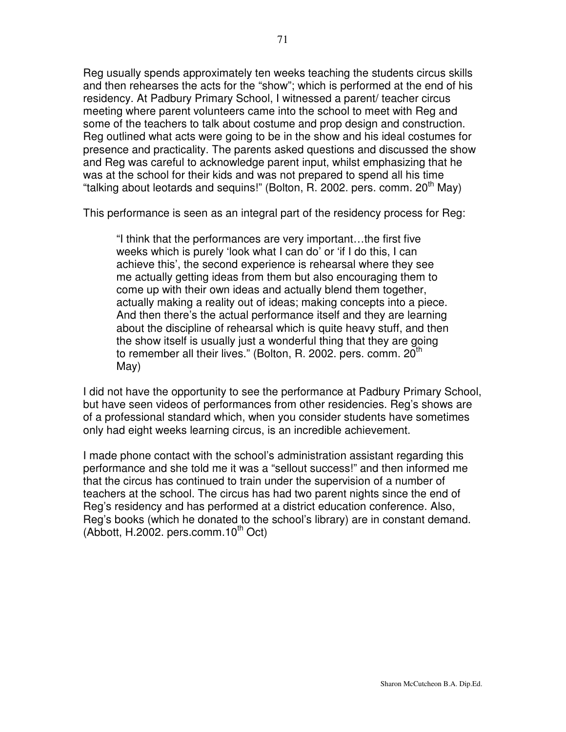Reg usually spends approximately ten weeks teaching the students circus skills and then rehearses the acts for the "show"; which is performed at the end of his residency. At Padbury Primary School, I witnessed a parent/ teacher circus meeting where parent volunteers came into the school to meet with Reg and some of the teachers to talk about costume and prop design and construction. Reg outlined what acts were going to be in the show and his ideal costumes for presence and practicality. The parents asked questions and discussed the show and Reg was careful to acknowledge parent input, whilst emphasizing that he was at the school for their kids and was not prepared to spend all his time "talking about leotards and sequins!" (Bolton, R. 2002. pers. comm. 20<sup>th</sup> May)

This performance is seen as an integral part of the residency process for Reg:

"I think that the performances are very important…the first five weeks which is purely 'look what I can do' or 'if I do this, I can achieve this', the second experience is rehearsal where they see me actually getting ideas from them but also encouraging them to come up with their own ideas and actually blend them together, actually making a reality out of ideas; making concepts into a piece. And then there's the actual performance itself and they are learning about the discipline of rehearsal which is quite heavy stuff, and then the show itself is usually just a wonderful thing that they are going to remember all their lives." (Bolton, R. 2002. pers. comm. 20<sup>th</sup> May)

I did not have the opportunity to see the performance at Padbury Primary School, but have seen videos of performances from other residencies. Reg's shows are of a professional standard which, when you consider students have sometimes only had eight weeks learning circus, is an incredible achievement.

I made phone contact with the school's administration assistant regarding this performance and she told me it was a "sellout success!" and then informed me that the circus has continued to train under the supervision of a number of teachers at the school. The circus has had two parent nights since the end of Reg's residency and has performed at a district education conference. Also, Reg's books (which he donated to the school's library) are in constant demand. (Abbott, H.2002. pers.comm.10<sup>th</sup> Oct)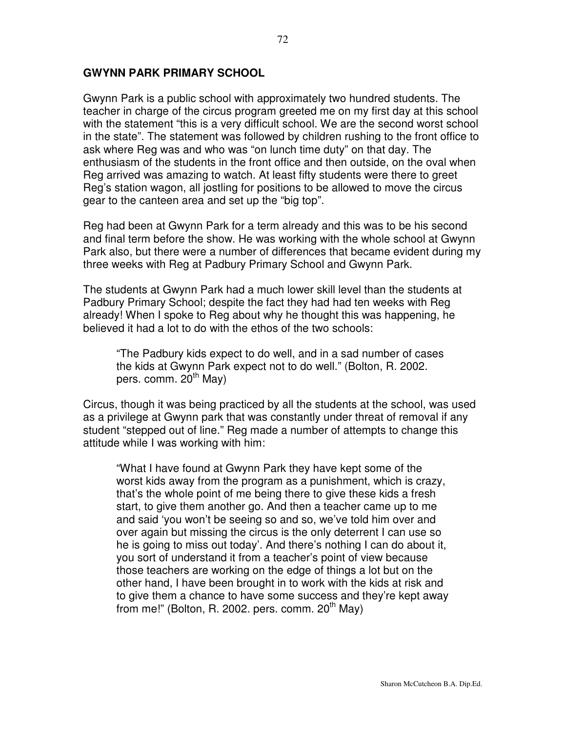#### **GWYNN PARK PRIMARY SCHOOL**

Gwynn Park is a public school with approximately two hundred students. The teacher in charge of the circus program greeted me on my first day at this school with the statement "this is a very difficult school. We are the second worst school in the state". The statement was followed by children rushing to the front office to ask where Reg was and who was "on lunch time duty" on that day. The enthusiasm of the students in the front office and then outside, on the oval when Reg arrived was amazing to watch. At least fifty students were there to greet Reg's station wagon, all jostling for positions to be allowed to move the circus gear to the canteen area and set up the "big top".

Reg had been at Gwynn Park for a term already and this was to be his second and final term before the show. He was working with the whole school at Gwynn Park also, but there were a number of differences that became evident during my three weeks with Reg at Padbury Primary School and Gwynn Park.

The students at Gwynn Park had a much lower skill level than the students at Padbury Primary School; despite the fact they had had ten weeks with Reg already! When I spoke to Reg about why he thought this was happening, he believed it had a lot to do with the ethos of the two schools:

"The Padbury kids expect to do well, and in a sad number of cases the kids at Gwynn Park expect not to do well." (Bolton, R. 2002. pers. comm. 20<sup>th</sup> May)

Circus, though it was being practiced by all the students at the school, was used as a privilege at Gwynn park that was constantly under threat of removal if any student "stepped out of line." Reg made a number of attempts to change this attitude while I was working with him:

"What I have found at Gwynn Park they have kept some of the worst kids away from the program as a punishment, which is crazy, that's the whole point of me being there to give these kids a fresh start, to give them another go. And then a teacher came up to me and said 'you won't be seeing so and so, we've told him over and over again but missing the circus is the only deterrent I can use so he is going to miss out today'. And there's nothing I can do about it, you sort of understand it from a teacher's point of view because those teachers are working on the edge of things a lot but on the other hand, I have been brought in to work with the kids at risk and to give them a chance to have some success and they're kept away from me!" (Bolton, R. 2002. pers. comm. 20<sup>th</sup> May)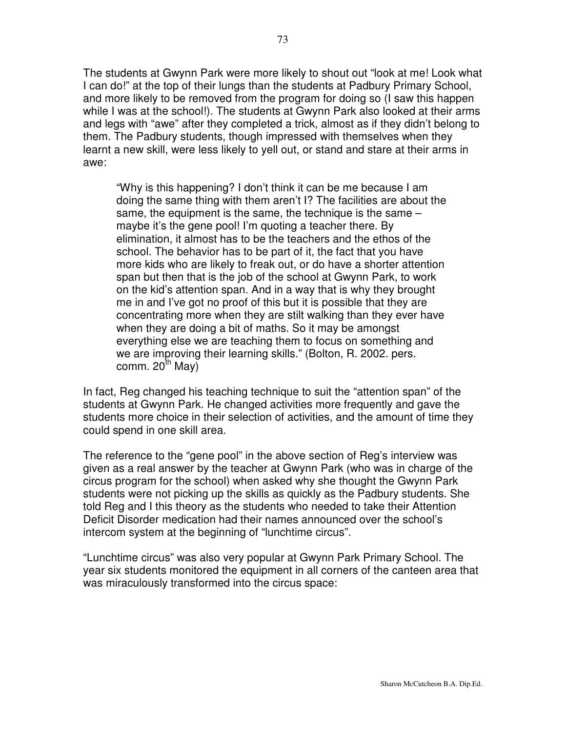The students at Gwynn Park were more likely to shout out "look at me! Look what I can do!" at the top of their lungs than the students at Padbury Primary School, and more likely to be removed from the program for doing so (I saw this happen while I was at the school!). The students at Gwynn Park also looked at their arms and legs with "awe" after they completed a trick, almost as if they didn't belong to them. The Padbury students, though impressed with themselves when they learnt a new skill, were less likely to yell out, or stand and stare at their arms in awe:

"Why is this happening? I don't think it can be me because I am doing the same thing with them aren't I? The facilities are about the same, the equipment is the same, the technique is the same – maybe it's the gene pool! I'm quoting a teacher there. By elimination, it almost has to be the teachers and the ethos of the school. The behavior has to be part of it, the fact that you have more kids who are likely to freak out, or do have a shorter attention span but then that is the job of the school at Gwynn Park, to work on the kid's attention span. And in a way that is why they brought me in and I've got no proof of this but it is possible that they are concentrating more when they are stilt walking than they ever have when they are doing a bit of maths. So it may be amongst everything else we are teaching them to focus on something and we are improving their learning skills." (Bolton, R. 2002. pers. comm. 20<sup>th</sup> May)

In fact, Reg changed his teaching technique to suit the "attention span" of the students at Gwynn Park. He changed activities more frequently and gave the students more choice in their selection of activities, and the amount of time they could spend in one skill area.

The reference to the "gene pool" in the above section of Reg's interview was given as a real answer by the teacher at Gwynn Park (who was in charge of the circus program for the school) when asked why she thought the Gwynn Park students were not picking up the skills as quickly as the Padbury students. She told Reg and I this theory as the students who needed to take their Attention Deficit Disorder medication had their names announced over the school's intercom system at the beginning of "lunchtime circus".

"Lunchtime circus" was also very popular at Gwynn Park Primary School. The year six students monitored the equipment in all corners of the canteen area that was miraculously transformed into the circus space: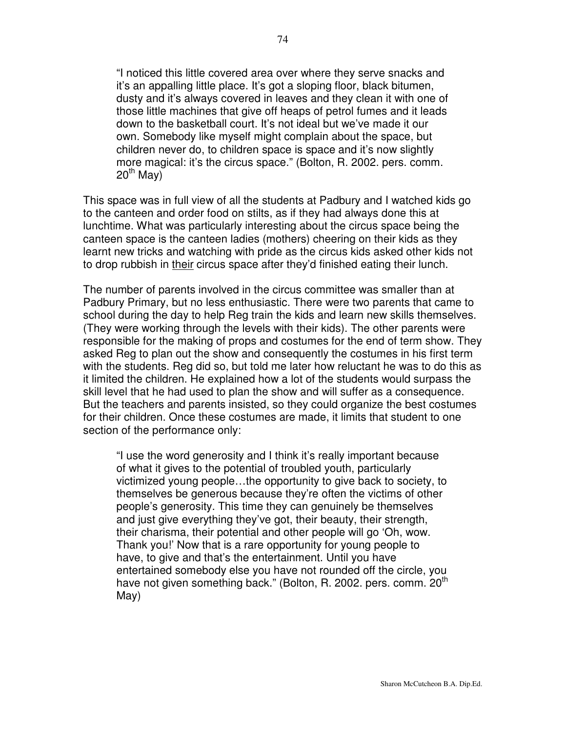"I noticed this little covered area over where they serve snacks and it's an appalling little place. It's got a sloping floor, black bitumen, dusty and it's always covered in leaves and they clean it with one of those little machines that give off heaps of petrol fumes and it leads down to the basketball court. It's not ideal but we've made it our own. Somebody like myself might complain about the space, but children never do, to children space is space and it's now slightly more magical: it's the circus space." (Bolton, R. 2002. pers. comm. 20<sup>th</sup> May)

This space was in full view of all the students at Padbury and I watched kids go to the canteen and order food on stilts, as if they had always done this at lunchtime. What was particularly interesting about the circus space being the canteen space is the canteen ladies (mothers) cheering on their kids as they learnt new tricks and watching with pride as the circus kids asked other kids not to drop rubbish in their circus space after they'd finished eating their lunch.

The number of parents involved in the circus committee was smaller than at Padbury Primary, but no less enthusiastic. There were two parents that came to school during the day to help Reg train the kids and learn new skills themselves. (They were working through the levels with their kids). The other parents were responsible for the making of props and costumes for the end of term show. They asked Reg to plan out the show and consequently the costumes in his first term with the students. Reg did so, but told me later how reluctant he was to do this as it limited the children. He explained how a lot of the students would surpass the skill level that he had used to plan the show and will suffer as a consequence. But the teachers and parents insisted, so they could organize the best costumes for their children. Once these costumes are made, it limits that student to one section of the performance only:

"I use the word generosity and I think it's really important because of what it gives to the potential of troubled youth, particularly victimized young people…the opportunity to give back to society, to themselves be generous because they're often the victims of other people's generosity. This time they can genuinely be themselves and just give everything they've got, their beauty, their strength, their charisma, their potential and other people will go 'Oh, wow. Thank you!' Now that is a rare opportunity for young people to have, to give and that's the entertainment. Until you have entertained somebody else you have not rounded off the circle, you have not given something back." (Bolton, R. 2002. pers. comm. 20<sup>th</sup> May)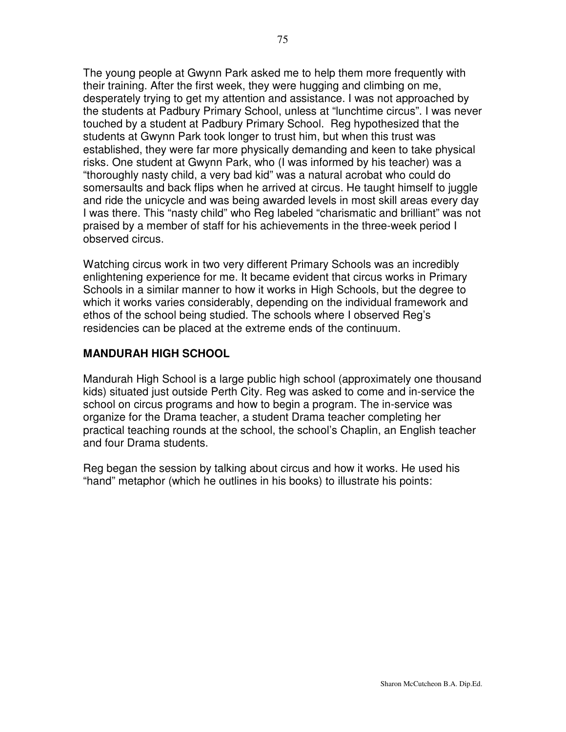The young people at Gwynn Park asked me to help them more frequently with their training. After the first week, they were hugging and climbing on me, desperately trying to get my attention and assistance. I was not approached by the students at Padbury Primary School, unless at "lunchtime circus". I was never touched by a student at Padbury Primary School. Reg hypothesized that the students at Gwynn Park took longer to trust him, but when this trust was established, they were far more physically demanding and keen to take physical risks. One student at Gwynn Park, who (I was informed by his teacher) was a "thoroughly nasty child, a very bad kid" was a natural acrobat who could do somersaults and back flips when he arrived at circus. He taught himself to juggle and ride the unicycle and was being awarded levels in most skill areas every day I was there. This "nasty child" who Reg labeled "charismatic and brilliant" was not praised by a member of staff for his achievements in the three-week period I observed circus.

Watching circus work in two very different Primary Schools was an incredibly enlightening experience for me. It became evident that circus works in Primary Schools in a similar manner to how it works in High Schools, but the degree to which it works varies considerably, depending on the individual framework and ethos of the school being studied. The schools where I observed Reg's residencies can be placed at the extreme ends of the continuum.

#### **MANDURAH HIGH SCHOOL**

Mandurah High School is a large public high school (approximately one thousand kids) situated just outside Perth City. Reg was asked to come and in-service the school on circus programs and how to begin a program. The in-service was organize for the Drama teacher, a student Drama teacher completing her practical teaching rounds at the school, the school's Chaplin, an English teacher and four Drama students.

Reg began the session by talking about circus and how it works. He used his "hand" metaphor (which he outlines in his books) to illustrate his points: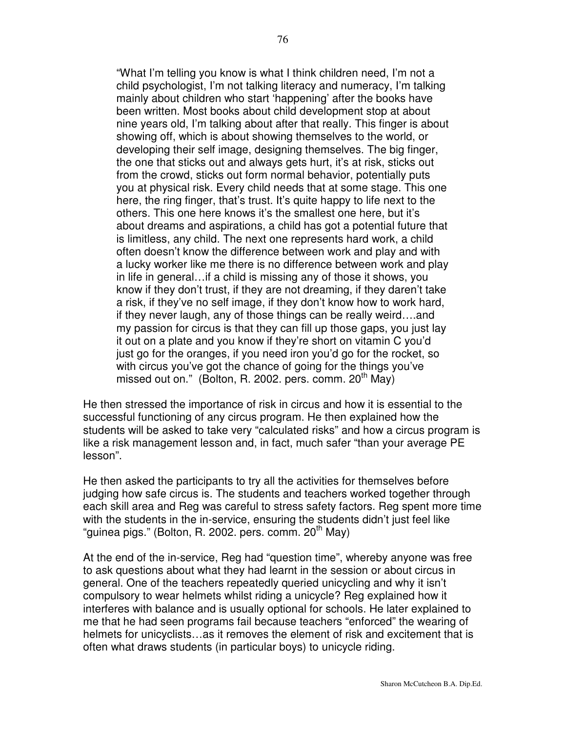"What I'm telling you know is what I think children need, I'm not a child psychologist, I'm not talking literacy and numeracy, I'm talking mainly about children who start 'happening' after the books have been written. Most books about child development stop at about nine years old, I'm talking about after that really. This finger is about showing off, which is about showing themselves to the world, or developing their self image, designing themselves. The big finger, the one that sticks out and always gets hurt, it's at risk, sticks out from the crowd, sticks out form normal behavior, potentially puts you at physical risk. Every child needs that at some stage. This one here, the ring finger, that's trust. It's quite happy to life next to the others. This one here knows it's the smallest one here, but it's about dreams and aspirations, a child has got a potential future that is limitless, any child. The next one represents hard work, a child often doesn't know the difference between work and play and with a lucky worker like me there is no difference between work and play in life in general…if a child is missing any of those it shows, you know if they don't trust, if they are not dreaming, if they daren't take a risk, if they've no self image, if they don't know how to work hard, if they never laugh, any of those things can be really weird….and my passion for circus is that they can fill up those gaps, you just lay it out on a plate and you know if they're short on vitamin C you'd just go for the oranges, if you need iron you'd go for the rocket, so with circus you've got the chance of going for the things you've missed out on." (Bolton, R. 2002. pers. comm. 20<sup>th</sup> May)

He then stressed the importance of risk in circus and how it is essential to the successful functioning of any circus program. He then explained how the students will be asked to take very "calculated risks" and how a circus program is like a risk management lesson and, in fact, much safer "than your average PE lesson".

He then asked the participants to try all the activities for themselves before judging how safe circus is. The students and teachers worked together through each skill area and Reg was careful to stress safety factors. Reg spent more time with the students in the in-service, ensuring the students didn't just feel like "guinea pigs." (Bolton, R. 2002. pers. comm. 20<sup>th</sup> May)

At the end of the in-service, Reg had "question time", whereby anyone was free to ask questions about what they had learnt in the session or about circus in general. One of the teachers repeatedly queried unicycling and why it isn't compulsory to wear helmets whilst riding a unicycle? Reg explained how it interferes with balance and is usually optional for schools. He later explained to me that he had seen programs fail because teachers "enforced" the wearing of helmets for unicyclists…as it removes the element of risk and excitement that is often what draws students (in particular boys) to unicycle riding.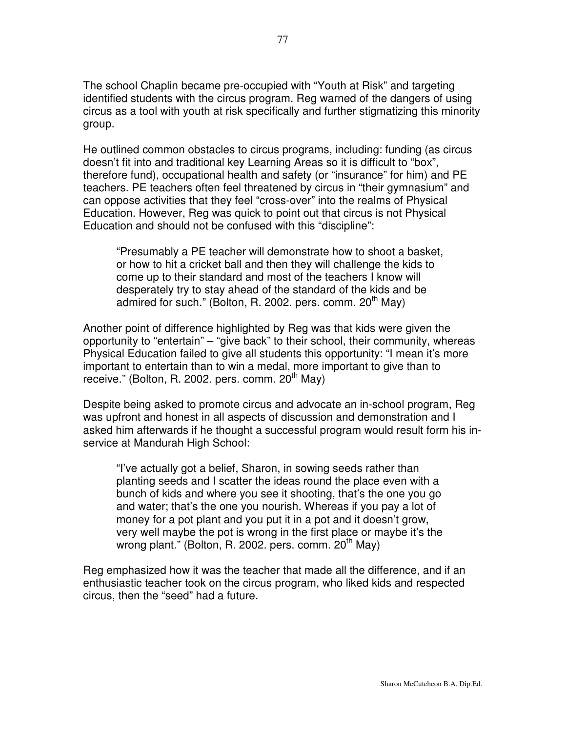The school Chaplin became pre-occupied with "Youth at Risk" and targeting identified students with the circus program. Reg warned of the dangers of using circus as a tool with youth at risk specifically and further stigmatizing this minority group.

He outlined common obstacles to circus programs, including: funding (as circus doesn't fit into and traditional key Learning Areas so it is difficult to "box", therefore fund), occupational health and safety (or "insurance" for him) and PE teachers. PE teachers often feel threatened by circus in "their gymnasium" and can oppose activities that they feel "cross-over" into the realms of Physical Education. However, Reg was quick to point out that circus is not Physical Education and should not be confused with this "discipline":

"Presumably a PE teacher will demonstrate how to shoot a basket, or how to hit a cricket ball and then they will challenge the kids to come up to their standard and most of the teachers I know will desperately try to stay ahead of the standard of the kids and be admired for such." (Bolton, R. 2002. pers. comm. 20<sup>th</sup> May)

Another point of difference highlighted by Reg was that kids were given the opportunity to "entertain" – "give back" to their school, their community, whereas Physical Education failed to give all students this opportunity: "I mean it's more important to entertain than to win a medal, more important to give than to receive." (Bolton, R. 2002. pers. comm. 20<sup>th</sup> May)

Despite being asked to promote circus and advocate an in-school program, Reg was upfront and honest in all aspects of discussion and demonstration and I asked him afterwards if he thought a successful program would result form his inservice at Mandurah High School:

"I've actually got a belief, Sharon, in sowing seeds rather than planting seeds and I scatter the ideas round the place even with a bunch of kids and where you see it shooting, that's the one you go and water; that's the one you nourish. Whereas if you pay a lot of money for a pot plant and you put it in a pot and it doesn't grow, very well maybe the pot is wrong in the first place or maybe it's the wrong plant." (Bolton, R. 2002. pers. comm. 20<sup>th</sup> May)

Reg emphasized how it was the teacher that made all the difference, and if an enthusiastic teacher took on the circus program, who liked kids and respected circus, then the "seed" had a future.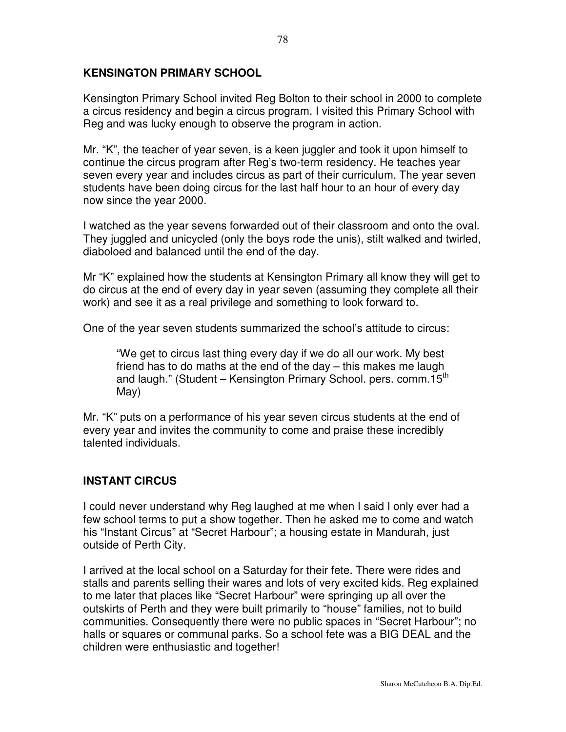### **KENSINGTON PRIMARY SCHOOL**

Kensington Primary School invited Reg Bolton to their school in 2000 to complete a circus residency and begin a circus program. I visited this Primary School with Reg and was lucky enough to observe the program in action.

Mr. "K", the teacher of year seven, is a keen juggler and took it upon himself to continue the circus program after Reg's two-term residency. He teaches year seven every year and includes circus as part of their curriculum. The year seven students have been doing circus for the last half hour to an hour of every day now since the year 2000.

I watched as the year sevens forwarded out of their classroom and onto the oval. They juggled and unicycled (only the boys rode the unis), stilt walked and twirled, diaboloed and balanced until the end of the day.

Mr "K" explained how the students at Kensington Primary all know they will get to do circus at the end of every day in year seven (assuming they complete all their work) and see it as a real privilege and something to look forward to.

One of the year seven students summarized the school's attitude to circus:

"We get to circus last thing every day if we do all our work. My best friend has to do maths at the end of the day – this makes me laugh and laugh." (Student – Kensington Primary School. pers. comm.15<sup>th</sup> May)

Mr. "K" puts on a performance of his year seven circus students at the end of every year and invites the community to come and praise these incredibly talented individuals.

### **INSTANT CIRCUS**

I could never understand why Reg laughed at me when I said I only ever had a few school terms to put a show together. Then he asked me to come and watch his "Instant Circus" at "Secret Harbour"; a housing estate in Mandurah, just outside of Perth City.

I arrived at the local school on a Saturday for their fete. There were rides and stalls and parents selling their wares and lots of very excited kids. Reg explained to me later that places like "Secret Harbour" were springing up all over the outskirts of Perth and they were built primarily to "house" families, not to build communities. Consequently there were no public spaces in "Secret Harbour"; no halls or squares or communal parks. So a school fete was a BIG DEAL and the children were enthusiastic and together!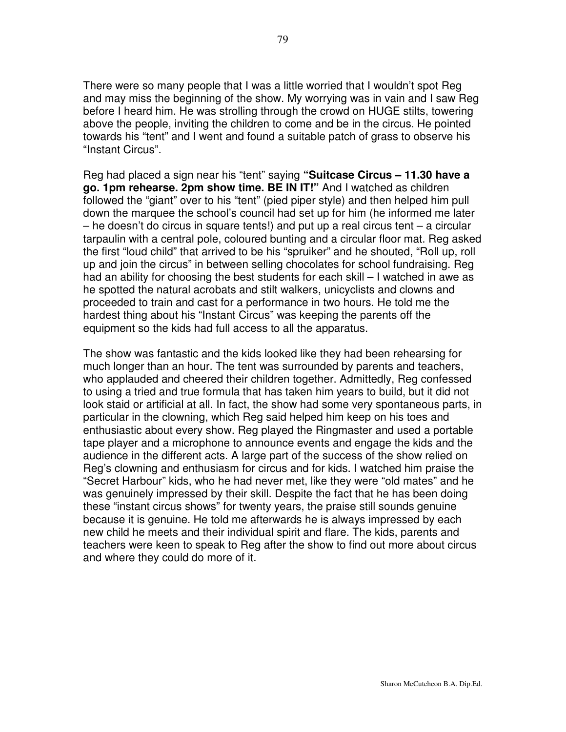There were so many people that I was a little worried that I wouldn't spot Reg and may miss the beginning of the show. My worrying was in vain and I saw Reg before I heard him. He was strolling through the crowd on HUGE stilts, towering above the people, inviting the children to come and be in the circus. He pointed towards his "tent" and I went and found a suitable patch of grass to observe his "Instant Circus".

Reg had placed a sign near his "tent" saying **"Suitcase Circus – 11.30 have a go. 1pm rehearse. 2pm show time. BE IN IT!"** And I watched as children followed the "giant" over to his "tent" (pied piper style) and then helped him pull down the marquee the school's council had set up for him (he informed me later – he doesn't do circus in square tents!) and put up a real circus tent – a circular tarpaulin with a central pole, coloured bunting and a circular floor mat. Reg asked the first "loud child" that arrived to be his "spruiker" and he shouted, "Roll up, roll up and join the circus" in between selling chocolates for school fundraising. Reg had an ability for choosing the best students for each skill – I watched in awe as he spotted the natural acrobats and stilt walkers, unicyclists and clowns and proceeded to train and cast for a performance in two hours. He told me the hardest thing about his "Instant Circus" was keeping the parents off the equipment so the kids had full access to all the apparatus.

The show was fantastic and the kids looked like they had been rehearsing for much longer than an hour. The tent was surrounded by parents and teachers, who applauded and cheered their children together. Admittedly, Reg confessed to using a tried and true formula that has taken him years to build, but it did not look staid or artificial at all. In fact, the show had some very spontaneous parts, in particular in the clowning, which Reg said helped him keep on his toes and enthusiastic about every show. Reg played the Ringmaster and used a portable tape player and a microphone to announce events and engage the kids and the audience in the different acts. A large part of the success of the show relied on Reg's clowning and enthusiasm for circus and for kids. I watched him praise the "Secret Harbour" kids, who he had never met, like they were "old mates" and he was genuinely impressed by their skill. Despite the fact that he has been doing these "instant circus shows" for twenty years, the praise still sounds genuine because it is genuine. He told me afterwards he is always impressed by each new child he meets and their individual spirit and flare. The kids, parents and teachers were keen to speak to Reg after the show to find out more about circus and where they could do more of it.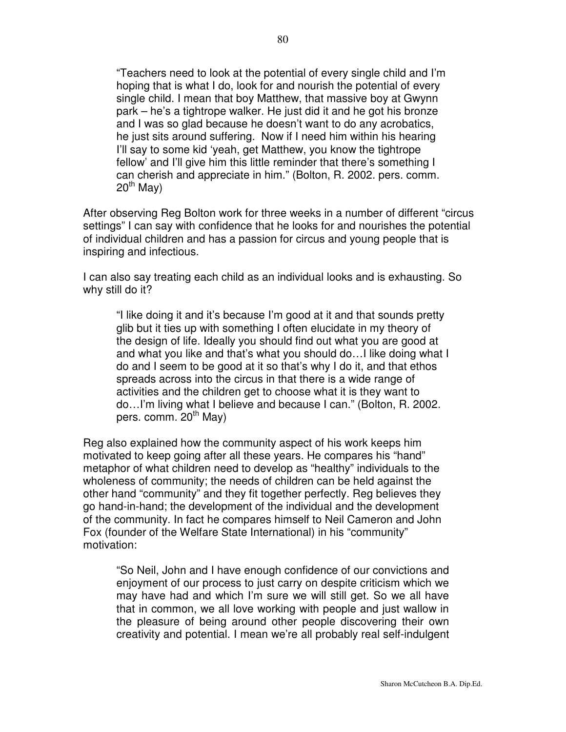"Teachers need to look at the potential of every single child and I'm hoping that is what I do, look for and nourish the potential of every single child. I mean that boy Matthew, that massive boy at Gwynn park – he's a tightrope walker. He just did it and he got his bronze and I was so glad because he doesn't want to do any acrobatics, he just sits around suffering. Now if I need him within his hearing I'll say to some kid 'yeah, get Matthew, you know the tightrope fellow' and I'll give him this little reminder that there's something I can cherish and appreciate in him." (Bolton, R. 2002. pers. comm. 20<sup>th</sup> May)

After observing Reg Bolton work for three weeks in a number of different "circus settings" I can say with confidence that he looks for and nourishes the potential of individual children and has a passion for circus and young people that is inspiring and infectious.

I can also say treating each child as an individual looks and is exhausting. So why still do it?

"I like doing it and it's because I'm good at it and that sounds pretty glib but it ties up with something I often elucidate in my theory of the design of life. Ideally you should find out what you are good at and what you like and that's what you should do…I like doing what I do and I seem to be good at it so that's why I do it, and that ethos spreads across into the circus in that there is a wide range of activities and the children get to choose what it is they want to do…I'm living what I believe and because I can." (Bolton, R. 2002. pers. comm. 20<sup>th</sup> May)

Reg also explained how the community aspect of his work keeps him motivated to keep going after all these years. He compares his "hand" metaphor of what children need to develop as "healthy" individuals to the wholeness of community; the needs of children can be held against the other hand "community" and they fit together perfectly. Reg believes they go hand-in-hand; the development of the individual and the development of the community. In fact he compares himself to Neil Cameron and John Fox (founder of the Welfare State International) in his "community" motivation:

"So Neil, John and I have enough confidence of our convictions and enjoyment of our process to just carry on despite criticism which we may have had and which I'm sure we will still get. So we all have that in common, we all love working with people and just wallow in the pleasure of being around other people discovering their own creativity and potential. I mean we're all probably real self-indulgent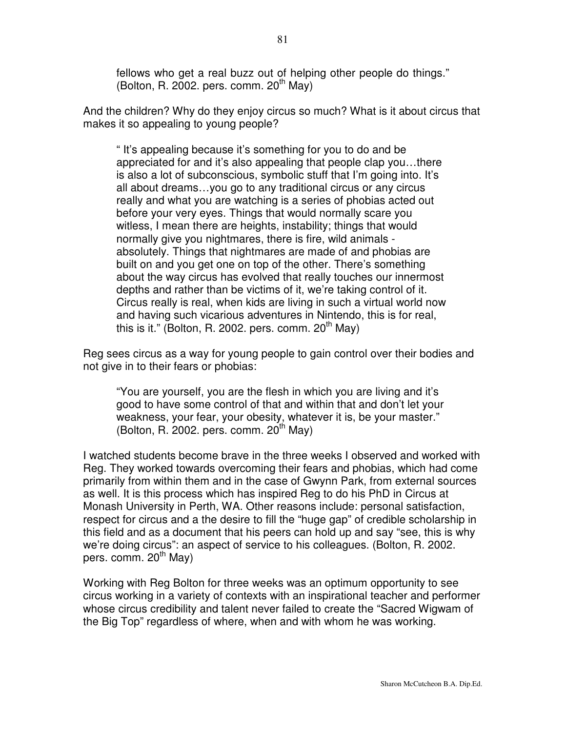fellows who get a real buzz out of helping other people do things." (Bolton, R. 2002. pers. comm. 20<sup>th</sup> May)

And the children? Why do they enjoy circus so much? What is it about circus that makes it so appealing to young people?

" It's appealing because it's something for you to do and be appreciated for and it's also appealing that people clap you…there is also a lot of subconscious, symbolic stuff that I'm going into. It's all about dreams…you go to any traditional circus or any circus really and what you are watching is a series of phobias acted out before your very eyes. Things that would normally scare you witless, I mean there are heights, instability; things that would normally give you nightmares, there is fire, wild animals absolutely. Things that nightmares are made of and phobias are built on and you get one on top of the other. There's something about the way circus has evolved that really touches our innermost depths and rather than be victims of it, we're taking control of it. Circus really is real, when kids are living in such a virtual world now and having such vicarious adventures in Nintendo, this is for real, this is it." (Bolton, R. 2002. pers. comm. 20<sup>th</sup> May)

Reg sees circus as a way for young people to gain control over their bodies and not give in to their fears or phobias:

"You are yourself, you are the flesh in which you are living and it's good to have some control of that and within that and don't let your weakness, your fear, your obesity, whatever it is, be your master." (Bolton, R. 2002. pers. comm.  $20<sup>th</sup>$  May)

I watched students become brave in the three weeks I observed and worked with Reg. They worked towards overcoming their fears and phobias, which had come primarily from within them and in the case of Gwynn Park, from external sources as well. It is this process which has inspired Reg to do his PhD in Circus at Monash University in Perth, WA. Other reasons include: personal satisfaction, respect for circus and a the desire to fill the "huge gap" of credible scholarship in this field and as a document that his peers can hold up and say "see, this is why we're doing circus": an aspect of service to his colleagues. (Bolton, R. 2002. pers. comm. 20<sup>th</sup> May)

Working with Reg Bolton for three weeks was an optimum opportunity to see circus working in a variety of contexts with an inspirational teacher and performer whose circus credibility and talent never failed to create the "Sacred Wigwam of the Big Top" regardless of where, when and with whom he was working.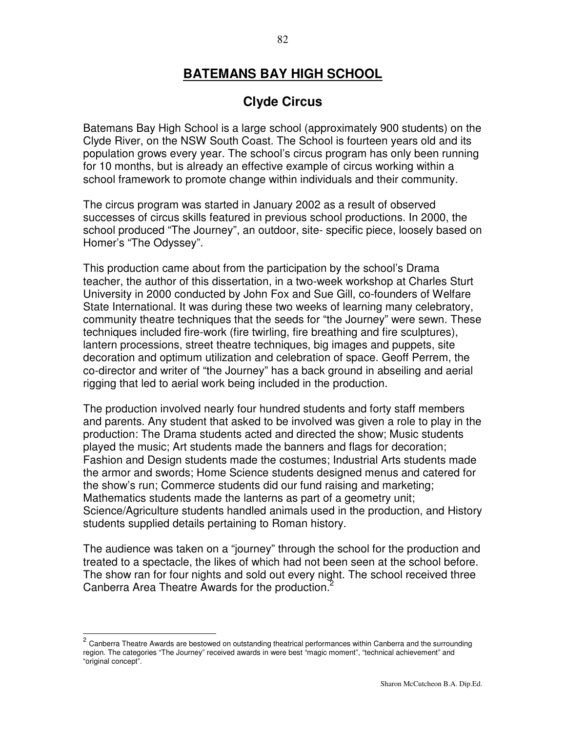# **BATEMANS BAY HIGH SCHOOL**

# **Clyde Circus**

Batemans Bay High School is a large school (approximately 900 students) on the Clyde River, on the NSW South Coast. The School is fourteen years old and its population grows every year. The school's circus program has only been running for 10 months, but is already an effective example of circus working within a school framework to promote change within individuals and their community.

The circus program was started in January 2002 as a result of observed successes of circus skills featured in previous school productions. In 2000, the school produced "The Journey", an outdoor, site- specific piece, loosely based on Homer's "The Odyssey".

This production came about from the participation by the school's Drama teacher, the author of this dissertation, in a two-week workshop at Charles Sturt University in 2000 conducted by John Fox and Sue Gill, co-founders of Welfare State International. It was during these two weeks of learning many celebratory, community theatre techniques that the seeds for "the Journey" were sewn. These techniques included fire-work (fire twirling, fire breathing and fire sculptures), lantern processions, street theatre techniques, big images and puppets, site decoration and optimum utilization and celebration of space. Geoff Perrem, the co-director and writer of "the Journey" has a back ground in abseiling and aerial rigging that led to aerial work being included in the production.

The production involved nearly four hundred students and forty staff members and parents. Any student that asked to be involved was given a role to play in the production: The Drama students acted and directed the show; Music students played the music; Art students made the banners and flags for decoration; Fashion and Design students made the costumes; Industrial Arts students made the armor and swords; Home Science students designed menus and catered for the show's run; Commerce students did our fund raising and marketing; Mathematics students made the lanterns as part of a geometry unit; Science/Agriculture students handled animals used in the production, and History students supplied details pertaining to Roman history.

The audience was taken on a "journey" through the school for the production and treated to a spectacle, the likes of which had not been seen at the school before. The show ran for four nights and sold out every night. The school received three Canberra Area Theatre Awards for the production.<sup>2</sup>

<sup>2</sup> Canberra Theatre Awards are bestowed on outstanding theatrical performances within Canberra and the surrounding region. The categories "The Journey" received awards in were best "magic moment", "technical achievement" and "original concept".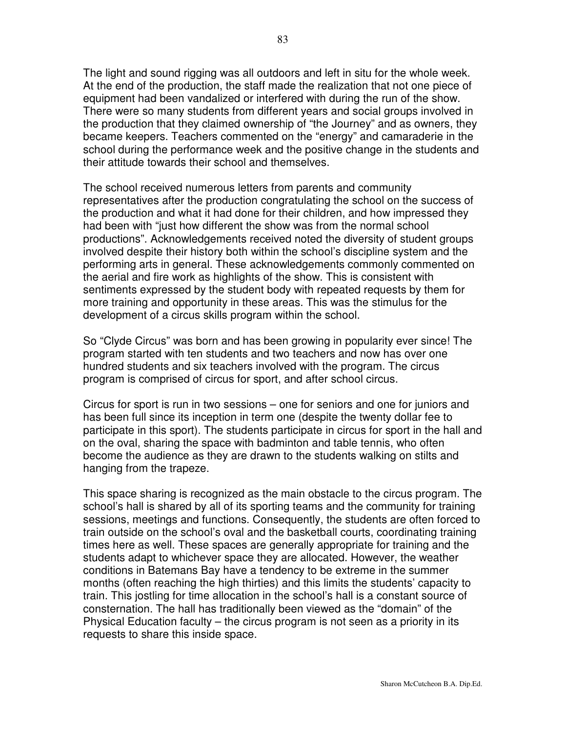The light and sound rigging was all outdoors and left in situ for the whole week. At the end of the production, the staff made the realization that not one piece of equipment had been vandalized or interfered with during the run of the show. There were so many students from different years and social groups involved in the production that they claimed ownership of "the Journey" and as owners, they became keepers. Teachers commented on the "energy" and camaraderie in the school during the performance week and the positive change in the students and their attitude towards their school and themselves.

The school received numerous letters from parents and community representatives after the production congratulating the school on the success of the production and what it had done for their children, and how impressed they had been with "just how different the show was from the normal school productions". Acknowledgements received noted the diversity of student groups involved despite their history both within the school's discipline system and the performing arts in general. These acknowledgements commonly commented on the aerial and fire work as highlights of the show. This is consistent with sentiments expressed by the student body with repeated requests by them for more training and opportunity in these areas. This was the stimulus for the development of a circus skills program within the school.

So "Clyde Circus" was born and has been growing in popularity ever since! The program started with ten students and two teachers and now has over one hundred students and six teachers involved with the program. The circus program is comprised of circus for sport, and after school circus.

Circus for sport is run in two sessions – one for seniors and one for juniors and has been full since its inception in term one (despite the twenty dollar fee to participate in this sport). The students participate in circus for sport in the hall and on the oval, sharing the space with badminton and table tennis, who often become the audience as they are drawn to the students walking on stilts and hanging from the trapeze.

This space sharing is recognized as the main obstacle to the circus program. The school's hall is shared by all of its sporting teams and the community for training sessions, meetings and functions. Consequently, the students are often forced to train outside on the school's oval and the basketball courts, coordinating training times here as well. These spaces are generally appropriate for training and the students adapt to whichever space they are allocated. However, the weather conditions in Batemans Bay have a tendency to be extreme in the summer months (often reaching the high thirties) and this limits the students' capacity to train. This jostling for time allocation in the school's hall is a constant source of consternation. The hall has traditionally been viewed as the "domain" of the Physical Education faculty – the circus program is not seen as a priority in its requests to share this inside space.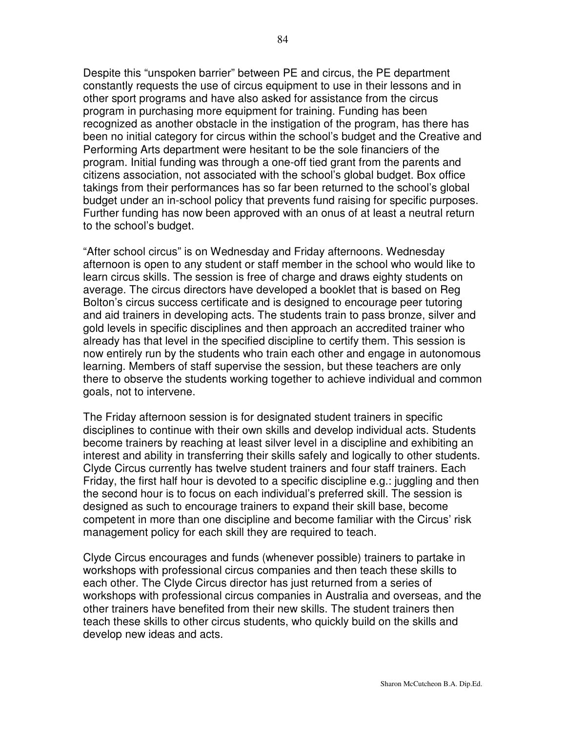Despite this "unspoken barrier" between PE and circus, the PE department constantly requests the use of circus equipment to use in their lessons and in other sport programs and have also asked for assistance from the circus program in purchasing more equipment for training. Funding has been recognized as another obstacle in the instigation of the program, has there has been no initial category for circus within the school's budget and the Creative and Performing Arts department were hesitant to be the sole financiers of the program. Initial funding was through a one-off tied grant from the parents and citizens association, not associated with the school's global budget. Box office takings from their performances has so far been returned to the school's global budget under an in-school policy that prevents fund raising for specific purposes. Further funding has now been approved with an onus of at least a neutral return to the school's budget.

"After school circus" is on Wednesday and Friday afternoons. Wednesday afternoon is open to any student or staff member in the school who would like to learn circus skills. The session is free of charge and draws eighty students on average. The circus directors have developed a booklet that is based on Reg Bolton's circus success certificate and is designed to encourage peer tutoring and aid trainers in developing acts. The students train to pass bronze, silver and gold levels in specific disciplines and then approach an accredited trainer who already has that level in the specified discipline to certify them. This session is now entirely run by the students who train each other and engage in autonomous learning. Members of staff supervise the session, but these teachers are only there to observe the students working together to achieve individual and common goals, not to intervene.

The Friday afternoon session is for designated student trainers in specific disciplines to continue with their own skills and develop individual acts. Students become trainers by reaching at least silver level in a discipline and exhibiting an interest and ability in transferring their skills safely and logically to other students. Clyde Circus currently has twelve student trainers and four staff trainers. Each Friday, the first half hour is devoted to a specific discipline e.g.: juggling and then the second hour is to focus on each individual's preferred skill. The session is designed as such to encourage trainers to expand their skill base, become competent in more than one discipline and become familiar with the Circus' risk management policy for each skill they are required to teach.

Clyde Circus encourages and funds (whenever possible) trainers to partake in workshops with professional circus companies and then teach these skills to each other. The Clyde Circus director has just returned from a series of workshops with professional circus companies in Australia and overseas, and the other trainers have benefited from their new skills. The student trainers then teach these skills to other circus students, who quickly build on the skills and develop new ideas and acts.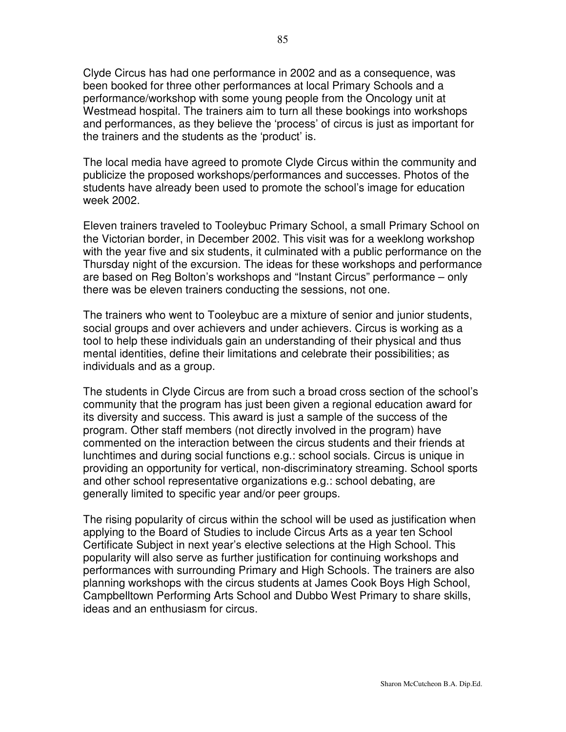Clyde Circus has had one performance in 2002 and as a consequence, was been booked for three other performances at local Primary Schools and a performance/workshop with some young people from the Oncology unit at Westmead hospital. The trainers aim to turn all these bookings into workshops and performances, as they believe the 'process' of circus is just as important for the trainers and the students as the 'product' is.

The local media have agreed to promote Clyde Circus within the community and publicize the proposed workshops/performances and successes. Photos of the students have already been used to promote the school's image for education week 2002.

Eleven trainers traveled to Tooleybuc Primary School, a small Primary School on the Victorian border, in December 2002. This visit was for a weeklong workshop with the year five and six students, it culminated with a public performance on the Thursday night of the excursion. The ideas for these workshops and performance are based on Reg Bolton's workshops and "Instant Circus" performance – only there was be eleven trainers conducting the sessions, not one.

The trainers who went to Tooleybuc are a mixture of senior and junior students, social groups and over achievers and under achievers. Circus is working as a tool to help these individuals gain an understanding of their physical and thus mental identities, define their limitations and celebrate their possibilities; as individuals and as a group.

The students in Clyde Circus are from such a broad cross section of the school's community that the program has just been given a regional education award for its diversity and success. This award is just a sample of the success of the program. Other staff members (not directly involved in the program) have commented on the interaction between the circus students and their friends at lunchtimes and during social functions e.g.: school socials. Circus is unique in providing an opportunity for vertical, non-discriminatory streaming. School sports and other school representative organizations e.g.: school debating, are generally limited to specific year and/or peer groups.

The rising popularity of circus within the school will be used as justification when applying to the Board of Studies to include Circus Arts as a year ten School Certificate Subject in next year's elective selections at the High School. This popularity will also serve as further justification for continuing workshops and performances with surrounding Primary and High Schools. The trainers are also planning workshops with the circus students at James Cook Boys High School, Campbelltown Performing Arts School and Dubbo West Primary to share skills, ideas and an enthusiasm for circus.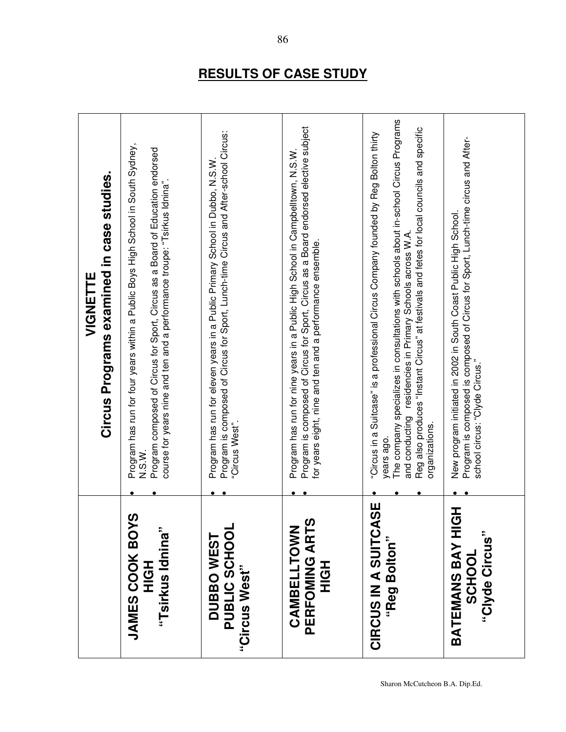|                                                          | Circus Programs examined in case studies.<br><b>VIGNETTE</b>                                                                                                                                                                                                                                                                                                              |
|----------------------------------------------------------|---------------------------------------------------------------------------------------------------------------------------------------------------------------------------------------------------------------------------------------------------------------------------------------------------------------------------------------------------------------------------|
| <b>JAMES COOK BOYS</b><br>"Tsirkus Idnina"<br>HQH        | Program has run for four years within a Public Boys High School in South Sydney,<br>Program composed of Circus for Sport, Circus as a Board of Education endorsed<br>course for years nine and ten and a performance troupe: "Tsirkus Idnina"<br>N.S.M.                                                                                                                   |
| PUBLIC SCHOOL<br><b>DUBBOWEST</b><br>"Circus West"       | Program is composed of Circus for Sport, Lunch-time Circus and After-school Circus:<br>Program has run for eleven years in a Public Primary School in Dubbo, N.S.W<br>"Circus West".                                                                                                                                                                                      |
| PERFOMING ARTS<br>CAMBELLTOWN<br>エクテ                     | Program is composed of Circus for Sport, Circus as a Board endorsed elective subject<br>Program has run for nine years in a Public High School in Campbelltown, N.S.W.<br>for years eight, nine and ten and a performance ensemble.                                                                                                                                       |
| CIRCUS IN A SUITCASE<br>"Reg Bolton"                     | The company specializes in consultations with schools about in-school Circus Programs<br>Reg also produces "Instant Circus" at festivals and fetes for local councils and specific<br>Suitcase" is a professional Circus Company founded by Reg Bolton thirty<br>and conducting residencies in Primary Schools across W.A.<br>organizations.<br>Circus in a<br>years ago. |
| Ŧ<br>BATEMANS BAY HIG<br>"Clyde Circus"<br><b>SCHOOL</b> | Program is composed is composed of Circus for Sport, Lunch-time circus and After-<br>New program initiated in 2002 in South Coast Public High School.<br>school circus: "Clyde Circus."                                                                                                                                                                                   |

# **RESULTS OF CASE STUDY**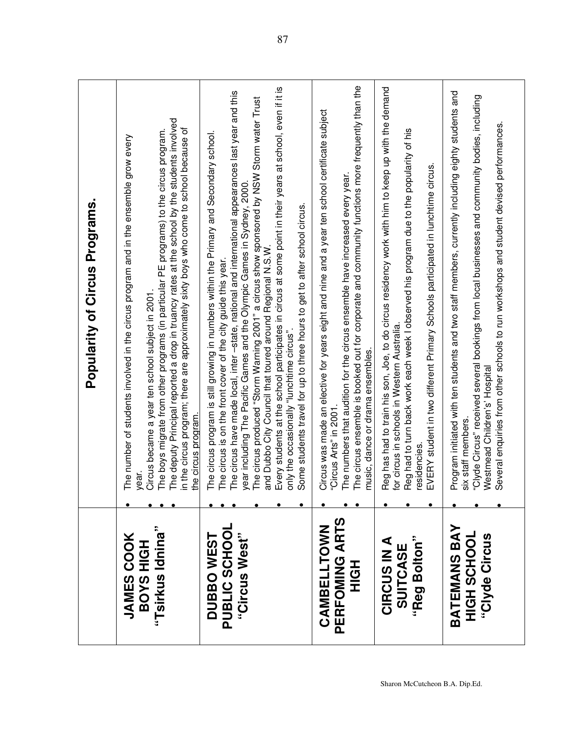|                                                    | Popularity of Circus Programs.                                                                                                                                                                                                                                                                                                                                                                                                                                                                                                                                                                                                                                                                                                          |
|----------------------------------------------------|-----------------------------------------------------------------------------------------------------------------------------------------------------------------------------------------------------------------------------------------------------------------------------------------------------------------------------------------------------------------------------------------------------------------------------------------------------------------------------------------------------------------------------------------------------------------------------------------------------------------------------------------------------------------------------------------------------------------------------------------|
| "Tsirkus Idnina"<br><b>JAMES COOK</b><br>BOYS HIGH | The deputy Principal reported a drop in truancy rates at the school by the students involved<br>in the circus program; there are approximately sixty boys who come to school because of<br>The boys migrate from other programs (in particular PE programs) to the circus program.<br>The number of students involved in the circus program and in the ensemble grow every<br>Circus became a year ten school subject in 2001<br>the circus program.<br>year.                                                                                                                                                                                                                                                                           |
| PUBLIC SCHOOL<br>"Circus West"<br><b>DUBBOWEST</b> | Every students at the school participates in circus at some point in their years at school, even if it is<br>The circus have made local, inter-state, national and international appearances last year and this<br>The circus produced "Storm Warning 2001" a circus show sponsored by NSW Storm water Trust<br>The circus program is still growing in numbers within the Primary and Secondary school.<br>year including The Pacific Games and the Olympic Games in Sydney, 2000<br>Some students travel for up to three hours to get to after school circus.<br>and Dubbo City Council that toured around Regional N.S.W<br>The circus is on the front cover of the city guide this year.<br>only the occasionally "lunchtime circus" |
| PERFOMING ARTS<br>CAMBELLTOWN<br>エ<br>ご<br>エ       | The circus ensemble is booked out for corporate and community functions more frequently than the<br>Circus was made an elective for years eight and nine and a year ten school certificate subject<br>The numbers that audition for the circus ensemble have increased every year.<br>music, dance or drama ensembles.<br>"Circus Arts" in 2001                                                                                                                                                                                                                                                                                                                                                                                         |
| "Reg Bolton"<br><b>CIRCUS IN A</b><br>SUITCASE     | Reg has had to train his son, Joe, to do circus residency work with him to keep up with the demand<br>Reg had to turn back work each week I observed his program due to the popularity of his<br>EVERY student in two different Primary Schools participated in lunchtime circus.<br>for circus in schools in Western Australia.<br>residencies.                                                                                                                                                                                                                                                                                                                                                                                        |
| BATEMANS BAY<br>HIGH SCHOOL<br>"Clyde Circus       | Program initiated with ten students and two staff members, currently including eighty students and<br>"Clyde Circus" received several bookings from local businesses and community bodies, including<br>Several enquiries from other schools to run workshops and student devised performances.<br>Westmead Children's' Hospital<br>six staff members.                                                                                                                                                                                                                                                                                                                                                                                  |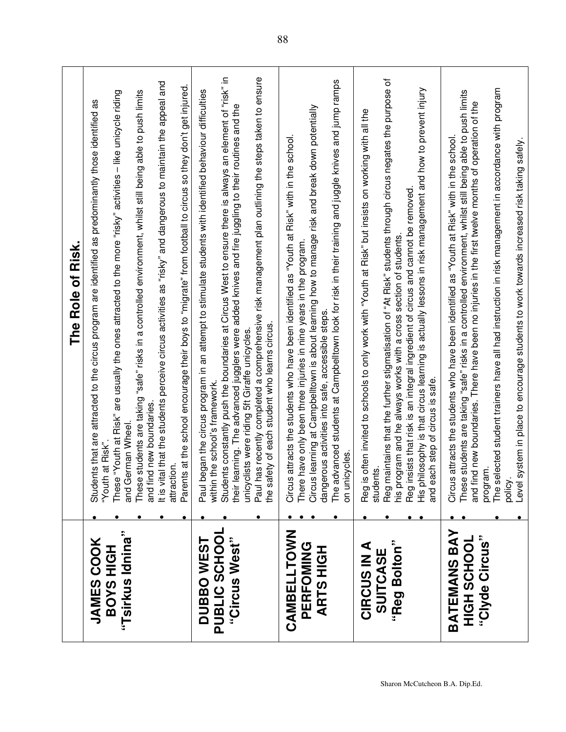|                                                           | The Role of Risk.                                                                                                                                                                                                                                                                                                                                                                                                                                                                                                                                                                                                                                                                         |
|-----------------------------------------------------------|-------------------------------------------------------------------------------------------------------------------------------------------------------------------------------------------------------------------------------------------------------------------------------------------------------------------------------------------------------------------------------------------------------------------------------------------------------------------------------------------------------------------------------------------------------------------------------------------------------------------------------------------------------------------------------------------|
| "Tsirkus Idnina"<br><b>JAMES COOK</b><br><b>BOYS HIGH</b> | It is vital that the students perceive circus activities as "risky" and dangerous to maintain the appeal and<br>These students are taking "safe" risks in a controlled environment, whilst still being able to push limits<br>These "Youth at Risk" are usually the ones attracted to the more "risky" activities - like unicycle riding<br>Students that are attracted to the circus program are identified as predominantly those identified as<br>and find new boundaries.<br>and German Wheel.<br>"Youth at Risk".<br>attraction.                                                                                                                                                     |
| PUBLIC SCHOOL<br>"Circus West"<br><b>DUBBOWEST</b>        | Paul has recently completed a comprehensive risk management plan outlining the steps taken to ensure<br>Students constantly push the boundaries at Circus West to ensure there is always an element of "risk" in<br>Parents at the school encourage their boys to "migrate" from football to circus so they don't get injured.<br>began the circus program in an attempt to stimulate students with identified behaviour difficulties<br>their learning. The advanced jugglers were added knives and fire juggling to their routines and the<br>the safety of each student who learns circus.<br>unicyclists were riding 5ft Giraffe unicycles.<br>within the school's framework.<br>Paul |
| CAMBELLTOWN<br>PERFOMING<br><b>ARTSHIGH</b>               | The advanced students at Campbelltown look for risk in their training and juggle knives and jump ramps<br>s learning at Campbelltown is about learning how to manage risk and break down potentially<br>s attracts the students who have been identified as "Youth at Risk" with in the school.<br>There have only been three injuries in nine years in the program.<br>dangerous activities into safe, accessible steps.<br>on unicycles.<br>Circus<br>Circus                                                                                                                                                                                                                            |
| "Reg Bolton"<br>CIRCUS IN A<br>SUITCASE                   | maintains that the further stigmatisation of "At Risk" students through circus negates the purpose of<br>His philosophy is that circus learning is actually lessons in risk management and how to prevent injury<br>is often invited to schools to only work with "Youth at Risk" but insists on working with all the<br>Reg insists that risk is an integral ingredient of circus and cannot be removed<br>his program and he always works with a cross section of students<br>and each step of circus is safe.<br>students.<br>Reg is<br>Reg <sub>r</sub>                                                                                                                               |
| BATEMANS BAY<br>"Clyde Circus"<br><b>NOTORY</b><br>SCHOOL | The selected student trainers have all had instruction in risk management in accordance with program<br>These students are taking "safe" risks in a controlled environment, whilst still being able to push limits<br>and find new boundaries. There have been no injuries in the first twelve months of operation of the<br>Circus attracts the students who have been identified as "Youth at Risk" with in the school.<br>system in place to encourage students to work towards increased risk taking safely.<br>program.<br>policy<br>Level                                                                                                                                           |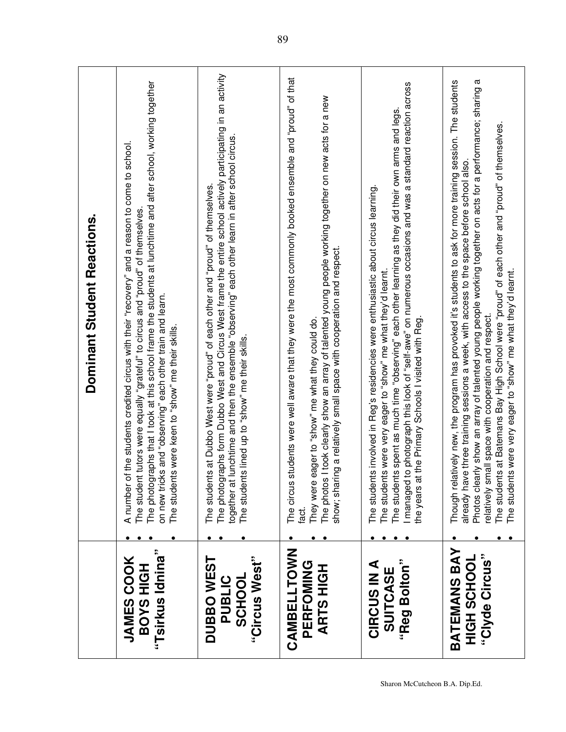|                                                               | Dominant Student Reactions.                                                                                                                                                                                                                                                                                                                                                                                                                                                                                                                         |
|---------------------------------------------------------------|-----------------------------------------------------------------------------------------------------------------------------------------------------------------------------------------------------------------------------------------------------------------------------------------------------------------------------------------------------------------------------------------------------------------------------------------------------------------------------------------------------------------------------------------------------|
| "Tsirkus Idnina"<br><b>JAMES COOK</b><br><b>HIGH SAOB</b>     | The photographs that I took at this school frame the students at lunchtime and after school, working together<br>of the students credited circus with their "recovery" and a reason to come to school.<br>The student tutors were equally "grateful" to circus and "proud" of themselves<br>on new tricks and "observing" each other train and learn.<br>The students were keen to "show" me their skills.<br>A number                                                                                                                              |
| "Circus West"<br><b>DUBBO WEST</b><br><b>SCHOOL</b><br>PUBLIC | The photographs form Dubbo West and Circus West frame the entire school actively participating in an activity<br>together at lunchtime and then the ensemble "observing" each other learn in after school circus.<br>The students at Dubbo West were "proud" of each other and "proud" of themselves.<br>The students lined up to "show" me their skills.                                                                                                                                                                                           |
| CAMBELLTOWN<br>PERFOMING<br><b>ARTSHIGH</b>                   | students were well aware that they were the most commonly booked ensemble and "proud" of that<br>The photos I took clearly show an array of talented young people working together on new acts for a new<br>show; sharing a relatively small space with cooperation and respect.<br>eager to "show" me what they could do.<br>They were<br>The circus<br>fact.                                                                                                                                                                                      |
| "Reg Bolton"<br><b>CIRCUS IN A</b><br>SUITCASE                | I managed to photograph this look of "self-awe" on numerous occasions and was a standard reaction across<br>The students spent as much time "observing" each other learning as they did their own arms and legs<br>The students involved in Reg's residencies were enthusiastic about circus learning.<br>The students were very eager to "show" me what they'd learnt.<br>at the Primary Schools I visited with Reg.<br>the years                                                                                                                  |
| <b>BATEMANS BAY</b><br>"Clyde Circus"<br>HOOHOS<br>HOOHOS     | Photos clearly show an array of talented young people working together on acts for a performance; sharing a<br>Though relatively new, the program has provoked it's students to ask for more training session. The students<br>The students at Batemans Bay High School were "proud" of each other and "proud" of themselves.<br>already have three training sessions a week, with access to the space before school also.<br>The students were very eager to "show" me what they'd learnt.<br>relatively small space with cooperation and respect. |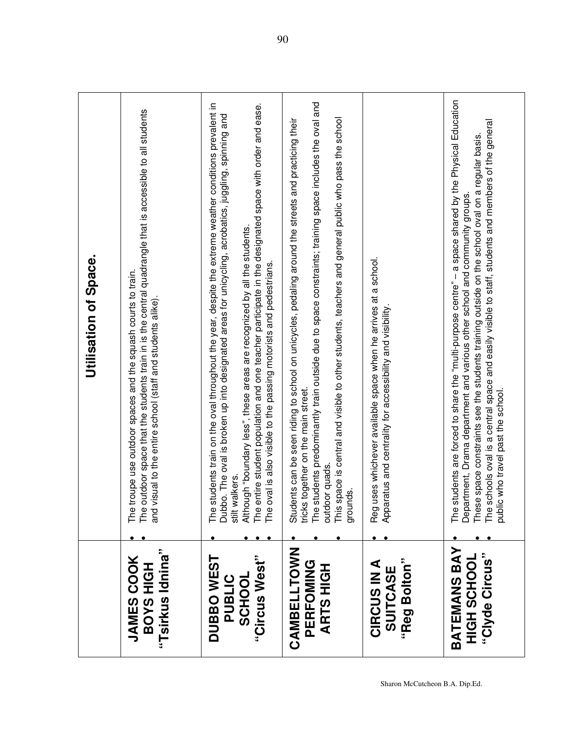|                                                        | Utilisation of Space.                                                                                                                                                                                                                                                                                                                                                                                                                                                                                       |
|--------------------------------------------------------|-------------------------------------------------------------------------------------------------------------------------------------------------------------------------------------------------------------------------------------------------------------------------------------------------------------------------------------------------------------------------------------------------------------------------------------------------------------------------------------------------------------|
| "Tsirkus Idnina"<br><b>JAMES COOK</b><br>BOYS HIGH     | outdoor space that the students train in is the central quadrangle that is accessible to all students<br>troupe use outdoor spaces and the squash courts to train.<br>visual to the entire school (staff and students alike).<br>The i<br>and                                                                                                                                                                                                                                                               |
| "Circus West"<br>DUBBO WEST<br><b>SCHOOL</b><br>PUBLIC | students train on the oval throughout the year, despite the extreme weather conditions prevalent in<br>The entire student population and one teacher participate in the designated space with order and ease.<br>Dubbo. The oval is broken up into designated areas for unicycling, acrobatics, juggling, spinning and<br>Although "boundary less", these areas are recognized by all the students.<br>oval is also visible to the passing motorists and pedestrians<br>stilt walkers.<br><b>PHT</b><br>The |
| CAMBELLTOWN<br>PERFOMING<br><b>ARTSHIGH</b>            | The students predominantly train outside due to space constraints; training space includes the oval and<br>This space is central and visible to other students, teachers and general public who pass the school<br>Students can be seen riding to school on unicycles, pedaling around the streets and practicing their<br>tricks together on the main street.<br>outdoor quads.<br>grounds.                                                                                                                |
| "Reg Bolton"<br><b>CIRCUS IN A</b><br>SUITCASE         | uses whichever available space when he arrives at a school.<br>Apparatus and centrality for accessibility and visibility<br>Reg <sub>1</sub>                                                                                                                                                                                                                                                                                                                                                                |
| BATEMANS BAY<br>"Clyde Circus"<br><b>HIGH SCHOOL</b>   | The students are forced to share the "multi-purpose centre" - a space shared by the Physical Education<br>The schools oval is a central space and easily visible to staff, students and members of the general<br>These space constraints see the students training outside on the school oval on a regular basis.<br>Department, Drama department and various other school and community groups.<br>ic who travel past the school<br>publi                                                                 |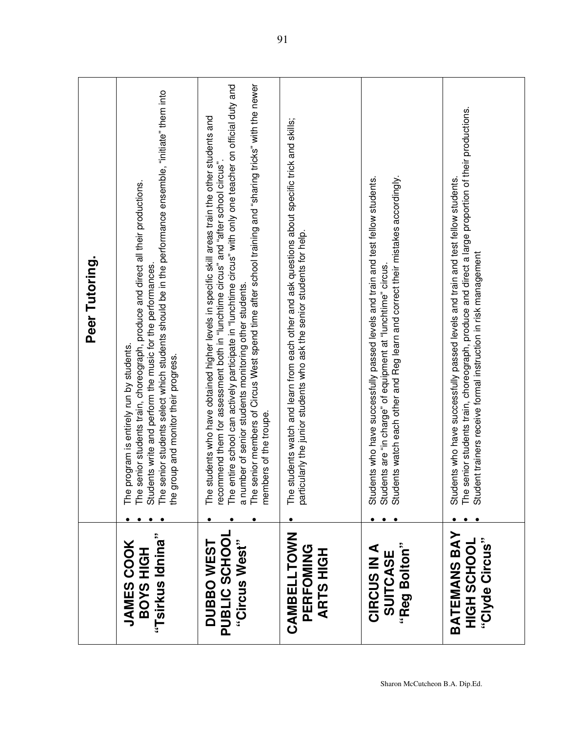|                                                           | Peer Tutoring.                                                                                                                                                                                                                                                                                                                                                                                                                                                                                                |
|-----------------------------------------------------------|---------------------------------------------------------------------------------------------------------------------------------------------------------------------------------------------------------------------------------------------------------------------------------------------------------------------------------------------------------------------------------------------------------------------------------------------------------------------------------------------------------------|
| "Tsirkus Idnina"<br><b>JAMES COOK</b><br><b>BOYS HIGH</b> | senior students select which students should be in the performance ensemble, "initiate" them into<br>senior students train, choreograph, produce and direct all their productions.<br>Students write and perform the music for the performances.<br>program is entirely run by students.<br>group and monitor their progress.<br>The<br>The<br>The<br>the                                                                                                                                                     |
| PUBLIC SCHOO<br><b>DUBBOWEST</b><br>"Circus West"         | senior members of Circus West spend time after school training and "sharing tricks" with the newer<br>entire school can actively participate in "lunchtime circus" with only one teacher on official duty and<br>students who have obtained higher levels in specific skill areas train the other students and<br>recommend them for assessment both in "lunchtime circus" and "after school circus"<br>a number of senior students monitoring other students.<br>members of the troupe.<br>The<br>The<br>The |
| CAMBELLTOWN<br>PERFOMING<br><b>ARTSHIGH</b>               | students watch and learn from each other and ask questions about specific trick and skills;<br>icularly the junior students who ask the senior students for help.<br>The<br>parti                                                                                                                                                                                                                                                                                                                             |
| "Reg Bolton"<br><b>CIRCUS IN A</b><br>SUITCASE            | Students watch each other and Reg learn and correct their mistakes accordingly.<br>Students who have successfully passed levels and train and test fellow students.<br>Students are "in charge" of equipment at "lunchtime" circus.                                                                                                                                                                                                                                                                           |
| BATEMANS BAY<br>"Clyde Circus"<br>HOOHOS<br>HOOHO         | senior students train, choreograph, produce and direct a large proportion of their productions.<br>Students who have successfully passed levels and train and test fellow students.<br>Student trainers receive formal instruction in risk management<br>The                                                                                                                                                                                                                                                  |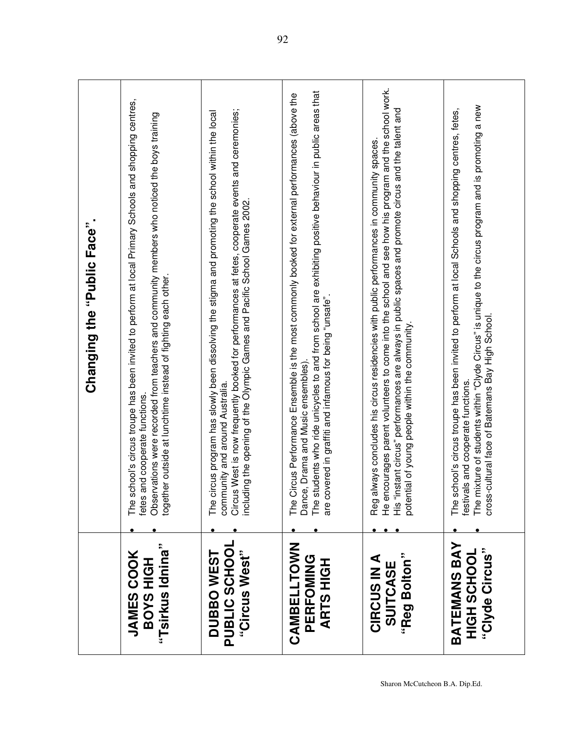|                                                             |                                                                                                              | Changing the "Public Face".                                                                                                                                                                                                                                                                    |
|-------------------------------------------------------------|--------------------------------------------------------------------------------------------------------------|------------------------------------------------------------------------------------------------------------------------------------------------------------------------------------------------------------------------------------------------------------------------------------------------|
| "Tsirkus Idnina"<br><b>JAMES COOK</b><br><b>BOYS HIGH</b>   | ner outside at lunchtime instead of fighting each other.<br>fetes and cooperate functions.<br>togeth         | The school's circus troupe has been invited to perform at local Primary Schools and shopping centres,<br>Observations were recorded from teachers and community members who noticed the boys training                                                                                          |
| PUBLIC SCHOOI<br>"Circus West"<br><b>DUBBOWEST</b>          | including the opening of the Olympic Games and Pacific School Games 2002.<br>community and around Australia. | Circus West is now frequently booked for performances at fetes, cooperate events and ceremonies;<br>The circus program has slowly been dissolving the stigma and promoting the school within the local                                                                                         |
| CAMBELLTOWN<br>PERFOMING<br><b>ARTS HIGH</b>                | are covered in graffiti and infamous for being "unsafe".<br>Dance, Drama and Music ensembles)                | The students who ride unicycles to and from school are exhibiting positive behaviour in public areas that<br>The Circus Performance Ensemble is the most commonly booked for external performances (above the                                                                                  |
| "Reg Bolton"<br><b>CIRCUS IN A</b><br>SUITCASE              | potential of young people within the community<br>Reg al<br>He en                                            | courages parent volunteers to come into the school and see how his program and the school work.<br>His "instant circus" performances are always in public spaces and promote circus and the talent and<br>lways concludes his circus residencies with public performances in community spaces. |
| <b>BATEMANS BAY</b><br>"Clyde Circus"<br><b>JOOHJS HUIH</b> | cross-cultural face of Batemans Bay High School.<br>festivals and cooperate functions.                       | The mixture of students within "Clyde Circus" is unique to the circus program and is promoting a new<br>The school's circus troupe has been invited to perform at local Schools and shopping centres, fetes,                                                                                   |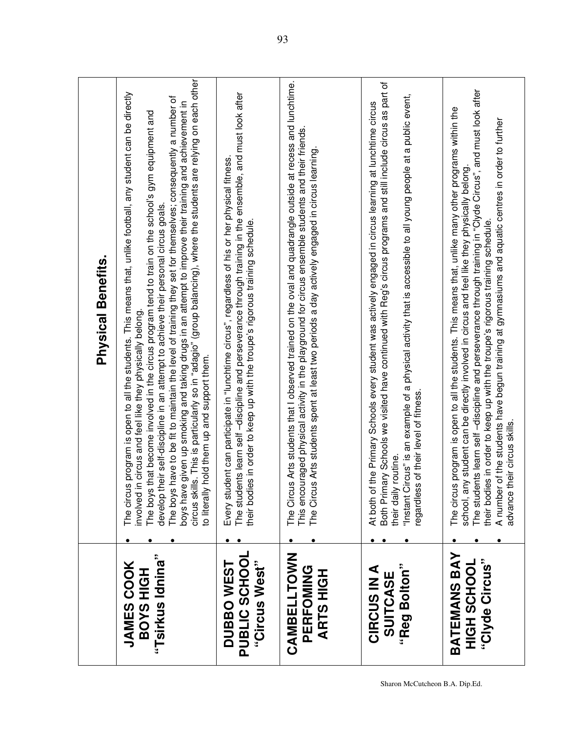|                                                           | <b>Physical Benefits.</b>                                                                                                                                                                                                                                                                                                                                                                                                                                                                                                                                                                                                                                                                                                                                                         |
|-----------------------------------------------------------|-----------------------------------------------------------------------------------------------------------------------------------------------------------------------------------------------------------------------------------------------------------------------------------------------------------------------------------------------------------------------------------------------------------------------------------------------------------------------------------------------------------------------------------------------------------------------------------------------------------------------------------------------------------------------------------------------------------------------------------------------------------------------------------|
| "Tsirkus Idnina"<br><b>JAMES COOK</b><br><b>BOYS HIGH</b> | circus skills. This is particularly so in "adagio" (group balancing), where the students are relying on each other<br>is program is open to all the students. This means that, unlike football, any student can be directly<br>The boys have to be fit to maintain the level of training they set for themselves; consequently a number of<br>boys have given up smoking and taking drugs in an attempt to improve their training and achievement in<br>The boys that become involved in the circus program tend to train on the school's gym equipment and<br>their self-discipline in an attempt to achieve their personal circus goals.<br>in circus and feel like they physically belong.<br>to literally hold them up and support them.<br>The circu<br>develop t<br>hvolved |
| PUBLIC SCHOOL<br>"Circus West"<br><b>DUBBOWEST</b>        | The students learn self-discipline and perseverance through training in the ensemble, and must look after<br>Every student can participate in "lunchtime circus", regardless of his or her physical fitness.<br>ies in order to keep up with the troupe's rigorous training schedule.<br>their bodi                                                                                                                                                                                                                                                                                                                                                                                                                                                                               |
| CAMBELLTOWN<br>PERFOMING<br><b>ARTSHIGH</b>               | The Circus Arts students that I observed trained on the oval and quadrangle outside at recess and lunchtime.<br>This encouraged physical activity in the playground for circus ensemble students and their friends.<br>The Circus Arts students spent at least two periods a day actively engaged in circus learning                                                                                                                                                                                                                                                                                                                                                                                                                                                              |
| "Reg Bolton"<br><b>CIRCUS IN A</b><br>SUITCASE            | Both Primary Schools we visited have continued with Reg's circus programs and still include circus as part of<br>"Instant Circus" is an example of a physical activity that is accessible to all young people at a public event,<br>At both of the Primary Schools every student was actively engaged in circus learning at lunchtime circus<br>regardless of their level of fitness.<br>their daily routine.                                                                                                                                                                                                                                                                                                                                                                     |
| BATEMANS BAY<br>"Clyde Circus"<br>HIGH SCHOOL             | The students learn self-discipline and perseverance through training in "Clyde Circus", and must look after<br>is program is open to all the students. This means that, unlike many other programs within the<br>A number of the students have begun training at gymnasiums and aquatic centres in order to further<br>school, any student can be directly involved in circus and feel like they physically belong.<br>their bodies in order to keep up with the troupe's rigorous training schedule.<br>advance their circus skills.<br>The circu                                                                                                                                                                                                                                |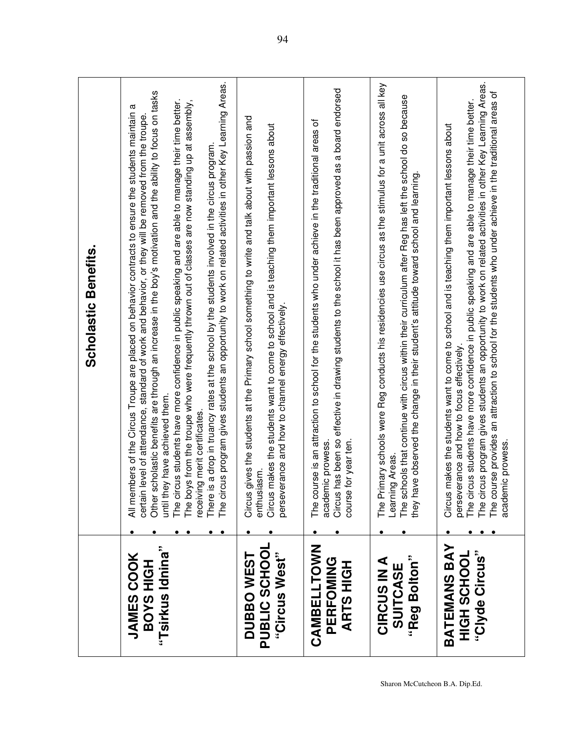|                                                           |                                                                               | <b>Scholastic Benefits.</b>                                                                                                                                                                                                                                                                                                                                                                                                                                                                                                                                                                                                                                                                                                                                    |
|-----------------------------------------------------------|-------------------------------------------------------------------------------|----------------------------------------------------------------------------------------------------------------------------------------------------------------------------------------------------------------------------------------------------------------------------------------------------------------------------------------------------------------------------------------------------------------------------------------------------------------------------------------------------------------------------------------------------------------------------------------------------------------------------------------------------------------------------------------------------------------------------------------------------------------|
| "Tsirkus Idnina"<br><b>JAMES COOK</b><br><b>HIGH SAOB</b> | until they have achieved them.<br>receiving merit certificates.               | The circus program gives students an opportunity to work on related activities in other Key Learning Areas.<br>Other scholastic benefits are through an increase in the boy's motivation and the ability to focus on tasks<br>The circus students have more confidence in public speaking and are able to manage their time better.<br>The boys from the troupe who were frequently thrown out of classes are now standing up at assembly,<br>a<br>All members of the Circus Troupe are placed on behavior contracts to ensure the students maintain<br>certain level of attendance, standard of work and behavior, or they will be removed from the troupe.<br>There is a drop in truancy rates at the school by the students involved in the circus program. |
| PUBLIC SCHOOI<br>"Circus West"<br><b>DUBBOWEST</b>        | enthusiasm.<br>Circus<br>Circus<br>persev                                     | gives the students at the Primary school something to write and talk about with passion and<br>makes the students want to come to school and is teaching them important lessons about<br>erance and how to channel energy effectively.                                                                                                                                                                                                                                                                                                                                                                                                                                                                                                                         |
| CAMBELLTOWN<br>PERFOMING<br><b>ARTS HIGH</b>              | course for year ten.<br>academic prowess.<br>Circus                           | has been so effective in drawing students to the school it has been approved as a board endorsed<br>'ठ<br>The course is an attraction to school for the students who under achieve in the traditional areas                                                                                                                                                                                                                                                                                                                                                                                                                                                                                                                                                    |
| "Reg Bolton"<br><b>CIRCUS IN A</b><br>SUITCASE            | Learning Areas.                                                               | The Primary schools were Reg conducts his residencies use circus as the stimulus for a unit across all key<br>The schools that continue with circus within their curriculum after Reg has left the school do so because<br>they have observed the change in their student's attitude toward school and learning.                                                                                                                                                                                                                                                                                                                                                                                                                                               |
| BATEMANS BAY<br>"Clyde Circus"<br>HIGH SCHOOL             | erance and how to focus effectively.<br>academic prowess.<br>Circus<br>persev | The circus program gives students an opportunity to work on related activities in other Key Learning Areas.<br>The course provides an attraction to school for the students who under achieve in the traditional areas of<br>The circus students have more confidence in public speaking and are able to manage their time better.<br>makes the students want to come to school and is teaching them important lessons about                                                                                                                                                                                                                                                                                                                                   |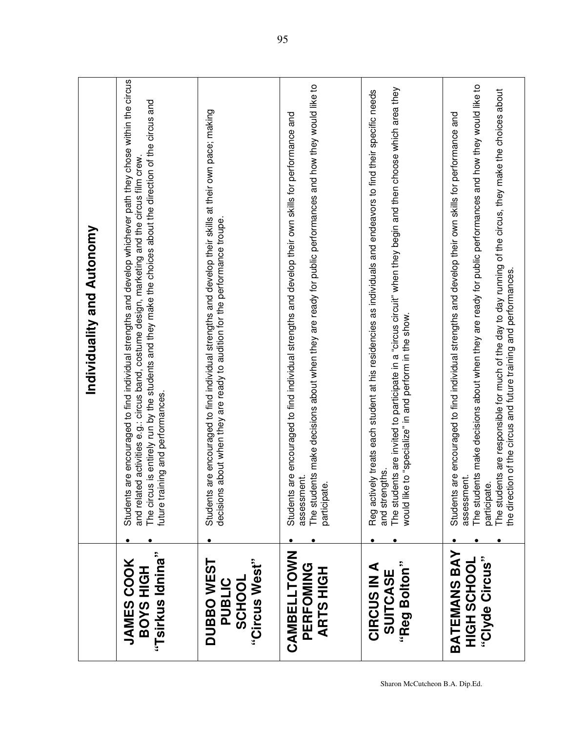|                                                              | Individuality and Autonomy                                                                                                                                                                                                                                                                                                                                                                                                                 |
|--------------------------------------------------------------|--------------------------------------------------------------------------------------------------------------------------------------------------------------------------------------------------------------------------------------------------------------------------------------------------------------------------------------------------------------------------------------------------------------------------------------------|
| "Tsirkus Idnina"<br><b>JAMES COOK</b><br><b>HIGH SAOB</b>    | are encouraged to find individual strengths and develop whichever path they chose within the circus<br>The circus is entirely run by the students and they make the choices about the direction of the circus and<br>and related activities e.g.: circus band, costume design, marketing and the circus film crew.<br>future training and performances.<br>Students                                                                        |
| "Circus West"<br><b>DUBBOWEST</b><br>PUBLIC<br><b>SCHOOL</b> | are encouraged to find individual strengths and develop their skills at their own pace; making<br>decisions about when they are ready to audition for the performance troupe.<br>Students                                                                                                                                                                                                                                                  |
| CAMBELLTOWN<br>PERFOMING<br><b>ARTS HIGH</b>                 | The students make decisions about when they are ready for public performances and how they would like to<br>are encouraged to find individual strengths and develop their own skills for performance and<br>assessment.<br>نه<br>Students<br>participat                                                                                                                                                                                    |
| "Reg Bolton"<br>⋖<br><b>SUITCASE</b><br><b>CIRCUS IN</b>     | The students are invited to participate in a "circus circuit" when they begin and then choose which area they<br>rely treats each student at his residencies as individuals and endeavors to find their specific needs<br>would like to "specialize" in and perform in the show.<br>and strengths.<br>Reg activ                                                                                                                            |
| <b>BATEMANS BAY</b><br>"Clyde Circus"<br>HIGH SCHOOL         | The students make decisions about when they are ready for public performances and how they would like to<br>The students are responsible for much of the day to day running of the circus, they make the choices about<br>are encouraged to find individual strengths and develop their own skills for performance and<br>the direction of the circus and future training and performances.<br>assessment<br>نهِ<br>Students<br>participat |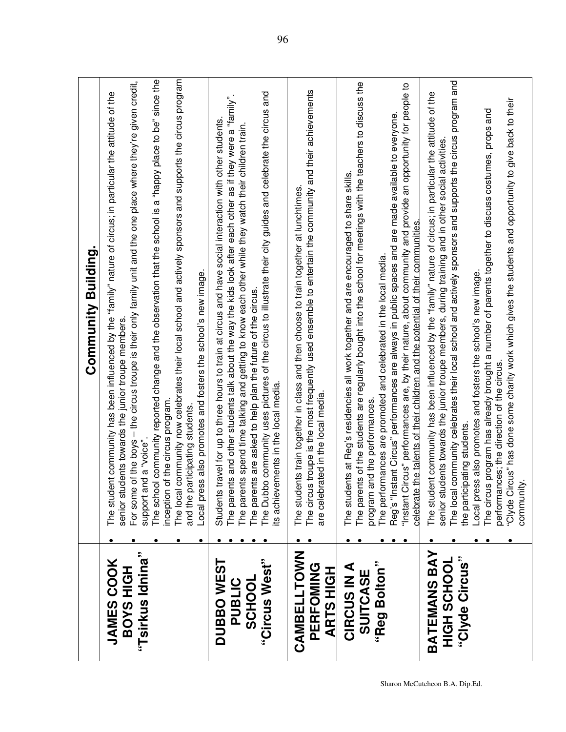|                                                              | Community Building.                                                                                                                                                                                                                                                                                                                                                                                                                                                                                                                                                                                                                                                                                              |
|--------------------------------------------------------------|------------------------------------------------------------------------------------------------------------------------------------------------------------------------------------------------------------------------------------------------------------------------------------------------------------------------------------------------------------------------------------------------------------------------------------------------------------------------------------------------------------------------------------------------------------------------------------------------------------------------------------------------------------------------------------------------------------------|
| "Tsirkus Idnina"<br><b>JAMES COOK</b><br><b>BOYS HIGH</b>    | The local community now celebrates their local school and actively sponsors and supports the circus program<br>The school community reported change and the observation that the school is a "happy place to be" since the<br>e of the boys – the circus troupe is their only family unit and the one place where they're given credit,<br>The student community has been influenced by the "family" nature of circus; in particular the attitude of the<br>Local press also promotes and fosters the school's new image.<br>senior students towards the junior troupe members<br>inception of the circus program<br>and the participating students<br>support and a "voice"<br>For som                          |
| "Circus West"<br><b>DUBBOWEST</b><br><b>SCHOOL</b><br>PUBLIC | The Dubbo community uses pictures of the circus to illustrate their city guides and celebrate the circus and<br>The parents and other students talk about the way the kids look after each other as if they were a "family".<br>Students travel for up to three hours to train at circus and have social interaction with other students.<br>The parents spend time talking and getting to know each other while they watch their children train.<br>The parents are asked to help plan the future of the circus<br>its achievements in the local media.                                                                                                                                                         |
| <b>CAMBELLTOWN</b><br>PERFOMING<br><b>ARTS HIGH</b>          | The circus troupe is the most frequently used ensemble to entertain the community and their achievements<br>The students train together in class and then choose to train together at lunchtimes.<br>are celebrated in the local media.                                                                                                                                                                                                                                                                                                                                                                                                                                                                          |
| "Reg Bolton"<br><b>CIRCUS IN A</b><br>SUITCASE               | The parents of the students are regularly bought into the school for meetings with the teachers to discuss the<br>"Instant Circus" performances are, by their nature, about community and provide an opportunity for people to<br>Reg's "Instant Circus" performances are always in public spaces and are made available to everyone.<br>The students at Reg's residencies all work together and are encouraged to share skills.<br>celebrate the talents of their children and the potential of their communities.<br>The performances are promoted and celebrated in the local media.<br>and the performances.<br>program                                                                                      |
| <b>BATEMANS BAY</b><br>"Clyde Circus"<br>HIGH SCHOOL         | The local community celebrates their local school and actively sponsors and supports the circus program and<br>The student community has been influenced by the "family" nature of circus; in particular the attitude of the<br>"Clyde Circus" has done some charity work which gives the students and opportunity to give back to their<br>The circus program has already brought a number of parents together to discuss costumes, props and<br>senior students towards the junior troupe members, during training and in other social activities.<br>Local press also promotes and fosters the school's new image.<br>performances; the direction of the circus.<br>the participating students.<br>community. |

Sharon McCutcheon B.A. Dip.Ed.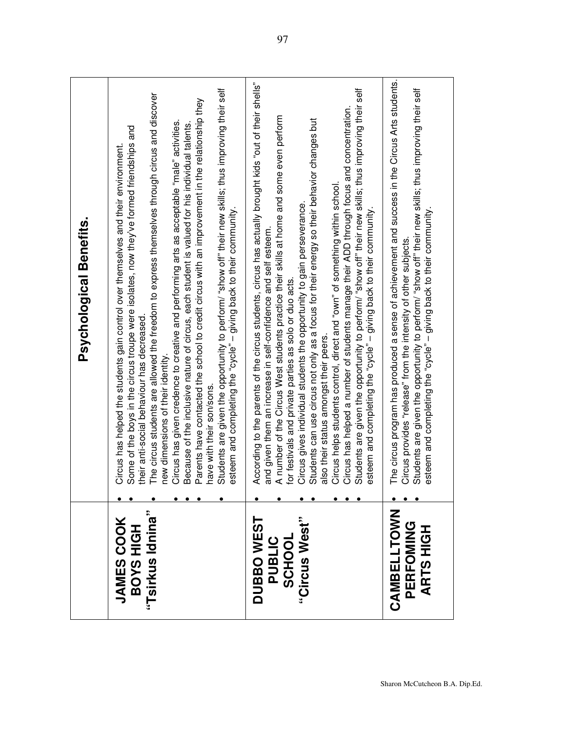|                                                       | Psychological Benefits.                                                                                                                                                                                                                                                                                                                                                                                                                                                                                                                                                                                                                                                                                                                                                                                                                                                                                      |
|-------------------------------------------------------|--------------------------------------------------------------------------------------------------------------------------------------------------------------------------------------------------------------------------------------------------------------------------------------------------------------------------------------------------------------------------------------------------------------------------------------------------------------------------------------------------------------------------------------------------------------------------------------------------------------------------------------------------------------------------------------------------------------------------------------------------------------------------------------------------------------------------------------------------------------------------------------------------------------|
| "Tsirkus Idnina"<br><b>JAMES COOK</b><br>BOYS HIGH    | Students are given the opportunity to perform/ "show off" their new skills; thus improving their self<br>The circus students are allowed the freedom to express themselves through circus and discover<br>Parents have contacted the school to credit circus with an improvement in the relationship they<br>Circus has given credence to creative and performing arts as acceptable "male" activities.<br>Because of the inclusive nature of circus, each student is valued for his individual talents.<br>Some of the boys in the circus troupe were isolates, now they've formed friendships and<br>Circus has helped the students gain control over themselves and their environment.<br>esteem and completing the "cycle" - giving back to their community.<br>their anti-social behaviour has decreased<br>new dimensions of their identity.<br>have with their son/sons.                              |
| "Circus West"<br><b>DUBBOWEST</b><br>PUBLIC<br>SCHOOL | According to the parents of the circus students, circus has actually brought kids "out of their shells"<br>Students are given the opportunity to perform/ "show off" their new skills; thus improving their self<br>Circus has helped a number of students manage their ADD through focus and concentration.<br>A number of the Circus West students practice their skills at home and some even perform<br>Students can use circus not only as a focus for their energy so their behavior changes but<br>Circus helps students control, direct and "own" of something within school.<br>Circus gives individual students the opportunity to gain perseverance.<br>esteem and completing the "cycle" - giving back to their community.<br>and given them an increase in self-confidence and self esteem.<br>for festivals and private parties as solo or duo acts.<br>also their status amongst their peers. |
| CAMBELLTOWN<br>PERFOMING<br><b>ARTS HIGH</b>          | The circus program has produced a sense of achievement and success in the Circus Arts students.<br>Students are given the opportunity to perform/ "show off" their new skills; thus improving their self<br>esteem and completing the "cycle" - giving back to their community.<br>Circus provides "release" from the intensity of other subjects.                                                                                                                                                                                                                                                                                                                                                                                                                                                                                                                                                           |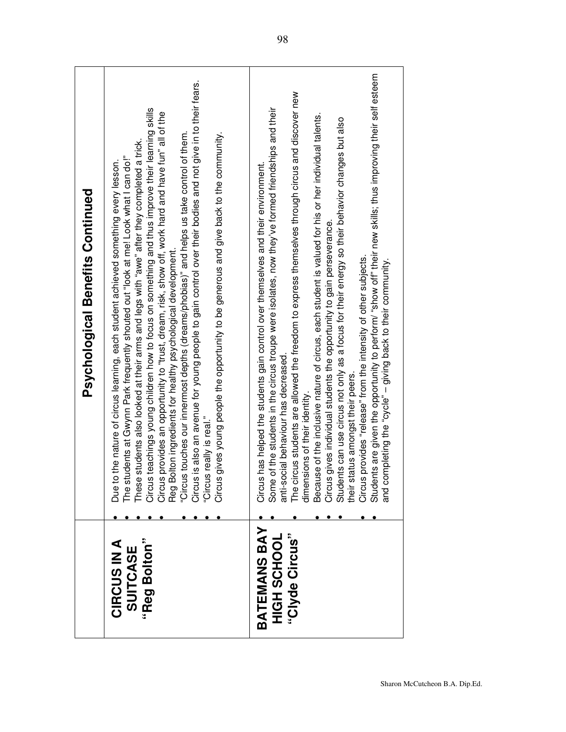| anti-social behaviour has decreased<br>status amongst their peers.<br>dimensions of their identity.<br>"Circus really is real."<br>Circus gives young pe<br>their<br>Due<br>BATEMANS BAY<br>"Clyde Circus"<br>HIGH SCHOOL<br><b>CIRCUS IN A</b><br>"Reg Bolton"<br>SUITCASE | Circus provides "release" from the intensity of other subjects.<br>Students are given the opportunity to perform/ "show off" their new skills; thus improving their self esteem<br>and completing the "cycle" – giving back to their<br>"Circus touches our innermost depths (dreams/phobias)" and helps us take control of them.<br>Circus is also an avenue for young people to gain control over their bodies and not give in to their fears.<br>The circus students are allowed the freedom to express themselves through circus and discover new<br>The students at Gwynn Park frequently shouted out "look at me! Look what I can do!"<br>These students also looked at their arms and legs with "awe" after they completed a trick.<br>Circus teachings young children how to focus on<br>Some of the students in the circus troupe were isolates, now they've formed friendships and their<br>Because of the inclusive nature of circus, each student is valued for his or her individual talents.<br>Circus gives individual students the opportunity to gain perseverance.<br>Students can use circus not only as a focus for their energy so their behavior changes but also<br>us gives young people the opportunity to be generous and give back to the community.<br>to the nature of circus learning, each student achieved something every lesson.<br>Circus has helped the students gain control over themselves and their environment.<br><b>Psychological Benefits Continued</b> |
|-----------------------------------------------------------------------------------------------------------------------------------------------------------------------------------------------------------------------------------------------------------------------------|-----------------------------------------------------------------------------------------------------------------------------------------------------------------------------------------------------------------------------------------------------------------------------------------------------------------------------------------------------------------------------------------------------------------------------------------------------------------------------------------------------------------------------------------------------------------------------------------------------------------------------------------------------------------------------------------------------------------------------------------------------------------------------------------------------------------------------------------------------------------------------------------------------------------------------------------------------------------------------------------------------------------------------------------------------------------------------------------------------------------------------------------------------------------------------------------------------------------------------------------------------------------------------------------------------------------------------------------------------------------------------------------------------------------------------------------------------------------------------------------------------|
|                                                                                                                                                                                                                                                                             | completing the "cycle" - giving back to their community.                                                                                                                                                                                                                                                                                                                                                                                                                                                                                                                                                                                                                                                                                                                                                                                                                                                                                                                                                                                                                                                                                                                                                                                                                                                                                                                                                                                                                                            |
|                                                                                                                                                                                                                                                                             |                                                                                                                                                                                                                                                                                                                                                                                                                                                                                                                                                                                                                                                                                                                                                                                                                                                                                                                                                                                                                                                                                                                                                                                                                                                                                                                                                                                                                                                                                                     |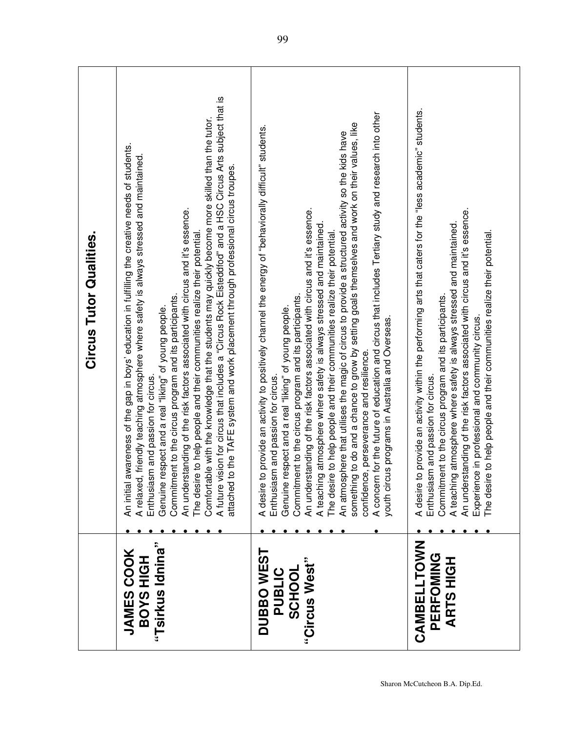|                                                        | <b>Circus Tutor Qualities.</b>                                                                                                                                                                                                                                                                                                                                                                                                                                                                                                                                                                                                                                                                                                                                                                                                                                                                                             |
|--------------------------------------------------------|----------------------------------------------------------------------------------------------------------------------------------------------------------------------------------------------------------------------------------------------------------------------------------------------------------------------------------------------------------------------------------------------------------------------------------------------------------------------------------------------------------------------------------------------------------------------------------------------------------------------------------------------------------------------------------------------------------------------------------------------------------------------------------------------------------------------------------------------------------------------------------------------------------------------------|
| "Tsirkus Idnina"<br><b>JAMES COOK</b><br>BOYS HIGH     | A future vision for circus that includes a "Circus Rock Eisteddfod" and a HSC Circus Arts subject that is<br>Comfortable with the knowledge that the students may quickly become more skilled than the tutor.<br>awareness of the gap in boys' education in fulfilling the creative needs of students.<br>A relaxed, friendly teaching atmosphere where safety is always stressed and maintained<br>to the TAFE system and work placement through professional circus troupes.<br>An understanding of the risk factors associated with circus and it's essence.<br>The desire to help people and their communities realize their potential.<br>Commitment to the circus program and its participants.<br>respect and a real "liking" of young people.<br>Enthusiasm and passion for circus<br>Genuine<br>attached<br>An initial                                                                                            |
| DUBBO WEST<br>"Circus West"<br>PUBLIC<br><b>SCHOOL</b> | A concern for the future of education and circus that includes Tertiary study and research into other<br>something to do and a chance to grow by setting goals themselves and work on their values, like<br>to provide an activity to positively channel the energy of "behaviorally difficult" students.<br>An atmosphere that utilises the magic of circus to provide a structured activity so the kids have<br>An understanding of the risk factors associated with circus and it's essence.<br>A teaching atmosphere where safety is always stressed and maintained.<br>The desire to help people and their communities realize their potential<br>Commitment to the circus program and its participants.<br>respect and a real "liking" of young people.<br>youth circus programs in Australia and Overseas.<br>confidence, perseverance and resilience.<br>Enthusiasm and passion for circus.<br>A desire<br>Genuine |
| CAMBELLTOWN<br>PERFOMING<br><b>ARTSHIGH</b>            | to provide an activity within the performing arts that caters for the "less academic" students.<br>An understanding of the risk factors associated with circus and it's essence.<br>A teaching atmosphere where safety is always stressed and maintained.<br>The desire to help people and their communities realize their potential.<br>Commitment to the circus program and its participants.<br>Experience in professional and community circus.<br>Enthusiasm and passion for circus.<br>A desire i                                                                                                                                                                                                                                                                                                                                                                                                                    |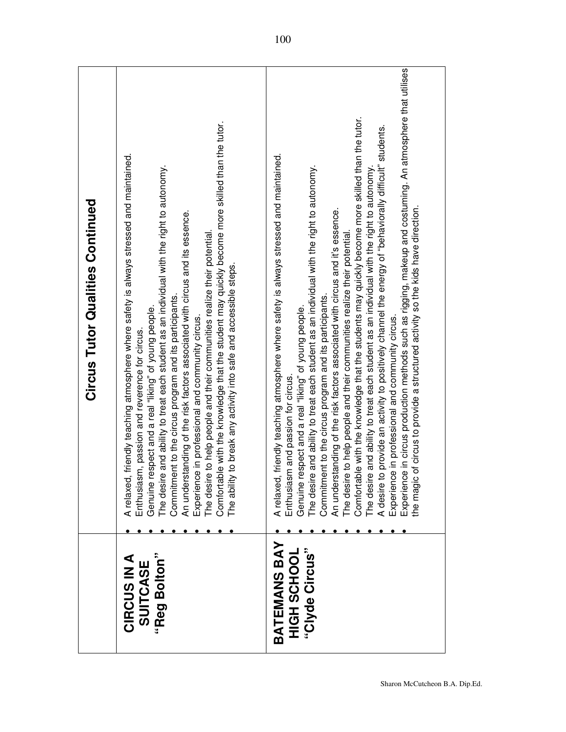| Comfortable with the knowledge that the students may quickly become more skilled than the tutor.<br>able with the knowledge that the student may quickly become more skilled than the tutor.<br>A relaxed, friendly teaching atmosphere where safety is always stressed and maintained.<br>A relaxed, friendly teaching atmosphere where safety is always stressed and maintained.<br>The desire and ability to treat each student as an individual with the right to autonomy.<br>The desire and ability to treat each student as an individual with the right to autonomy.<br>The desire and ability to treat each student as an individual with the right to autonomy.<br><b>Circus Tutor Qualities Continued</b><br>An understanding of the risk factors associated with circus and it's essence.<br>An understanding of the risk factors associated with circus and its essence.<br>The desire to help people and their communities realize their potential.<br>The desire to help people and their communities realize their potential<br>ity to break any activity into safe and accessible steps.<br>Commitment to the circus program and its participants.<br>Commitment to the circus program and its participants.<br>Genuine respect and a real "liking" of young people.<br>Genuine respect and a real "liking" of young people.<br>Experience in professional and community circus.<br>Enthusiasm, passion and reverence for circus.<br>Enthusiasm and passion for circus<br>Comfort<br>The abil<br>BATEMANS BAY<br>HIGH SCHOOL<br>"Clyde Circus"<br>"Reg Bolton"<br>CIRCUS IN A<br>SUITCASE | Experience in circus production methods such as rigging, makeup and costuming. An atmosphere that utilises<br>A desire to provide an activity to positively channel the energy of "behaviorally difficult" students.<br>ic of circus to provide a structured activity so the kids have direction.<br>Experience in professional and community circus.<br>the mag |
|------------------------------------------------------------------------------------------------------------------------------------------------------------------------------------------------------------------------------------------------------------------------------------------------------------------------------------------------------------------------------------------------------------------------------------------------------------------------------------------------------------------------------------------------------------------------------------------------------------------------------------------------------------------------------------------------------------------------------------------------------------------------------------------------------------------------------------------------------------------------------------------------------------------------------------------------------------------------------------------------------------------------------------------------------------------------------------------------------------------------------------------------------------------------------------------------------------------------------------------------------------------------------------------------------------------------------------------------------------------------------------------------------------------------------------------------------------------------------------------------------------------------------------------------------------------------------------------------------------|------------------------------------------------------------------------------------------------------------------------------------------------------------------------------------------------------------------------------------------------------------------------------------------------------------------------------------------------------------------|
|------------------------------------------------------------------------------------------------------------------------------------------------------------------------------------------------------------------------------------------------------------------------------------------------------------------------------------------------------------------------------------------------------------------------------------------------------------------------------------------------------------------------------------------------------------------------------------------------------------------------------------------------------------------------------------------------------------------------------------------------------------------------------------------------------------------------------------------------------------------------------------------------------------------------------------------------------------------------------------------------------------------------------------------------------------------------------------------------------------------------------------------------------------------------------------------------------------------------------------------------------------------------------------------------------------------------------------------------------------------------------------------------------------------------------------------------------------------------------------------------------------------------------------------------------------------------------------------------------------|------------------------------------------------------------------------------------------------------------------------------------------------------------------------------------------------------------------------------------------------------------------------------------------------------------------------------------------------------------------|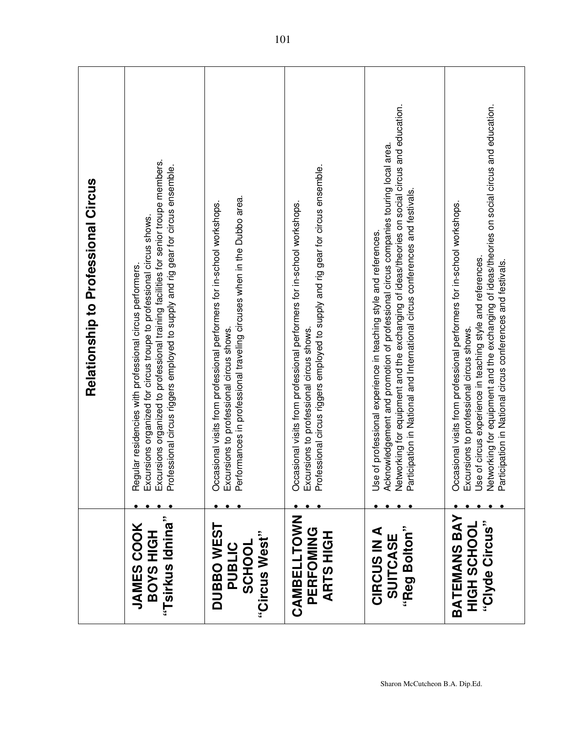|                                                           | <b>Relationship to Professional Circus</b>                                                                                                                                                                                                                                                                                                        |
|-----------------------------------------------------------|---------------------------------------------------------------------------------------------------------------------------------------------------------------------------------------------------------------------------------------------------------------------------------------------------------------------------------------------------|
| "Tsirkus Idnina"<br><b>JAMES COOK</b><br><b>BOYS HIGH</b> | Regular residencies with professional circus performers.<br>Excursions organized for circus troupe to professional circus shows.<br>Excursions organized to professional training facilities for senior troupe members.<br>Professional                                                                                                           |
| DUBBO WEST<br>"Circus West"<br><b>PUBLIC</b><br>SCHOOL    | Excursions to professional circus shows.<br>Performances in professional traveling circuses when in the Dubbo area.<br>Occasional visits from professional performers for in-school workshops.                                                                                                                                                    |
| CAMBELLTOWN<br>PERFOMING<br><b>ARTS HIGH</b>              | Excursions to professional circus shows.<br>Professional circus riggers employed to supply and rig gear for circus ensemble.<br>Occasional visits from professional performers for in-school workshops.                                                                                                                                           |
| "Reg Bolton"<br><b>CIRCUS IN A</b><br>SUITCASE            | Networking for equipment and the exchanging of ideas/theories on social circus and education.<br>Participation in National and International circus conferences and festivals.<br>Acknowledgement and promotion of professional circus companies touring local area.<br>Use of professional experience in teaching style and references.          |
| <b>BATEMANS BAY</b><br>"Clyde Circus"<br>HGH SCHOOL       | Networking for equipment and the exchanging of ideas/theories on social circus and education.<br>Occasional visits from professional performers for in-school workshops.<br>Excursions to professional circus shows.<br>Use of circus experience in teaching style and references.<br>Participation in National circus conferences and festivals. |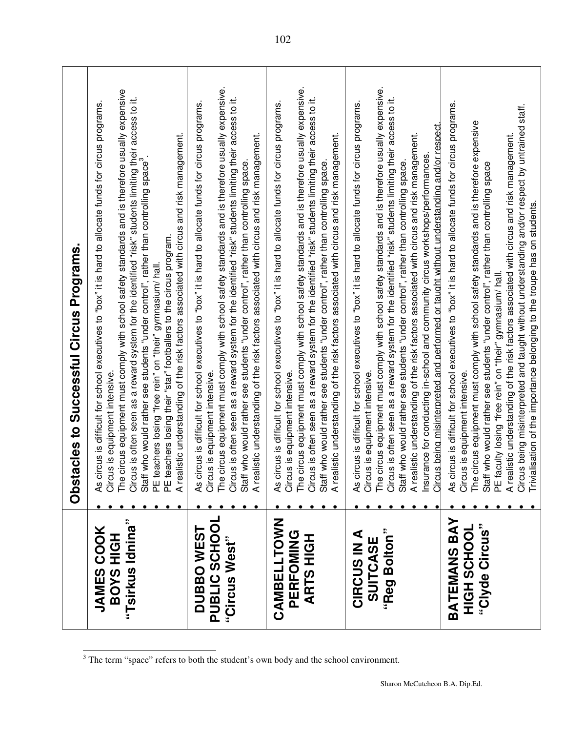|                                                           | <b>Obstacles to Successful Circus Programs.</b>                                                                                                                                                                                                                                                                                                                                                                                                                                                                                                                                                                                                                                                                                             |
|-----------------------------------------------------------|---------------------------------------------------------------------------------------------------------------------------------------------------------------------------------------------------------------------------------------------------------------------------------------------------------------------------------------------------------------------------------------------------------------------------------------------------------------------------------------------------------------------------------------------------------------------------------------------------------------------------------------------------------------------------------------------------------------------------------------------|
| "Tsirkus Idnina"<br><b>JAMES COOK</b><br><b>HIGH SAOB</b> | e circus equipment must comply with school safety standards and is therefore usually expensive<br>Circus is often seen as a reward system for the identified "risk" students limiting their access to it.<br>circus is difficult for school executives to "box" it is hard to allocate funds for circus programs.<br>ealistic understanding of the risk factors associated with circus and risk management.<br>Staff who would rather see students "under control", rather than controlling space <sup>3</sup> .<br>PE teachers losing their "star" footballers to the circus program.<br>PE teachers losing "free rein" on "their" gymnasium/ hall.<br>Circus is equipment intensive.<br>The circus equipment must co<br>4s<br>$\tilde{A}$ |
| PUBLIC SCHOOL<br><b>DUBBOWEST</b><br>"Circus West"        | The circus equipment must comply with school safety standards and is therefore usually expensive.<br>Circus is often seen as a reward system for the identified "risk" students limiting their access to it.<br>circus is difficult for school executives to "box" it is hard to allocate funds for circus programs.<br>Staff who would rather see students "under control", rather than controlling space.<br>A realistic understanding of the risk factors associated with circus and risk management.<br>As circus is difficult for school<br>Circus is equipment intensive.                                                                                                                                                             |
| CAMBELLTOWN<br>PERFOMING<br>エグニ<br><b>ARTS</b>            | As circus is difficult for school executives to "box" it is hard to allocate funds for circus programs.<br>Circus is equipment intensive.<br>The circus equipment must comply with school safety standards and is therefore usually<br>Circus is often seen as a reward system for the identified "risk" students limiting their access to it.<br>Staff who would rather see students "under control", rather than controlling space.<br>A realistic understanding of the risk factors associated with circus and risk management.                                                                                                                                                                                                          |
| Bolton"<br><b>CIRCUS IN A</b><br>SUITCASE<br>"Reg         | The circus equipment must comply with school safety standards and is therefore usually expensive.<br>Circus is often seen as a reward system for the identified "risk" students limiting their access to it.<br>circus is difficult for school executives to "box" it is hard to allocate funds for circus programs.<br>Insurance for conducting in-school and community circus workshops/performances.<br>Circus being misinterpreted and performed or taught without understanding and/or respect.<br>A realistic understanding of the risk factors associated with circus and risk management.<br>Staff who would rather see students "under control", rather than controlling space.<br>Circus is equipment intensive.<br>٤             |
| BATEMANS BAY<br>"Clyde Circus"<br>HGH2SH5H                | As circus is difficult for school executives to "box" it is hard to allocate funds for circus programs.<br>Circus is equipment intensive.<br>The circus equipment must comply with school safety standards and is therefore expensiv<br>A realistic understanding of the risk ractors associated with child and/or respect by untrained staff.<br>Circus being misinterpreted and taught without understanding and/or respect by untrained staff.<br>Trivialisation of the i<br>Staff who would rather see students "under control", rather than controlling space<br>PE faculty losing "free rein" on "their" gymnasium/ hall.                                                                                                             |

 $\frac{3}{3}$  The term "space" refers to both the student's own body and the school environment.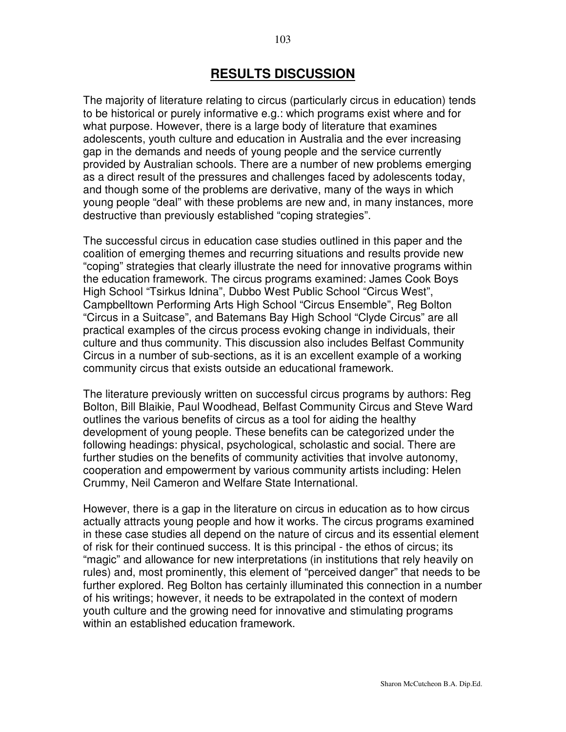## **RESULTS DISCUSSION**

The majority of literature relating to circus (particularly circus in education) tends to be historical or purely informative e.g.: which programs exist where and for what purpose. However, there is a large body of literature that examines adolescents, youth culture and education in Australia and the ever increasing gap in the demands and needs of young people and the service currently provided by Australian schools. There are a number of new problems emerging as a direct result of the pressures and challenges faced by adolescents today, and though some of the problems are derivative, many of the ways in which young people "deal" with these problems are new and, in many instances, more destructive than previously established "coping strategies".

The successful circus in education case studies outlined in this paper and the coalition of emerging themes and recurring situations and results provide new "coping" strategies that clearly illustrate the need for innovative programs within the education framework. The circus programs examined: James Cook Boys High School "Tsirkus Idnina", Dubbo West Public School "Circus West", Campbelltown Performing Arts High School "Circus Ensemble", Reg Bolton "Circus in a Suitcase", and Batemans Bay High School "Clyde Circus" are all practical examples of the circus process evoking change in individuals, their culture and thus community. This discussion also includes Belfast Community Circus in a number of sub-sections, as it is an excellent example of a working community circus that exists outside an educational framework.

The literature previously written on successful circus programs by authors: Reg Bolton, Bill Blaikie, Paul Woodhead, Belfast Community Circus and Steve Ward outlines the various benefits of circus as a tool for aiding the healthy development of young people. These benefits can be categorized under the following headings: physical, psychological, scholastic and social. There are further studies on the benefits of community activities that involve autonomy, cooperation and empowerment by various community artists including: Helen Crummy, Neil Cameron and Welfare State International.

However, there is a gap in the literature on circus in education as to how circus actually attracts young people and how it works. The circus programs examined in these case studies all depend on the nature of circus and its essential element of risk for their continued success. It is this principal - the ethos of circus; its "magic" and allowance for new interpretations (in institutions that rely heavily on rules) and, most prominently, this element of "perceived danger" that needs to be further explored. Reg Bolton has certainly illuminated this connection in a number of his writings; however, it needs to be extrapolated in the context of modern youth culture and the growing need for innovative and stimulating programs within an established education framework.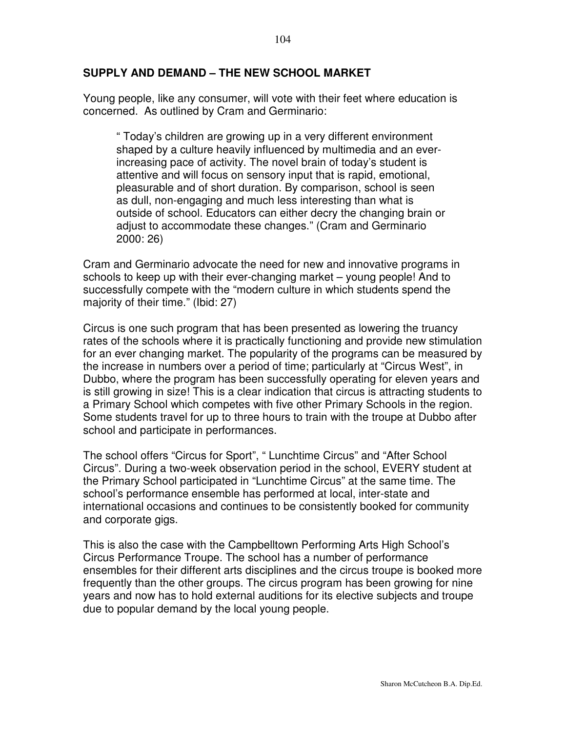#### **SUPPLY AND DEMAND – THE NEW SCHOOL MARKET**

Young people, like any consumer, will vote with their feet where education is concerned. As outlined by Cram and Germinario:

" Today's children are growing up in a very different environment shaped by a culture heavily influenced by multimedia and an everincreasing pace of activity. The novel brain of today's student is attentive and will focus on sensory input that is rapid, emotional, pleasurable and of short duration. By comparison, school is seen as dull, non-engaging and much less interesting than what is outside of school. Educators can either decry the changing brain or adjust to accommodate these changes." (Cram and Germinario 2000: 26)

Cram and Germinario advocate the need for new and innovative programs in schools to keep up with their ever-changing market – young people! And to successfully compete with the "modern culture in which students spend the majority of their time." (Ibid: 27)

Circus is one such program that has been presented as lowering the truancy rates of the schools where it is practically functioning and provide new stimulation for an ever changing market. The popularity of the programs can be measured by the increase in numbers over a period of time; particularly at "Circus West", in Dubbo, where the program has been successfully operating for eleven years and is still growing in size! This is a clear indication that circus is attracting students to a Primary School which competes with five other Primary Schools in the region. Some students travel for up to three hours to train with the troupe at Dubbo after school and participate in performances.

The school offers "Circus for Sport", " Lunchtime Circus" and "After School Circus". During a two-week observation period in the school, EVERY student at the Primary School participated in "Lunchtime Circus" at the same time. The school's performance ensemble has performed at local, inter-state and international occasions and continues to be consistently booked for community and corporate gigs.

This is also the case with the Campbelltown Performing Arts High School's Circus Performance Troupe. The school has a number of performance ensembles for their different arts disciplines and the circus troupe is booked more frequently than the other groups. The circus program has been growing for nine years and now has to hold external auditions for its elective subjects and troupe due to popular demand by the local young people.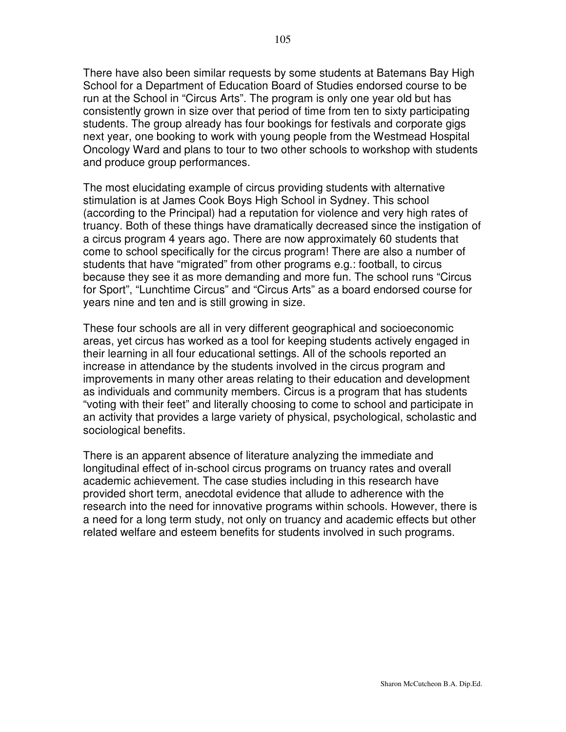There have also been similar requests by some students at Batemans Bay High School for a Department of Education Board of Studies endorsed course to be run at the School in "Circus Arts". The program is only one year old but has consistently grown in size over that period of time from ten to sixty participating students. The group already has four bookings for festivals and corporate gigs next year, one booking to work with young people from the Westmead Hospital Oncology Ward and plans to tour to two other schools to workshop with students and produce group performances.

The most elucidating example of circus providing students with alternative stimulation is at James Cook Boys High School in Sydney. This school (according to the Principal) had a reputation for violence and very high rates of truancy. Both of these things have dramatically decreased since the instigation of a circus program 4 years ago. There are now approximately 60 students that come to school specifically for the circus program! There are also a number of students that have "migrated" from other programs e.g.: football, to circus because they see it as more demanding and more fun. The school runs "Circus for Sport", "Lunchtime Circus" and "Circus Arts" as a board endorsed course for years nine and ten and is still growing in size.

These four schools are all in very different geographical and socioeconomic areas, yet circus has worked as a tool for keeping students actively engaged in their learning in all four educational settings. All of the schools reported an increase in attendance by the students involved in the circus program and improvements in many other areas relating to their education and development as individuals and community members. Circus is a program that has students "voting with their feet" and literally choosing to come to school and participate in an activity that provides a large variety of physical, psychological, scholastic and sociological benefits.

There is an apparent absence of literature analyzing the immediate and longitudinal effect of in-school circus programs on truancy rates and overall academic achievement. The case studies including in this research have provided short term, anecdotal evidence that allude to adherence with the research into the need for innovative programs within schools. However, there is a need for a long term study, not only on truancy and academic effects but other related welfare and esteem benefits for students involved in such programs.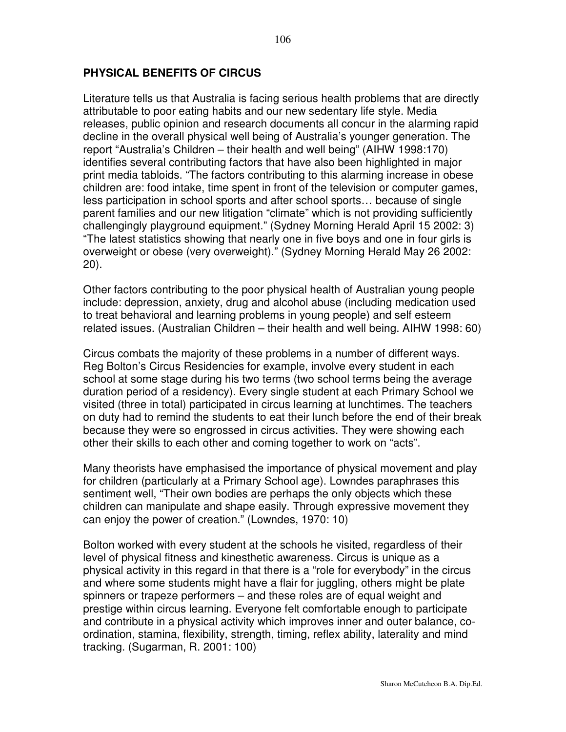### **PHYSICAL BENEFITS OF CIRCUS**

Literature tells us that Australia is facing serious health problems that are directly attributable to poor eating habits and our new sedentary life style. Media releases, public opinion and research documents all concur in the alarming rapid decline in the overall physical well being of Australia's younger generation. The report "Australia's Children – their health and well being" (AIHW 1998:170) identifies several contributing factors that have also been highlighted in major print media tabloids. "The factors contributing to this alarming increase in obese children are: food intake, time spent in front of the television or computer games, less participation in school sports and after school sports… because of single parent families and our new litigation "climate" which is not providing sufficiently challengingly playground equipment." (Sydney Morning Herald April 15 2002: 3) "The latest statistics showing that nearly one in five boys and one in four girls is overweight or obese (very overweight)." (Sydney Morning Herald May 26 2002: 20).

Other factors contributing to the poor physical health of Australian young people include: depression, anxiety, drug and alcohol abuse (including medication used to treat behavioral and learning problems in young people) and self esteem related issues. (Australian Children – their health and well being. AIHW 1998: 60)

Circus combats the majority of these problems in a number of different ways. Reg Bolton's Circus Residencies for example, involve every student in each school at some stage during his two terms (two school terms being the average duration period of a residency). Every single student at each Primary School we visited (three in total) participated in circus learning at lunchtimes. The teachers on duty had to remind the students to eat their lunch before the end of their break because they were so engrossed in circus activities. They were showing each other their skills to each other and coming together to work on "acts".

Many theorists have emphasised the importance of physical movement and play for children (particularly at a Primary School age). Lowndes paraphrases this sentiment well, "Their own bodies are perhaps the only objects which these children can manipulate and shape easily. Through expressive movement they can enjoy the power of creation." (Lowndes, 1970: 10)

Bolton worked with every student at the schools he visited, regardless of their level of physical fitness and kinesthetic awareness. Circus is unique as a physical activity in this regard in that there is a "role for everybody" in the circus and where some students might have a flair for juggling, others might be plate spinners or trapeze performers – and these roles are of equal weight and prestige within circus learning. Everyone felt comfortable enough to participate and contribute in a physical activity which improves inner and outer balance, coordination, stamina, flexibility, strength, timing, reflex ability, laterality and mind tracking. (Sugarman, R. 2001: 100)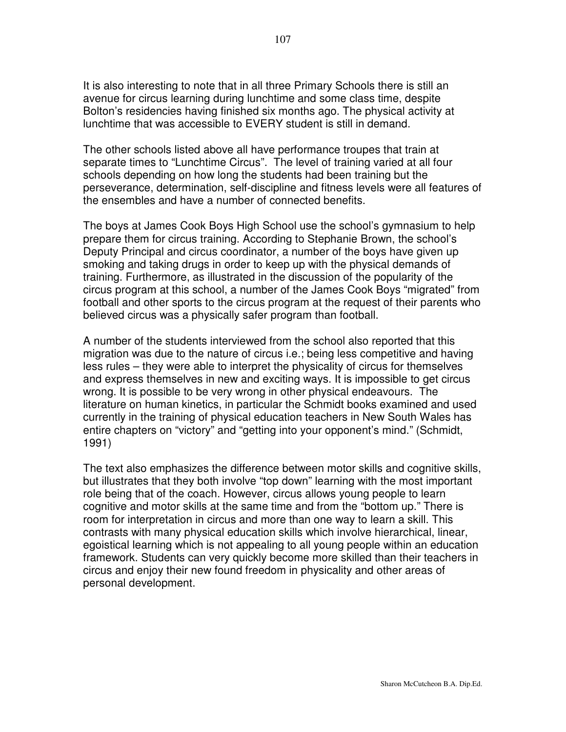It is also interesting to note that in all three Primary Schools there is still an avenue for circus learning during lunchtime and some class time, despite Bolton's residencies having finished six months ago. The physical activity at lunchtime that was accessible to EVERY student is still in demand.

The other schools listed above all have performance troupes that train at separate times to "Lunchtime Circus". The level of training varied at all four schools depending on how long the students had been training but the perseverance, determination, self-discipline and fitness levels were all features of the ensembles and have a number of connected benefits.

The boys at James Cook Boys High School use the school's gymnasium to help prepare them for circus training. According to Stephanie Brown, the school's Deputy Principal and circus coordinator, a number of the boys have given up smoking and taking drugs in order to keep up with the physical demands of training. Furthermore, as illustrated in the discussion of the popularity of the circus program at this school, a number of the James Cook Boys "migrated" from football and other sports to the circus program at the request of their parents who believed circus was a physically safer program than football.

A number of the students interviewed from the school also reported that this migration was due to the nature of circus i.e.; being less competitive and having less rules – they were able to interpret the physicality of circus for themselves and express themselves in new and exciting ways. It is impossible to get circus wrong. It is possible to be very wrong in other physical endeavours. The literature on human kinetics, in particular the Schmidt books examined and used currently in the training of physical education teachers in New South Wales has entire chapters on "victory" and "getting into your opponent's mind." (Schmidt, 1991)

The text also emphasizes the difference between motor skills and cognitive skills, but illustrates that they both involve "top down" learning with the most important role being that of the coach. However, circus allows young people to learn cognitive and motor skills at the same time and from the "bottom up." There is room for interpretation in circus and more than one way to learn a skill. This contrasts with many physical education skills which involve hierarchical, linear, egoistical learning which is not appealing to all young people within an education framework. Students can very quickly become more skilled than their teachers in circus and enjoy their new found freedom in physicality and other areas of personal development.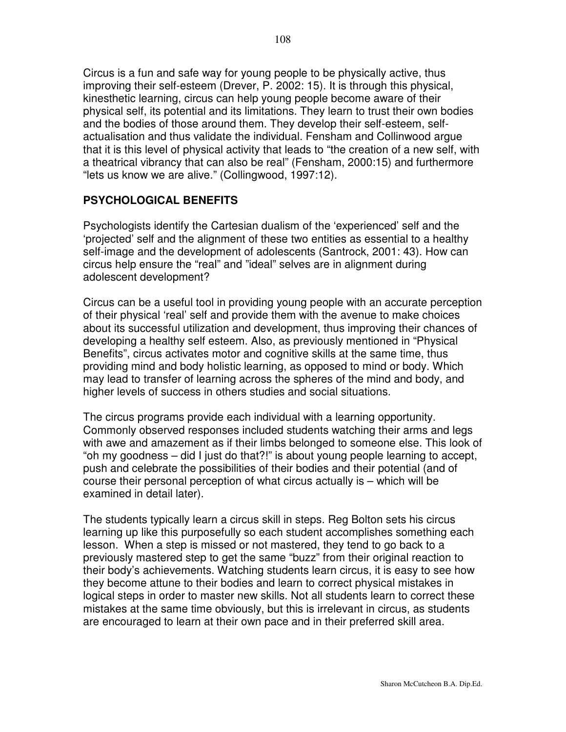Circus is a fun and safe way for young people to be physically active, thus improving their self-esteem (Drever, P. 2002: 15). It is through this physical, kinesthetic learning, circus can help young people become aware of their physical self, its potential and its limitations. They learn to trust their own bodies and the bodies of those around them. They develop their self-esteem, selfactualisation and thus validate the individual. Fensham and Collinwood argue that it is this level of physical activity that leads to "the creation of a new self, with a theatrical vibrancy that can also be real" (Fensham, 2000:15) and furthermore "lets us know we are alive." (Collingwood, 1997:12).

## **PSYCHOLOGICAL BENEFITS**

Psychologists identify the Cartesian dualism of the 'experienced' self and the 'projected' self and the alignment of these two entities as essential to a healthy self-image and the development of adolescents (Santrock, 2001: 43). How can circus help ensure the "real" and "ideal" selves are in alignment during adolescent development?

Circus can be a useful tool in providing young people with an accurate perception of their physical 'real' self and provide them with the avenue to make choices about its successful utilization and development, thus improving their chances of developing a healthy self esteem. Also, as previously mentioned in "Physical Benefits", circus activates motor and cognitive skills at the same time, thus providing mind and body holistic learning, as opposed to mind or body. Which may lead to transfer of learning across the spheres of the mind and body, and higher levels of success in others studies and social situations.

The circus programs provide each individual with a learning opportunity. Commonly observed responses included students watching their arms and legs with awe and amazement as if their limbs belonged to someone else. This look of "oh my goodness – did I just do that?!" is about young people learning to accept, push and celebrate the possibilities of their bodies and their potential (and of course their personal perception of what circus actually is – which will be examined in detail later).

The students typically learn a circus skill in steps. Reg Bolton sets his circus learning up like this purposefully so each student accomplishes something each lesson. When a step is missed or not mastered, they tend to go back to a previously mastered step to get the same "buzz" from their original reaction to their body's achievements. Watching students learn circus, it is easy to see how they become attune to their bodies and learn to correct physical mistakes in logical steps in order to master new skills. Not all students learn to correct these mistakes at the same time obviously, but this is irrelevant in circus, as students are encouraged to learn at their own pace and in their preferred skill area.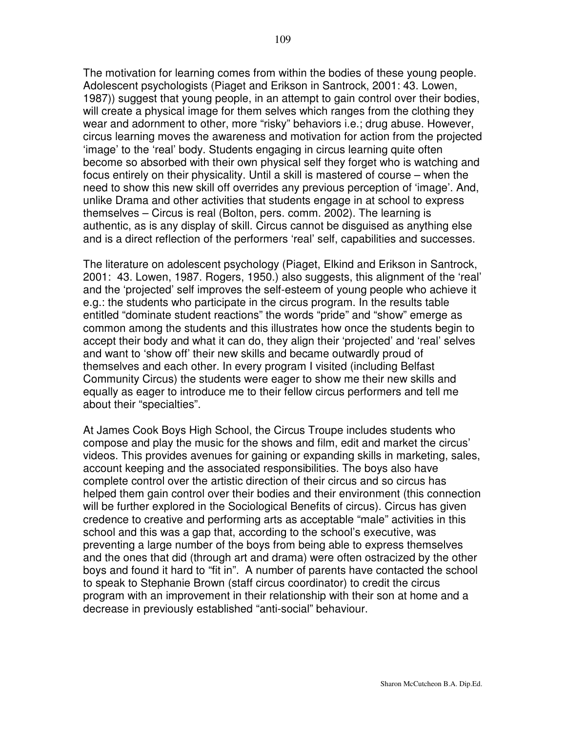The motivation for learning comes from within the bodies of these young people. Adolescent psychologists (Piaget and Erikson in Santrock, 2001: 43. Lowen, 1987)) suggest that young people, in an attempt to gain control over their bodies, will create a physical image for them selves which ranges from the clothing they wear and adornment to other, more "risky" behaviors i.e.; drug abuse. However, circus learning moves the awareness and motivation for action from the projected 'image' to the 'real' body. Students engaging in circus learning quite often become so absorbed with their own physical self they forget who is watching and focus entirely on their physicality. Until a skill is mastered of course – when the need to show this new skill off overrides any previous perception of 'image'. And, unlike Drama and other activities that students engage in at school to express themselves – Circus is real (Bolton, pers. comm. 2002). The learning is authentic, as is any display of skill. Circus cannot be disguised as anything else and is a direct reflection of the performers 'real' self, capabilities and successes.

The literature on adolescent psychology (Piaget, Elkind and Erikson in Santrock, 2001: 43. Lowen, 1987. Rogers, 1950.) also suggests, this alignment of the 'real' and the 'projected' self improves the self-esteem of young people who achieve it e.g.: the students who participate in the circus program. In the results table entitled "dominate student reactions" the words "pride" and "show" emerge as common among the students and this illustrates how once the students begin to accept their body and what it can do, they align their 'projected' and 'real' selves and want to 'show off' their new skills and became outwardly proud of themselves and each other. In every program I visited (including Belfast Community Circus) the students were eager to show me their new skills and equally as eager to introduce me to their fellow circus performers and tell me about their "specialties".

At James Cook Boys High School, the Circus Troupe includes students who compose and play the music for the shows and film, edit and market the circus' videos. This provides avenues for gaining or expanding skills in marketing, sales, account keeping and the associated responsibilities. The boys also have complete control over the artistic direction of their circus and so circus has helped them gain control over their bodies and their environment (this connection will be further explored in the Sociological Benefits of circus). Circus has given credence to creative and performing arts as acceptable "male" activities in this school and this was a gap that, according to the school's executive, was preventing a large number of the boys from being able to express themselves and the ones that did (through art and drama) were often ostracized by the other boys and found it hard to "fit in". A number of parents have contacted the school to speak to Stephanie Brown (staff circus coordinator) to credit the circus program with an improvement in their relationship with their son at home and a decrease in previously established "anti-social" behaviour.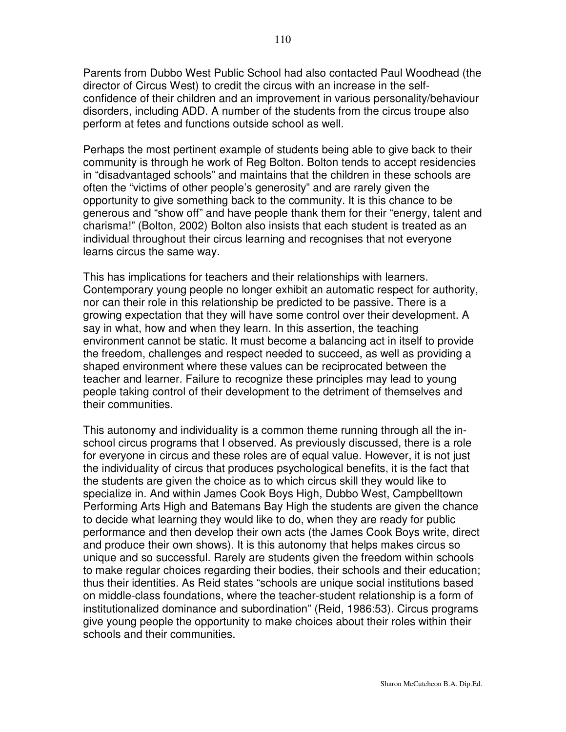Parents from Dubbo West Public School had also contacted Paul Woodhead (the director of Circus West) to credit the circus with an increase in the selfconfidence of their children and an improvement in various personality/behaviour disorders, including ADD. A number of the students from the circus troupe also perform at fetes and functions outside school as well.

Perhaps the most pertinent example of students being able to give back to their community is through he work of Reg Bolton. Bolton tends to accept residencies in "disadvantaged schools" and maintains that the children in these schools are often the "victims of other people's generosity" and are rarely given the opportunity to give something back to the community. It is this chance to be generous and "show off" and have people thank them for their "energy, talent and charisma!" (Bolton, 2002) Bolton also insists that each student is treated as an individual throughout their circus learning and recognises that not everyone learns circus the same way.

This has implications for teachers and their relationships with learners. Contemporary young people no longer exhibit an automatic respect for authority, nor can their role in this relationship be predicted to be passive. There is a growing expectation that they will have some control over their development. A say in what, how and when they learn. In this assertion, the teaching environment cannot be static. It must become a balancing act in itself to provide the freedom, challenges and respect needed to succeed, as well as providing a shaped environment where these values can be reciprocated between the teacher and learner. Failure to recognize these principles may lead to young people taking control of their development to the detriment of themselves and their communities.

This autonomy and individuality is a common theme running through all the inschool circus programs that I observed. As previously discussed, there is a role for everyone in circus and these roles are of equal value. However, it is not just the individuality of circus that produces psychological benefits, it is the fact that the students are given the choice as to which circus skill they would like to specialize in. And within James Cook Boys High, Dubbo West, Campbelltown Performing Arts High and Batemans Bay High the students are given the chance to decide what learning they would like to do, when they are ready for public performance and then develop their own acts (the James Cook Boys write, direct and produce their own shows). It is this autonomy that helps makes circus so unique and so successful. Rarely are students given the freedom within schools to make regular choices regarding their bodies, their schools and their education; thus their identities. As Reid states "schools are unique social institutions based on middle-class foundations, where the teacher-student relationship is a form of institutionalized dominance and subordination" (Reid, 1986:53). Circus programs give young people the opportunity to make choices about their roles within their schools and their communities.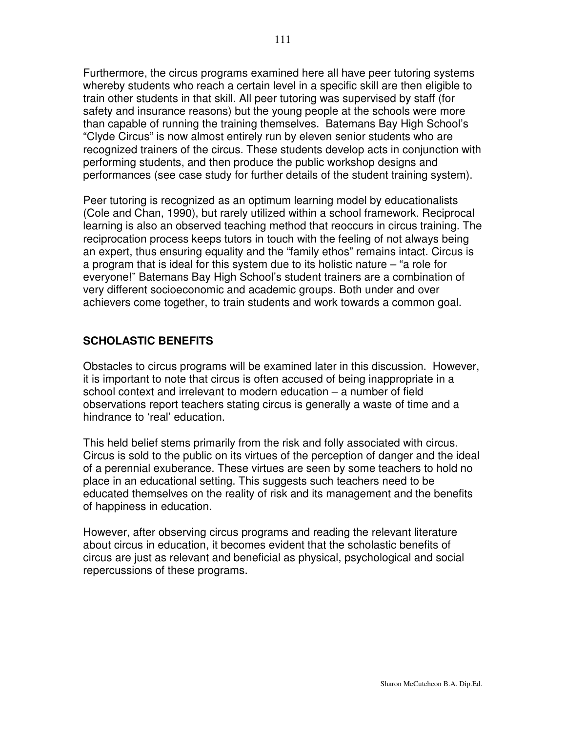Furthermore, the circus programs examined here all have peer tutoring systems whereby students who reach a certain level in a specific skill are then eligible to train other students in that skill. All peer tutoring was supervised by staff (for safety and insurance reasons) but the young people at the schools were more than capable of running the training themselves. Batemans Bay High School's "Clyde Circus" is now almost entirely run by eleven senior students who are recognized trainers of the circus. These students develop acts in conjunction with performing students, and then produce the public workshop designs and performances (see case study for further details of the student training system).

Peer tutoring is recognized as an optimum learning model by educationalists (Cole and Chan, 1990), but rarely utilized within a school framework. Reciprocal learning is also an observed teaching method that reoccurs in circus training. The reciprocation process keeps tutors in touch with the feeling of not always being an expert, thus ensuring equality and the "family ethos" remains intact. Circus is a program that is ideal for this system due to its holistic nature – "a role for everyone!" Batemans Bay High School's student trainers are a combination of very different socioeconomic and academic groups. Both under and over achievers come together, to train students and work towards a common goal.

## **SCHOLASTIC BENEFITS**

Obstacles to circus programs will be examined later in this discussion. However, it is important to note that circus is often accused of being inappropriate in a school context and irrelevant to modern education – a number of field observations report teachers stating circus is generally a waste of time and a hindrance to 'real' education.

This held belief stems primarily from the risk and folly associated with circus. Circus is sold to the public on its virtues of the perception of danger and the ideal of a perennial exuberance. These virtues are seen by some teachers to hold no place in an educational setting. This suggests such teachers need to be educated themselves on the reality of risk and its management and the benefits of happiness in education.

However, after observing circus programs and reading the relevant literature about circus in education, it becomes evident that the scholastic benefits of circus are just as relevant and beneficial as physical, psychological and social repercussions of these programs.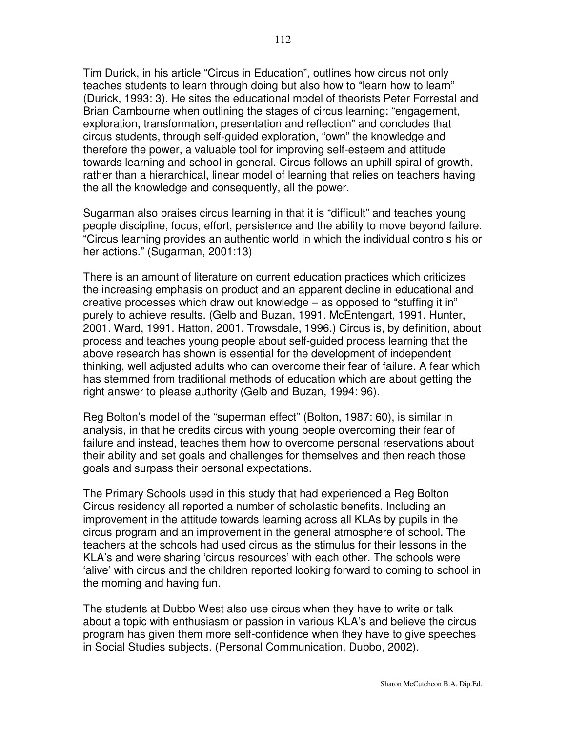Tim Durick, in his article "Circus in Education", outlines how circus not only teaches students to learn through doing but also how to "learn how to learn" (Durick, 1993: 3). He sites the educational model of theorists Peter Forrestal and Brian Cambourne when outlining the stages of circus learning: "engagement, exploration, transformation, presentation and reflection" and concludes that circus students, through self-guided exploration, "own" the knowledge and therefore the power, a valuable tool for improving self-esteem and attitude towards learning and school in general. Circus follows an uphill spiral of growth, rather than a hierarchical, linear model of learning that relies on teachers having the all the knowledge and consequently, all the power.

Sugarman also praises circus learning in that it is "difficult" and teaches young people discipline, focus, effort, persistence and the ability to move beyond failure. "Circus learning provides an authentic world in which the individual controls his or her actions." (Sugarman, 2001:13)

There is an amount of literature on current education practices which criticizes the increasing emphasis on product and an apparent decline in educational and creative processes which draw out knowledge – as opposed to "stuffing it in" purely to achieve results. (Gelb and Buzan, 1991. McEntengart, 1991. Hunter, 2001. Ward, 1991. Hatton, 2001. Trowsdale, 1996.) Circus is, by definition, about process and teaches young people about self-guided process learning that the above research has shown is essential for the development of independent thinking, well adjusted adults who can overcome their fear of failure. A fear which has stemmed from traditional methods of education which are about getting the right answer to please authority (Gelb and Buzan, 1994: 96).

Reg Bolton's model of the "superman effect" (Bolton, 1987: 60), is similar in analysis, in that he credits circus with young people overcoming their fear of failure and instead, teaches them how to overcome personal reservations about their ability and set goals and challenges for themselves and then reach those goals and surpass their personal expectations.

The Primary Schools used in this study that had experienced a Reg Bolton Circus residency all reported a number of scholastic benefits. Including an improvement in the attitude towards learning across all KLAs by pupils in the circus program and an improvement in the general atmosphere of school. The teachers at the schools had used circus as the stimulus for their lessons in the KLA's and were sharing 'circus resources' with each other. The schools were 'alive' with circus and the children reported looking forward to coming to school in the morning and having fun.

The students at Dubbo West also use circus when they have to write or talk about a topic with enthusiasm or passion in various KLA's and believe the circus program has given them more self-confidence when they have to give speeches in Social Studies subjects. (Personal Communication, Dubbo, 2002).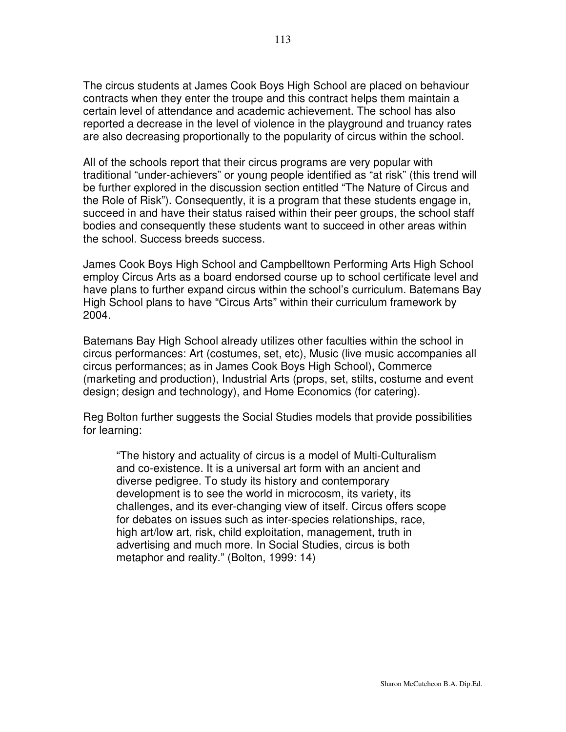The circus students at James Cook Boys High School are placed on behaviour contracts when they enter the troupe and this contract helps them maintain a certain level of attendance and academic achievement. The school has also reported a decrease in the level of violence in the playground and truancy rates are also decreasing proportionally to the popularity of circus within the school.

All of the schools report that their circus programs are very popular with traditional "under-achievers" or young people identified as "at risk" (this trend will be further explored in the discussion section entitled "The Nature of Circus and the Role of Risk"). Consequently, it is a program that these students engage in, succeed in and have their status raised within their peer groups, the school staff bodies and consequently these students want to succeed in other areas within the school. Success breeds success.

James Cook Boys High School and Campbelltown Performing Arts High School employ Circus Arts as a board endorsed course up to school certificate level and have plans to further expand circus within the school's curriculum. Batemans Bay High School plans to have "Circus Arts" within their curriculum framework by 2004.

Batemans Bay High School already utilizes other faculties within the school in circus performances: Art (costumes, set, etc), Music (live music accompanies all circus performances; as in James Cook Boys High School), Commerce (marketing and production), Industrial Arts (props, set, stilts, costume and event design; design and technology), and Home Economics (for catering).

Reg Bolton further suggests the Social Studies models that provide possibilities for learning:

"The history and actuality of circus is a model of Multi-Culturalism and co-existence. It is a universal art form with an ancient and diverse pedigree. To study its history and contemporary development is to see the world in microcosm, its variety, its challenges, and its ever-changing view of itself. Circus offers scope for debates on issues such as inter-species relationships, race, high art/low art, risk, child exploitation, management, truth in advertising and much more. In Social Studies, circus is both metaphor and reality." (Bolton, 1999: 14)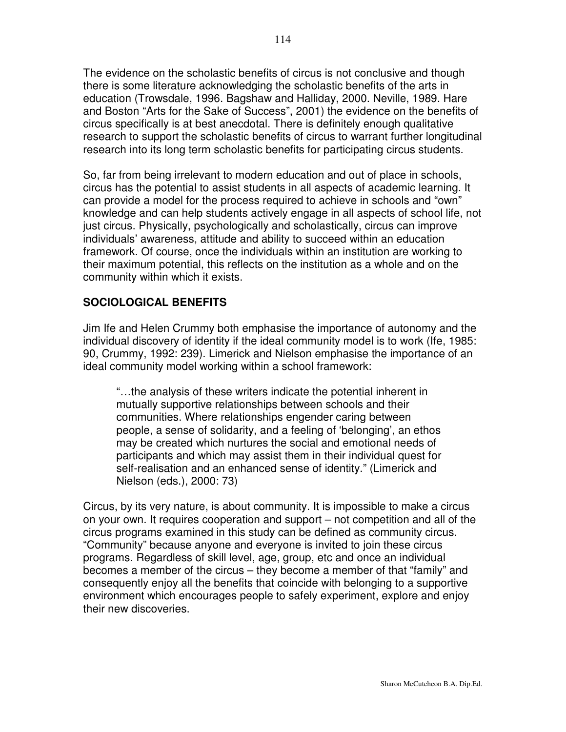The evidence on the scholastic benefits of circus is not conclusive and though there is some literature acknowledging the scholastic benefits of the arts in education (Trowsdale, 1996. Bagshaw and Halliday, 2000. Neville, 1989. Hare and Boston "Arts for the Sake of Success", 2001) the evidence on the benefits of circus specifically is at best anecdotal. There is definitely enough qualitative research to support the scholastic benefits of circus to warrant further longitudinal research into its long term scholastic benefits for participating circus students.

So, far from being irrelevant to modern education and out of place in schools, circus has the potential to assist students in all aspects of academic learning. It can provide a model for the process required to achieve in schools and "own" knowledge and can help students actively engage in all aspects of school life, not just circus. Physically, psychologically and scholastically, circus can improve individuals' awareness, attitude and ability to succeed within an education framework. Of course, once the individuals within an institution are working to their maximum potential, this reflects on the institution as a whole and on the community within which it exists.

# **SOCIOLOGICAL BENEFITS**

Jim Ife and Helen Crummy both emphasise the importance of autonomy and the individual discovery of identity if the ideal community model is to work (Ife, 1985: 90, Crummy, 1992: 239). Limerick and Nielson emphasise the importance of an ideal community model working within a school framework:

"…the analysis of these writers indicate the potential inherent in mutually supportive relationships between schools and their communities. Where relationships engender caring between people, a sense of solidarity, and a feeling of 'belonging', an ethos may be created which nurtures the social and emotional needs of participants and which may assist them in their individual quest for self-realisation and an enhanced sense of identity." (Limerick and Nielson (eds.), 2000: 73)

Circus, by its very nature, is about community. It is impossible to make a circus on your own. It requires cooperation and support – not competition and all of the circus programs examined in this study can be defined as community circus. "Community" because anyone and everyone is invited to join these circus programs. Regardless of skill level, age, group, etc and once an individual becomes a member of the circus – they become a member of that "family" and consequently enjoy all the benefits that coincide with belonging to a supportive environment which encourages people to safely experiment, explore and enjoy their new discoveries.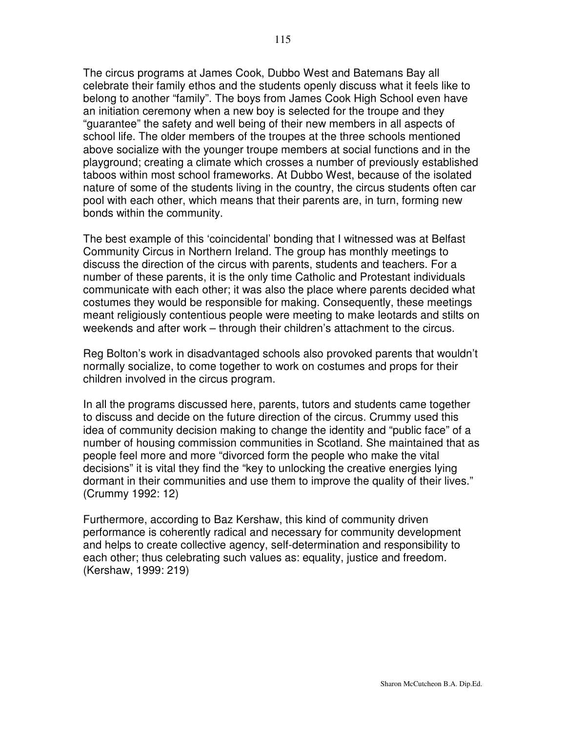The circus programs at James Cook, Dubbo West and Batemans Bay all celebrate their family ethos and the students openly discuss what it feels like to belong to another "family". The boys from James Cook High School even have an initiation ceremony when a new boy is selected for the troupe and they "guarantee" the safety and well being of their new members in all aspects of school life. The older members of the troupes at the three schools mentioned above socialize with the younger troupe members at social functions and in the playground; creating a climate which crosses a number of previously established taboos within most school frameworks. At Dubbo West, because of the isolated nature of some of the students living in the country, the circus students often car pool with each other, which means that their parents are, in turn, forming new bonds within the community.

The best example of this 'coincidental' bonding that I witnessed was at Belfast Community Circus in Northern Ireland. The group has monthly meetings to discuss the direction of the circus with parents, students and teachers. For a number of these parents, it is the only time Catholic and Protestant individuals communicate with each other; it was also the place where parents decided what costumes they would be responsible for making. Consequently, these meetings meant religiously contentious people were meeting to make leotards and stilts on weekends and after work – through their children's attachment to the circus.

Reg Bolton's work in disadvantaged schools also provoked parents that wouldn't normally socialize, to come together to work on costumes and props for their children involved in the circus program.

In all the programs discussed here, parents, tutors and students came together to discuss and decide on the future direction of the circus. Crummy used this idea of community decision making to change the identity and "public face" of a number of housing commission communities in Scotland. She maintained that as people feel more and more "divorced form the people who make the vital decisions" it is vital they find the "key to unlocking the creative energies lying dormant in their communities and use them to improve the quality of their lives." (Crummy 1992: 12)

Furthermore, according to Baz Kershaw, this kind of community driven performance is coherently radical and necessary for community development and helps to create collective agency, self-determination and responsibility to each other; thus celebrating such values as: equality, justice and freedom. (Kershaw, 1999: 219)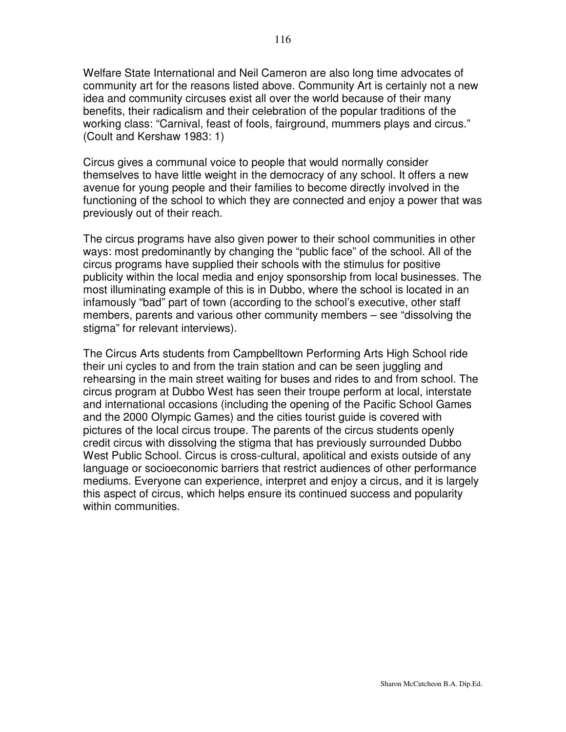Welfare State International and Neil Cameron are also long time advocates of community art for the reasons listed above. Community Art is certainly not a new idea and community circuses exist all over the world because of their many benefits, their radicalism and their celebration of the popular traditions of the working class: "Carnival, feast of fools, fairground, mummers plays and circus." (Coult and Kershaw 1983: 1)

Circus gives a communal voice to people that would normally consider themselves to have little weight in the democracy of any school. It offers a new avenue for young people and their families to become directly involved in the functioning of the school to which they are connected and enjoy a power that was previously out of their reach.

The circus programs have also given power to their school communities in other ways: most predominantly by changing the "public face" of the school. All of the circus programs have supplied their schools with the stimulus for positive publicity within the local media and enjoy sponsorship from local businesses. The most illuminating example of this is in Dubbo, where the school is located in an infamously "bad" part of town (according to the school's executive, other staff members, parents and various other community members – see "dissolving the stigma" for relevant interviews).

The Circus Arts students from Campbelltown Performing Arts High School ride their uni cycles to and from the train station and can be seen juggling and rehearsing in the main street waiting for buses and rides to and from school. The circus program at Dubbo West has seen their troupe perform at local, interstate and international occasions (including the opening of the Pacific School Games and the 2000 Olympic Games) and the cities tourist guide is covered with pictures of the local circus troupe. The parents of the circus students openly credit circus with dissolving the stigma that has previously surrounded Dubbo West Public School. Circus is cross-cultural, apolitical and exists outside of any language or socioeconomic barriers that restrict audiences of other performance mediums. Everyone can experience, interpret and enjoy a circus, and it is largely this aspect of circus, which helps ensure its continued success and popularity within communities.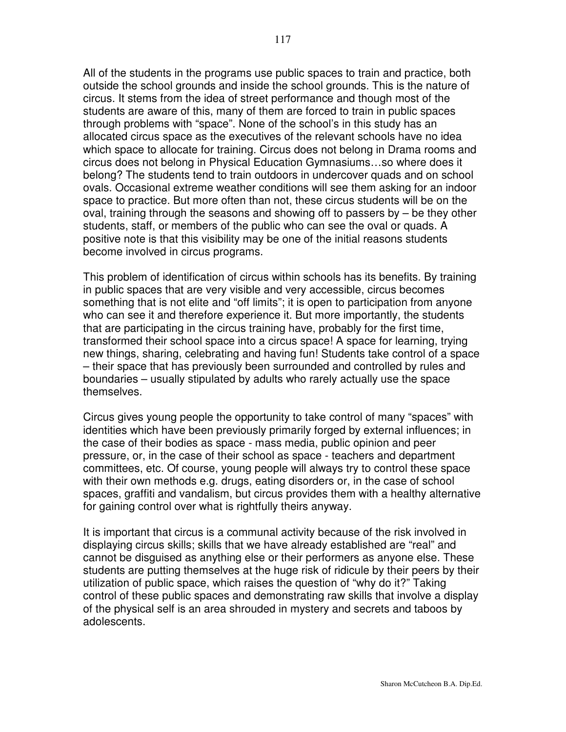All of the students in the programs use public spaces to train and practice, both outside the school grounds and inside the school grounds. This is the nature of circus. It stems from the idea of street performance and though most of the students are aware of this, many of them are forced to train in public spaces through problems with "space". None of the school's in this study has an allocated circus space as the executives of the relevant schools have no idea which space to allocate for training. Circus does not belong in Drama rooms and circus does not belong in Physical Education Gymnasiums…so where does it belong? The students tend to train outdoors in undercover quads and on school ovals. Occasional extreme weather conditions will see them asking for an indoor space to practice. But more often than not, these circus students will be on the oval, training through the seasons and showing off to passers by – be they other students, staff, or members of the public who can see the oval or quads. A positive note is that this visibility may be one of the initial reasons students become involved in circus programs.

This problem of identification of circus within schools has its benefits. By training in public spaces that are very visible and very accessible, circus becomes something that is not elite and "off limits"; it is open to participation from anyone who can see it and therefore experience it. But more importantly, the students that are participating in the circus training have, probably for the first time, transformed their school space into a circus space! A space for learning, trying new things, sharing, celebrating and having fun! Students take control of a space – their space that has previously been surrounded and controlled by rules and boundaries – usually stipulated by adults who rarely actually use the space themselves.

Circus gives young people the opportunity to take control of many "spaces" with identities which have been previously primarily forged by external influences; in the case of their bodies as space - mass media, public opinion and peer pressure, or, in the case of their school as space - teachers and department committees, etc. Of course, young people will always try to control these space with their own methods e.g. drugs, eating disorders or, in the case of school spaces, graffiti and vandalism, but circus provides them with a healthy alternative for gaining control over what is rightfully theirs anyway.

It is important that circus is a communal activity because of the risk involved in displaying circus skills; skills that we have already established are "real" and cannot be disguised as anything else or their performers as anyone else. These students are putting themselves at the huge risk of ridicule by their peers by their utilization of public space, which raises the question of "why do it?" Taking control of these public spaces and demonstrating raw skills that involve a display of the physical self is an area shrouded in mystery and secrets and taboos by adolescents.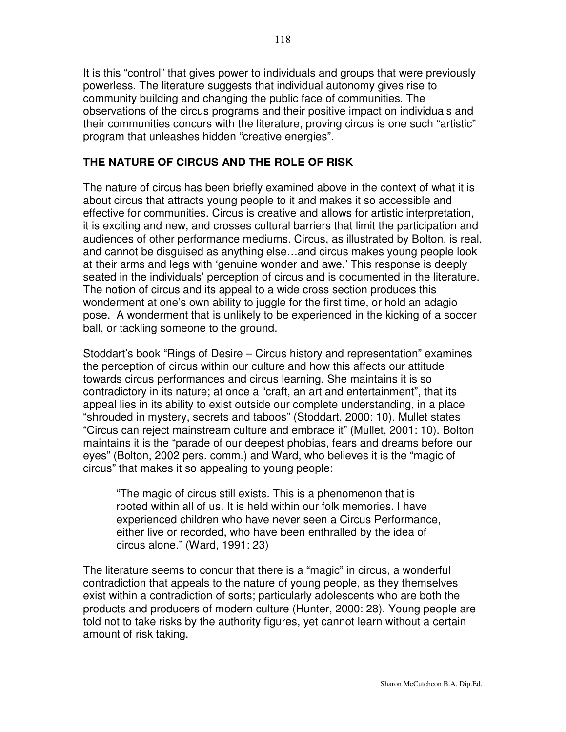It is this "control" that gives power to individuals and groups that were previously powerless. The literature suggests that individual autonomy gives rise to community building and changing the public face of communities. The observations of the circus programs and their positive impact on individuals and their communities concurs with the literature, proving circus is one such "artistic" program that unleashes hidden "creative energies".

# **THE NATURE OF CIRCUS AND THE ROLE OF RISK**

The nature of circus has been briefly examined above in the context of what it is about circus that attracts young people to it and makes it so accessible and effective for communities. Circus is creative and allows for artistic interpretation, it is exciting and new, and crosses cultural barriers that limit the participation and audiences of other performance mediums. Circus, as illustrated by Bolton, is real, and cannot be disguised as anything else…and circus makes young people look at their arms and legs with 'genuine wonder and awe.' This response is deeply seated in the individuals' perception of circus and is documented in the literature. The notion of circus and its appeal to a wide cross section produces this wonderment at one's own ability to juggle for the first time, or hold an adagio pose. A wonderment that is unlikely to be experienced in the kicking of a soccer ball, or tackling someone to the ground.

Stoddart's book "Rings of Desire – Circus history and representation" examines the perception of circus within our culture and how this affects our attitude towards circus performances and circus learning. She maintains it is so contradictory in its nature; at once a "craft, an art and entertainment", that its appeal lies in its ability to exist outside our complete understanding, in a place "shrouded in mystery, secrets and taboos" (Stoddart, 2000: 10). Mullet states "Circus can reject mainstream culture and embrace it" (Mullet, 2001: 10). Bolton maintains it is the "parade of our deepest phobias, fears and dreams before our eyes" (Bolton, 2002 pers. comm.) and Ward, who believes it is the "magic of circus" that makes it so appealing to young people:

"The magic of circus still exists. This is a phenomenon that is rooted within all of us. It is held within our folk memories. I have experienced children who have never seen a Circus Performance, either live or recorded, who have been enthralled by the idea of circus alone." (Ward, 1991: 23)

The literature seems to concur that there is a "magic" in circus, a wonderful contradiction that appeals to the nature of young people, as they themselves exist within a contradiction of sorts; particularly adolescents who are both the products and producers of modern culture (Hunter, 2000: 28). Young people are told not to take risks by the authority figures, yet cannot learn without a certain amount of risk taking.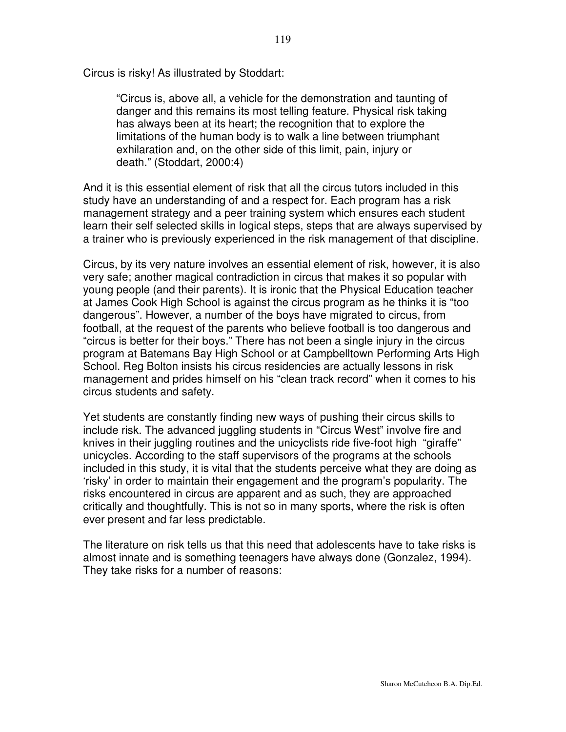Circus is risky! As illustrated by Stoddart:

"Circus is, above all, a vehicle for the demonstration and taunting of danger and this remains its most telling feature. Physical risk taking has always been at its heart; the recognition that to explore the limitations of the human body is to walk a line between triumphant exhilaration and, on the other side of this limit, pain, injury or death." (Stoddart, 2000:4)

And it is this essential element of risk that all the circus tutors included in this study have an understanding of and a respect for. Each program has a risk management strategy and a peer training system which ensures each student learn their self selected skills in logical steps, steps that are always supervised by a trainer who is previously experienced in the risk management of that discipline.

Circus, by its very nature involves an essential element of risk, however, it is also very safe; another magical contradiction in circus that makes it so popular with young people (and their parents). It is ironic that the Physical Education teacher at James Cook High School is against the circus program as he thinks it is "too dangerous". However, a number of the boys have migrated to circus, from football, at the request of the parents who believe football is too dangerous and "circus is better for their boys." There has not been a single injury in the circus program at Batemans Bay High School or at Campbelltown Performing Arts High School. Reg Bolton insists his circus residencies are actually lessons in risk management and prides himself on his "clean track record" when it comes to his circus students and safety.

Yet students are constantly finding new ways of pushing their circus skills to include risk. The advanced juggling students in "Circus West" involve fire and knives in their juggling routines and the unicyclists ride five-foot high "giraffe" unicycles. According to the staff supervisors of the programs at the schools included in this study, it is vital that the students perceive what they are doing as 'risky' in order to maintain their engagement and the program's popularity. The risks encountered in circus are apparent and as such, they are approached critically and thoughtfully. This is not so in many sports, where the risk is often ever present and far less predictable.

The literature on risk tells us that this need that adolescents have to take risks is almost innate and is something teenagers have always done (Gonzalez, 1994). They take risks for a number of reasons: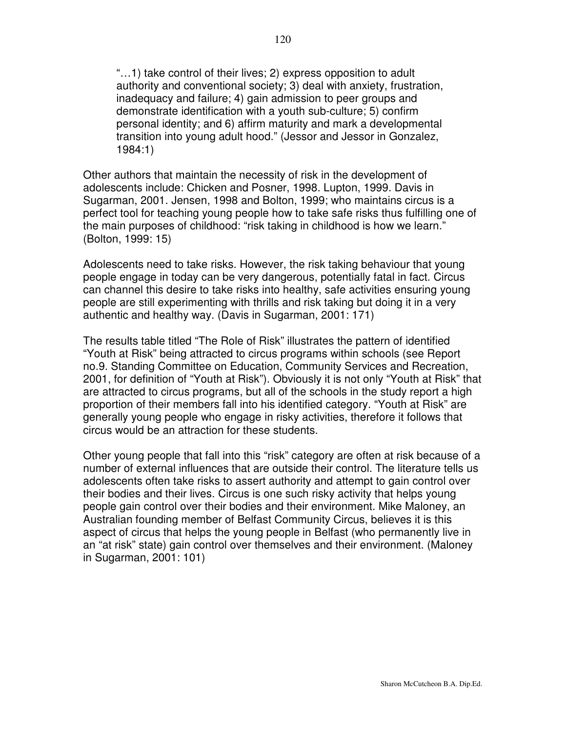"…1) take control of their lives; 2) express opposition to adult authority and conventional society; 3) deal with anxiety, frustration, inadequacy and failure; 4) gain admission to peer groups and demonstrate identification with a youth sub-culture; 5) confirm personal identity; and 6) affirm maturity and mark a developmental transition into young adult hood." (Jessor and Jessor in Gonzalez, 1984:1)

Other authors that maintain the necessity of risk in the development of adolescents include: Chicken and Posner, 1998. Lupton, 1999. Davis in Sugarman, 2001. Jensen, 1998 and Bolton, 1999; who maintains circus is a perfect tool for teaching young people how to take safe risks thus fulfilling one of the main purposes of childhood: "risk taking in childhood is how we learn." (Bolton, 1999: 15)

Adolescents need to take risks. However, the risk taking behaviour that young people engage in today can be very dangerous, potentially fatal in fact. Circus can channel this desire to take risks into healthy, safe activities ensuring young people are still experimenting with thrills and risk taking but doing it in a very authentic and healthy way. (Davis in Sugarman, 2001: 171)

The results table titled "The Role of Risk" illustrates the pattern of identified "Youth at Risk" being attracted to circus programs within schools (see Report no.9. Standing Committee on Education, Community Services and Recreation, 2001, for definition of "Youth at Risk"). Obviously it is not only "Youth at Risk" that are attracted to circus programs, but all of the schools in the study report a high proportion of their members fall into his identified category. "Youth at Risk" are generally young people who engage in risky activities, therefore it follows that circus would be an attraction for these students.

Other young people that fall into this "risk" category are often at risk because of a number of external influences that are outside their control. The literature tells us adolescents often take risks to assert authority and attempt to gain control over their bodies and their lives. Circus is one such risky activity that helps young people gain control over their bodies and their environment. Mike Maloney, an Australian founding member of Belfast Community Circus, believes it is this aspect of circus that helps the young people in Belfast (who permanently live in an "at risk" state) gain control over themselves and their environment. (Maloney in Sugarman, 2001: 101)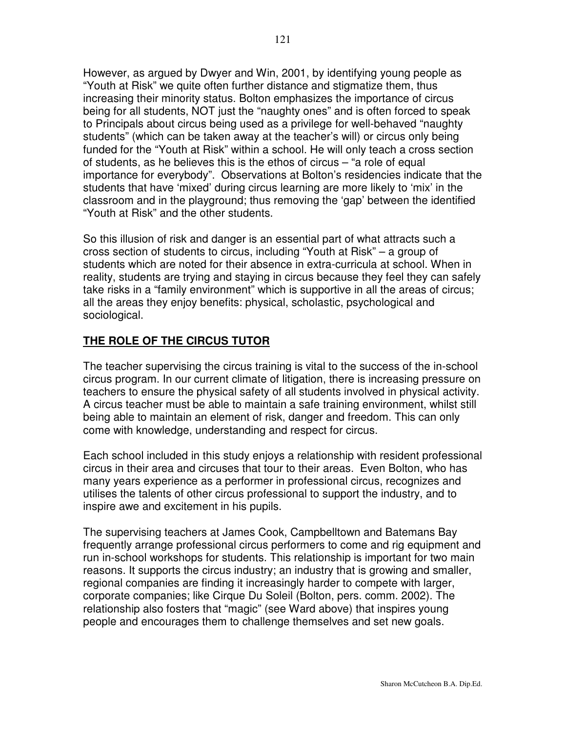However, as argued by Dwyer and Win, 2001, by identifying young people as "Youth at Risk" we quite often further distance and stigmatize them, thus increasing their minority status. Bolton emphasizes the importance of circus being for all students, NOT just the "naughty ones" and is often forced to speak to Principals about circus being used as a privilege for well-behaved "naughty students" (which can be taken away at the teacher's will) or circus only being funded for the "Youth at Risk" within a school. He will only teach a cross section of students, as he believes this is the ethos of circus – "a role of equal importance for everybody". Observations at Bolton's residencies indicate that the students that have 'mixed' during circus learning are more likely to 'mix' in the classroom and in the playground; thus removing the 'gap' between the identified "Youth at Risk" and the other students.

So this illusion of risk and danger is an essential part of what attracts such a cross section of students to circus, including "Youth at Risk" – a group of students which are noted for their absence in extra-curricula at school. When in reality, students are trying and staying in circus because they feel they can safely take risks in a "family environment" which is supportive in all the areas of circus; all the areas they enjoy benefits: physical, scholastic, psychological and sociological.

# **THE ROLE OF THE CIRCUS TUTOR**

The teacher supervising the circus training is vital to the success of the in-school circus program. In our current climate of litigation, there is increasing pressure on teachers to ensure the physical safety of all students involved in physical activity. A circus teacher must be able to maintain a safe training environment, whilst still being able to maintain an element of risk, danger and freedom. This can only come with knowledge, understanding and respect for circus.

Each school included in this study enjoys a relationship with resident professional circus in their area and circuses that tour to their areas. Even Bolton, who has many years experience as a performer in professional circus, recognizes and utilises the talents of other circus professional to support the industry, and to inspire awe and excitement in his pupils.

The supervising teachers at James Cook, Campbelltown and Batemans Bay frequently arrange professional circus performers to come and rig equipment and run in-school workshops for students. This relationship is important for two main reasons. It supports the circus industry; an industry that is growing and smaller, regional companies are finding it increasingly harder to compete with larger, corporate companies; like Cirque Du Soleil (Bolton, pers. comm. 2002). The relationship also fosters that "magic" (see Ward above) that inspires young people and encourages them to challenge themselves and set new goals.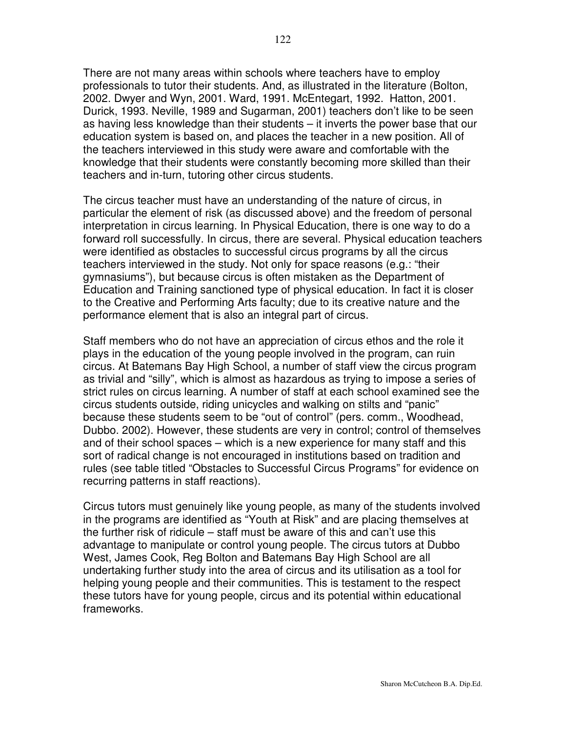There are not many areas within schools where teachers have to employ professionals to tutor their students. And, as illustrated in the literature (Bolton, 2002. Dwyer and Wyn, 2001. Ward, 1991. McEntegart, 1992. Hatton, 2001. Durick, 1993. Neville, 1989 and Sugarman, 2001) teachers don't like to be seen as having less knowledge than their students – it inverts the power base that our education system is based on, and places the teacher in a new position. All of the teachers interviewed in this study were aware and comfortable with the knowledge that their students were constantly becoming more skilled than their teachers and in-turn, tutoring other circus students.

The circus teacher must have an understanding of the nature of circus, in particular the element of risk (as discussed above) and the freedom of personal interpretation in circus learning. In Physical Education, there is one way to do a forward roll successfully. In circus, there are several. Physical education teachers were identified as obstacles to successful circus programs by all the circus teachers interviewed in the study. Not only for space reasons (e.g.: "their gymnasiums"), but because circus is often mistaken as the Department of Education and Training sanctioned type of physical education. In fact it is closer to the Creative and Performing Arts faculty; due to its creative nature and the performance element that is also an integral part of circus.

Staff members who do not have an appreciation of circus ethos and the role it plays in the education of the young people involved in the program, can ruin circus. At Batemans Bay High School, a number of staff view the circus program as trivial and "silly", which is almost as hazardous as trying to impose a series of strict rules on circus learning. A number of staff at each school examined see the circus students outside, riding unicycles and walking on stilts and "panic" because these students seem to be "out of control" (pers. comm., Woodhead, Dubbo. 2002). However, these students are very in control; control of themselves and of their school spaces – which is a new experience for many staff and this sort of radical change is not encouraged in institutions based on tradition and rules (see table titled "Obstacles to Successful Circus Programs" for evidence on recurring patterns in staff reactions).

Circus tutors must genuinely like young people, as many of the students involved in the programs are identified as "Youth at Risk" and are placing themselves at the further risk of ridicule – staff must be aware of this and can't use this advantage to manipulate or control young people. The circus tutors at Dubbo West, James Cook, Reg Bolton and Batemans Bay High School are all undertaking further study into the area of circus and its utilisation as a tool for helping young people and their communities. This is testament to the respect these tutors have for young people, circus and its potential within educational frameworks.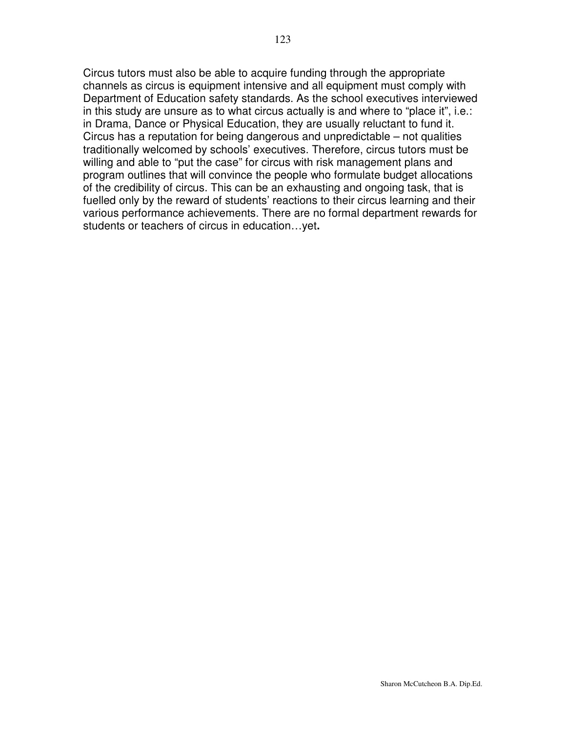Circus tutors must also be able to acquire funding through the appropriate channels as circus is equipment intensive and all equipment must comply with Department of Education safety standards. As the school executives interviewed in this study are unsure as to what circus actually is and where to "place it", i.e.: in Drama, Dance or Physical Education, they are usually reluctant to fund it. Circus has a reputation for being dangerous and unpredictable – not qualities traditionally welcomed by schools' executives. Therefore, circus tutors must be willing and able to "put the case" for circus with risk management plans and program outlines that will convince the people who formulate budget allocations of the credibility of circus. This can be an exhausting and ongoing task, that is fuelled only by the reward of students' reactions to their circus learning and their various performance achievements. There are no formal department rewards for students or teachers of circus in education…yet**.**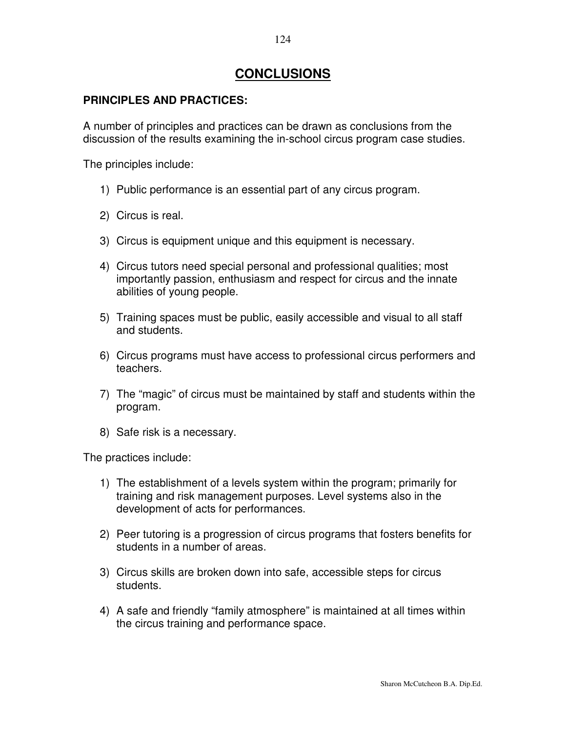# **CONCLUSIONS**

# **PRINCIPLES AND PRACTICES:**

A number of principles and practices can be drawn as conclusions from the discussion of the results examining the in-school circus program case studies.

The principles include:

- 1) Public performance is an essential part of any circus program.
- 2) Circus is real.
- 3) Circus is equipment unique and this equipment is necessary.
- 4) Circus tutors need special personal and professional qualities; most importantly passion, enthusiasm and respect for circus and the innate abilities of young people.
- 5) Training spaces must be public, easily accessible and visual to all staff and students.
- 6) Circus programs must have access to professional circus performers and teachers.
- 7) The "magic" of circus must be maintained by staff and students within the program.
- 8) Safe risk is a necessary.

The practices include:

- 1) The establishment of a levels system within the program; primarily for training and risk management purposes. Level systems also in the development of acts for performances.
- 2) Peer tutoring is a progression of circus programs that fosters benefits for students in a number of areas.
- 3) Circus skills are broken down into safe, accessible steps for circus students.
- 4) A safe and friendly "family atmosphere" is maintained at all times within the circus training and performance space.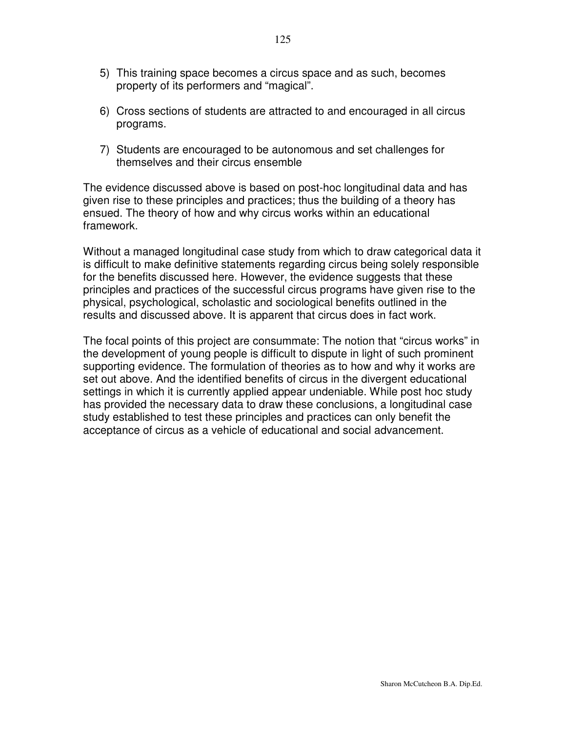- 5) This training space becomes a circus space and as such, becomes property of its performers and "magical".
- 6) Cross sections of students are attracted to and encouraged in all circus programs.
- 7) Students are encouraged to be autonomous and set challenges for themselves and their circus ensemble

The evidence discussed above is based on post-hoc longitudinal data and has given rise to these principles and practices; thus the building of a theory has ensued. The theory of how and why circus works within an educational framework.

Without a managed longitudinal case study from which to draw categorical data it is difficult to make definitive statements regarding circus being solely responsible for the benefits discussed here. However, the evidence suggests that these principles and practices of the successful circus programs have given rise to the physical, psychological, scholastic and sociological benefits outlined in the results and discussed above. It is apparent that circus does in fact work.

The focal points of this project are consummate: The notion that "circus works" in the development of young people is difficult to dispute in light of such prominent supporting evidence. The formulation of theories as to how and why it works are set out above. And the identified benefits of circus in the divergent educational settings in which it is currently applied appear undeniable. While post hoc study has provided the necessary data to draw these conclusions, a longitudinal case study established to test these principles and practices can only benefit the acceptance of circus as a vehicle of educational and social advancement.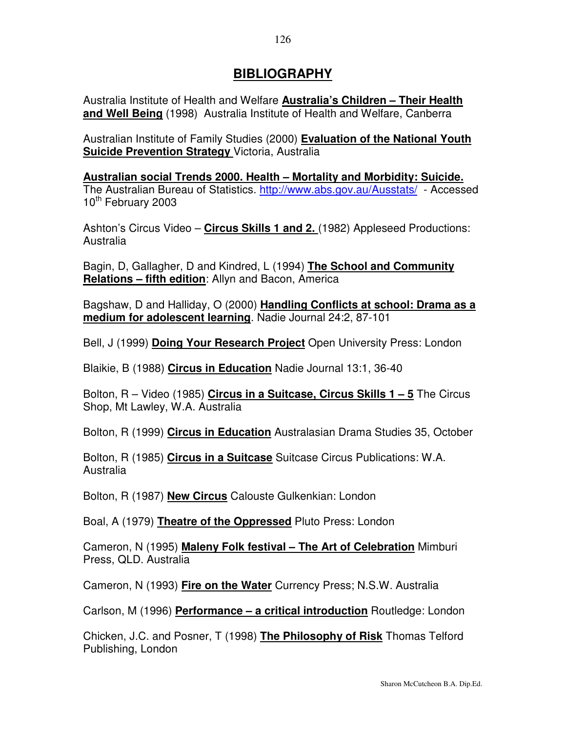# **BIBLIOGRAPHY**

Australia Institute of Health and Welfare **Australia's Children – Their Health and Well Being** (1998) Australia Institute of Health and Welfare, Canberra

Australian Institute of Family Studies (2000) **Evaluation of the National Youth Suicide Prevention Strategy** Victoria, Australia

**Australian social Trends 2000. Health – Mortality and Morbidity: Suicide.** The Australian Bureau of Statistics. http://www.abs.gov.au/Ausstats/ - Accessed 10<sup>th</sup> February 2003

Ashton's Circus Video – **Circus Skills 1 and 2.** (1982) Appleseed Productions: Australia

Bagin, D, Gallagher, D and Kindred, L (1994) **The School and Community Relations – fifth edition**: Allyn and Bacon, America

Bagshaw, D and Halliday, O (2000) **Handling Conflicts at school: Drama as a medium for adolescent learning**. Nadie Journal 24:2, 87-101

Bell, J (1999) **Doing Your Research Project** Open University Press: London

Blaikie, B (1988) **Circus in Education** Nadie Journal 13:1, 36-40

Bolton, R – Video (1985) **Circus in a Suitcase, Circus Skills 1 – 5** The Circus Shop, Mt Lawley, W.A. Australia

Bolton, R (1999) **Circus in Education** Australasian Drama Studies 35, October

Bolton, R (1985) **Circus in a Suitcase** Suitcase Circus Publications: W.A. Australia

Bolton, R (1987) **New Circus** Calouste Gulkenkian: London

Boal, A (1979) **Theatre of the Oppressed** Pluto Press: London

Cameron, N (1995) **Maleny Folk festival – The Art of Celebration** Mimburi Press, QLD. Australia

Cameron, N (1993) **Fire on the Water** Currency Press; N.S.W. Australia

Carlson, M (1996) **Performance – a critical introduction** Routledge: London

Chicken, J.C. and Posner, T (1998) **The Philosophy of Risk** Thomas Telford Publishing, London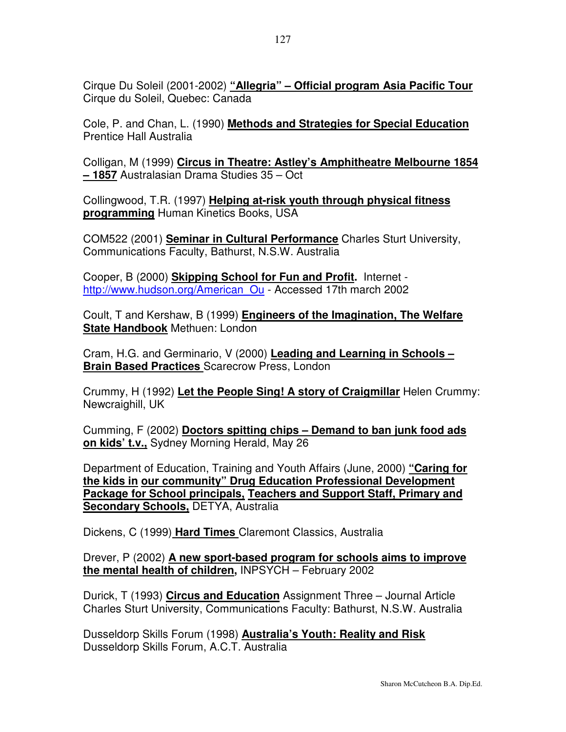Cirque Du Soleil (2001-2002) **"Allegria" – Official program Asia Pacific Tour** Cirque du Soleil, Quebec: Canada

Cole, P. and Chan, L. (1990) **Methods and Strategies for Special Education** Prentice Hall Australia

Colligan, M (1999) **Circus in Theatre: Astley's Amphitheatre Melbourne 1854 – 1857** Australasian Drama Studies 35 – Oct

Collingwood, T.R. (1997) **Helping at-risk youth through physical fitness programming** Human Kinetics Books, USA

COM522 (2001) **Seminar in Cultural Performance** Charles Sturt University, Communications Faculty, Bathurst, N.S.W. Australia

Cooper, B (2000) **Skipping School for Fun and Profit.** Internet http://www.hudson.org/American\_Ou - Accessed 17th march 2002

Coult, T and Kershaw, B (1999) **Engineers of the Imagination, The Welfare State Handbook** Methuen: London

Cram, H.G. and Germinario, V (2000) **Leading and Learning in Schools – Brain Based Practices** Scarecrow Press, London

Crummy, H (1992) **Let the People Sing! A story of Craigmillar** Helen Crummy: Newcraighill, UK

Cumming, F (2002) **Doctors spitting chips – Demand to ban junk food ads on kids' t.v.,** Sydney Morning Herald, May 26

Department of Education, Training and Youth Affairs (June, 2000) **"Caring for the kids in our community" Drug Education Professional Development Package for School principals, Teachers and Support Staff, Primary and Secondary Schools,** DETYA, Australia

Dickens, C (1999) **Hard Times** Claremont Classics, Australia

Drever, P (2002) **A new sport-based program for schools aims to improve the mental health of children,** INPSYCH – February 2002

Durick, T (1993) **Circus and Education** Assignment Three – Journal Article Charles Sturt University, Communications Faculty: Bathurst, N.S.W. Australia

Dusseldorp Skills Forum (1998) **Australia's Youth: Reality and Risk** Dusseldorp Skills Forum, A.C.T. Australia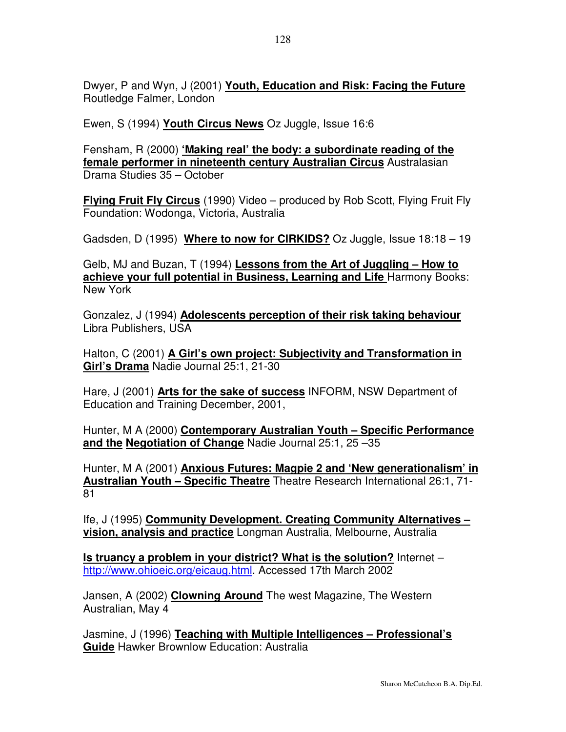Dwyer, P and Wyn, J (2001) **Youth, Education and Risk: Facing the Future** Routledge Falmer, London

Ewen, S (1994) **Youth Circus News** Oz Juggle, Issue 16:6

Fensham, R (2000) **'Making real' the body: a subordinate reading of the female performer in nineteenth century Australian Circus** Australasian Drama Studies 35 – October

**Flying Fruit Fly Circus** (1990) Video – produced by Rob Scott, Flying Fruit Fly Foundation: Wodonga, Victoria, Australia

Gadsden, D (1995) **Where to now for CIRKIDS?** Oz Juggle, Issue 18:18 – 19

Gelb, MJ and Buzan, T (1994) **Lessons from the Art of Juggling – How to achieve your full potential in Business, Learning and Life** Harmony Books: New York

Gonzalez, J (1994) **Adolescents perception of their risk taking behaviour** Libra Publishers, USA

Halton, C (2001) **A Girl's own project: Subjectivity and Transformation in Girl's Drama** Nadie Journal 25:1, 21-30

Hare, J (2001) **Arts for the sake of success** INFORM, NSW Department of Education and Training December, 2001,

Hunter, M A (2000) **Contemporary Australian Youth – Specific Performance and the Negotiation of Change** Nadie Journal 25:1, 25 –35

Hunter, M A (2001) **Anxious Futures: Magpie 2 and 'New generationalism' in Australian Youth – Specific Theatre** Theatre Research International 26:1, 71- 81

Ife, J (1995) **Community Development. Creating Community Alternatives – vision, analysis and practice** Longman Australia, Melbourne, Australia

**Is truancy a problem in your district? What is the solution?** Internet – http://www.ohioeic.org/eicaug.html. Accessed 17th March 2002

Jansen, A (2002) **Clowning Around** The west Magazine, The Western Australian, May 4

Jasmine, J (1996) **Teaching with Multiple Intelligences – Professional's Guide** Hawker Brownlow Education: Australia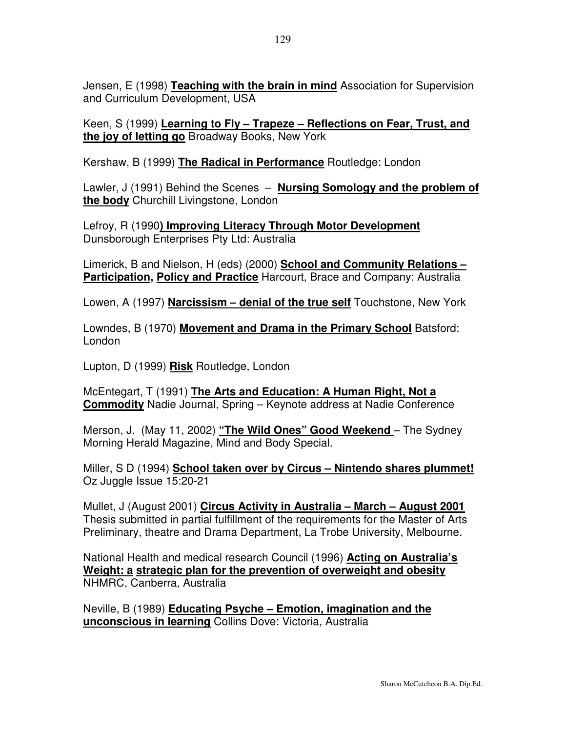Jensen, E (1998) **Teaching with the brain in mind** Association for Supervision and Curriculum Development, USA

Keen, S (1999) **Learning to Fly – Trapeze – Reflections on Fear, Trust, and the joy of letting go** Broadway Books, New York

Kershaw, B (1999) **The Radical in Performance** Routledge: London

Lawler, J (1991) Behind the Scenes – **Nursing Somology and the problem of the body** Churchill Livingstone, London

Lefroy, R (1990**) Improving Literacy Through Motor Development** Dunsborough Enterprises Pty Ltd: Australia

Limerick, B and Nielson, H (eds) (2000) **School and Community Relations – Participation, Policy and Practice** Harcourt, Brace and Company: Australia

Lowen, A (1997) **Narcissism – denial of the true self** Touchstone, New York

Lowndes, B (1970) **Movement and Drama in the Primary School** Batsford: London

Lupton, D (1999) **Risk** Routledge, London

McEntegart, T (1991) **The Arts and Education: A Human Right, Not a Commodity** Nadie Journal, Spring – Keynote address at Nadie Conference

Merson, J. (May 11, 2002) **"The Wild Ones" Good Weekend** – The Sydney Morning Herald Magazine, Mind and Body Special.

Miller, S D (1994) **School taken over by Circus – Nintendo shares plummet!** Oz Juggle Issue 15:20-21

Mullet, J (August 2001) **Circus Activity in Australia – March – August 2001** Thesis submitted in partial fulfillment of the requirements for the Master of Arts Preliminary, theatre and Drama Department, La Trobe University, Melbourne.

National Health and medical research Council (1996) **Acting on Australia's Weight: a strategic plan for the prevention of overweight and obesity** NHMRC, Canberra, Australia

Neville, B (1989) **Educating Psyche – Emotion, imagination and the unconscious in learning** Collins Dove: Victoria, Australia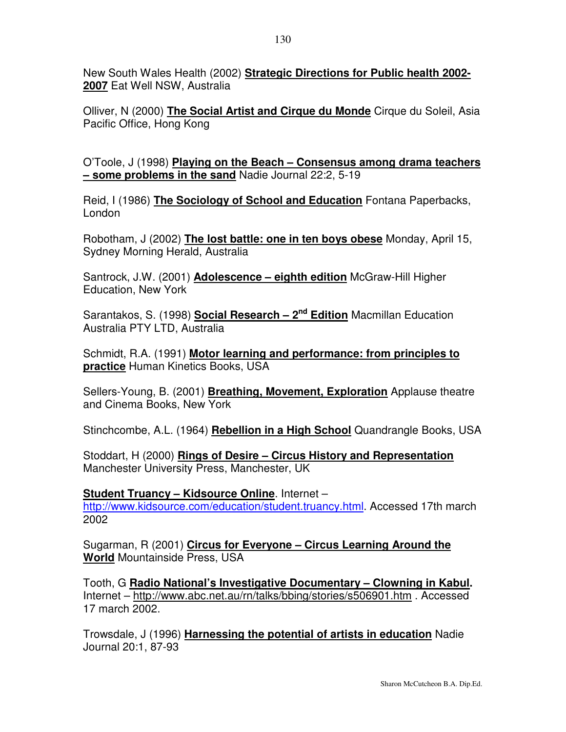New South Wales Health (2002) **Strategic Directions for Public health 2002- 2007** Eat Well NSW, Australia

Olliver, N (2000) **The Social Artist and Cirque du Monde** Cirque du Soleil, Asia Pacific Office, Hong Kong

O'Toole, J (1998) **Playing on the Beach – Consensus among drama teachers – some problems in the sand** Nadie Journal 22:2, 5-19

Reid, I (1986) **The Sociology of School and Education** Fontana Paperbacks, London

Robotham, J (2002) **The lost battle: one in ten boys obese** Monday, April 15, Sydney Morning Herald, Australia

Santrock, J.W. (2001) **Adolescence – eighth edition** McGraw-Hill Higher Education, New York

Sarantakos, S. (1998) **Social Research – 2 nd Edition** Macmillan Education Australia PTY LTD, Australia

Schmidt, R.A. (1991) **Motor learning and performance: from principles to practice** Human Kinetics Books, USA

Sellers-Young, B. (2001) **Breathing, Movement, Exploration** Applause theatre and Cinema Books, New York

Stinchcombe, A.L. (1964) **Rebellion in a High School** Quandrangle Books, USA

Stoddart, H (2000) **Rings of Desire – Circus History and Representation** Manchester University Press, Manchester, UK

**Student Truancy – Kidsource Online**. Internet – http://www.kidsource.com/education/student.truancy.html. Accessed 17th march 2002

Sugarman, R (2001) **Circus for Everyone – Circus Learning Around the World** Mountainside Press, USA

Tooth, G **Radio National's Investigative Documentary – Clowning in Kabul.** Internet – http://www.abc.net.au/rn/talks/bbing/stories/s506901.htm . Accessed 17 march 2002.

Trowsdale, J (1996) **Harnessing the potential of artists in education** Nadie Journal 20:1, 87-93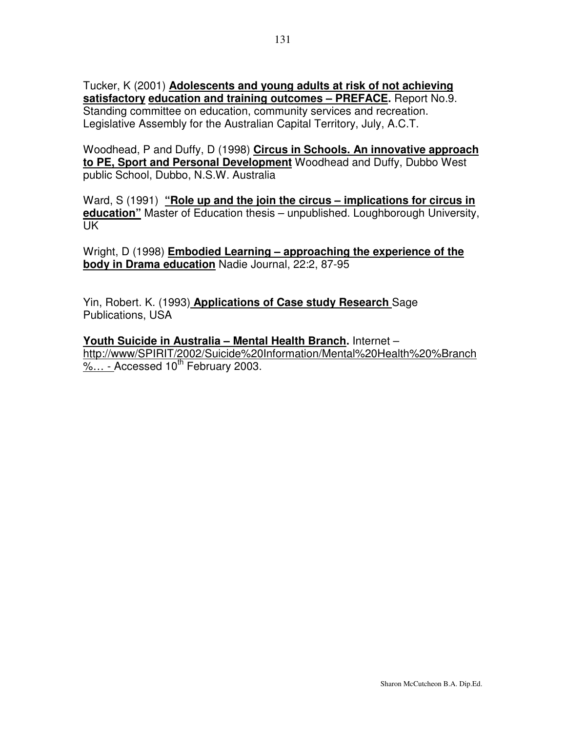Tucker, K (2001) **Adolescents and young adults at risk of not achieving satisfactory education and training outcomes – PREFACE.** Report No.9. Standing committee on education, community services and recreation. Legislative Assembly for the Australian Capital Territory, July, A.C.T.

Woodhead, P and Duffy, D (1998) **Circus in Schools. An innovative approach to PE, Sport and Personal Development** Woodhead and Duffy, Dubbo West public School, Dubbo, N.S.W. Australia

Ward, S (1991) **"Role up and the join the circus – implications for circus in education"** Master of Education thesis – unpublished. Loughborough University, UK

Wright, D (1998) **Embodied Learning – approaching the experience of the body in Drama education** Nadie Journal, 22:2, 87-95

Yin, Robert. K. (1993) **Applications of Case study Research** Sage Publications, USA

**Youth Suicide in Australia – Mental Health Branch.** Internet – http://www/SPIRIT/2002/Suicide%20Information/Mental%20Health%20%Branch  $\frac{\%...}{\%}$  Accessed 10<sup>th</sup> February 2003.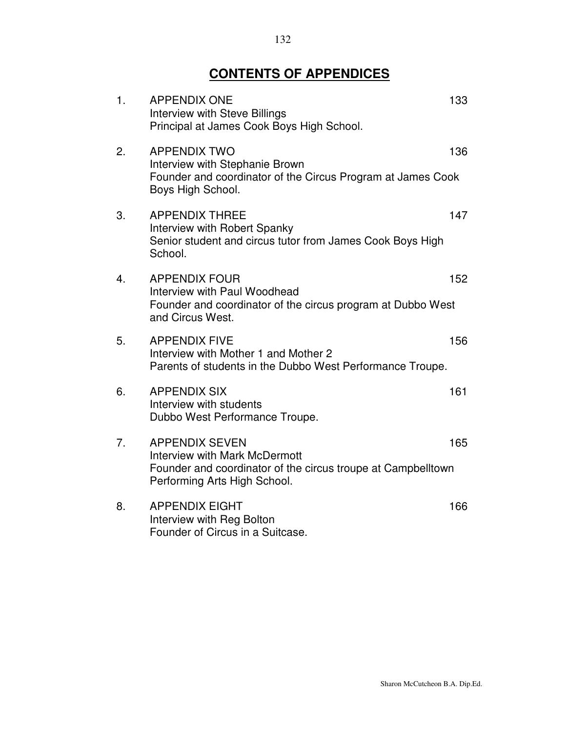# **CONTENTS OF APPENDICES**

| 1. | <b>APPENDIX ONE</b><br>Interview with Steve Billings<br>Principal at James Cook Boys High School.                                                             | 133 |
|----|---------------------------------------------------------------------------------------------------------------------------------------------------------------|-----|
| 2. | <b>APPENDIX TWO</b><br>Interview with Stephanie Brown<br>Founder and coordinator of the Circus Program at James Cook<br>Boys High School.                     | 136 |
| 3. | <b>APPENDIX THREE</b><br>Interview with Robert Spanky<br>Senior student and circus tutor from James Cook Boys High<br>School.                                 | 147 |
| 4. | <b>APPENDIX FOUR</b><br>Interview with Paul Woodhead<br>Founder and coordinator of the circus program at Dubbo West<br>and Circus West.                       | 152 |
| 5. | <b>APPENDIX FIVE</b><br>Interview with Mother 1 and Mother 2<br>Parents of students in the Dubbo West Performance Troupe.                                     | 156 |
| 6. | <b>APPENDIX SIX</b><br>Interview with students<br>Dubbo West Performance Troupe.                                                                              | 161 |
| 7. | <b>APPENDIX SEVEN</b><br><b>Interview with Mark McDermott</b><br>Founder and coordinator of the circus troupe at Campbelltown<br>Performing Arts High School. | 165 |
| 8. | <b>APPENDIX EIGHT</b><br>Interview with Reg Bolton<br>Founder of Circus in a Suitcase.                                                                        | 166 |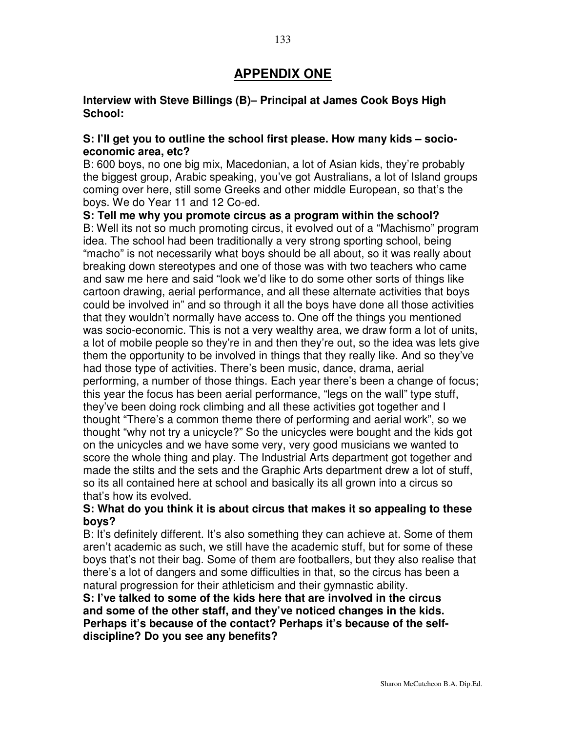# **APPENDIX ONE**

#### **Interview with Steve Billings (B)– Principal at James Cook Boys High School:**

#### **S: I'll get you to outline the school first please. How many kids – socioeconomic area, etc?**

B: 600 boys, no one big mix, Macedonian, a lot of Asian kids, they're probably the biggest group, Arabic speaking, you've got Australians, a lot of Island groups coming over here, still some Greeks and other middle European, so that's the boys. We do Year 11 and 12 Co-ed.

**S: Tell me why you promote circus as a program within the school?** B: Well its not so much promoting circus, it evolved out of a "Machismo" program idea. The school had been traditionally a very strong sporting school, being "macho" is not necessarily what boys should be all about, so it was really about breaking down stereotypes and one of those was with two teachers who came and saw me here and said "look we'd like to do some other sorts of things like cartoon drawing, aerial performance, and all these alternate activities that boys could be involved in" and so through it all the boys have done all those activities that they wouldn't normally have access to. One off the things you mentioned was socio-economic. This is not a very wealthy area, we draw form a lot of units, a lot of mobile people so they're in and then they're out, so the idea was lets give them the opportunity to be involved in things that they really like. And so they've had those type of activities. There's been music, dance, drama, aerial performing, a number of those things. Each year there's been a change of focus; this year the focus has been aerial performance, "legs on the wall" type stuff, they've been doing rock climbing and all these activities got together and I thought "There's a common theme there of performing and aerial work", so we thought "why not try a unicycle?" So the unicycles were bought and the kids got on the unicycles and we have some very, very good musicians we wanted to score the whole thing and play. The Industrial Arts department got together and made the stilts and the sets and the Graphic Arts department drew a lot of stuff, so its all contained here at school and basically its all grown into a circus so that's how its evolved.

## **S: What do you think it is about circus that makes it so appealing to these boys?**

B: It's definitely different. It's also something they can achieve at. Some of them aren't academic as such, we still have the academic stuff, but for some of these boys that's not their bag. Some of them are footballers, but they also realise that there's a lot of dangers and some difficulties in that, so the circus has been a natural progression for their athleticism and their gymnastic ability.

**S: I've talked to some of the kids here that are involved in the circus and some of the other staff, and they've noticed changes in the kids. Perhaps it's because of the contact? Perhaps it's because of the selfdiscipline? Do you see any benefits?**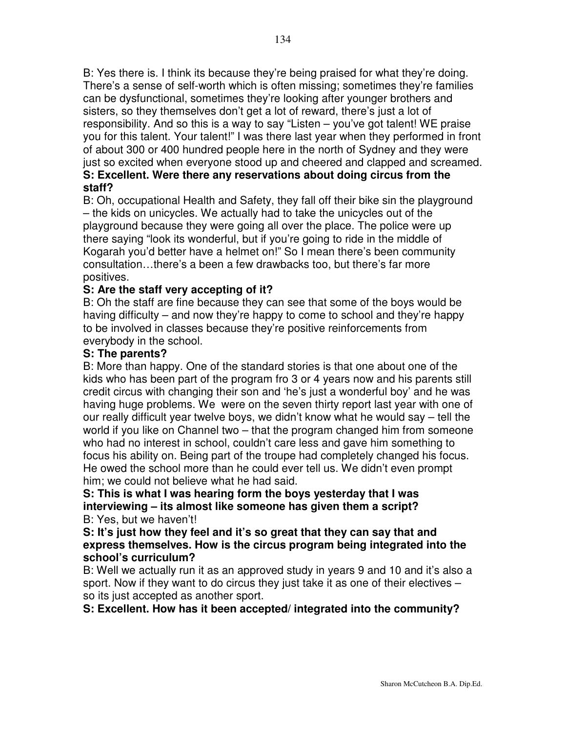B: Yes there is. I think its because they're being praised for what they're doing. There's a sense of self-worth which is often missing; sometimes they're families can be dysfunctional, sometimes they're looking after younger brothers and sisters, so they themselves don't get a lot of reward, there's just a lot of responsibility. And so this is a way to say "Listen – you've got talent! WE praise you for this talent. Your talent!" I was there last year when they performed in front of about 300 or 400 hundred people here in the north of Sydney and they were just so excited when everyone stood up and cheered and clapped and screamed.

# **S: Excellent. Were there any reservations about doing circus from the staff?**

B: Oh, occupational Health and Safety, they fall off their bike sin the playground – the kids on unicycles. We actually had to take the unicycles out of the playground because they were going all over the place. The police were up there saying "look its wonderful, but if you're going to ride in the middle of Kogarah you'd better have a helmet on!" So I mean there's been community consultation…there's a been a few drawbacks too, but there's far more positives.

# **S: Are the staff very accepting of it?**

B: Oh the staff are fine because they can see that some of the boys would be having difficulty – and now they're happy to come to school and they're happy to be involved in classes because they're positive reinforcements from everybody in the school.

## **S: The parents?**

B: More than happy. One of the standard stories is that one about one of the kids who has been part of the program fro 3 or 4 years now and his parents still credit circus with changing their son and 'he's just a wonderful boy' and he was having huge problems. We were on the seven thirty report last year with one of our really difficult year twelve boys, we didn't know what he would say – tell the world if you like on Channel two – that the program changed him from someone who had no interest in school, couldn't care less and gave him something to focus his ability on. Being part of the troupe had completely changed his focus. He owed the school more than he could ever tell us. We didn't even prompt him; we could not believe what he had said.

#### **S: This is what I was hearing form the boys yesterday that I was interviewing – its almost like someone has given them a script?** B: Yes, but we haven't!

**S: It's just how they feel and it's so great that they can say that and express themselves. How is the circus program being integrated into the school's curriculum?**

B: Well we actually run it as an approved study in years 9 and 10 and it's also a sport. Now if they want to do circus they just take it as one of their electives – so its just accepted as another sport.

# **S: Excellent. How has it been accepted/ integrated into the community?**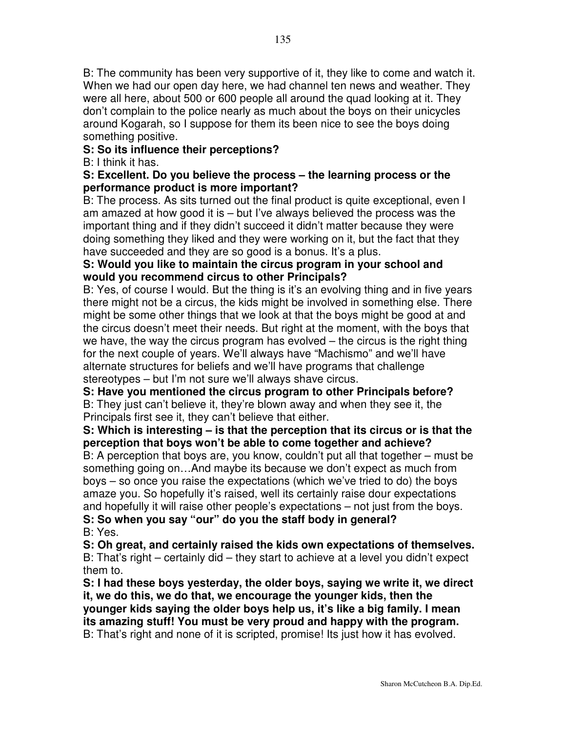B: The community has been very supportive of it, they like to come and watch it. When we had our open day here, we had channel ten news and weather. They were all here, about 500 or 600 people all around the quad looking at it. They don't complain to the police nearly as much about the boys on their unicycles around Kogarah, so I suppose for them its been nice to see the boys doing something positive.

# **S: So its influence their perceptions?**

B: I think it has.

#### **S: Excellent. Do you believe the process – the learning process or the performance product is more important?**

B: The process. As sits turned out the final product is quite exceptional, even I am amazed at how good it is – but I've always believed the process was the important thing and if they didn't succeed it didn't matter because they were doing something they liked and they were working on it, but the fact that they have succeeded and they are so good is a bonus. It's a plus.

#### **S: Would you like to maintain the circus program in your school and would you recommend circus to other Principals?**

B: Yes, of course I would. But the thing is it's an evolving thing and in five years there might not be a circus, the kids might be involved in something else. There might be some other things that we look at that the boys might be good at and the circus doesn't meet their needs. But right at the moment, with the boys that we have, the way the circus program has evolved – the circus is the right thing for the next couple of years. We'll always have "Machismo" and we'll have alternate structures for beliefs and we'll have programs that challenge stereotypes – but I'm not sure we'll always shave circus.

**S: Have you mentioned the circus program to other Principals before?** B: They just can't believe it, they're blown away and when they see it, the Principals first see it, they can't believe that either.

## **S: Which is interesting – is that the perception that its circus or is that the perception that boys won't be able to come together and achieve?**

B: A perception that boys are, you know, couldn't put all that together – must be something going on…And maybe its because we don't expect as much from boys – so once you raise the expectations (which we've tried to do) the boys amaze you. So hopefully it's raised, well its certainly raise dour expectations and hopefully it will raise other people's expectations – not just from the boys.

**S: So when you say "our" do you the staff body in general?** B: Yes.

**S: Oh great, and certainly raised the kids own expectations of themselves.** B: That's right – certainly did – they start to achieve at a level you didn't expect them to.

**S: I had these boys yesterday, the older boys, saying we write it, we direct it, we do this, we do that, we encourage the younger kids, then the younger kids saying the older boys help us, it's like a big family. I mean its amazing stuff! You must be very proud and happy with the program.** B: That's right and none of it is scripted, promise! Its just how it has evolved.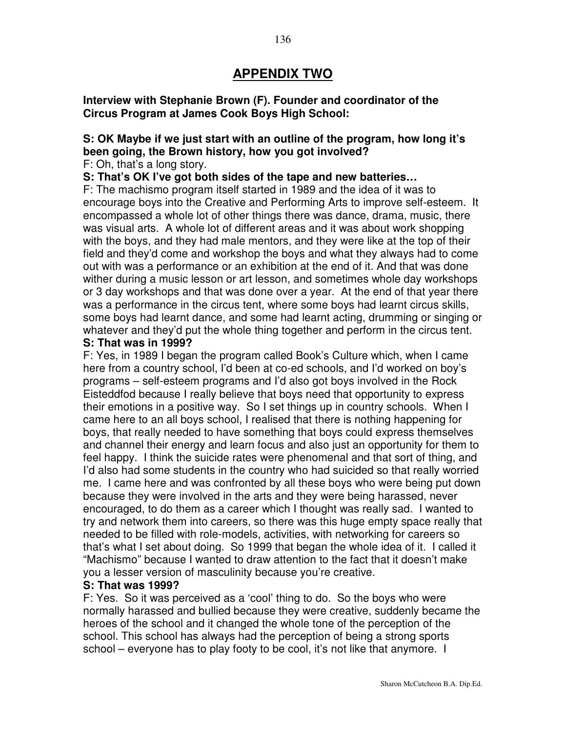# **APPENDIX TWO**

**Interview with Stephanie Brown (F). Founder and coordinator of the Circus Program at James Cook Boys High School:**

# **S: OK Maybe if we just start with an outline of the program, how long it's been going, the Brown history, how you got involved?**

F: Oh, that's a long story.

**S: That's OK I've got both sides of the tape and new batteries…**

F: The machismo program itself started in 1989 and the idea of it was to encourage boys into the Creative and Performing Arts to improve self-esteem. It encompassed a whole lot of other things there was dance, drama, music, there was visual arts. A whole lot of different areas and it was about work shopping with the boys, and they had male mentors, and they were like at the top of their field and they'd come and workshop the boys and what they always had to come out with was a performance or an exhibition at the end of it. And that was done wither during a music lesson or art lesson, and sometimes whole day workshops or 3 day workshops and that was done over a year. At the end of that year there was a performance in the circus tent, where some boys had learnt circus skills, some boys had learnt dance, and some had learnt acting, drumming or singing or whatever and they'd put the whole thing together and perform in the circus tent.

#### **S: That was in 1999?**

F: Yes, in 1989 I began the program called Book's Culture which, when I came here from a country school, I'd been at co-ed schools, and I'd worked on boy's programs – self-esteem programs and I'd also got boys involved in the Rock Eisteddfod because I really believe that boys need that opportunity to express their emotions in a positive way. So I set things up in country schools. When I came here to an all boys school, I realised that there is nothing happening for boys, that really needed to have something that boys could express themselves and channel their energy and learn focus and also just an opportunity for them to feel happy. I think the suicide rates were phenomenal and that sort of thing, and I'd also had some students in the country who had suicided so that really worried me. I came here and was confronted by all these boys who were being put down because they were involved in the arts and they were being harassed, never encouraged, to do them as a career which I thought was really sad. I wanted to try and network them into careers, so there was this huge empty space really that needed to be filled with role-models, activities, with networking for careers so that's what I set about doing. So 1999 that began the whole idea of it. I called it "Machismo" because I wanted to draw attention to the fact that it doesn't make you a lesser version of masculinity because you're creative.

#### **S: That was 1999?**

F: Yes. So it was perceived as a 'cool' thing to do. So the boys who were normally harassed and bullied because they were creative, suddenly became the heroes of the school and it changed the whole tone of the perception of the school. This school has always had the perception of being a strong sports school – everyone has to play footy to be cool, it's not like that anymore. I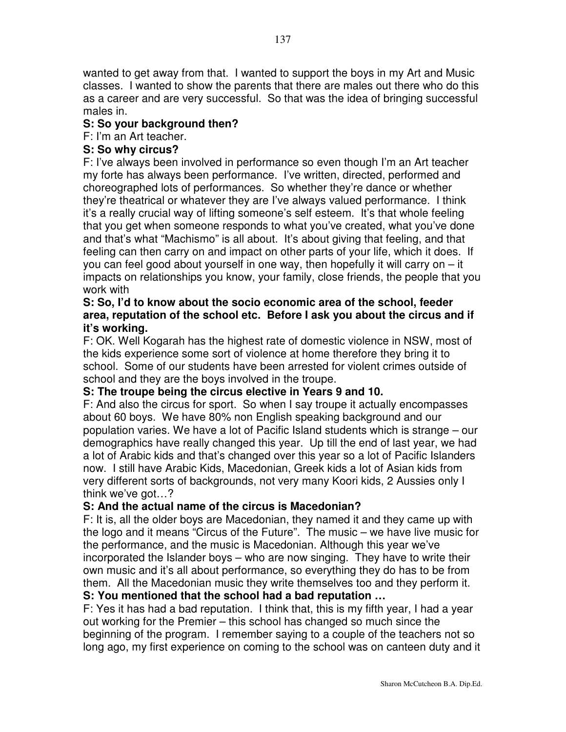wanted to get away from that. I wanted to support the boys in my Art and Music classes. I wanted to show the parents that there are males out there who do this as a career and are very successful. So that was the idea of bringing successful males in.

## **S: So your background then?**

# F: I'm an Art teacher.

## **S: So why circus?**

F: I've always been involved in performance so even though I'm an Art teacher my forte has always been performance. I've written, directed, performed and choreographed lots of performances. So whether they're dance or whether they're theatrical or whatever they are I've always valued performance. I think it's a really crucial way of lifting someone's self esteem. It's that whole feeling that you get when someone responds to what you've created, what you've done and that's what "Machismo" is all about. It's about giving that feeling, and that feeling can then carry on and impact on other parts of your life, which it does. If you can feel good about yourself in one way, then hopefully it will carry on – it impacts on relationships you know, your family, close friends, the people that you work with

#### **S: So, I'd to know about the socio economic area of the school, feeder area, reputation of the school etc. Before I ask you about the circus and if it's working.**

F: OK. Well Kogarah has the highest rate of domestic violence in NSW, most of the kids experience some sort of violence at home therefore they bring it to school. Some of our students have been arrested for violent crimes outside of school and they are the boys involved in the troupe.

#### **S: The troupe being the circus elective in Years 9 and 10.**

F: And also the circus for sport. So when I say troupe it actually encompasses about 60 boys. We have 80% non English speaking background and our population varies. We have a lot of Pacific Island students which is strange – our demographics have really changed this year. Up till the end of last year, we had a lot of Arabic kids and that's changed over this year so a lot of Pacific Islanders now. I still have Arabic Kids, Macedonian, Greek kids a lot of Asian kids from very different sorts of backgrounds, not very many Koori kids, 2 Aussies only I think we've got…?

# **S: And the actual name of the circus is Macedonian?**

F: It is, all the older boys are Macedonian, they named it and they came up with the logo and it means "Circus of the Future". The music – we have live music for the performance, and the music is Macedonian. Although this year we've incorporated the Islander boys – who are now singing. They have to write their own music and it's all about performance, so everything they do has to be from them. All the Macedonian music they write themselves too and they perform it. **S: You mentioned that the school had a bad reputation …**

F: Yes it has had a bad reputation. I think that, this is my fifth year, I had a year out working for the Premier – this school has changed so much since the beginning of the program. I remember saying to a couple of the teachers not so long ago, my first experience on coming to the school was on canteen duty and it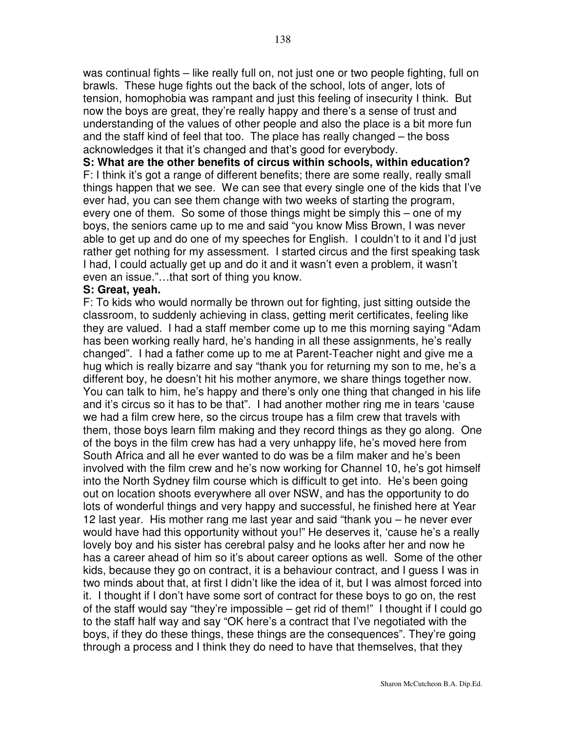was continual fights – like really full on, not just one or two people fighting, full on brawls. These huge fights out the back of the school, lots of anger, lots of tension, homophobia was rampant and just this feeling of insecurity I think. But now the boys are great, they're really happy and there's a sense of trust and understanding of the values of other people and also the place is a bit more fun and the staff kind of feel that too. The place has really changed – the boss acknowledges it that it's changed and that's good for everybody.

**S: What are the other benefits of circus within schools, within education?** F: I think it's got a range of different benefits; there are some really, really small things happen that we see. We can see that every single one of the kids that I've ever had, you can see them change with two weeks of starting the program, every one of them. So some of those things might be simply this – one of my boys, the seniors came up to me and said "you know Miss Brown, I was never able to get up and do one of my speeches for English. I couldn't to it and I'd just rather get nothing for my assessment. I started circus and the first speaking task I had, I could actually get up and do it and it wasn't even a problem, it wasn't even an issue."…that sort of thing you know.

#### **S: Great, yeah.**

F: To kids who would normally be thrown out for fighting, just sitting outside the classroom, to suddenly achieving in class, getting merit certificates, feeling like they are valued. I had a staff member come up to me this morning saying "Adam has been working really hard, he's handing in all these assignments, he's really changed". I had a father come up to me at Parent-Teacher night and give me a hug which is really bizarre and say "thank you for returning my son to me, he's a different boy, he doesn't hit his mother anymore, we share things together now. You can talk to him, he's happy and there's only one thing that changed in his life and it's circus so it has to be that". I had another mother ring me in tears 'cause we had a film crew here, so the circus troupe has a film crew that travels with them, those boys learn film making and they record things as they go along. One of the boys in the film crew has had a very unhappy life, he's moved here from South Africa and all he ever wanted to do was be a film maker and he's been involved with the film crew and he's now working for Channel 10, he's got himself into the North Sydney film course which is difficult to get into. He's been going out on location shoots everywhere all over NSW, and has the opportunity to do lots of wonderful things and very happy and successful, he finished here at Year 12 last year. His mother rang me last year and said "thank you – he never ever would have had this opportunity without you!" He deserves it, 'cause he's a really lovely boy and his sister has cerebral palsy and he looks after her and now he has a career ahead of him so it's about career options as well. Some of the other kids, because they go on contract, it is a behaviour contract, and I guess I was in two minds about that, at first I didn't like the idea of it, but I was almost forced into it. I thought if I don't have some sort of contract for these boys to go on, the rest of the staff would say "they're impossible – get rid of them!" I thought if I could go to the staff half way and say "OK here's a contract that I've negotiated with the boys, if they do these things, these things are the consequences". They're going through a process and I think they do need to have that themselves, that they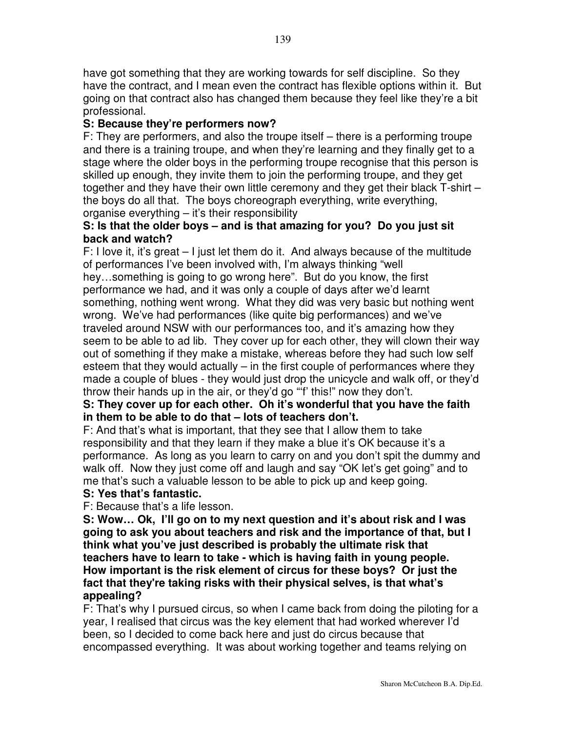have got something that they are working towards for self discipline. So they have the contract, and I mean even the contract has flexible options within it. But going on that contract also has changed them because they feel like they're a bit professional.

# **S: Because they're performers now?**

F: They are performers, and also the troupe itself – there is a performing troupe and there is a training troupe, and when they're learning and they finally get to a stage where the older boys in the performing troupe recognise that this person is skilled up enough, they invite them to join the performing troupe, and they get together and they have their own little ceremony and they get their black T-shirt – the boys do all that. The boys choreograph everything, write everything, organise everything – it's their responsibility

## **S: Is that the older boys – and is that amazing for you? Do you just sit back and watch?**

F: I love it, it's great – I just let them do it. And always because of the multitude of performances I've been involved with, I'm always thinking "well hey…something is going to go wrong here". But do you know, the first performance we had, and it was only a couple of days after we'd learnt something, nothing went wrong. What they did was very basic but nothing went wrong. We've had performances (like quite big performances) and we've traveled around NSW with our performances too, and it's amazing how they seem to be able to ad lib. They cover up for each other, they will clown their way out of something if they make a mistake, whereas before they had such low self esteem that they would actually – in the first couple of performances where they made a couple of blues - they would just drop the unicycle and walk off, or they'd throw their hands up in the air, or they'd go "'f' this!" now they don't.

# **S: They cover up for each other. Oh it's wonderful that you have the faith in them to be able to do that – lots of teachers don't.**

F: And that's what is important, that they see that I allow them to take responsibility and that they learn if they make a blue it's OK because it's a performance. As long as you learn to carry on and you don't spit the dummy and walk off. Now they just come off and laugh and say "OK let's get going" and to me that's such a valuable lesson to be able to pick up and keep going.

# **S: Yes that's fantastic.**

F: Because that's a life lesson.

**S: Wow… Ok, I'll go on to my next question and it's about risk and I was going to ask you about teachers and risk and the importance of that, but I think what you've just described is probably the ultimate risk that teachers have to learn to take - which is having faith in young people. How important is the risk element of circus for these boys? Or just the fact that they're taking risks with their physical selves, is that what's appealing?**

F: That's why I pursued circus, so when I came back from doing the piloting for a year, I realised that circus was the key element that had worked wherever I'd been, so I decided to come back here and just do circus because that encompassed everything. It was about working together and teams relying on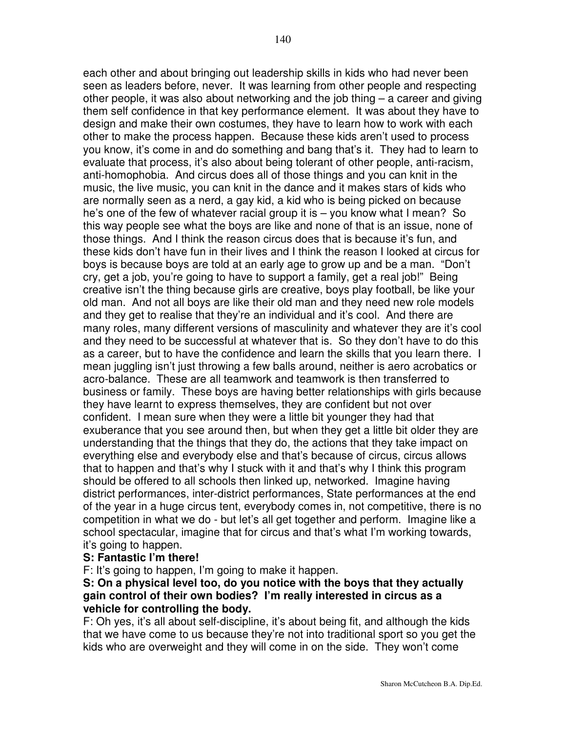each other and about bringing out leadership skills in kids who had never been seen as leaders before, never. It was learning from other people and respecting other people, it was also about networking and the job thing – a career and giving them self confidence in that key performance element. It was about they have to design and make their own costumes, they have to learn how to work with each other to make the process happen. Because these kids aren't used to process you know, it's come in and do something and bang that's it. They had to learn to evaluate that process, it's also about being tolerant of other people, anti-racism, anti-homophobia. And circus does all of those things and you can knit in the music, the live music, you can knit in the dance and it makes stars of kids who are normally seen as a nerd, a gay kid, a kid who is being picked on because he's one of the few of whatever racial group it is – you know what I mean? So

this way people see what the boys are like and none of that is an issue, none of those things. And I think the reason circus does that is because it's fun, and these kids don't have fun in their lives and I think the reason I looked at circus for boys is because boys are told at an early age to grow up and be a man. "Don't cry, get a job, you're going to have to support a family, get a real job!" Being creative isn't the thing because girls are creative, boys play football, be like your old man. And not all boys are like their old man and they need new role models and they get to realise that they're an individual and it's cool. And there are many roles, many different versions of masculinity and whatever they are it's cool and they need to be successful at whatever that is. So they don't have to do this as a career, but to have the confidence and learn the skills that you learn there. I mean juggling isn't just throwing a few balls around, neither is aero acrobatics or acro-balance. These are all teamwork and teamwork is then transferred to business or family. These boys are having better relationships with girls because they have learnt to express themselves, they are confident but not over confident. I mean sure when they were a little bit younger they had that exuberance that you see around then, but when they get a little bit older they are understanding that the things that they do, the actions that they take impact on everything else and everybody else and that's because of circus, circus allows that to happen and that's why I stuck with it and that's why I think this program should be offered to all schools then linked up, networked. Imagine having district performances, inter-district performances, State performances at the end of the year in a huge circus tent, everybody comes in, not competitive, there is no competition in what we do - but let's all get together and perform. Imagine like a school spectacular, imagine that for circus and that's what I'm working towards,

# it's going to happen.

#### **S: Fantastic I'm there!**

F: It's going to happen, I'm going to make it happen.

#### **S: On a physical level too, do you notice with the boys that they actually gain control of their own bodies? I'm really interested in circus as a vehicle for controlling the body.**

F: Oh yes, it's all about self-discipline, it's about being fit, and although the kids that we have come to us because they're not into traditional sport so you get the kids who are overweight and they will come in on the side. They won't come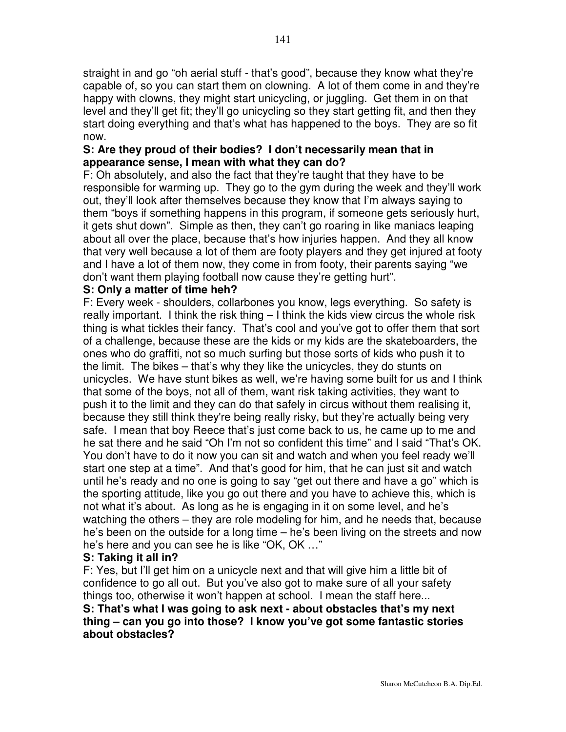straight in and go "oh aerial stuff - that's good", because they know what they're capable of, so you can start them on clowning. A lot of them come in and they're happy with clowns, they might start unicycling, or juggling. Get them in on that level and they'll get fit; they'll go unicycling so they start getting fit, and then they start doing everything and that's what has happened to the boys. They are so fit now.

## **S: Are they proud of their bodies? I don't necessarily mean that in appearance sense, I mean with what they can do?**

F: Oh absolutely, and also the fact that they're taught that they have to be responsible for warming up. They go to the gym during the week and they'll work out, they'll look after themselves because they know that I'm always saying to them "boys if something happens in this program, if someone gets seriously hurt, it gets shut down". Simple as then, they can't go roaring in like maniacs leaping about all over the place, because that's how injuries happen. And they all know that very well because a lot of them are footy players and they get injured at footy and I have a lot of them now, they come in from footy, their parents saying "we don't want them playing football now cause they're getting hurt".

## **S: Only a matter of time heh?**

F: Every week - shoulders, collarbones you know, legs everything. So safety is really important. I think the risk thing – I think the kids view circus the whole risk thing is what tickles their fancy. That's cool and you've got to offer them that sort of a challenge, because these are the kids or my kids are the skateboarders, the ones who do graffiti, not so much surfing but those sorts of kids who push it to the limit. The bikes – that's why they like the unicycles, they do stunts on unicycles. We have stunt bikes as well, we're having some built for us and I think that some of the boys, not all of them, want risk taking activities, they want to push it to the limit and they can do that safely in circus without them realising it, because they still think they're being really risky, but they're actually being very safe. I mean that boy Reece that's just come back to us, he came up to me and he sat there and he said "Oh I'm not so confident this time" and I said "That's OK. You don't have to do it now you can sit and watch and when you feel ready we'll start one step at a time". And that's good for him, that he can just sit and watch until he's ready and no one is going to say "get out there and have a go" which is the sporting attitude, like you go out there and you have to achieve this, which is not what it's about. As long as he is engaging in it on some level, and he's watching the others – they are role modeling for him, and he needs that, because he's been on the outside for a long time – he's been living on the streets and now he's here and you can see he is like "OK, OK …"

#### **S: Taking it all in?**

F: Yes, but I'll get him on a unicycle next and that will give him a little bit of confidence to go all out. But you've also got to make sure of all your safety things too, otherwise it won't happen at school. I mean the staff here...

#### **S: That's what I was going to ask next - about obstacles that's my next thing – can you go into those? I know you've got some fantastic stories about obstacles?**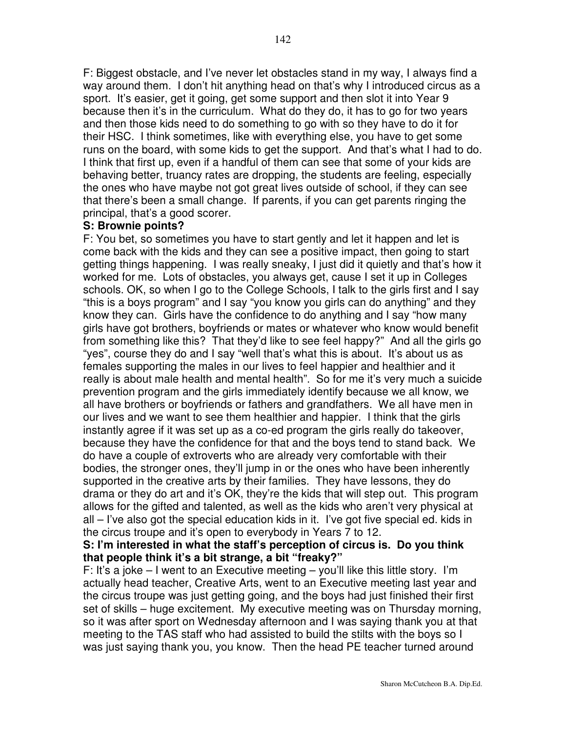F: Biggest obstacle, and I've never let obstacles stand in my way, I always find a way around them. I don't hit anything head on that's why I introduced circus as a sport. It's easier, get it going, get some support and then slot it into Year 9 because then it's in the curriculum. What do they do, it has to go for two years and then those kids need to do something to go with so they have to do it for their HSC. I think sometimes, like with everything else, you have to get some runs on the board, with some kids to get the support. And that's what I had to do. I think that first up, even if a handful of them can see that some of your kids are behaving better, truancy rates are dropping, the students are feeling, especially the ones who have maybe not got great lives outside of school, if they can see that there's been a small change. If parents, if you can get parents ringing the principal, that's a good scorer.

#### **S: Brownie points?**

F: You bet, so sometimes you have to start gently and let it happen and let is come back with the kids and they can see a positive impact, then going to start getting things happening. I was really sneaky, I just did it quietly and that's how it worked for me. Lots of obstacles, you always get, cause I set it up in Colleges schools. OK, so when I go to the College Schools, I talk to the girls first and I say "this is a boys program" and I say "you know you girls can do anything" and they know they can. Girls have the confidence to do anything and I say "how many girls have got brothers, boyfriends or mates or whatever who know would benefit from something like this? That they'd like to see feel happy?" And all the girls go "yes", course they do and I say "well that's what this is about. It's about us as females supporting the males in our lives to feel happier and healthier and it really is about male health and mental health". So for me it's very much a suicide prevention program and the girls immediately identify because we all know, we all have brothers or boyfriends or fathers and grandfathers. We all have men in our lives and we want to see them healthier and happier. I think that the girls instantly agree if it was set up as a co-ed program the girls really do takeover, because they have the confidence for that and the boys tend to stand back. We do have a couple of extroverts who are already very comfortable with their bodies, the stronger ones, they'll jump in or the ones who have been inherently supported in the creative arts by their families. They have lessons, they do drama or they do art and it's OK, they're the kids that will step out. This program allows for the gifted and talented, as well as the kids who aren't very physical at all – I've also got the special education kids in it. I've got five special ed. kids in the circus troupe and it's open to everybody in Years 7 to 12.

#### **S: I'm interested in what the staff's perception of circus is. Do you think that people think it's a bit strange, a bit "freaky?"**

F: It's a joke  $-1$  went to an Executive meeting  $-$  you'll like this little story. I'm actually head teacher, Creative Arts, went to an Executive meeting last year and the circus troupe was just getting going, and the boys had just finished their first set of skills – huge excitement. My executive meeting was on Thursday morning, so it was after sport on Wednesday afternoon and I was saying thank you at that meeting to the TAS staff who had assisted to build the stilts with the boys so I was just saying thank you, you know. Then the head PE teacher turned around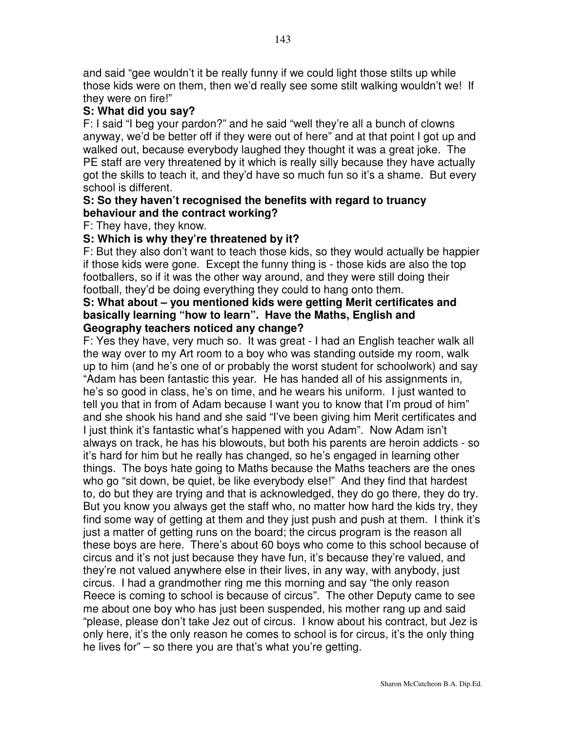and said "gee wouldn't it be really funny if we could light those stilts up while those kids were on them, then we'd really see some stilt walking wouldn't we! If they were on fire!"

# **S: What did you say?**

F: I said "I beg your pardon?" and he said "well they're all a bunch of clowns anyway, we'd be better off if they were out of here" and at that point I got up and walked out, because everybody laughed they thought it was a great joke. The PE staff are very threatened by it which is really silly because they have actually got the skills to teach it, and they'd have so much fun so it's a shame. But every school is different.

#### **S: So they haven't recognised the benefits with regard to truancy behaviour and the contract working?**

#### F: They have, they know.

# **S: Which is why they're threatened by it?**

F: But they also don't want to teach those kids, so they would actually be happier if those kids were gone. Except the funny thing is - those kids are also the top footballers, so if it was the other way around, and they were still doing their football, they'd be doing everything they could to hang onto them.

#### **S: What about – you mentioned kids were getting Merit certificates and basically learning "how to learn". Have the Maths, English and Geography teachers noticed any change?**

F: Yes they have, very much so. It was great - I had an English teacher walk all the way over to my Art room to a boy who was standing outside my room, walk up to him (and he's one of or probably the worst student for schoolwork) and say "Adam has been fantastic this year. He has handed all of his assignments in, he's so good in class, he's on time, and he wears his uniform. I just wanted to tell you that in from of Adam because I want you to know that I'm proud of him" and she shook his hand and she said "I've been giving him Merit certificates and I just think it's fantastic what's happened with you Adam". Now Adam isn't always on track, he has his blowouts, but both his parents are heroin addicts - so it's hard for him but he really has changed, so he's engaged in learning other things. The boys hate going to Maths because the Maths teachers are the ones who go "sit down, be quiet, be like everybody else!" And they find that hardest to, do but they are trying and that is acknowledged, they do go there, they do try. But you know you always get the staff who, no matter how hard the kids try, they find some way of getting at them and they just push and push at them. I think it's just a matter of getting runs on the board; the circus program is the reason all these boys are here. There's about 60 boys who come to this school because of circus and it's not just because they have fun, it's because they're valued, and they're not valued anywhere else in their lives, in any way, with anybody, just circus. I had a grandmother ring me this morning and say "the only reason Reece is coming to school is because of circus". The other Deputy came to see me about one boy who has just been suspended, his mother rang up and said "please, please don't take Jez out of circus. I know about his contract, but Jez is only here, it's the only reason he comes to school is for circus, it's the only thing he lives for" – so there you are that's what you're getting.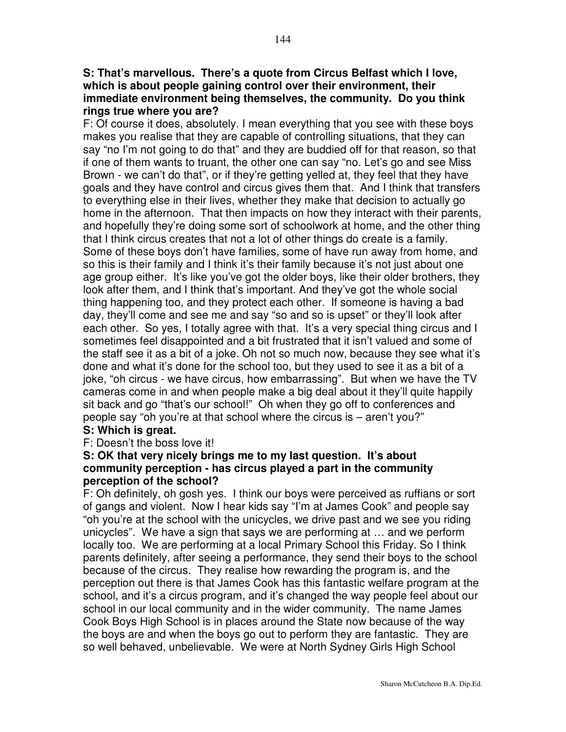#### **S: That's marvellous. There's a quote from Circus Belfast which I love, which is about people gaining control over their environment, their immediate environment being themselves, the community. Do you think rings true where you are?**

F: Of course it does, absolutely. I mean everything that you see with these boys makes you realise that they are capable of controlling situations, that they can say "no I'm not going to do that" and they are buddied off for that reason, so that if one of them wants to truant, the other one can say "no. Let's go and see Miss Brown - we can't do that", or if they're getting yelled at, they feel that they have goals and they have control and circus gives them that. And I think that transfers to everything else in their lives, whether they make that decision to actually go home in the afternoon. That then impacts on how they interact with their parents, and hopefully they're doing some sort of schoolwork at home, and the other thing that I think circus creates that not a lot of other things do create is a family. Some of these boys don't have families, some of have run away from home, and so this is their family and I think it's their family because it's not just about one age group either. It's like you've got the older boys, like their older brothers, they look after them, and I think that's important. And they've got the whole social thing happening too, and they protect each other. If someone is having a bad day, they'll come and see me and say "so and so is upset" or they'll look after each other. So yes, I totally agree with that. It's a very special thing circus and I sometimes feel disappointed and a bit frustrated that it isn't valued and some of the staff see it as a bit of a joke. Oh not so much now, because they see what it's done and what it's done for the school too, but they used to see it as a bit of a joke, "oh circus - we have circus, how embarrassing". But when we have the TV cameras come in and when people make a big deal about it they'll quite happily sit back and go "that's our school!" Oh when they go off to conferences and people say "oh you're at that school where the circus is – aren't you?"

#### **S: Which is great.**

F: Doesn't the boss love it!

#### **S: OK that very nicely brings me to my last question. It's about community perception - has circus played a part in the community perception of the school?**

F: Oh definitely, oh gosh yes. I think our boys were perceived as ruffians or sort of gangs and violent. Now I hear kids say "I'm at James Cook" and people say "oh you're at the school with the unicycles, we drive past and we see you riding unicycles". We have a sign that says we are performing at … and we perform locally too. We are performing at a local Primary School this Friday. So I think parents definitely, after seeing a performance, they send their boys to the school because of the circus. They realise how rewarding the program is, and the perception out there is that James Cook has this fantastic welfare program at the school, and it's a circus program, and it's changed the way people feel about our school in our local community and in the wider community. The name James Cook Boys High School is in places around the State now because of the way the boys are and when the boys go out to perform they are fantastic. They are so well behaved, unbelievable. We were at North Sydney Girls High School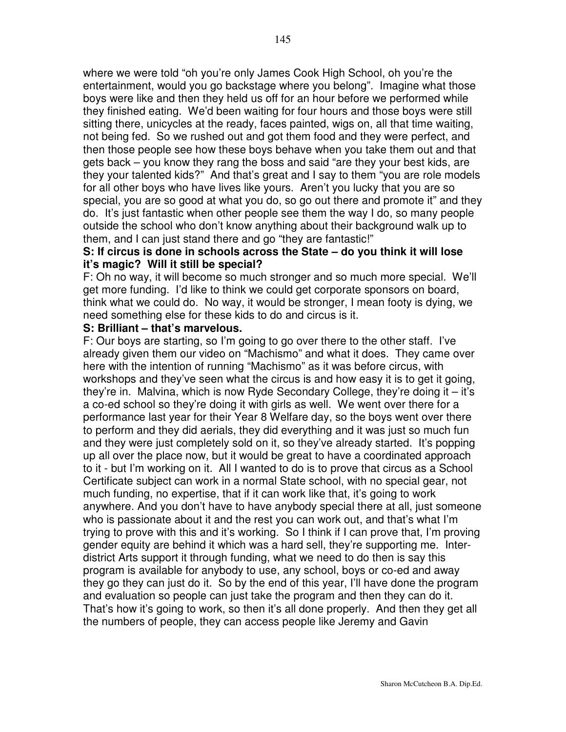where we were told "oh you're only James Cook High School, oh you're the entertainment, would you go backstage where you belong". Imagine what those boys were like and then they held us off for an hour before we performed while they finished eating. We'd been waiting for four hours and those boys were still sitting there, unicycles at the ready, faces painted, wigs on, all that time waiting, not being fed. So we rushed out and got them food and they were perfect, and then those people see how these boys behave when you take them out and that gets back – you know they rang the boss and said "are they your best kids, are they your talented kids?" And that's great and I say to them "you are role models for all other boys who have lives like yours. Aren't you lucky that you are so special, you are so good at what you do, so go out there and promote it" and they do. It's just fantastic when other people see them the way I do, so many people outside the school who don't know anything about their background walk up to them, and I can just stand there and go "they are fantastic!"

## **S: If circus is done in schools across the State – do you think it will lose it's magic? Will it still be special?**

F: Oh no way, it will become so much stronger and so much more special. We'll get more funding. I'd like to think we could get corporate sponsors on board, think what we could do. No way, it would be stronger, I mean footy is dying, we need something else for these kids to do and circus is it.

#### **S: Brilliant – that's marvelous.**

F: Our boys are starting, so I'm going to go over there to the other staff. I've already given them our video on "Machismo" and what it does. They came over here with the intention of running "Machismo" as it was before circus, with workshops and they've seen what the circus is and how easy it is to get it going, they're in. Malvina, which is now Ryde Secondary College, they're doing it – it's a co-ed school so they're doing it with girls as well. We went over there for a performance last year for their Year 8 Welfare day, so the boys went over there to perform and they did aerials, they did everything and it was just so much fun and they were just completely sold on it, so they've already started. It's popping up all over the place now, but it would be great to have a coordinated approach to it - but I'm working on it. All I wanted to do is to prove that circus as a School Certificate subject can work in a normal State school, with no special gear, not much funding, no expertise, that if it can work like that, it's going to work anywhere. And you don't have to have anybody special there at all, just someone who is passionate about it and the rest you can work out, and that's what I'm trying to prove with this and it's working. So I think if I can prove that, I'm proving gender equity are behind it which was a hard sell, they're supporting me. Interdistrict Arts support it through funding, what we need to do then is say this program is available for anybody to use, any school, boys or co-ed and away they go they can just do it. So by the end of this year, I'll have done the program and evaluation so people can just take the program and then they can do it. That's how it's going to work, so then it's all done properly. And then they get all the numbers of people, they can access people like Jeremy and Gavin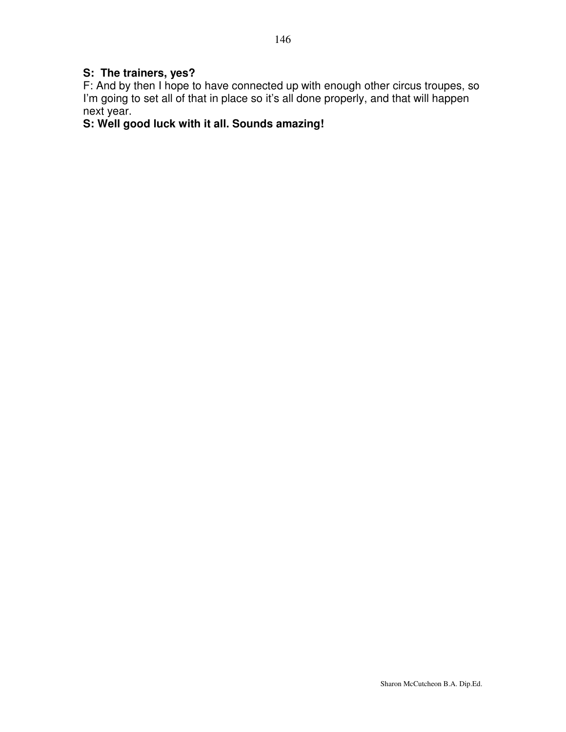## **S: The trainers, yes?**

F: And by then I hope to have connected up with enough other circus troupes, so I'm going to set all of that in place so it's all done properly, and that will happen next year.

# **S: Well good luck with it all. Sounds amazing!**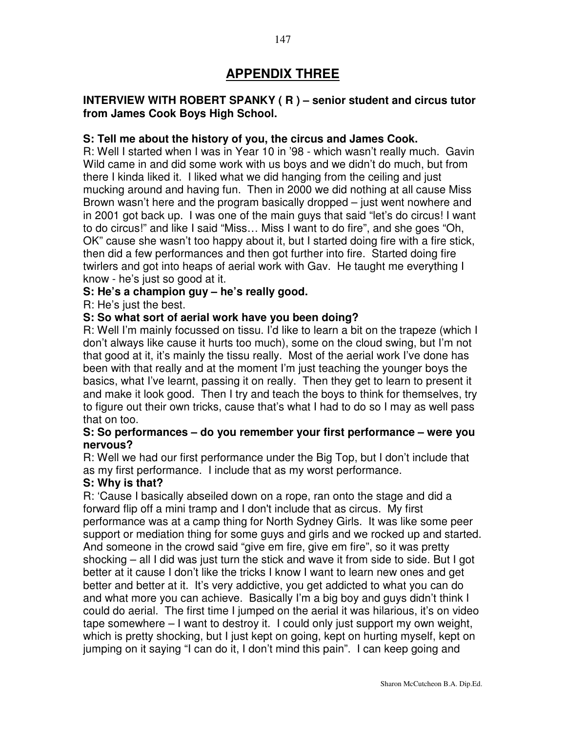# **APPENDIX THREE**

## **INTERVIEW WITH ROBERT SPANKY ( R ) – senior student and circus tutor from James Cook Boys High School.**

#### **S: Tell me about the history of you, the circus and James Cook.**

R: Well I started when I was in Year 10 in '98 - which wasn't really much. Gavin Wild came in and did some work with us boys and we didn't do much, but from there I kinda liked it. I liked what we did hanging from the ceiling and just mucking around and having fun. Then in 2000 we did nothing at all cause Miss Brown wasn't here and the program basically dropped – just went nowhere and in 2001 got back up. I was one of the main guys that said "let's do circus! I want to do circus!" and like I said "Miss… Miss I want to do fire", and she goes "Oh, OK" cause she wasn't too happy about it, but I started doing fire with a fire stick, then did a few performances and then got further into fire. Started doing fire twirlers and got into heaps of aerial work with Gav. He taught me everything I know - he's just so good at it.

#### **S: He's a champion guy – he's really good.**

R: He's just the best.

#### **S: So what sort of aerial work have you been doing?**

R: Well I'm mainly focussed on tissu. I'd like to learn a bit on the trapeze (which I don't always like cause it hurts too much), some on the cloud swing, but I'm not that good at it, it's mainly the tissu really. Most of the aerial work I've done has been with that really and at the moment I'm just teaching the younger boys the basics, what I've learnt, passing it on really. Then they get to learn to present it and make it look good. Then I try and teach the boys to think for themselves, try to figure out their own tricks, cause that's what I had to do so I may as well pass that on too.

#### **S: So performances – do you remember your first performance – were you nervous?**

R: Well we had our first performance under the Big Top, but I don't include that as my first performance. I include that as my worst performance.

#### **S: Why is that?**

R: 'Cause I basically abseiled down on a rope, ran onto the stage and did a forward flip off a mini tramp and I don't include that as circus. My first performance was at a camp thing for North Sydney Girls. It was like some peer support or mediation thing for some guys and girls and we rocked up and started. And someone in the crowd said "give em fire, give em fire", so it was pretty shocking – all I did was just turn the stick and wave it from side to side. But I got better at it cause I don't like the tricks I know I want to learn new ones and get better and better at it. It's very addictive, you get addicted to what you can do and what more you can achieve. Basically I'm a big boy and guys didn't think I could do aerial. The first time I jumped on the aerial it was hilarious, it's on video tape somewhere – I want to destroy it. I could only just support my own weight, which is pretty shocking, but I just kept on going, kept on hurting myself, kept on jumping on it saying "I can do it, I don't mind this pain". I can keep going and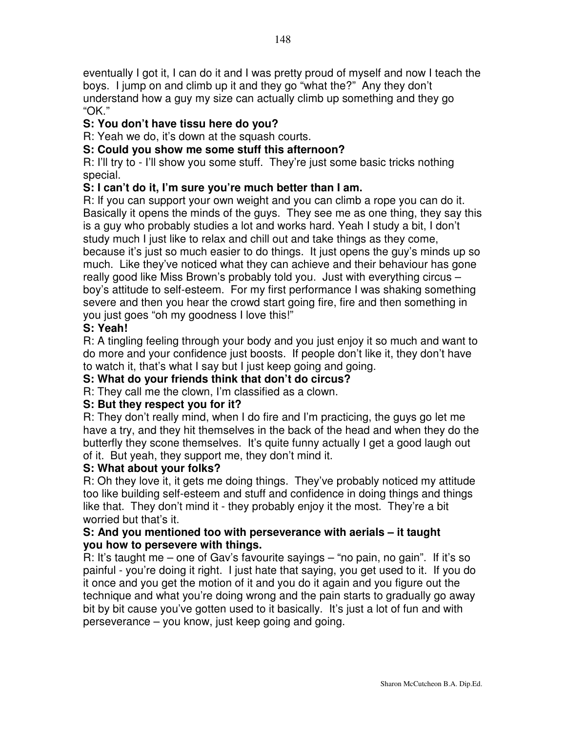eventually I got it, I can do it and I was pretty proud of myself and now I teach the boys. I jump on and climb up it and they go "what the?" Any they don't understand how a guy my size can actually climb up something and they go "OK."

# **S: You don't have tissu here do you?**

R: Yeah we do, it's down at the squash courts.

# **S: Could you show me some stuff this afternoon?**

R: I'll try to - I'll show you some stuff. They're just some basic tricks nothing special.

# **S: I can't do it, I'm sure you're much better than I am.**

R: If you can support your own weight and you can climb a rope you can do it. Basically it opens the minds of the guys. They see me as one thing, they say this is a guy who probably studies a lot and works hard. Yeah I study a bit, I don't study much I just like to relax and chill out and take things as they come, because it's just so much easier to do things. It just opens the guy's minds up so much. Like they've noticed what they can achieve and their behaviour has gone really good like Miss Brown's probably told you. Just with everything circus – boy's attitude to self-esteem. For my first performance I was shaking something severe and then you hear the crowd start going fire, fire and then something in you just goes "oh my goodness I love this!"

# **S: Yeah!**

R: A tingling feeling through your body and you just enjoy it so much and want to do more and your confidence just boosts. If people don't like it, they don't have to watch it, that's what I say but I just keep going and going.

# **S: What do your friends think that don't do circus?**

R: They call me the clown, I'm classified as a clown.

## **S: But they respect you for it?**

R: They don't really mind, when I do fire and I'm practicing, the guys go let me have a try, and they hit themselves in the back of the head and when they do the butterfly they scone themselves. It's quite funny actually I get a good laugh out of it. But yeah, they support me, they don't mind it.

## **S: What about your folks?**

R: Oh they love it, it gets me doing things. They've probably noticed my attitude too like building self-esteem and stuff and confidence in doing things and things like that. They don't mind it - they probably enjoy it the most. They're a bit worried but that's it.

## **S: And you mentioned too with perseverance with aerials – it taught you how to persevere with things.**

R: It's taught me – one of Gav's favourite sayings – "no pain, no gain". If it's so painful - you're doing it right. I just hate that saying, you get used to it. If you do it once and you get the motion of it and you do it again and you figure out the technique and what you're doing wrong and the pain starts to gradually go away bit by bit cause you've gotten used to it basically. It's just a lot of fun and with perseverance – you know, just keep going and going.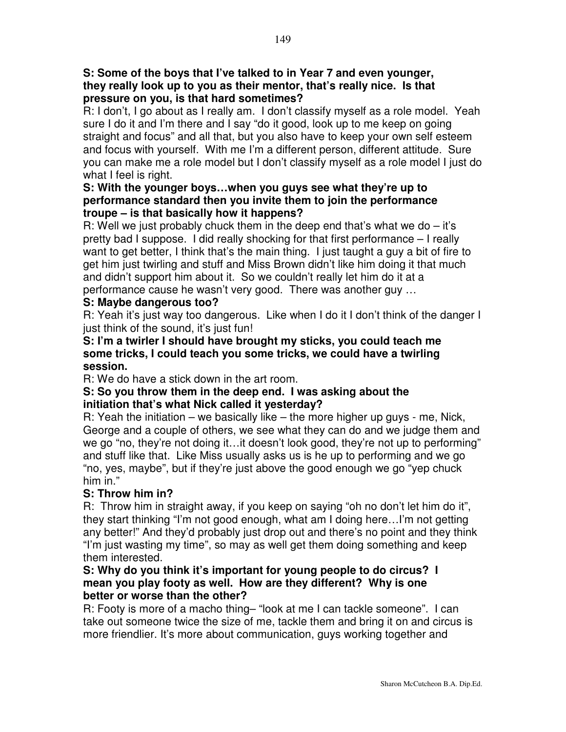## **S: Some of the boys that I've talked to in Year 7 and even younger, they really look up to you as their mentor, that's really nice. Is that pressure on you, is that hard sometimes?**

R: I don't, I go about as I really am. I don't classify myself as a role model. Yeah sure I do it and I'm there and I say "do it good, look up to me keep on going straight and focus" and all that, but you also have to keep your own self esteem and focus with yourself. With me I'm a different person, different attitude. Sure you can make me a role model but I don't classify myself as a role model I just do what I feel is right.

## **S: With the younger boys…when you guys see what they're up to performance standard then you invite them to join the performance troupe – is that basically how it happens?**

R: Well we just probably chuck them in the deep end that's what we do  $-$  it's pretty bad I suppose. I did really shocking for that first performance – I really want to get better, I think that's the main thing. I just taught a guy a bit of fire to get him just twirling and stuff and Miss Brown didn't like him doing it that much and didn't support him about it. So we couldn't really let him do it at a performance cause he wasn't very good. There was another guy …

# **S: Maybe dangerous too?**

R: Yeah it's just way too dangerous. Like when I do it I don't think of the danger I just think of the sound, it's just fun!

#### **S: I'm a twirler I should have brought my sticks, you could teach me some tricks, I could teach you some tricks, we could have a twirling session.**

R: We do have a stick down in the art room.

#### **S: So you throw them in the deep end. I was asking about the initiation that's what Nick called it yesterday?**

R: Yeah the initiation – we basically like – the more higher up guys - me, Nick, George and a couple of others, we see what they can do and we judge them and we go "no, they're not doing it…it doesn't look good, they're not up to performing" and stuff like that. Like Miss usually asks us is he up to performing and we go "no, yes, maybe", but if they're just above the good enough we go "yep chuck him in."

## **S: Throw him in?**

R: Throw him in straight away, if you keep on saying "oh no don't let him do it", they start thinking "I'm not good enough, what am I doing here…I'm not getting any better!" And they'd probably just drop out and there's no point and they think "I'm just wasting my time", so may as well get them doing something and keep them interested.

#### **S: Why do you think it's important for young people to do circus? I mean you play footy as well. How are they different? Why is one better or worse than the other?**

R: Footy is more of a macho thing– "look at me I can tackle someone". I can take out someone twice the size of me, tackle them and bring it on and circus is more friendlier. It's more about communication, guys working together and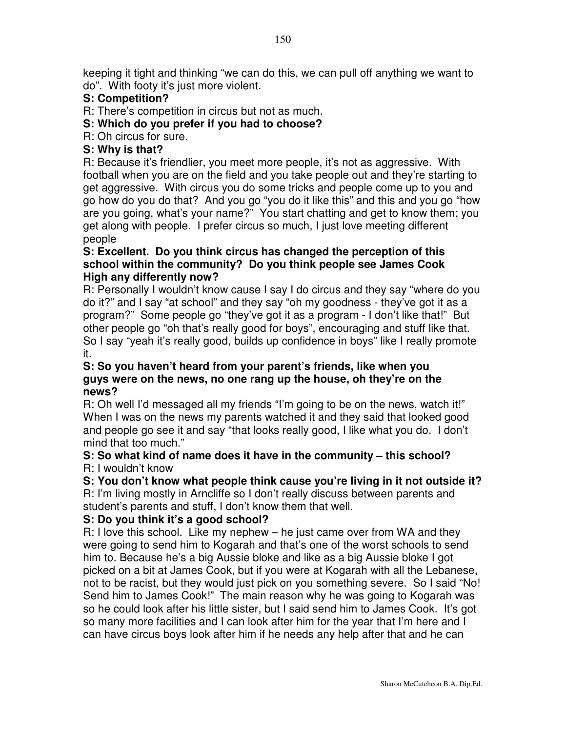keeping it tight and thinking "we can do this, we can pull off anything we want to do". With footy it's just more violent.

## **S: Competition?**

R: There's competition in circus but not as much.

# **S: Which do you prefer if you had to choose?**

R: Oh circus for sure.

## **S: Why is that?**

R: Because it's friendlier, you meet more people, it's not as aggressive. With football when you are on the field and you take people out and they're starting to get aggressive. With circus you do some tricks and people come up to you and go how do you do that? And you go "you do it like this" and this and you go "how are you going, what's your name?" You start chatting and get to know them; you get along with people. I prefer circus so much, I just love meeting different people

## **S: Excellent. Do you think circus has changed the perception of this school within the community? Do you think people see James Cook High any differently now?**

R: Personally I wouldn't know cause I say I do circus and they say "where do you do it?" and I say "at school" and they say "oh my goodness - they've got it as a program?" Some people go "they've got it as a program - I don't like that!" But other people go "oh that's really good for boys", encouraging and stuff like that. So I say "yeah it's really good, builds up confidence in boys" like I really promote it.

## **S: So you haven't heard from your parent's friends, like when you guys were on the news, no one rang up the house, oh they're on the news?**

R: Oh well I'd messaged all my friends "I'm going to be on the news, watch it!" When I was on the news my parents watched it and they said that looked good and people go see it and say "that looks really good, I like what you do. I don't mind that too much."

#### **S: So what kind of name does it have in the community – this school?** R: I wouldn't know

**S: You don't know what people think cause you're living in it not outside it?** R: I'm living mostly in Arncliffe so I don't really discuss between parents and student's parents and stuff, I don't know them that well.

## **S: Do you think it's a good school?**

R: I love this school. Like my nephew – he just came over from WA and they were going to send him to Kogarah and that's one of the worst schools to send him to. Because he's a big Aussie bloke and like as a big Aussie bloke I got picked on a bit at James Cook, but if you were at Kogarah with all the Lebanese, not to be racist, but they would just pick on you something severe. So I said "No! Send him to James Cook!" The main reason why he was going to Kogarah was so he could look after his little sister, but I said send him to James Cook. It's got so many more facilities and I can look after him for the year that I'm here and I can have circus boys look after him if he needs any help after that and he can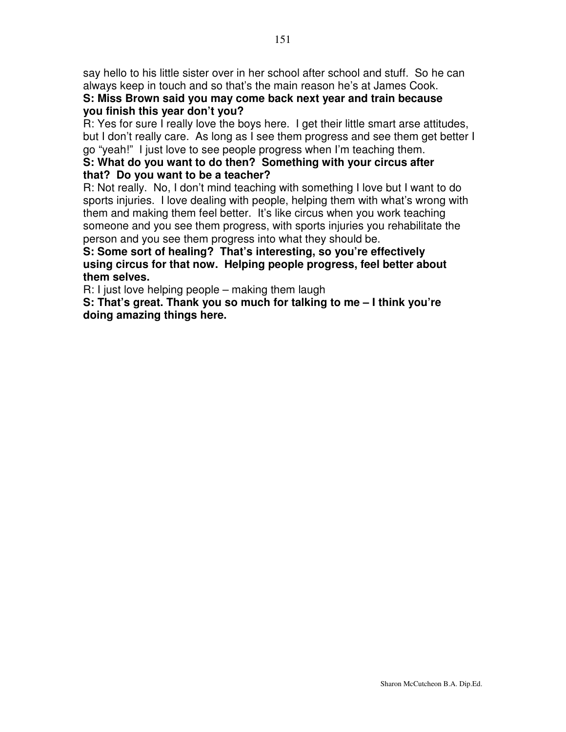say hello to his little sister over in her school after school and stuff. So he can always keep in touch and so that's the main reason he's at James Cook.

## **S: Miss Brown said you may come back next year and train because you finish this year don't you?**

R: Yes for sure I really love the boys here. I get their little smart arse attitudes, but I don't really care. As long as I see them progress and see them get better I go "yeah!" I just love to see people progress when I'm teaching them.

## **S: What do you want to do then? Something with your circus after that? Do you want to be a teacher?**

R: Not really. No, I don't mind teaching with something I love but I want to do sports injuries. I love dealing with people, helping them with what's wrong with them and making them feel better. It's like circus when you work teaching someone and you see them progress, with sports injuries you rehabilitate the person and you see them progress into what they should be.

**S: Some sort of healing? That's interesting, so you're effectively using circus for that now. Helping people progress, feel better about them selves.**

R: I just love helping people – making them laugh

**S: That's great. Thank you so much for talking to me – I think you're doing amazing things here.**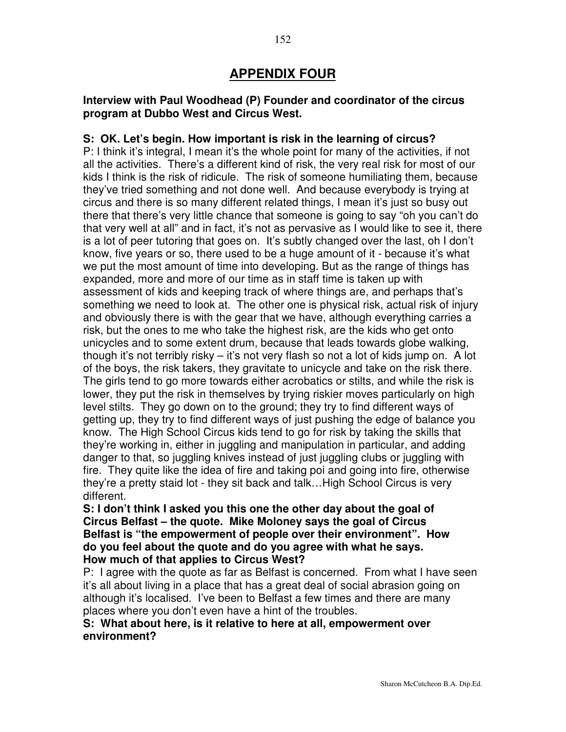## **Interview with Paul Woodhead (P) Founder and coordinator of the circus program at Dubbo West and Circus West.**

## **S: OK. Let's begin. How important is risk in the learning of circus?**

P: I think it's integral, I mean it's the whole point for many of the activities, if not all the activities. There's a different kind of risk, the very real risk for most of our kids I think is the risk of ridicule. The risk of someone humiliating them, because they've tried something and not done well. And because everybody is trying at circus and there is so many different related things, I mean it's just so busy out there that there's very little chance that someone is going to say "oh you can't do that very well at all" and in fact, it's not as pervasive as I would like to see it, there is a lot of peer tutoring that goes on. It's subtly changed over the last, oh I don't know, five years or so, there used to be a huge amount of it - because it's what we put the most amount of time into developing. But as the range of things has expanded, more and more of our time as in staff time is taken up with assessment of kids and keeping track of where things are, and perhaps that's something we need to look at. The other one is physical risk, actual risk of injury and obviously there is with the gear that we have, although everything carries a risk, but the ones to me who take the highest risk, are the kids who get onto unicycles and to some extent drum, because that leads towards globe walking, though it's not terribly risky – it's not very flash so not a lot of kids jump on. A lot of the boys, the risk takers, they gravitate to unicycle and take on the risk there. The girls tend to go more towards either acrobatics or stilts, and while the risk is lower, they put the risk in themselves by trying riskier moves particularly on high level stilts. They go down on to the ground; they try to find different ways of getting up, they try to find different ways of just pushing the edge of balance you know. The High School Circus kids tend to go for risk by taking the skills that they're working in, either in juggling and manipulation in particular, and adding danger to that, so juggling knives instead of just juggling clubs or juggling with fire. They quite like the idea of fire and taking poi and going into fire, otherwise they're a pretty staid lot - they sit back and talk…High School Circus is very different.

**S: I don't think I asked you this one the other day about the goal of Circus Belfast – the quote. Mike Moloney says the goal of Circus Belfast is "the empowerment of people over their environment". How do you feel about the quote and do you agree with what he says. How much of that applies to Circus West?**

P: I agree with the quote as far as Belfast is concerned. From what I have seen it's all about living in a place that has a great deal of social abrasion going on although it's localised. I've been to Belfast a few times and there are many places where you don't even have a hint of the troubles.

#### **S: What about here, is it relative to here at all, empowerment over environment?**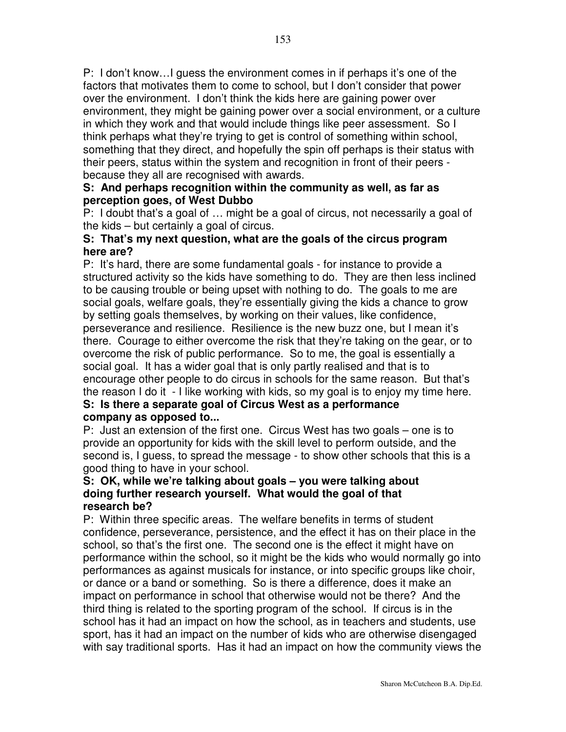P: I don't know…I guess the environment comes in if perhaps it's one of the factors that motivates them to come to school, but I don't consider that power over the environment. I don't think the kids here are gaining power over environment, they might be gaining power over a social environment, or a culture in which they work and that would include things like peer assessment. So I think perhaps what they're trying to get is control of something within school, something that they direct, and hopefully the spin off perhaps is their status with their peers, status within the system and recognition in front of their peers because they all are recognised with awards.

## **S: And perhaps recognition within the community as well, as far as perception goes, of West Dubbo**

P: I doubt that's a goal of … might be a goal of circus, not necessarily a goal of the kids – but certainly a goal of circus.

## **S: That's my next question, what are the goals of the circus program here are?**

P: It's hard, there are some fundamental goals - for instance to provide a structured activity so the kids have something to do. They are then less inclined to be causing trouble or being upset with nothing to do. The goals to me are social goals, welfare goals, they're essentially giving the kids a chance to grow by setting goals themselves, by working on their values, like confidence, perseverance and resilience. Resilience is the new buzz one, but I mean it's there. Courage to either overcome the risk that they're taking on the gear, or to overcome the risk of public performance. So to me, the goal is essentially a social goal. It has a wider goal that is only partly realised and that is to encourage other people to do circus in schools for the same reason. But that's the reason I do it - I like working with kids, so my goal is to enjoy my time here.

## **S: Is there a separate goal of Circus West as a performance company as opposed to...**

P: Just an extension of the first one. Circus West has two goals – one is to provide an opportunity for kids with the skill level to perform outside, and the second is, I guess, to spread the message - to show other schools that this is a good thing to have in your school.

## **S: OK, while we're talking about goals – you were talking about doing further research yourself. What would the goal of that research be?**

P: Within three specific areas. The welfare benefits in terms of student confidence, perseverance, persistence, and the effect it has on their place in the school, so that's the first one. The second one is the effect it might have on performance within the school, so it might be the kids who would normally go into performances as against musicals for instance, or into specific groups like choir, or dance or a band or something. So is there a difference, does it make an impact on performance in school that otherwise would not be there? And the third thing is related to the sporting program of the school. If circus is in the school has it had an impact on how the school, as in teachers and students, use sport, has it had an impact on the number of kids who are otherwise disengaged with say traditional sports. Has it had an impact on how the community views the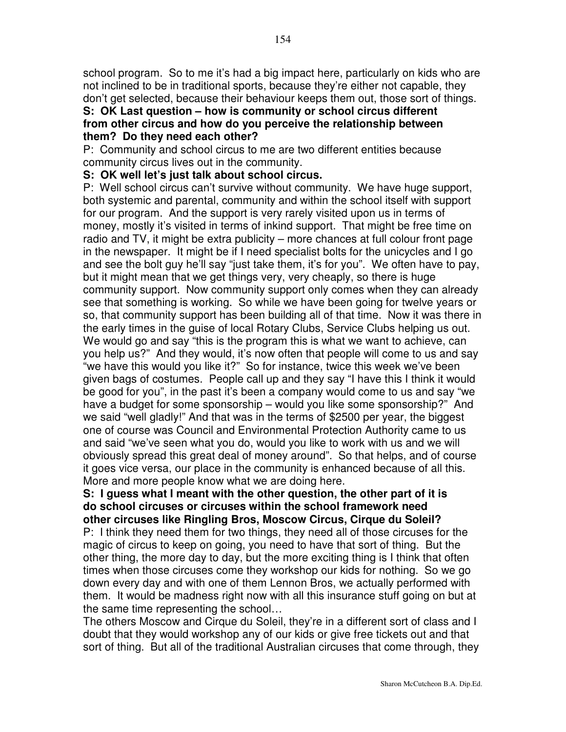school program. So to me it's had a big impact here, particularly on kids who are not inclined to be in traditional sports, because they're either not capable, they don't get selected, because their behaviour keeps them out, those sort of things.

#### **S: OK Last question – how is community or school circus different from other circus and how do you perceive the relationship between them? Do they need each other?**

P: Community and school circus to me are two different entities because community circus lives out in the community.

## **S: OK well let's just talk about school circus.**

P: Well school circus can't survive without community. We have huge support, both systemic and parental, community and within the school itself with support for our program. And the support is very rarely visited upon us in terms of money, mostly it's visited in terms of inkind support. That might be free time on radio and TV, it might be extra publicity – more chances at full colour front page in the newspaper. It might be if I need specialist bolts for the unicycles and I go and see the bolt guy he'll say "just take them, it's for you". We often have to pay, but it might mean that we get things very, very cheaply, so there is huge community support. Now community support only comes when they can already see that something is working. So while we have been going for twelve years or so, that community support has been building all of that time. Now it was there in the early times in the guise of local Rotary Clubs, Service Clubs helping us out. We would go and say "this is the program this is what we want to achieve, can you help us?" And they would, it's now often that people will come to us and say "we have this would you like it?" So for instance, twice this week we've been given bags of costumes. People call up and they say "I have this I think it would be good for you", in the past it's been a company would come to us and say "we have a budget for some sponsorship – would you like some sponsorship?" And we said "well gladly!" And that was in the terms of \$2500 per year, the biggest one of course was Council and Environmental Protection Authority came to us and said "we've seen what you do, would you like to work with us and we will obviously spread this great deal of money around". So that helps, and of course it goes vice versa, our place in the community is enhanced because of all this. More and more people know what we are doing here.

## **S: I guess what I meant with the other question, the other part of it is do school circuses or circuses within the school framework need other circuses like Ringling Bros, Moscow Circus, Cirque du Soleil?**

P: I think they need them for two things, they need all of those circuses for the magic of circus to keep on going, you need to have that sort of thing. But the other thing, the more day to day, but the more exciting thing is I think that often times when those circuses come they workshop our kids for nothing. So we go down every day and with one of them Lennon Bros, we actually performed with them. It would be madness right now with all this insurance stuff going on but at the same time representing the school…

The others Moscow and Cirque du Soleil, they're in a different sort of class and I doubt that they would workshop any of our kids or give free tickets out and that sort of thing. But all of the traditional Australian circuses that come through, they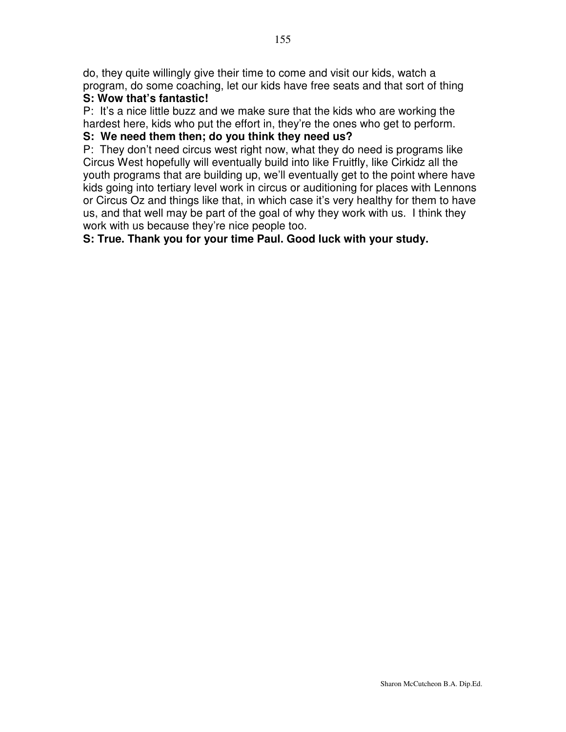do, they quite willingly give their time to come and visit our kids, watch a program, do some coaching, let our kids have free seats and that sort of thing

## **S: Wow that's fantastic!**

P: It's a nice little buzz and we make sure that the kids who are working the hardest here, kids who put the effort in, they're the ones who get to perform.

## **S: We need them then; do you think they need us?**

P: They don't need circus west right now, what they do need is programs like Circus West hopefully will eventually build into like Fruitfly, like Cirkidz all the youth programs that are building up, we'll eventually get to the point where have kids going into tertiary level work in circus or auditioning for places with Lennons or Circus Oz and things like that, in which case it's very healthy for them to have us, and that well may be part of the goal of why they work with us. I think they work with us because they're nice people too.

## **S: True. Thank you for your time Paul. Good luck with your study.**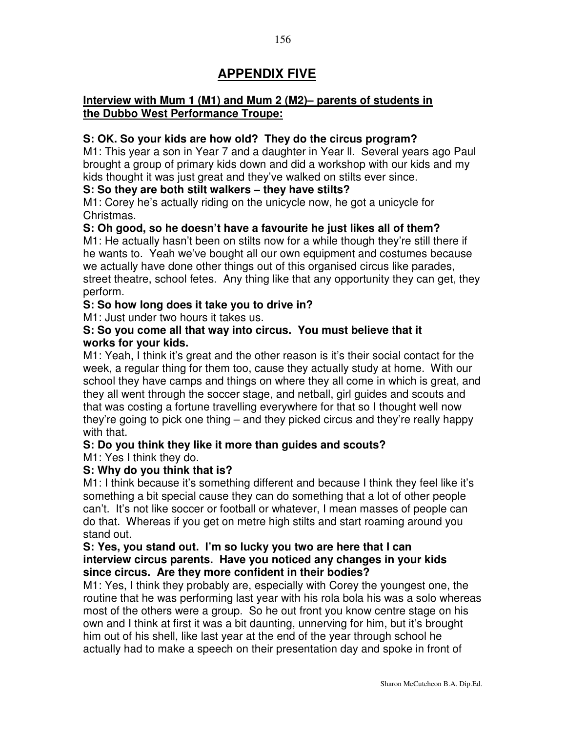# **APPENDIX FIVE**

## **Interview with Mum 1 (M1) and Mum 2 (M2)– parents of students in the Dubbo West Performance Troupe:**

## **S: OK. So your kids are how old? They do the circus program?**

M1: This year a son in Year 7 and a daughter in Year ll. Several years ago Paul brought a group of primary kids down and did a workshop with our kids and my kids thought it was just great and they've walked on stilts ever since.

#### **S: So they are both stilt walkers – they have stilts?**

M1: Corey he's actually riding on the unicycle now, he got a unicycle for Christmas.

#### **S: Oh good, so he doesn't have a favourite he just likes all of them?**

M1: He actually hasn't been on stilts now for a while though they're still there if he wants to. Yeah we've bought all our own equipment and costumes because we actually have done other things out of this organised circus like parades, street theatre, school fetes. Any thing like that any opportunity they can get, they perform.

## **S: So how long does it take you to drive in?**

M1: Just under two hours it takes us.

#### **S: So you come all that way into circus. You must believe that it works for your kids.**

M1: Yeah, I think it's great and the other reason is it's their social contact for the week, a regular thing for them too, cause they actually study at home. With our school they have camps and things on where they all come in which is great, and they all went through the soccer stage, and netball, girl guides and scouts and that was costing a fortune travelling everywhere for that so I thought well now they're going to pick one thing – and they picked circus and they're really happy with that.

# **S: Do you think they like it more than guides and scouts?**

M1: Yes I think they do.

#### **S: Why do you think that is?**

M1: I think because it's something different and because I think they feel like it's something a bit special cause they can do something that a lot of other people can't. It's not like soccer or football or whatever, I mean masses of people can do that. Whereas if you get on metre high stilts and start roaming around you stand out.

#### **S: Yes, you stand out. I'm so lucky you two are here that I can interview circus parents. Have you noticed any changes in your kids since circus. Are they more confident in their bodies?**

M1: Yes, I think they probably are, especially with Corey the youngest one, the routine that he was performing last year with his rola bola his was a solo whereas most of the others were a group. So he out front you know centre stage on his own and I think at first it was a bit daunting, unnerving for him, but it's brought him out of his shell, like last year at the end of the year through school he actually had to make a speech on their presentation day and spoke in front of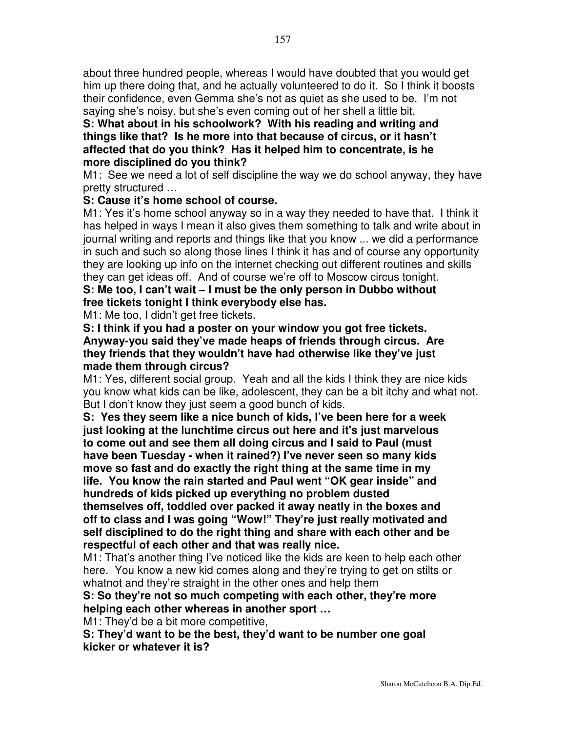about three hundred people, whereas I would have doubted that you would get him up there doing that, and he actually volunteered to do it. So I think it boosts their confidence, even Gemma she's not as quiet as she used to be. I'm not saying she's noisy, but she's even coming out of her shell a little bit.

**S: What about in his schoolwork? With his reading and writing and things like that? Is he more into that because of circus, or it hasn't affected that do you think? Has it helped him to concentrate, is he more disciplined do you think?**

M1: See we need a lot of self discipline the way we do school anyway, they have pretty structured …

## **S: Cause it's home school of course.**

M1: Yes it's home school anyway so in a way they needed to have that. I think it has helped in ways I mean it also gives them something to talk and write about in journal writing and reports and things like that you know ... we did a performance in such and such so along those lines I think it has and of course any opportunity they are looking up info on the internet checking out different routines and skills they can get ideas off. And of course we're off to Moscow circus tonight.

**S: Me too, I can't wait – I must be the only person in Dubbo without free tickets tonight I think everybody else has.**

M1: Me too, I didn't get free tickets.

**S: I think if you had a poster on your window you got free tickets. Anyway-you said they've made heaps of friends through circus. Are they friends that they wouldn't have had otherwise like they've just made them through circus?**

M1: Yes, different social group. Yeah and all the kids I think they are nice kids you know what kids can be like, adolescent, they can be a bit itchy and what not. But I don't know they just seem a good bunch of kids.

**S: Yes they seem like a nice bunch of kids, I've been here for a week just looking at the lunchtime circus out here and it's just marvelous to come out and see them all doing circus and I said to Paul (must have been Tuesday - when it rained?) I've never seen so many kids move so fast and do exactly the right thing at the same time in my life. You know the rain started and Paul went "OK gear inside" and hundreds of kids picked up everything no problem dusted themselves off, toddled over packed it away neatly in the boxes and off to class and I was going "Wow!" They're just really motivated and**

**self disciplined to do the right thing and share with each other and be respectful of each other and that was really nice.**

M1: That's another thing I've noticed like the kids are keen to help each other here. You know a new kid comes along and they're trying to get on stilts or whatnot and they're straight in the other ones and help them

#### **S: So they're not so much competing with each other, they're more helping each other whereas in another sport …**

M1: They'd be a bit more competitive,

**S: They'd want to be the best, they'd want to be number one goal kicker or whatever it is?**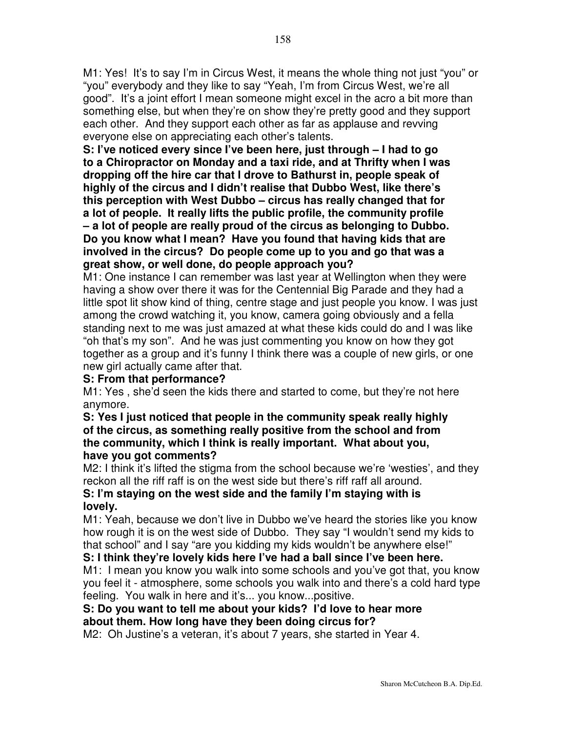M1: Yes! It's to say I'm in Circus West, it means the whole thing not just "you" or "you" everybody and they like to say "Yeah, I'm from Circus West, we're all good". It's a joint effort I mean someone might excel in the acro a bit more than something else, but when they're on show they're pretty good and they support each other. And they support each other as far as applause and revving everyone else on appreciating each other's talents.

**S: I've noticed every since I've been here, just through – I had to go to a Chiropractor on Monday and a taxi ride, and at Thrifty when I was dropping off the hire car that I drove to Bathurst in, people speak of highly of the circus and I didn't realise that Dubbo West, like there's this perception with West Dubbo – circus has really changed that for a lot of people. It really lifts the public profile, the community profile – a lot of people are really proud of the circus as belonging to Dubbo. Do you know what I mean? Have you found that having kids that are involved in the circus? Do people come up to you and go that was a great show, or well done, do people approach you?**

M1: One instance I can remember was last year at Wellington when they were having a show over there it was for the Centennial Big Parade and they had a little spot lit show kind of thing, centre stage and just people you know. I was just among the crowd watching it, you know, camera going obviously and a fella standing next to me was just amazed at what these kids could do and I was like "oh that's my son". And he was just commenting you know on how they got together as a group and it's funny I think there was a couple of new girls, or one new girl actually came after that.

#### **S: From that performance?**

M1: Yes , she'd seen the kids there and started to come, but they're not here anymore.

#### **S: Yes I just noticed that people in the community speak really highly of the circus, as something really positive from the school and from the community, which I think is really important. What about you, have you got comments?**

M2: I think it's lifted the stigma from the school because we're 'westies', and they reckon all the riff raff is on the west side but there's riff raff all around.

## **S: I'm staying on the west side and the family I'm staying with is lovely.**

M1: Yeah, because we don't live in Dubbo we've heard the stories like you know how rough it is on the west side of Dubbo. They say "I wouldn't send my kids to that school" and I say "are you kidding my kids wouldn't be anywhere else!"

## **S: I think they're lovely kids here I've had a ball since I've been here.**

M1: I mean you know you walk into some schools and you've got that, you know you feel it - atmosphere, some schools you walk into and there's a cold hard type feeling. You walk in here and it's... you know...positive.

## **S: Do you want to tell me about your kids? I'd love to hear more about them. How long have they been doing circus for?**

M2: Oh Justine's a veteran, it's about 7 years, she started in Year 4.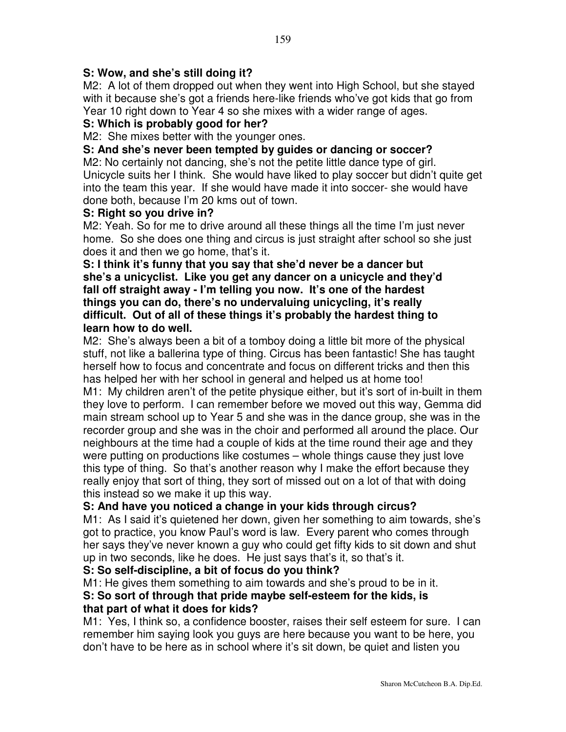## **S: Wow, and she's still doing it?**

M2: A lot of them dropped out when they went into High School, but she stayed with it because she's got a friends here-like friends who've got kids that go from Year 10 right down to Year 4 so she mixes with a wider range of ages.

## **S: Which is probably good for her?**

M2: She mixes better with the younger ones.

#### **S: And she's never been tempted by guides or dancing or soccer?**

M2: No certainly not dancing, she's not the petite little dance type of girl. Unicycle suits her I think. She would have liked to play soccer but didn't quite get into the team this year. If she would have made it into soccer- she would have done both, because I'm 20 kms out of town.

#### **S: Right so you drive in?**

M2: Yeah. So for me to drive around all these things all the time I'm just never home. So she does one thing and circus is just straight after school so she just does it and then we go home, that's it.

#### **S: I think it's funny that you say that she'd never be a dancer but she's a unicyclist. Like you get any dancer on a unicycle and they'd fall off straight away - I'm telling you now. It's one of the hardest things you can do, there's no undervaluing unicycling, it's really difficult. Out of all of these things it's probably the hardest thing to learn how to do well.**

M2: She's always been a bit of a tomboy doing a little bit more of the physical stuff, not like a ballerina type of thing. Circus has been fantastic! She has taught herself how to focus and concentrate and focus on different tricks and then this has helped her with her school in general and helped us at home too!

M1: My children aren't of the petite physique either, but it's sort of in-built in them they love to perform. I can remember before we moved out this way, Gemma did main stream school up to Year 5 and she was in the dance group, she was in the recorder group and she was in the choir and performed all around the place. Our neighbours at the time had a couple of kids at the time round their age and they were putting on productions like costumes – whole things cause they just love this type of thing. So that's another reason why I make the effort because they really enjoy that sort of thing, they sort of missed out on a lot of that with doing this instead so we make it up this way.

#### **S: And have you noticed a change in your kids through circus?**

M1: As I said it's quietened her down, given her something to aim towards, she's got to practice, you know Paul's word is law. Every parent who comes through her says they've never known a guy who could get fifty kids to sit down and shut up in two seconds, like he does. He just says that's it, so that's it.

#### **S: So self-discipline, a bit of focus do you think?**

M1: He gives them something to aim towards and she's proud to be in it. **S: So sort of through that pride maybe self-esteem for the kids, is**

#### **that part of what it does for kids?**

M1: Yes, I think so, a confidence booster, raises their self esteem for sure. I can remember him saying look you guys are here because you want to be here, you don't have to be here as in school where it's sit down, be quiet and listen you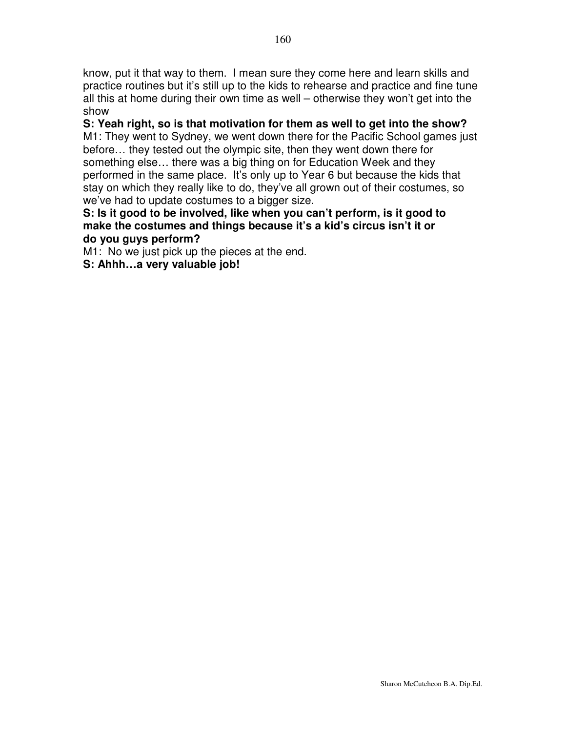know, put it that way to them. I mean sure they come here and learn skills and practice routines but it's still up to the kids to rehearse and practice and fine tune all this at home during their own time as well – otherwise they won't get into the show

# **S: Yeah right, so is that motivation for them as well to get into the show?**

M1: They went to Sydney, we went down there for the Pacific School games just before… they tested out the olympic site, then they went down there for something else… there was a big thing on for Education Week and they performed in the same place. It's only up to Year 6 but because the kids that stay on which they really like to do, they've all grown out of their costumes, so we've had to update costumes to a bigger size.

## **S: Is it good to be involved, like when you can't perform, is it good to make the costumes and things because it's a kid's circus isn't it or do you guys perform?**

M1: No we just pick up the pieces at the end.

**S: Ahhh…a very valuable job!**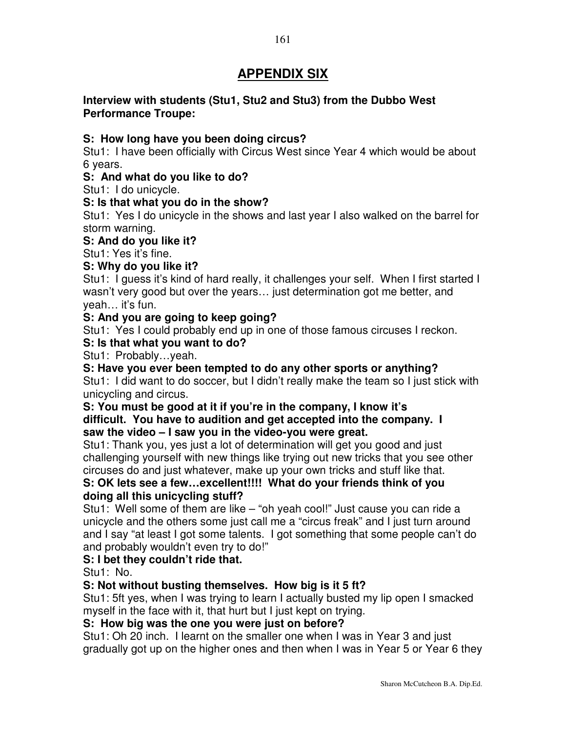# **APPENDIX SIX**

## **Interview with students (Stu1, Stu2 and Stu3) from the Dubbo West Performance Troupe:**

## **S: How long have you been doing circus?**

Stu1: I have been officially with Circus West since Year 4 which would be about 6 years.

## **S: And what do you like to do?**

Stu1: I do unicycle.

## **S: Is that what you do in the show?**

Stu1: Yes I do unicycle in the shows and last year I also walked on the barrel for storm warning.

**S: And do you like it?**

Stu1: Yes it's fine.

## **S: Why do you like it?**

Stu1: I guess it's kind of hard really, it challenges your self. When I first started I wasn't very good but over the years… just determination got me better, and yeah… it's fun.

## **S: And you are going to keep going?**

Stu1: Yes I could probably end up in one of those famous circuses I reckon.

## **S: Is that what you want to do?**

Stu1: Probably…yeah.

#### **S: Have you ever been tempted to do any other sports or anything?** Stu1: I did want to do soccer, but I didn't really make the team so I just stick with unicycling and circus.

## **S: You must be good at it if you're in the company, I know it's difficult. You have to audition and get accepted into the company. I saw the video – I saw you in the video-you were great.**

Stu1: Thank you, yes just a lot of determination will get you good and just challenging yourself with new things like trying out new tricks that you see other circuses do and just whatever, make up your own tricks and stuff like that.

# **S: OK lets see a few…excellent!!!! What do your friends think of you doing all this unicycling stuff?**

Stu1: Well some of them are like – "oh yeah cool!" Just cause you can ride a unicycle and the others some just call me a "circus freak" and I just turn around and I say "at least I got some talents. I got something that some people can't do and probably wouldn't even try to do!"

## **S: I bet they couldn't ride that.**

Stu1: No.

## **S: Not without busting themselves. How big is it 5 ft?**

Stu1: 5ft yes, when I was trying to learn I actually busted my lip open I smacked myself in the face with it, that hurt but I just kept on trying.

#### **S: How big was the one you were just on before?**

Stu1: Oh 20 inch. I learnt on the smaller one when I was in Year 3 and just gradually got up on the higher ones and then when I was in Year 5 or Year 6 they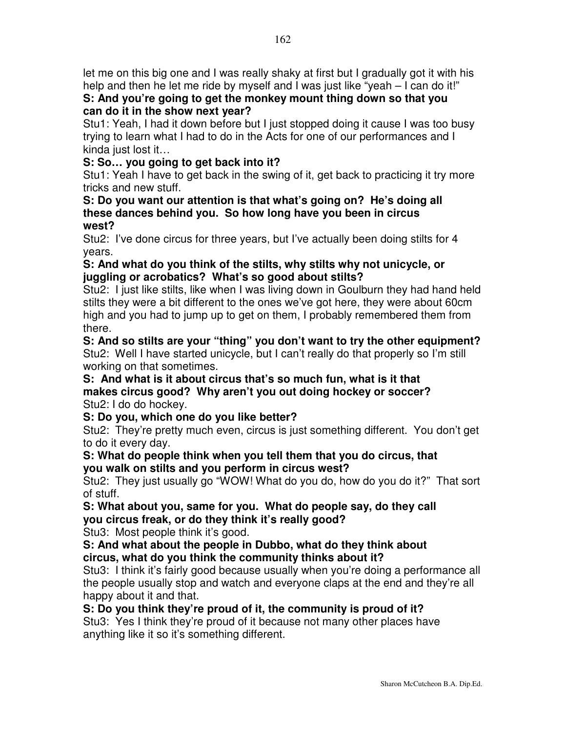let me on this big one and I was really shaky at first but I gradually got it with his help and then he let me ride by myself and I was just like "yeah – I can do it!"

# **S: And you're going to get the monkey mount thing down so that you can do it in the show next year?**

Stu1: Yeah, I had it down before but I just stopped doing it cause I was too busy trying to learn what I had to do in the Acts for one of our performances and I kinda just lost it…

# **S: So… you going to get back into it?**

Stu1: Yeah I have to get back in the swing of it, get back to practicing it try more tricks and new stuff.

#### **S: Do you want our attention is that what's going on? He's doing all these dances behind you. So how long have you been in circus west?**

Stu2: I've done circus for three years, but I've actually been doing stilts for 4 years.

## **S: And what do you think of the stilts, why stilts why not unicycle, or juggling or acrobatics? What's so good about stilts?**

Stu2: I just like stilts, like when I was living down in Goulburn they had hand held stilts they were a bit different to the ones we've got here, they were about 60cm high and you had to jump up to get on them, I probably remembered them from there.

**S: And so stilts are your "thing" you don't want to try the other equipment?** Stu2: Well I have started unicycle, but I can't really do that properly so I'm still working on that sometimes.

#### **S: And what is it about circus that's so much fun, what is it that makes circus good? Why aren't you out doing hockey or soccer?** Stu2: I do do hockey.

# **S: Do you, which one do you like better?**

Stu2: They're pretty much even, circus is just something different. You don't get to do it every day.

## **S: What do people think when you tell them that you do circus, that you walk on stilts and you perform in circus west?**

Stu2: They just usually go "WOW! What do you do, how do you do it?" That sort of stuff.

# **S: What about you, same for you. What do people say, do they call you circus freak, or do they think it's really good?**

Stu3: Most people think it's good.

# **S: And what about the people in Dubbo, what do they think about circus, what do you think the community thinks about it?**

Stu3: I think it's fairly good because usually when you're doing a performance all the people usually stop and watch and everyone claps at the end and they're all happy about it and that.

# **S: Do you think they're proud of it, the community is proud of it?**

Stu3: Yes I think they're proud of it because not many other places have anything like it so it's something different.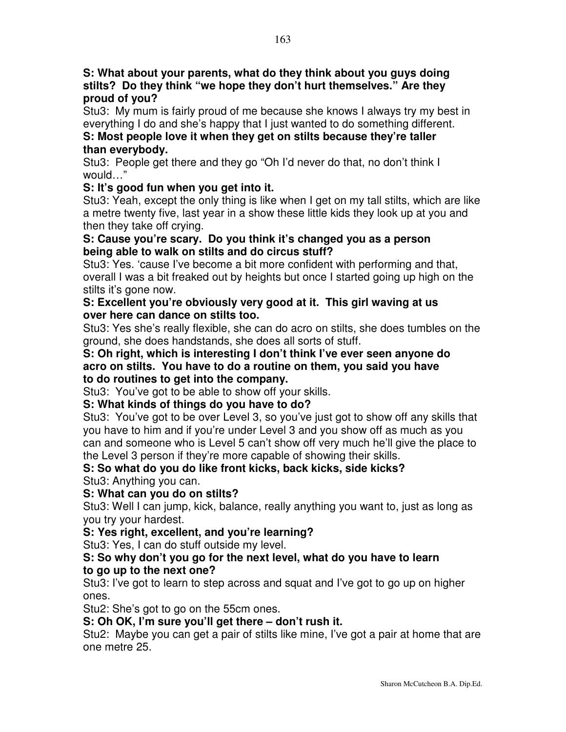**S: What about your parents, what do they think about you guys doing stilts? Do they think "we hope they don't hurt themselves." Are they proud of you?**

Stu3: My mum is fairly proud of me because she knows I always try my best in everything I do and she's happy that I just wanted to do something different.

# **S: Most people love it when they get on stilts because they're taller than everybody.**

Stu3: People get there and they go "Oh I'd never do that, no don't think I would…"

# **S: It's good fun when you get into it.**

Stu3: Yeah, except the only thing is like when I get on my tall stilts, which are like a metre twenty five, last year in a show these little kids they look up at you and then they take off crying.

## **S: Cause you're scary. Do you think it's changed you as a person being able to walk on stilts and do circus stuff?**

Stu3: Yes. 'cause I've become a bit more confident with performing and that, overall I was a bit freaked out by heights but once I started going up high on the stilts it's gone now.

## **S: Excellent you're obviously very good at it. This girl waving at us over here can dance on stilts too.**

Stu3: Yes she's really flexible, she can do acro on stilts, she does tumbles on the ground, she does handstands, she does all sorts of stuff.

#### **S: Oh right, which is interesting I don't think I've ever seen anyone do acro on stilts. You have to do a routine on them, you said you have to do routines to get into the company.**

Stu3: You've got to be able to show off your skills.

# **S: What kinds of things do you have to do?**

Stu3: You've got to be over Level 3, so you've just got to show off any skills that you have to him and if you're under Level 3 and you show off as much as you can and someone who is Level 5 can't show off very much he'll give the place to the Level 3 person if they're more capable of showing their skills.

# **S: So what do you do like front kicks, back kicks, side kicks?**

Stu3: Anything you can.

# **S: What can you do on stilts?**

Stu3: Well I can jump, kick, balance, really anything you want to, just as long as you try your hardest.

# **S: Yes right, excellent, and you're learning?**

Stu3: Yes, I can do stuff outside my level.

## **S: So why don't you go for the next level, what do you have to learn to go up to the next one?**

Stu3: I've got to learn to step across and squat and I've got to go up on higher ones.

Stu2: She's got to go on the 55cm ones.

# **S: Oh OK, I'm sure you'll get there – don't rush it.**

Stu2: Maybe you can get a pair of stilts like mine, I've got a pair at home that are one metre 25.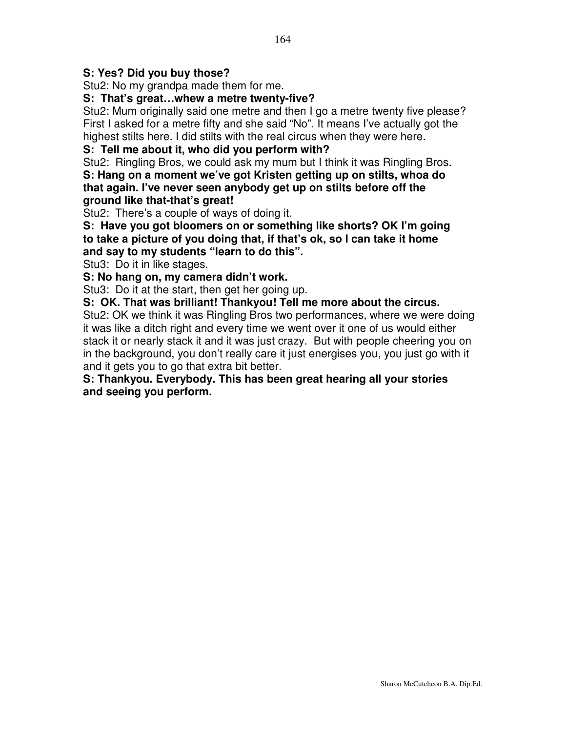## **S: Yes? Did you buy those?**

Stu2: No my grandpa made them for me.

#### **S: That's great…whew a metre twenty-five?**

Stu2: Mum originally said one metre and then I go a metre twenty five please? First I asked for a metre fifty and she said "No". It means I've actually got the highest stilts here. I did stilts with the real circus when they were here.

## **S: Tell me about it, who did you perform with?**

Stu2: Ringling Bros, we could ask my mum but I think it was Ringling Bros. **S: Hang on a moment we've got Kristen getting up on stilts, whoa do that again. I've never seen anybody get up on stilts before off the ground like that-that's great!**

Stu2: There's a couple of ways of doing it.

**S: Have you got bloomers on or something like shorts? OK I'm going to take a picture of you doing that, if that's ok, so I can take it home and say to my students "learn to do this".**

Stu3: Do it in like stages.

**S: No hang on, my camera didn't work.**

Stu3: Do it at the start, then get her going up.

**S: OK. That was brilliant! Thankyou! Tell me more about the circus.**

Stu2: OK we think it was Ringling Bros two performances, where we were doing it was like a ditch right and every time we went over it one of us would either stack it or nearly stack it and it was just crazy. But with people cheering you on in the background, you don't really care it just energises you, you just go with it and it gets you to go that extra bit better.

**S: Thankyou. Everybody. This has been great hearing all your stories and seeing you perform.**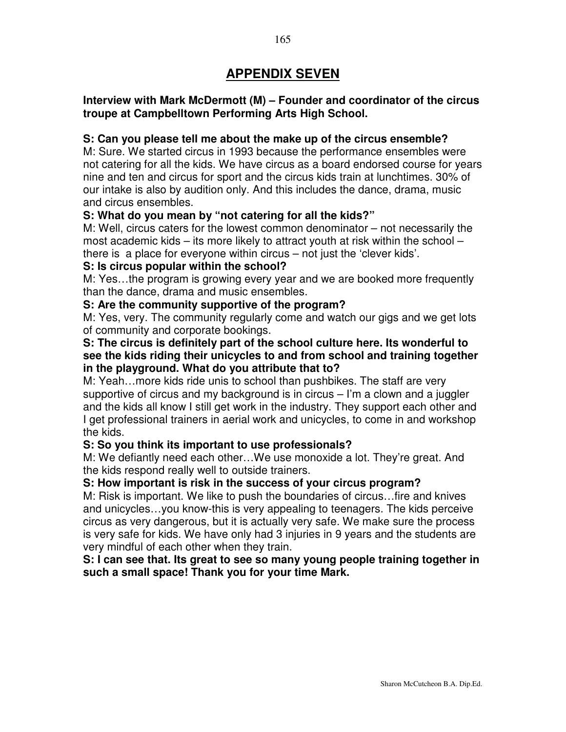# **APPENDIX SEVEN**

#### **Interview with Mark McDermott (M) – Founder and coordinator of the circus troupe at Campbelltown Performing Arts High School.**

#### **S: Can you please tell me about the make up of the circus ensemble?**

M: Sure. We started circus in 1993 because the performance ensembles were not catering for all the kids. We have circus as a board endorsed course for years nine and ten and circus for sport and the circus kids train at lunchtimes. 30% of our intake is also by audition only. And this includes the dance, drama, music and circus ensembles.

#### **S: What do you mean by "not catering for all the kids?"**

M: Well, circus caters for the lowest common denominator – not necessarily the most academic kids – its more likely to attract youth at risk within the school – there is a place for everyone within circus – not just the 'clever kids'.

#### **S: Is circus popular within the school?**

M: Yes…the program is growing every year and we are booked more frequently than the dance, drama and music ensembles.

#### **S: Are the community supportive of the program?**

M: Yes, very. The community regularly come and watch our gigs and we get lots of community and corporate bookings.

#### **S: The circus is definitely part of the school culture here. Its wonderful to see the kids riding their unicycles to and from school and training together in the playground. What do you attribute that to?**

M: Yeah…more kids ride unis to school than pushbikes. The staff are very supportive of circus and my background is in circus – I'm a clown and a juggler and the kids all know I still get work in the industry. They support each other and I get professional trainers in aerial work and unicycles, to come in and workshop the kids.

#### **S: So you think its important to use professionals?**

M: We defiantly need each other…We use monoxide a lot. They're great. And the kids respond really well to outside trainers.

#### **S: How important is risk in the success of your circus program?**

M: Risk is important. We like to push the boundaries of circus…fire and knives and unicycles…you know-this is very appealing to teenagers. The kids perceive circus as very dangerous, but it is actually very safe. We make sure the process is very safe for kids. We have only had 3 injuries in 9 years and the students are very mindful of each other when they train.

#### **S: I can see that. Its great to see so many young people training together in such a small space! Thank you for your time Mark.**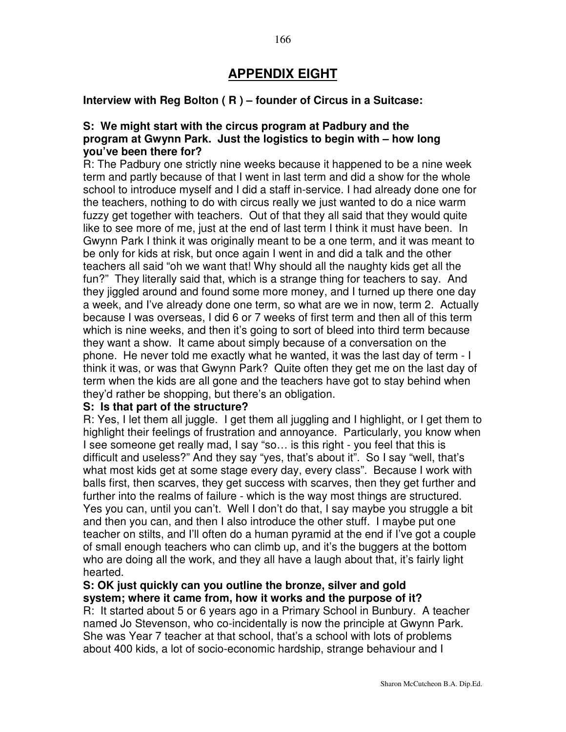# **APPENDIX EIGHT**

#### **Interview with Reg Bolton ( R ) – founder of Circus in a Suitcase:**

#### **S: We might start with the circus program at Padbury and the program at Gwynn Park. Just the logistics to begin with – how long you've been there for?**

R: The Padbury one strictly nine weeks because it happened to be a nine week term and partly because of that I went in last term and did a show for the whole school to introduce myself and I did a staff in-service. I had already done one for the teachers, nothing to do with circus really we just wanted to do a nice warm fuzzy get together with teachers. Out of that they all said that they would quite like to see more of me, just at the end of last term I think it must have been. In Gwynn Park I think it was originally meant to be a one term, and it was meant to be only for kids at risk, but once again I went in and did a talk and the other teachers all said "oh we want that! Why should all the naughty kids get all the fun?" They literally said that, which is a strange thing for teachers to say. And they jiggled around and found some more money, and I turned up there one day a week, and I've already done one term, so what are we in now, term 2. Actually because I was overseas, I did 6 or 7 weeks of first term and then all of this term which is nine weeks, and then it's going to sort of bleed into third term because they want a show. It came about simply because of a conversation on the phone. He never told me exactly what he wanted, it was the last day of term - I think it was, or was that Gwynn Park? Quite often they get me on the last day of term when the kids are all gone and the teachers have got to stay behind when they'd rather be shopping, but there's an obligation.

#### **S: Is that part of the structure?**

R: Yes, I let them all juggle. I get them all juggling and I highlight, or I get them to highlight their feelings of frustration and annoyance. Particularly, you know when I see someone get really mad, I say "so… is this right - you feel that this is difficult and useless?" And they say "yes, that's about it". So I say "well, that's what most kids get at some stage every day, every class". Because I work with balls first, then scarves, they get success with scarves, then they get further and further into the realms of failure - which is the way most things are structured. Yes you can, until you can't. Well I don't do that, I say maybe you struggle a bit and then you can, and then I also introduce the other stuff. I maybe put one teacher on stilts, and I'll often do a human pyramid at the end if I've got a couple of small enough teachers who can climb up, and it's the buggers at the bottom who are doing all the work, and they all have a laugh about that, it's fairly light hearted.

## **S: OK just quickly can you outline the bronze, silver and gold system; where it came from, how it works and the purpose of it?**

R: It started about 5 or 6 years ago in a Primary School in Bunbury. A teacher named Jo Stevenson, who co-incidentally is now the principle at Gwynn Park. She was Year 7 teacher at that school, that's a school with lots of problems about 400 kids, a lot of socio-economic hardship, strange behaviour and I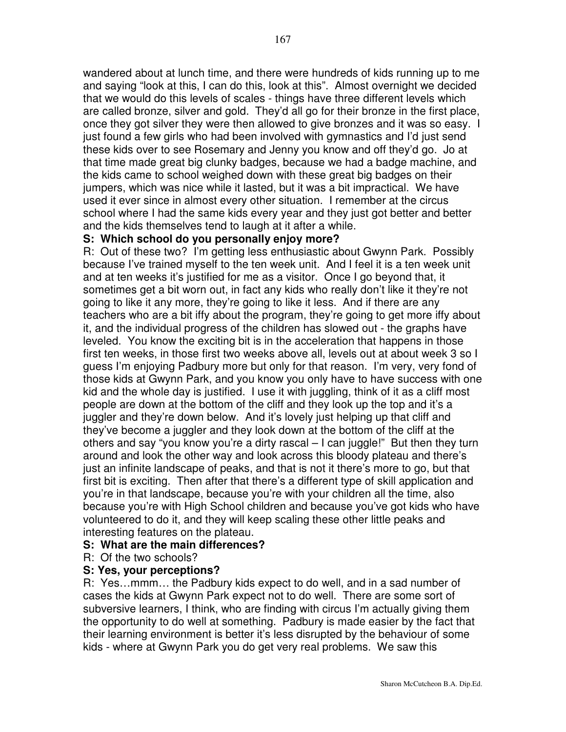wandered about at lunch time, and there were hundreds of kids running up to me and saying "look at this, I can do this, look at this". Almost overnight we decided that we would do this levels of scales - things have three different levels which are called bronze, silver and gold. They'd all go for their bronze in the first place, once they got silver they were then allowed to give bronzes and it was so easy. I just found a few girls who had been involved with gymnastics and I'd just send these kids over to see Rosemary and Jenny you know and off they'd go. Jo at that time made great big clunky badges, because we had a badge machine, and the kids came to school weighed down with these great big badges on their jumpers, which was nice while it lasted, but it was a bit impractical. We have used it ever since in almost every other situation. I remember at the circus school where I had the same kids every year and they just got better and better and the kids themselves tend to laugh at it after a while.

#### **S: Which school do you personally enjoy more?**

R: Out of these two? I'm getting less enthusiastic about Gwynn Park. Possibly because I've trained myself to the ten week unit. And I feel it is a ten week unit and at ten weeks it's justified for me as a visitor. Once I go beyond that, it sometimes get a bit worn out, in fact any kids who really don't like it they're not going to like it any more, they're going to like it less. And if there are any teachers who are a bit iffy about the program, they're going to get more iffy about it, and the individual progress of the children has slowed out - the graphs have leveled. You know the exciting bit is in the acceleration that happens in those first ten weeks, in those first two weeks above all, levels out at about week 3 so I guess I'm enjoying Padbury more but only for that reason. I'm very, very fond of those kids at Gwynn Park, and you know you only have to have success with one kid and the whole day is justified. I use it with juggling, think of it as a cliff most people are down at the bottom of the cliff and they look up the top and it's a juggler and they're down below. And it's lovely just helping up that cliff and they've become a juggler and they look down at the bottom of the cliff at the others and say "you know you're a dirty rascal – I can juggle!" But then they turn around and look the other way and look across this bloody plateau and there's just an infinite landscape of peaks, and that is not it there's more to go, but that first bit is exciting. Then after that there's a different type of skill application and you're in that landscape, because you're with your children all the time, also because you're with High School children and because you've got kids who have volunteered to do it, and they will keep scaling these other little peaks and interesting features on the plateau.

#### **S: What are the main differences?**

R: Of the two schools?

#### **S: Yes, your perceptions?**

R: Yes…mmm… the Padbury kids expect to do well, and in a sad number of cases the kids at Gwynn Park expect not to do well. There are some sort of subversive learners, I think, who are finding with circus I'm actually giving them the opportunity to do well at something. Padbury is made easier by the fact that their learning environment is better it's less disrupted by the behaviour of some kids - where at Gwynn Park you do get very real problems. We saw this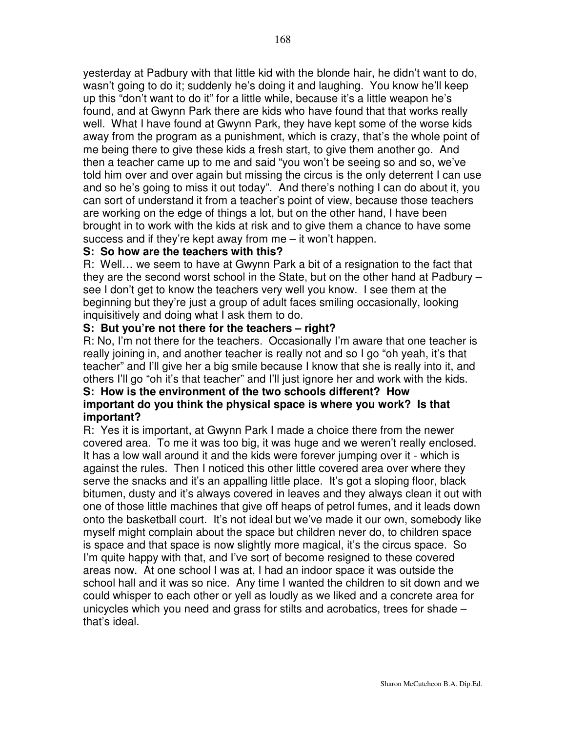yesterday at Padbury with that little kid with the blonde hair, he didn't want to do, wasn't going to do it; suddenly he's doing it and laughing. You know he'll keep up this "don't want to do it" for a little while, because it's a little weapon he's found, and at Gwynn Park there are kids who have found that that works really well. What I have found at Gwynn Park, they have kept some of the worse kids away from the program as a punishment, which is crazy, that's the whole point of me being there to give these kids a fresh start, to give them another go. And then a teacher came up to me and said "you won't be seeing so and so, we've told him over and over again but missing the circus is the only deterrent I can use and so he's going to miss it out today". And there's nothing I can do about it, you can sort of understand it from a teacher's point of view, because those teachers are working on the edge of things a lot, but on the other hand, I have been brought in to work with the kids at risk and to give them a chance to have some success and if they're kept away from me – it won't happen.

#### **S: So how are the teachers with this?**

R: Well… we seem to have at Gwynn Park a bit of a resignation to the fact that they are the second worst school in the State, but on the other hand at Padbury – see I don't get to know the teachers very well you know. I see them at the beginning but they're just a group of adult faces smiling occasionally, looking inquisitively and doing what I ask them to do.

## **S: But you're not there for the teachers – right?**

R: No, I'm not there for the teachers. Occasionally I'm aware that one teacher is really joining in, and another teacher is really not and so I go "oh yeah, it's that teacher" and I'll give her a big smile because I know that she is really into it, and others I'll go "oh it's that teacher" and I'll just ignore her and work with the kids.

#### **S: How is the environment of the two schools different? How important do you think the physical space is where you work? Is that important?**

R: Yes it is important, at Gwynn Park I made a choice there from the newer covered area. To me it was too big, it was huge and we weren't really enclosed. It has a low wall around it and the kids were forever jumping over it - which is against the rules. Then I noticed this other little covered area over where they serve the snacks and it's an appalling little place. It's got a sloping floor, black bitumen, dusty and it's always covered in leaves and they always clean it out with one of those little machines that give off heaps of petrol fumes, and it leads down onto the basketball court. It's not ideal but we've made it our own, somebody like myself might complain about the space but children never do, to children space is space and that space is now slightly more magical, it's the circus space. So I'm quite happy with that, and I've sort of become resigned to these covered areas now. At one school I was at, I had an indoor space it was outside the school hall and it was so nice. Any time I wanted the children to sit down and we could whisper to each other or yell as loudly as we liked and a concrete area for unicycles which you need and grass for stilts and acrobatics, trees for shade – that's ideal.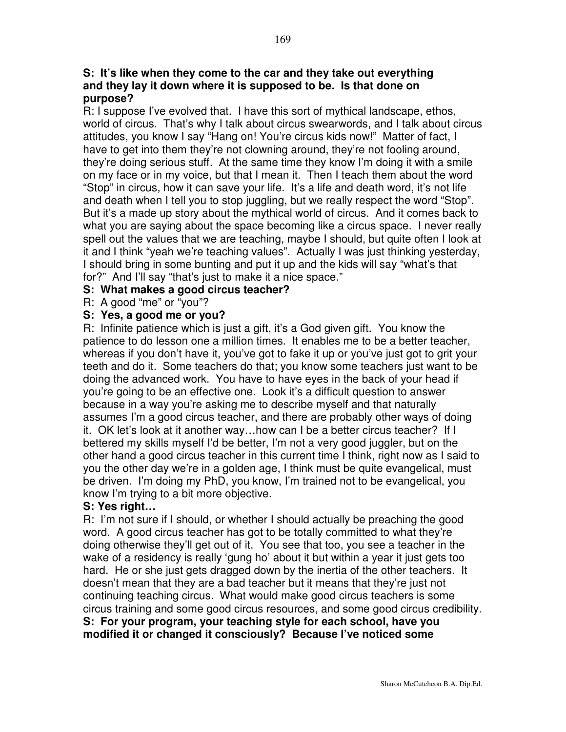#### **S: It's like when they come to the car and they take out everything and they lay it down where it is supposed to be. Is that done on purpose?**

R: I suppose I've evolved that. I have this sort of mythical landscape, ethos, world of circus. That's why I talk about circus swearwords, and I talk about circus attitudes, you know I say "Hang on! You're circus kids now!" Matter of fact, I have to get into them they're not clowning around, they're not fooling around, they're doing serious stuff. At the same time they know I'm doing it with a smile on my face or in my voice, but that I mean it. Then I teach them about the word "Stop" in circus, how it can save your life. It's a life and death word, it's not life and death when I tell you to stop juggling, but we really respect the word "Stop". But it's a made up story about the mythical world of circus. And it comes back to what you are saying about the space becoming like a circus space. I never really spell out the values that we are teaching, maybe I should, but quite often I look at it and I think "yeah we're teaching values". Actually I was just thinking yesterday, I should bring in some bunting and put it up and the kids will say "what's that for?" And I'll say "that's just to make it a nice space."

#### **S: What makes a good circus teacher?**

R: A good "me" or "you"?

#### **S: Yes, a good me or you?**

R: Infinite patience which is just a gift, it's a God given gift. You know the patience to do lesson one a million times. It enables me to be a better teacher, whereas if you don't have it, you've got to fake it up or you've just got to grit your teeth and do it. Some teachers do that; you know some teachers just want to be doing the advanced work. You have to have eyes in the back of your head if you're going to be an effective one. Look it's a difficult question to answer because in a way you're asking me to describe myself and that naturally assumes I'm a good circus teacher, and there are probably other ways of doing it. OK let's look at it another way…how can I be a better circus teacher? If I bettered my skills myself I'd be better, I'm not a very good juggler, but on the other hand a good circus teacher in this current time I think, right now as I said to you the other day we're in a golden age, I think must be quite evangelical, must be driven. I'm doing my PhD, you know, I'm trained not to be evangelical, you know I'm trying to a bit more objective.

## **S: Yes right…**

R: I'm not sure if I should, or whether I should actually be preaching the good word. A good circus teacher has got to be totally committed to what they're doing otherwise they'll get out of it. You see that too, you see a teacher in the wake of a residency is really 'gung ho' about it but within a year it just gets too hard. He or she just gets dragged down by the inertia of the other teachers. It doesn't mean that they are a bad teacher but it means that they're just not continuing teaching circus. What would make good circus teachers is some circus training and some good circus resources, and some good circus credibility. **S: For your program, your teaching style for each school, have you modified it or changed it consciously? Because I've noticed some**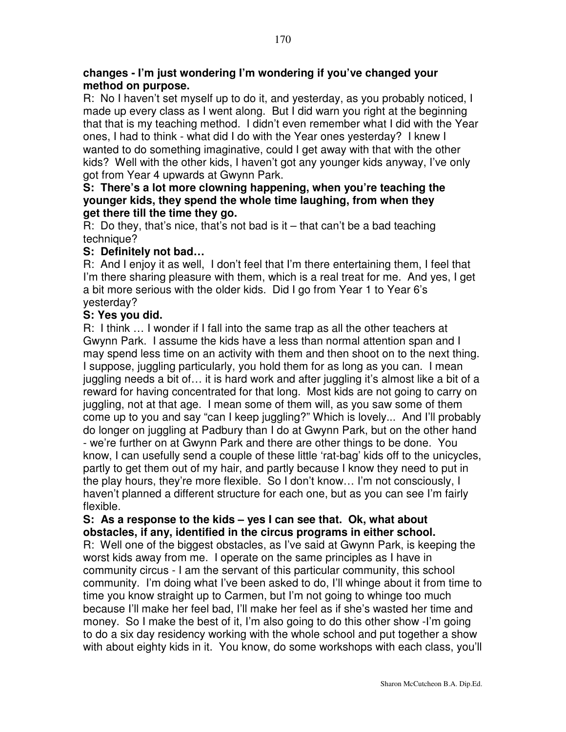#### **changes - I'm just wondering I'm wondering if you've changed your method on purpose.**

R: No I haven't set myself up to do it, and yesterday, as you probably noticed, I made up every class as I went along. But I did warn you right at the beginning that that is my teaching method. I didn't even remember what I did with the Year ones, I had to think - what did I do with the Year ones yesterday? I knew I wanted to do something imaginative, could I get away with that with the other kids? Well with the other kids, I haven't got any younger kids anyway, I've only got from Year 4 upwards at Gwynn Park.

## **S: There's a lot more clowning happening, when you're teaching the younger kids, they spend the whole time laughing, from when they get there till the time they go.**

R: Do they, that's nice, that's not bad is it  $-$  that can't be a bad teaching technique?

## **S: Definitely not bad…**

R: And I enjoy it as well, I don't feel that I'm there entertaining them, I feel that I'm there sharing pleasure with them, which is a real treat for me. And yes, I get a bit more serious with the older kids. Did I go from Year 1 to Year 6's yesterday?

## **S: Yes you did.**

R: I think … I wonder if I fall into the same trap as all the other teachers at Gwynn Park. I assume the kids have a less than normal attention span and I may spend less time on an activity with them and then shoot on to the next thing. I suppose, juggling particularly, you hold them for as long as you can. I mean juggling needs a bit of… it is hard work and after juggling it's almost like a bit of a reward for having concentrated for that long. Most kids are not going to carry on juggling, not at that age. I mean some of them will, as you saw some of them come up to you and say "can I keep juggling?" Which is lovely... And I'll probably do longer on juggling at Padbury than I do at Gwynn Park, but on the other hand - we're further on at Gwynn Park and there are other things to be done. You know, I can usefully send a couple of these little 'rat-bag' kids off to the unicycles, partly to get them out of my hair, and partly because I know they need to put in the play hours, they're more flexible. So I don't know… I'm not consciously, I haven't planned a different structure for each one, but as you can see I'm fairly flexible.

#### **S: As a response to the kids – yes I can see that. Ok, what about obstacles, if any, identified in the circus programs in either school.**

R: Well one of the biggest obstacles, as I've said at Gwynn Park, is keeping the worst kids away from me. I operate on the same principles as I have in community circus - I am the servant of this particular community, this school community. I'm doing what I've been asked to do, I'll whinge about it from time to time you know straight up to Carmen, but I'm not going to whinge too much because I'll make her feel bad, I'll make her feel as if she's wasted her time and money. So I make the best of it, I'm also going to do this other show -I'm going to do a six day residency working with the whole school and put together a show with about eighty kids in it. You know, do some workshops with each class, you'll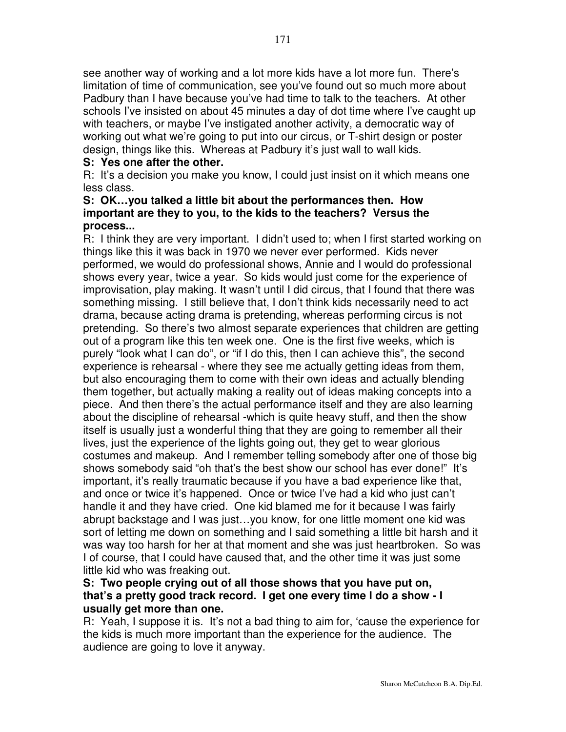see another way of working and a lot more kids have a lot more fun. There's limitation of time of communication, see you've found out so much more about Padbury than I have because you've had time to talk to the teachers. At other schools I've insisted on about 45 minutes a day of dot time where I've caught up with teachers, or maybe I've instigated another activity, a democratic way of working out what we're going to put into our circus, or T-shirt design or poster design, things like this. Whereas at Padbury it's just wall to wall kids.

## **S: Yes one after the other.**

R: It's a decision you make you know, I could just insist on it which means one less class.

#### **S: OK…you talked a little bit about the performances then. How important are they to you, to the kids to the teachers? Versus the process...**

R: I think they are very important. I didn't used to; when I first started working on things like this it was back in 1970 we never ever performed. Kids never performed, we would do professional shows, Annie and I would do professional shows every year, twice a year. So kids would just come for the experience of improvisation, play making. It wasn't until I did circus, that I found that there was something missing. I still believe that, I don't think kids necessarily need to act drama, because acting drama is pretending, whereas performing circus is not pretending. So there's two almost separate experiences that children are getting out of a program like this ten week one. One is the first five weeks, which is purely "look what I can do", or "if I do this, then I can achieve this", the second experience is rehearsal - where they see me actually getting ideas from them, but also encouraging them to come with their own ideas and actually blending them together, but actually making a reality out of ideas making concepts into a piece. And then there's the actual performance itself and they are also learning about the discipline of rehearsal -which is quite heavy stuff, and then the show itself is usually just a wonderful thing that they are going to remember all their lives, just the experience of the lights going out, they get to wear glorious costumes and makeup. And I remember telling somebody after one of those big shows somebody said "oh that's the best show our school has ever done!" It's important, it's really traumatic because if you have a bad experience like that, and once or twice it's happened. Once or twice I've had a kid who just can't handle it and they have cried. One kid blamed me for it because I was fairly abrupt backstage and I was just…you know, for one little moment one kid was sort of letting me down on something and I said something a little bit harsh and it was way too harsh for her at that moment and she was just heartbroken. So was I of course, that I could have caused that, and the other time it was just some little kid who was freaking out.

## **S: Two people crying out of all those shows that you have put on, that's a pretty good track record. I get one every time I do a show - I usually get more than one.**

R: Yeah, I suppose it is. It's not a bad thing to aim for, 'cause the experience for the kids is much more important than the experience for the audience. The audience are going to love it anyway.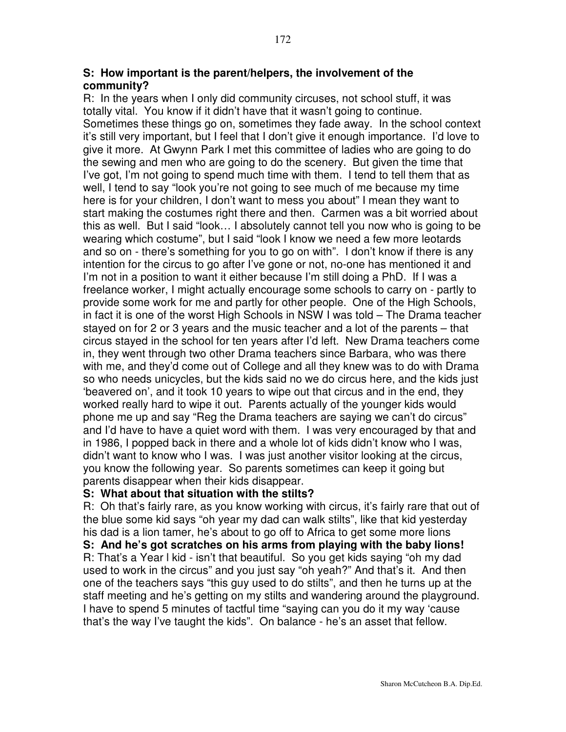#### **S: How important is the parent/helpers, the involvement of the community?**

R: In the years when I only did community circuses, not school stuff, it was totally vital. You know if it didn't have that it wasn't going to continue. Sometimes these things go on, sometimes they fade away. In the school context it's still very important, but I feel that I don't give it enough importance. I'd love to give it more. At Gwynn Park I met this committee of ladies who are going to do the sewing and men who are going to do the scenery. But given the time that I've got, I'm not going to spend much time with them. I tend to tell them that as well, I tend to say "look you're not going to see much of me because my time here is for your children, I don't want to mess you about" I mean they want to start making the costumes right there and then. Carmen was a bit worried about this as well. But I said "look… I absolutely cannot tell you now who is going to be wearing which costume", but I said "look I know we need a few more leotards and so on - there's something for you to go on with". I don't know if there is any intention for the circus to go after I've gone or not, no-one has mentioned it and I'm not in a position to want it either because I'm still doing a PhD. If I was a freelance worker, I might actually encourage some schools to carry on - partly to provide some work for me and partly for other people. One of the High Schools, in fact it is one of the worst High Schools in NSW I was told – The Drama teacher stayed on for 2 or 3 years and the music teacher and a lot of the parents – that circus stayed in the school for ten years after I'd left. New Drama teachers come in, they went through two other Drama teachers since Barbara, who was there with me, and they'd come out of College and all they knew was to do with Drama so who needs unicycles, but the kids said no we do circus here, and the kids just 'beavered on', and it took 10 years to wipe out that circus and in the end, they worked really hard to wipe it out. Parents actually of the younger kids would phone me up and say "Reg the Drama teachers are saying we can't do circus" and I'd have to have a quiet word with them. I was very encouraged by that and in 1986, I popped back in there and a whole lot of kids didn't know who I was, didn't want to know who I was. I was just another visitor looking at the circus, you know the following year. So parents sometimes can keep it going but parents disappear when their kids disappear.

#### **S: What about that situation with the stilts?**

R: Oh that's fairly rare, as you know working with circus, it's fairly rare that out of the blue some kid says "oh year my dad can walk stilts", like that kid yesterday his dad is a lion tamer, he's about to go off to Africa to get some more lions

**S: And he's got scratches on his arms from playing with the baby lions!** R: That's a Year l kid - isn't that beautiful. So you get kids saying "oh my dad used to work in the circus" and you just say "oh yeah?" And that's it. And then one of the teachers says "this guy used to do stilts", and then he turns up at the staff meeting and he's getting on my stilts and wandering around the playground. I have to spend 5 minutes of tactful time "saying can you do it my way 'cause that's the way I've taught the kids". On balance - he's an asset that fellow.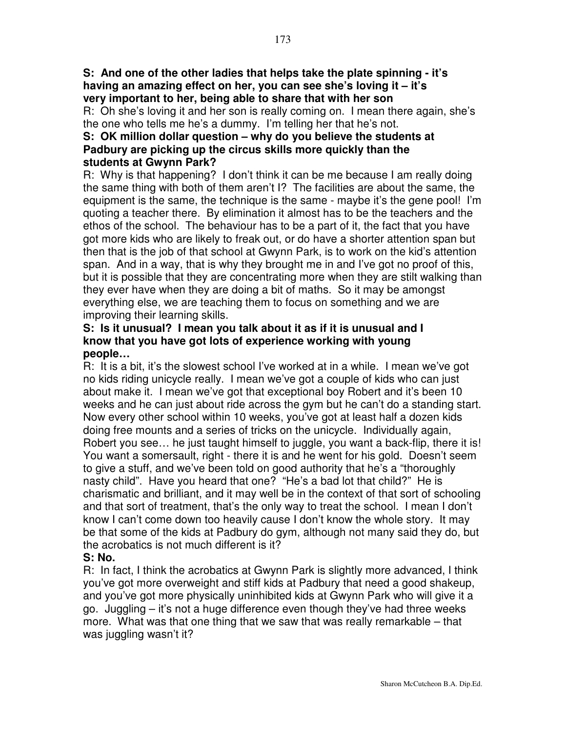R: Oh she's loving it and her son is really coming on. I mean there again, she's the one who tells me he's a dummy. I'm telling her that he's not.

## **S: OK million dollar question – why do you believe the students at Padbury are picking up the circus skills more quickly than the students at Gwynn Park?**

R: Why is that happening? I don't think it can be me because I am really doing the same thing with both of them aren't I? The facilities are about the same, the equipment is the same, the technique is the same - maybe it's the gene pool! I'm quoting a teacher there. By elimination it almost has to be the teachers and the ethos of the school. The behaviour has to be a part of it, the fact that you have got more kids who are likely to freak out, or do have a shorter attention span but then that is the job of that school at Gwynn Park, is to work on the kid's attention span. And in a way, that is why they brought me in and I've got no proof of this, but it is possible that they are concentrating more when they are stilt walking than they ever have when they are doing a bit of maths. So it may be amongst everything else, we are teaching them to focus on something and we are improving their learning skills.

#### **S: Is it unusual? I mean you talk about it as if it is unusual and I know that you have got lots of experience working with young people…**

R: It is a bit, it's the slowest school I've worked at in a while. I mean we've got no kids riding unicycle really. I mean we've got a couple of kids who can just about make it. I mean we've got that exceptional boy Robert and it's been 10 weeks and he can just about ride across the gym but he can't do a standing start. Now every other school within 10 weeks, you've got at least half a dozen kids doing free mounts and a series of tricks on the unicycle. Individually again, Robert you see… he just taught himself to juggle, you want a back-flip, there it is! You want a somersault, right - there it is and he went for his gold. Doesn't seem to give a stuff, and we've been told on good authority that he's a "thoroughly nasty child". Have you heard that one? "He's a bad lot that child?" He is charismatic and brilliant, and it may well be in the context of that sort of schooling and that sort of treatment, that's the only way to treat the school. I mean I don't know I can't come down too heavily cause I don't know the whole story. It may be that some of the kids at Padbury do gym, although not many said they do, but the acrobatics is not much different is it?

# **S: No.**

R: In fact, I think the acrobatics at Gwynn Park is slightly more advanced, I think you've got more overweight and stiff kids at Padbury that need a good shakeup, and you've got more physically uninhibited kids at Gwynn Park who will give it a go. Juggling – it's not a huge difference even though they've had three weeks more. What was that one thing that we saw that was really remarkable – that was juggling wasn't it?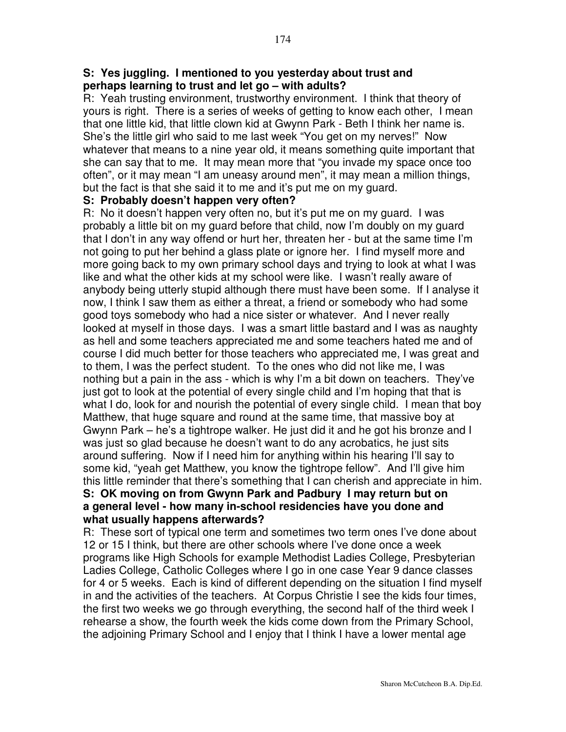#### **S: Yes juggling. I mentioned to you yesterday about trust and perhaps learning to trust and let go – with adults?**

R: Yeah trusting environment, trustworthy environment. I think that theory of yours is right. There is a series of weeks of getting to know each other, I mean that one little kid, that little clown kid at Gwynn Park - Beth I think her name is. She's the little girl who said to me last week "You get on my nerves!" Now whatever that means to a nine year old, it means something quite important that she can say that to me. It may mean more that "you invade my space once too often", or it may mean "I am uneasy around men", it may mean a million things, but the fact is that she said it to me and it's put me on my guard.

#### **S: Probably doesn't happen very often?**

R: No it doesn't happen very often no, but it's put me on my guard. I was probably a little bit on my guard before that child, now I'm doubly on my guard that I don't in any way offend or hurt her, threaten her - but at the same time I'm not going to put her behind a glass plate or ignore her. I find myself more and more going back to my own primary school days and trying to look at what I was like and what the other kids at my school were like. I wasn't really aware of anybody being utterly stupid although there must have been some. If I analyse it now, I think I saw them as either a threat, a friend or somebody who had some good toys somebody who had a nice sister or whatever. And I never really looked at myself in those days. I was a smart little bastard and I was as naughty as hell and some teachers appreciated me and some teachers hated me and of course I did much better for those teachers who appreciated me, I was great and to them, I was the perfect student. To the ones who did not like me, I was nothing but a pain in the ass - which is why I'm a bit down on teachers. They've just got to look at the potential of every single child and I'm hoping that that is what I do, look for and nourish the potential of every single child. I mean that boy Matthew, that huge square and round at the same time, that massive boy at Gwynn Park – he's a tightrope walker. He just did it and he got his bronze and I was just so glad because he doesn't want to do any acrobatics, he just sits around suffering. Now if I need him for anything within his hearing I'll say to some kid, "yeah get Matthew, you know the tightrope fellow". And I'll give him this little reminder that there's something that I can cherish and appreciate in him.

#### **S: OK moving on from Gwynn Park and Padbury I may return but on a general level - how many in-school residencies have you done and what usually happens afterwards?**

R: These sort of typical one term and sometimes two term ones I've done about 12 or 15 I think, but there are other schools where I've done once a week programs like High Schools for example Methodist Ladies College, Presbyterian Ladies College, Catholic Colleges where I go in one case Year 9 dance classes for 4 or 5 weeks. Each is kind of different depending on the situation I find myself in and the activities of the teachers. At Corpus Christie I see the kids four times, the first two weeks we go through everything, the second half of the third week I rehearse a show, the fourth week the kids come down from the Primary School, the adjoining Primary School and I enjoy that I think I have a lower mental age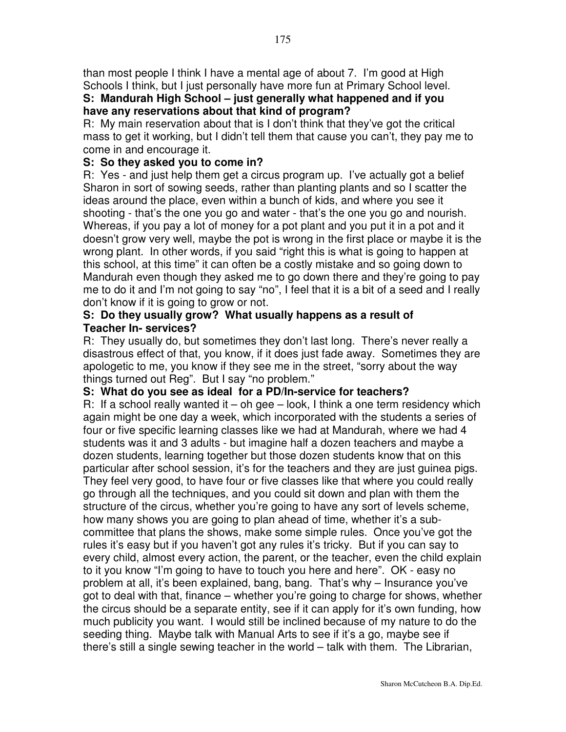than most people I think I have a mental age of about 7. I'm good at High Schools I think, but I just personally have more fun at Primary School level.

# **S: Mandurah High School – just generally what happened and if you have any reservations about that kind of program?**

R: My main reservation about that is I don't think that they've got the critical mass to get it working, but I didn't tell them that cause you can't, they pay me to come in and encourage it.

# **S: So they asked you to come in?**

R: Yes - and just help them get a circus program up. I've actually got a belief Sharon in sort of sowing seeds, rather than planting plants and so I scatter the ideas around the place, even within a bunch of kids, and where you see it shooting - that's the one you go and water - that's the one you go and nourish. Whereas, if you pay a lot of money for a pot plant and you put it in a pot and it doesn't grow very well, maybe the pot is wrong in the first place or maybe it is the wrong plant. In other words, if you said "right this is what is going to happen at this school, at this time" it can often be a costly mistake and so going down to Mandurah even though they asked me to go down there and they're going to pay me to do it and I'm not going to say "no", I feel that it is a bit of a seed and I really don't know if it is going to grow or not.

## **S: Do they usually grow? What usually happens as a result of Teacher In- services?**

R: They usually do, but sometimes they don't last long. There's never really a disastrous effect of that, you know, if it does just fade away. Sometimes they are apologetic to me, you know if they see me in the street, "sorry about the way things turned out Reg". But I say "no problem."

## **S: What do you see as ideal for a PD/In-service for teachers?**

R: If a school really wanted it – oh gee – look, I think a one term residency which again might be one day a week, which incorporated with the students a series of four or five specific learning classes like we had at Mandurah, where we had 4 students was it and 3 adults - but imagine half a dozen teachers and maybe a dozen students, learning together but those dozen students know that on this particular after school session, it's for the teachers and they are just guinea pigs. They feel very good, to have four or five classes like that where you could really go through all the techniques, and you could sit down and plan with them the structure of the circus, whether you're going to have any sort of levels scheme, how many shows you are going to plan ahead of time, whether it's a subcommittee that plans the shows, make some simple rules. Once you've got the rules it's easy but if you haven't got any rules it's tricky. But if you can say to every child, almost every action, the parent, or the teacher, even the child explain to it you know "I'm going to have to touch you here and here". OK - easy no problem at all, it's been explained, bang, bang. That's why – Insurance you've got to deal with that, finance – whether you're going to charge for shows, whether the circus should be a separate entity, see if it can apply for it's own funding, how much publicity you want. I would still be inclined because of my nature to do the seeding thing. Maybe talk with Manual Arts to see if it's a go, maybe see if there's still a single sewing teacher in the world – talk with them. The Librarian,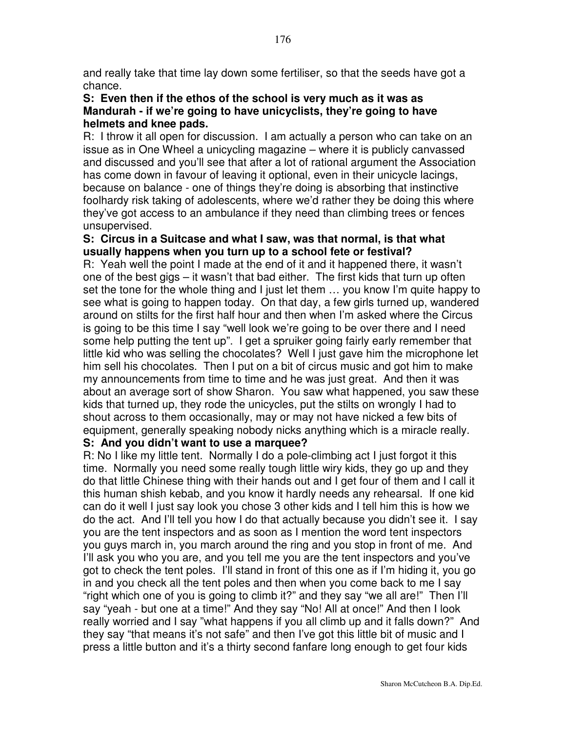and really take that time lay down some fertiliser, so that the seeds have got a chance.

#### **S: Even then if the ethos of the school is very much as it was as Mandurah - if we're going to have unicyclists, they're going to have helmets and knee pads.**

R: I throw it all open for discussion. I am actually a person who can take on an issue as in One Wheel a unicycling magazine – where it is publicly canvassed and discussed and you'll see that after a lot of rational argument the Association has come down in favour of leaving it optional, even in their unicycle lacings, because on balance - one of things they're doing is absorbing that instinctive foolhardy risk taking of adolescents, where we'd rather they be doing this where they've got access to an ambulance if they need than climbing trees or fences unsupervised.

#### **S: Circus in a Suitcase and what I saw, was that normal, is that what usually happens when you turn up to a school fete or festival?**

R: Yeah well the point I made at the end of it and it happened there, it wasn't one of the best gigs – it wasn't that bad either. The first kids that turn up often set the tone for the whole thing and I just let them … you know I'm quite happy to see what is going to happen today. On that day, a few girls turned up, wandered around on stilts for the first half hour and then when I'm asked where the Circus is going to be this time I say "well look we're going to be over there and I need some help putting the tent up". I get a spruiker going fairly early remember that little kid who was selling the chocolates? Well I just gave him the microphone let him sell his chocolates. Then I put on a bit of circus music and got him to make my announcements from time to time and he was just great. And then it was about an average sort of show Sharon. You saw what happened, you saw these kids that turned up, they rode the unicycles, put the stilts on wrongly I had to shout across to them occasionally, may or may not have nicked a few bits of equipment, generally speaking nobody nicks anything which is a miracle really.

#### **S: And you didn't want to use a marquee?**

R: No I like my little tent. Normally I do a pole-climbing act I just forgot it this time. Normally you need some really tough little wiry kids, they go up and they do that little Chinese thing with their hands out and I get four of them and I call it this human shish kebab, and you know it hardly needs any rehearsal. If one kid can do it well I just say look you chose 3 other kids and I tell him this is how we do the act. And I'll tell you how I do that actually because you didn't see it. I say you are the tent inspectors and as soon as I mention the word tent inspectors you guys march in, you march around the ring and you stop in front of me. And I'll ask you who you are, and you tell me you are the tent inspectors and you've got to check the tent poles. I'll stand in front of this one as if I'm hiding it, you go in and you check all the tent poles and then when you come back to me I say "right which one of you is going to climb it?" and they say "we all are!" Then I'll say "yeah - but one at a time!" And they say "No! All at once!" And then I look really worried and I say "what happens if you all climb up and it falls down?" And they say "that means it's not safe" and then I've got this little bit of music and I press a little button and it's a thirty second fanfare long enough to get four kids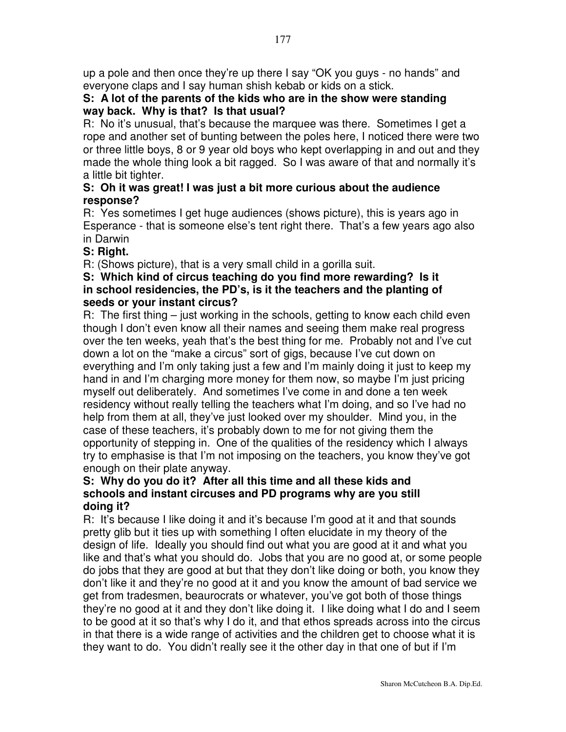up a pole and then once they're up there I say "OK you guys - no hands" and everyone claps and I say human shish kebab or kids on a stick.

## **S: A lot of the parents of the kids who are in the show were standing way back. Why is that? Is that usual?**

R: No it's unusual, that's because the marquee was there. Sometimes I get a rope and another set of bunting between the poles here, I noticed there were two or three little boys, 8 or 9 year old boys who kept overlapping in and out and they made the whole thing look a bit ragged. So I was aware of that and normally it's a little bit tighter.

## **S: Oh it was great! I was just a bit more curious about the audience response?**

R: Yes sometimes I get huge audiences (shows picture), this is years ago in Esperance - that is someone else's tent right there. That's a few years ago also in Darwin

# **S: Right.**

R: (Shows picture), that is a very small child in a gorilla suit.

## **S: Which kind of circus teaching do you find more rewarding? Is it in school residencies, the PD's, is it the teachers and the planting of seeds or your instant circus?**

R: The first thing – just working in the schools, getting to know each child even though I don't even know all their names and seeing them make real progress over the ten weeks, yeah that's the best thing for me. Probably not and I've cut down a lot on the "make a circus" sort of gigs, because I've cut down on everything and I'm only taking just a few and I'm mainly doing it just to keep my hand in and I'm charging more money for them now, so maybe I'm just pricing myself out deliberately. And sometimes I've come in and done a ten week residency without really telling the teachers what I'm doing, and so I've had no help from them at all, they've just looked over my shoulder. Mind you, in the case of these teachers, it's probably down to me for not giving them the opportunity of stepping in. One of the qualities of the residency which I always try to emphasise is that I'm not imposing on the teachers, you know they've got enough on their plate anyway.

## **S: Why do you do it? After all this time and all these kids and schools and instant circuses and PD programs why are you still doing it?**

R: It's because I like doing it and it's because I'm good at it and that sounds pretty glib but it ties up with something I often elucidate in my theory of the design of life. Ideally you should find out what you are good at it and what you like and that's what you should do. Jobs that you are no good at, or some people do jobs that they are good at but that they don't like doing or both, you know they don't like it and they're no good at it and you know the amount of bad service we get from tradesmen, beaurocrats or whatever, you've got both of those things they're no good at it and they don't like doing it. I like doing what I do and I seem to be good at it so that's why I do it, and that ethos spreads across into the circus in that there is a wide range of activities and the children get to choose what it is they want to do. You didn't really see it the other day in that one of but if I'm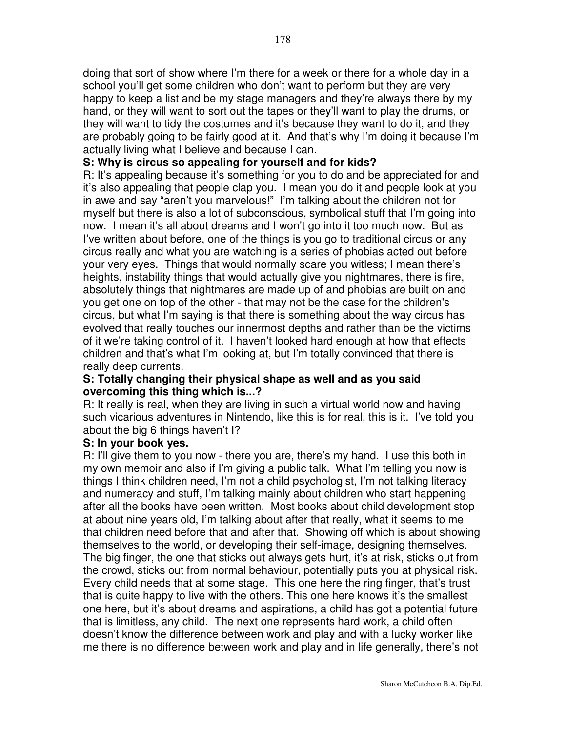doing that sort of show where I'm there for a week or there for a whole day in a school you'll get some children who don't want to perform but they are very happy to keep a list and be my stage managers and they're always there by my hand, or they will want to sort out the tapes or they'll want to play the drums, or they will want to tidy the costumes and it's because they want to do it, and they are probably going to be fairly good at it. And that's why I'm doing it because I'm actually living what I believe and because I can.

#### **S: Why is circus so appealing for yourself and for kids?**

R: It's appealing because it's something for you to do and be appreciated for and it's also appealing that people clap you. I mean you do it and people look at you in awe and say "aren't you marvelous!" I'm talking about the children not for myself but there is also a lot of subconscious, symbolical stuff that I'm going into now. I mean it's all about dreams and I won't go into it too much now. But as I've written about before, one of the things is you go to traditional circus or any circus really and what you are watching is a series of phobias acted out before your very eyes. Things that would normally scare you witless; I mean there's heights, instability things that would actually give you nightmares, there is fire, absolutely things that nightmares are made up of and phobias are built on and you get one on top of the other - that may not be the case for the children's circus, but what I'm saying is that there is something about the way circus has evolved that really touches our innermost depths and rather than be the victims of it we're taking control of it. I haven't looked hard enough at how that effects children and that's what I'm looking at, but I'm totally convinced that there is really deep currents.

#### **S: Totally changing their physical shape as well and as you said overcoming this thing which is...?**

R: It really is real, when they are living in such a virtual world now and having such vicarious adventures in Nintendo, like this is for real, this is it. I've told you about the big 6 things haven't I?

#### **S: In your book yes.**

R: I'll give them to you now - there you are, there's my hand. I use this both in my own memoir and also if I'm giving a public talk. What I'm telling you now is things I think children need, I'm not a child psychologist, I'm not talking literacy and numeracy and stuff, I'm talking mainly about children who start happening after all the books have been written. Most books about child development stop at about nine years old, I'm talking about after that really, what it seems to me that children need before that and after that. Showing off which is about showing themselves to the world, or developing their self-image, designing themselves. The big finger, the one that sticks out always gets hurt, it's at risk, sticks out from the crowd, sticks out from normal behaviour, potentially puts you at physical risk. Every child needs that at some stage. This one here the ring finger, that's trust that is quite happy to live with the others. This one here knows it's the smallest one here, but it's about dreams and aspirations, a child has got a potential future that is limitless, any child. The next one represents hard work, a child often doesn't know the difference between work and play and with a lucky worker like me there is no difference between work and play and in life generally, there's not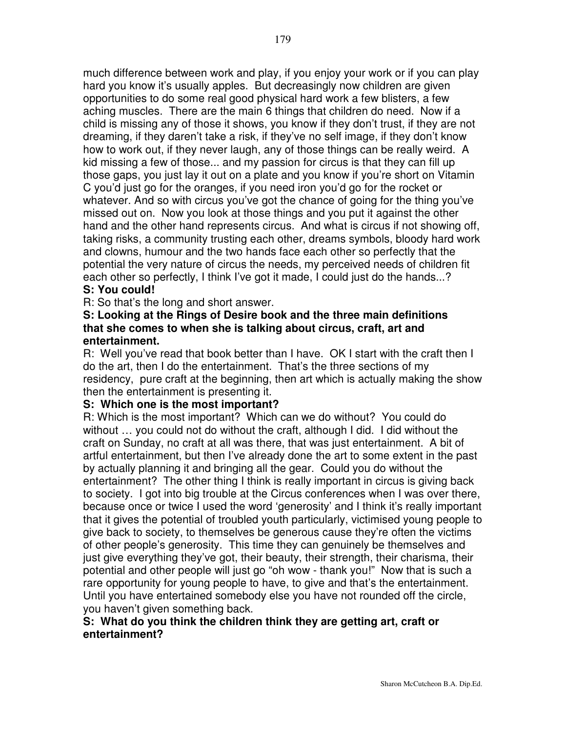much difference between work and play, if you enjoy your work or if you can play hard you know it's usually apples. But decreasingly now children are given opportunities to do some real good physical hard work a few blisters, a few aching muscles. There are the main 6 things that children do need. Now if a child is missing any of those it shows, you know if they don't trust, if they are not dreaming, if they daren't take a risk, if they've no self image, if they don't know how to work out, if they never laugh, any of those things can be really weird. A kid missing a few of those... and my passion for circus is that they can fill up those gaps, you just lay it out on a plate and you know if you're short on Vitamin C you'd just go for the oranges, if you need iron you'd go for the rocket or whatever. And so with circus you've got the chance of going for the thing you've missed out on. Now you look at those things and you put it against the other hand and the other hand represents circus. And what is circus if not showing off, taking risks, a community trusting each other, dreams symbols, bloody hard work and clowns, humour and the two hands face each other so perfectly that the potential the very nature of circus the needs, my perceived needs of children fit each other so perfectly, I think I've got it made, I could just do the hands...?

#### **S: You could!**

R: So that's the long and short answer.

#### **S: Looking at the Rings of Desire book and the three main definitions that she comes to when she is talking about circus, craft, art and entertainment.**

R: Well you've read that book better than I have. OK I start with the craft then I do the art, then I do the entertainment. That's the three sections of my residency, pure craft at the beginning, then art which is actually making the show then the entertainment is presenting it.

#### **S: Which one is the most important?**

R: Which is the most important? Which can we do without? You could do without … you could not do without the craft, although I did. I did without the craft on Sunday, no craft at all was there, that was just entertainment. A bit of artful entertainment, but then I've already done the art to some extent in the past by actually planning it and bringing all the gear. Could you do without the entertainment? The other thing I think is really important in circus is giving back to society. I got into big trouble at the Circus conferences when I was over there, because once or twice I used the word 'generosity' and I think it's really important that it gives the potential of troubled youth particularly, victimised young people to give back to society, to themselves be generous cause they're often the victims of other people's generosity. This time they can genuinely be themselves and just give everything they've got, their beauty, their strength, their charisma, their potential and other people will just go "oh wow - thank you!" Now that is such a rare opportunity for young people to have, to give and that's the entertainment. Until you have entertained somebody else you have not rounded off the circle, you haven't given something back.

#### **S: What do you think the children think they are getting art, craft or entertainment?**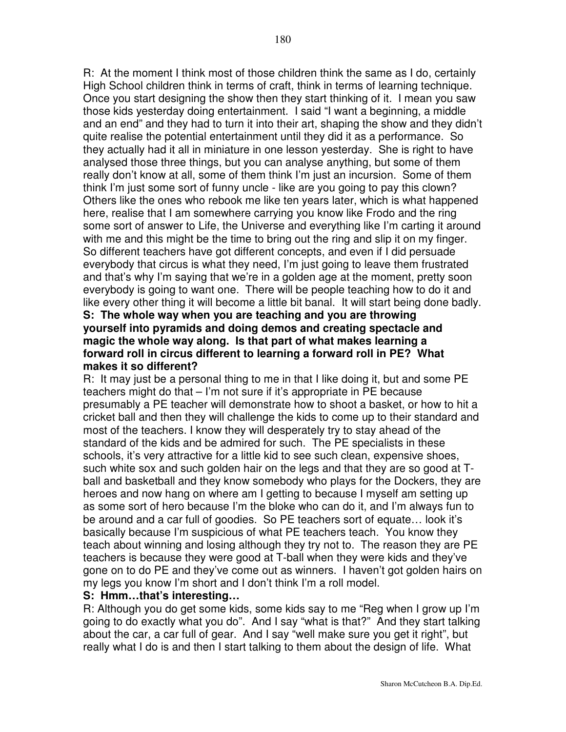R: At the moment I think most of those children think the same as I do, certainly High School children think in terms of craft, think in terms of learning technique. Once you start designing the show then they start thinking of it. I mean you saw those kids yesterday doing entertainment. I said "I want a beginning, a middle and an end" and they had to turn it into their art, shaping the show and they didn't quite realise the potential entertainment until they did it as a performance. So they actually had it all in miniature in one lesson yesterday. She is right to have analysed those three things, but you can analyse anything, but some of them really don't know at all, some of them think I'm just an incursion. Some of them think I'm just some sort of funny uncle - like are you going to pay this clown? Others like the ones who rebook me like ten years later, which is what happened here, realise that I am somewhere carrying you know like Frodo and the ring some sort of answer to Life, the Universe and everything like I'm carting it around with me and this might be the time to bring out the ring and slip it on my finger. So different teachers have got different concepts, and even if I did persuade everybody that circus is what they need, I'm just going to leave them frustrated and that's why I'm saying that we're in a golden age at the moment, pretty soon everybody is going to want one. There will be people teaching how to do it and like every other thing it will become a little bit banal. It will start being done badly. **S: The whole way when you are teaching and you are throwing yourself into pyramids and doing demos and creating spectacle and magic the whole way along. Is that part of what makes learning a forward roll in circus different to learning a forward roll in PE? What**

#### **makes it so different?**

R: It may just be a personal thing to me in that I like doing it, but and some PE teachers might do that – I'm not sure if it's appropriate in PE because presumably a PE teacher will demonstrate how to shoot a basket, or how to hit a cricket ball and then they will challenge the kids to come up to their standard and most of the teachers. I know they will desperately try to stay ahead of the standard of the kids and be admired for such. The PE specialists in these schools, it's very attractive for a little kid to see such clean, expensive shoes, such white sox and such golden hair on the legs and that they are so good at Tball and basketball and they know somebody who plays for the Dockers, they are heroes and now hang on where am I getting to because I myself am setting up as some sort of hero because I'm the bloke who can do it, and I'm always fun to be around and a car full of goodies. So PE teachers sort of equate… look it's basically because I'm suspicious of what PE teachers teach. You know they teach about winning and losing although they try not to. The reason they are PE teachers is because they were good at T-ball when they were kids and they've gone on to do PE and they've come out as winners. I haven't got golden hairs on my legs you know I'm short and I don't think I'm a roll model.

#### **S: Hmm…that's interesting…**

R: Although you do get some kids, some kids say to me "Reg when I grow up I'm going to do exactly what you do". And I say "what is that?" And they start talking about the car, a car full of gear. And I say "well make sure you get it right", but really what I do is and then I start talking to them about the design of life. What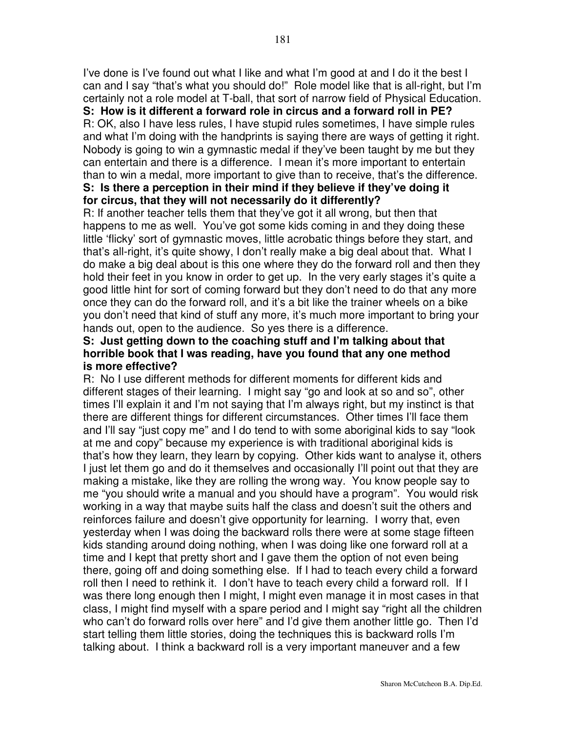I've done is I've found out what I like and what I'm good at and I do it the best I can and I say "that's what you should do!" Role model like that is all-right, but I'm certainly not a role model at T-ball, that sort of narrow field of Physical Education.

**S: How is it different a forward role in circus and a forward roll in PE?**

R: OK, also I have less rules, I have stupid rules sometimes, I have simple rules and what I'm doing with the handprints is saying there are ways of getting it right. Nobody is going to win a gymnastic medal if they've been taught by me but they can entertain and there is a difference. I mean it's more important to entertain than to win a medal, more important to give than to receive, that's the difference.

## **S: Is there a perception in their mind if they believe if they've doing it for circus, that they will not necessarily do it differently?**

R: If another teacher tells them that they've got it all wrong, but then that happens to me as well. You've got some kids coming in and they doing these little 'flicky' sort of gymnastic moves, little acrobatic things before they start, and that's all-right, it's quite showy, I don't really make a big deal about that. What I do make a big deal about is this one where they do the forward roll and then they hold their feet in you know in order to get up. In the very early stages it's quite a good little hint for sort of coming forward but they don't need to do that any more once they can do the forward roll, and it's a bit like the trainer wheels on a bike you don't need that kind of stuff any more, it's much more important to bring your hands out, open to the audience. So yes there is a difference.

## **S: Just getting down to the coaching stuff and I'm talking about that horrible book that I was reading, have you found that any one method is more effective?**

R: No I use different methods for different moments for different kids and different stages of their learning. I might say "go and look at so and so", other times I'll explain it and I'm not saying that I'm always right, but my instinct is that there are different things for different circumstances. Other times I'll face them and I'll say "just copy me" and I do tend to with some aboriginal kids to say "look at me and copy" because my experience is with traditional aboriginal kids is that's how they learn, they learn by copying. Other kids want to analyse it, others I just let them go and do it themselves and occasionally I'll point out that they are making a mistake, like they are rolling the wrong way. You know people say to me "you should write a manual and you should have a program". You would risk working in a way that maybe suits half the class and doesn't suit the others and reinforces failure and doesn't give opportunity for learning. I worry that, even yesterday when I was doing the backward rolls there were at some stage fifteen kids standing around doing nothing, when I was doing like one forward roll at a time and I kept that pretty short and I gave them the option of not even being there, going off and doing something else. If I had to teach every child a forward roll then I need to rethink it. I don't have to teach every child a forward roll. If I was there long enough then I might, I might even manage it in most cases in that class, I might find myself with a spare period and I might say "right all the children who can't do forward rolls over here" and I'd give them another little go. Then I'd start telling them little stories, doing the techniques this is backward rolls I'm talking about. I think a backward roll is a very important maneuver and a few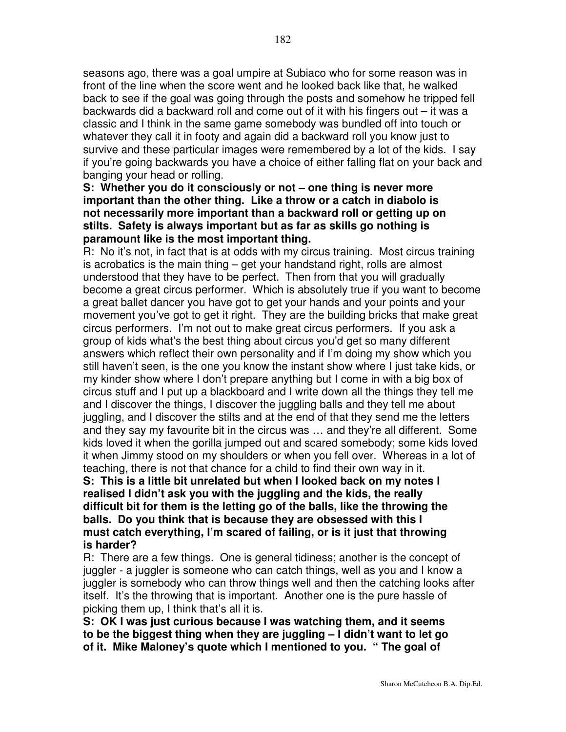seasons ago, there was a goal umpire at Subiaco who for some reason was in front of the line when the score went and he looked back like that, he walked back to see if the goal was going through the posts and somehow he tripped fell backwards did a backward roll and come out of it with his fingers out – it was a classic and I think in the same game somebody was bundled off into touch or whatever they call it in footy and again did a backward roll you know just to survive and these particular images were remembered by a lot of the kids. I say if you're going backwards you have a choice of either falling flat on your back and banging your head or rolling.

## **S: Whether you do it consciously or not – one thing is never more important than the other thing. Like a throw or a catch in diabolo is not necessarily more important than a backward roll or getting up on stilts. Safety is always important but as far as skills go nothing is paramount like is the most important thing.**

R: No it's not, in fact that is at odds with my circus training. Most circus training is acrobatics is the main thing – get your handstand right, rolls are almost understood that they have to be perfect. Then from that you will gradually become a great circus performer. Which is absolutely true if you want to become a great ballet dancer you have got to get your hands and your points and your movement you've got to get it right. They are the building bricks that make great circus performers. I'm not out to make great circus performers. If you ask a group of kids what's the best thing about circus you'd get so many different answers which reflect their own personality and if I'm doing my show which you still haven't seen, is the one you know the instant show where I just take kids, or my kinder show where I don't prepare anything but I come in with a big box of circus stuff and I put up a blackboard and I write down all the things they tell me and I discover the things, I discover the juggling balls and they tell me about juggling, and I discover the stilts and at the end of that they send me the letters and they say my favourite bit in the circus was … and they're all different. Some kids loved it when the gorilla jumped out and scared somebody; some kids loved it when Jimmy stood on my shoulders or when you fell over. Whereas in a lot of teaching, there is not that chance for a child to find their own way in it.

**S: This is a little bit unrelated but when I looked back on my notes I realised I didn't ask you with the juggling and the kids, the really difficult bit for them is the letting go of the balls, like the throwing the balls. Do you think that is because they are obsessed with this I must catch everything, I'm scared of failing, or is it just that throwing is harder?**

R: There are a few things. One is general tidiness; another is the concept of juggler - a juggler is someone who can catch things, well as you and I know a juggler is somebody who can throw things well and then the catching looks after itself. It's the throwing that is important. Another one is the pure hassle of picking them up, I think that's all it is.

**S: OK I was just curious because I was watching them, and it seems to be the biggest thing when they are juggling – I didn't want to let go of it. Mike Maloney's quote which I mentioned to you. " The goal of**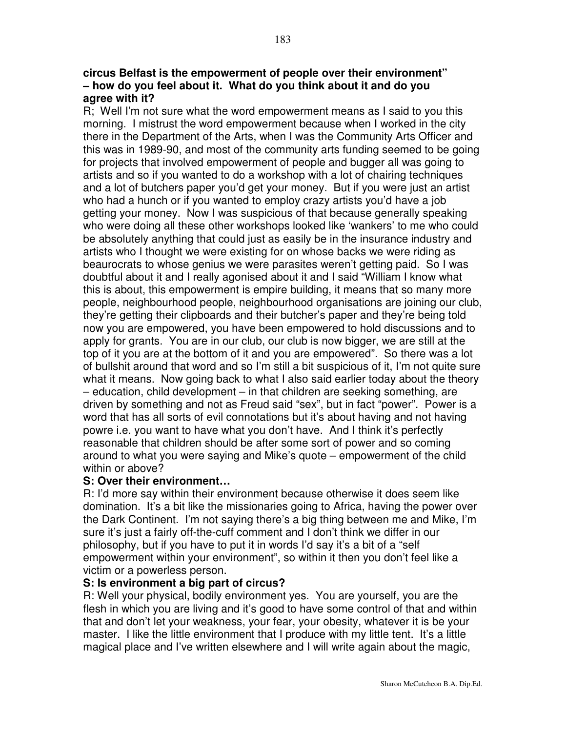### **circus Belfast is the empowerment of people over their environment" – how do you feel about it. What do you think about it and do you agree with it?**

R; Well I'm not sure what the word empowerment means as I said to you this morning. I mistrust the word empowerment because when I worked in the city there in the Department of the Arts, when I was the Community Arts Officer and this was in 1989-90, and most of the community arts funding seemed to be going for projects that involved empowerment of people and bugger all was going to artists and so if you wanted to do a workshop with a lot of chairing techniques and a lot of butchers paper you'd get your money. But if you were just an artist who had a hunch or if you wanted to employ crazy artists you'd have a job getting your money. Now I was suspicious of that because generally speaking who were doing all these other workshops looked like 'wankers' to me who could be absolutely anything that could just as easily be in the insurance industry and artists who I thought we were existing for on whose backs we were riding as beaurocrats to whose genius we were parasites weren't getting paid. So I was doubtful about it and I really agonised about it and I said "William I know what this is about, this empowerment is empire building, it means that so many more people, neighbourhood people, neighbourhood organisations are joining our club, they're getting their clipboards and their butcher's paper and they're being told now you are empowered, you have been empowered to hold discussions and to apply for grants. You are in our club, our club is now bigger, we are still at the top of it you are at the bottom of it and you are empowered". So there was a lot of bullshit around that word and so I'm still a bit suspicious of it, I'm not quite sure what it means. Now going back to what I also said earlier today about the theory – education, child development – in that children are seeking something, are driven by something and not as Freud said "sex", but in fact "power". Power is a word that has all sorts of evil connotations but it's about having and not having powre i.e. you want to have what you don't have. And I think it's perfectly reasonable that children should be after some sort of power and so coming around to what you were saying and Mike's quote – empowerment of the child within or above?

#### **S: Over their environment…**

R: I'd more say within their environment because otherwise it does seem like domination. It's a bit like the missionaries going to Africa, having the power over the Dark Continent. I'm not saying there's a big thing between me and Mike, I'm sure it's just a fairly off-the-cuff comment and I don't think we differ in our philosophy, but if you have to put it in words I'd say it's a bit of a "self empowerment within your environment", so within it then you don't feel like a victim or a powerless person.

#### **S: Is environment a big part of circus?**

R: Well your physical, bodily environment yes. You are yourself, you are the flesh in which you are living and it's good to have some control of that and within that and don't let your weakness, your fear, your obesity, whatever it is be your master. I like the little environment that I produce with my little tent. It's a little magical place and I've written elsewhere and I will write again about the magic,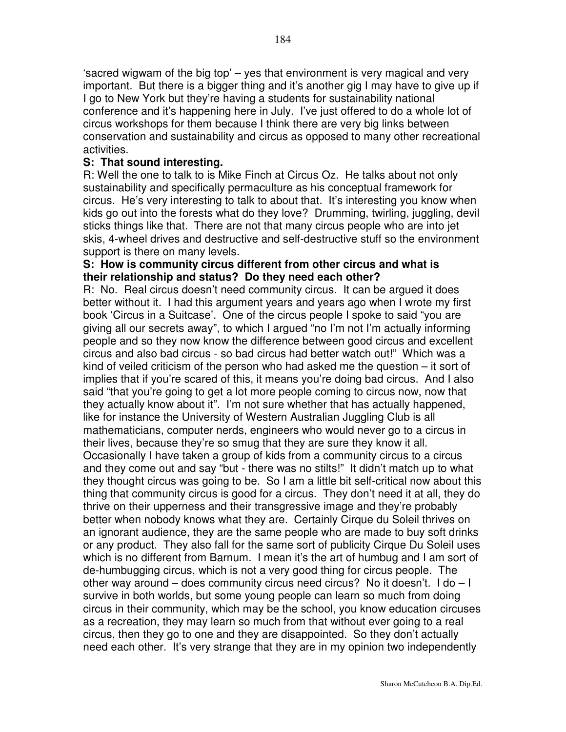'sacred wigwam of the big top' – yes that environment is very magical and very important. But there is a bigger thing and it's another gig I may have to give up if I go to New York but they're having a students for sustainability national conference and it's happening here in July. I've just offered to do a whole lot of circus workshops for them because I think there are very big links between conservation and sustainability and circus as opposed to many other recreational activities.

## **S: That sound interesting.**

R: Well the one to talk to is Mike Finch at Circus Oz. He talks about not only sustainability and specifically permaculture as his conceptual framework for circus. He's very interesting to talk to about that. It's interesting you know when kids go out into the forests what do they love? Drumming, twirling, juggling, devil sticks things like that. There are not that many circus people who are into jet skis, 4-wheel drives and destructive and self-destructive stuff so the environment support is there on many levels.

## **S: How is community circus different from other circus and what is their relationship and status? Do they need each other?**

R: No. Real circus doesn't need community circus. It can be argued it does better without it. I had this argument years and years ago when I wrote my first book 'Circus in a Suitcase'. One of the circus people I spoke to said "you are giving all our secrets away", to which I argued "no I'm not I'm actually informing people and so they now know the difference between good circus and excellent circus and also bad circus - so bad circus had better watch out!" Which was a kind of veiled criticism of the person who had asked me the question – it sort of implies that if you're scared of this, it means you're doing bad circus. And I also said "that you're going to get a lot more people coming to circus now, now that they actually know about it". I'm not sure whether that has actually happened, like for instance the University of Western Australian Juggling Club is all mathematicians, computer nerds, engineers who would never go to a circus in their lives, because they're so smug that they are sure they know it all. Occasionally I have taken a group of kids from a community circus to a circus and they come out and say "but - there was no stilts!" It didn't match up to what they thought circus was going to be. So I am a little bit self-critical now about this thing that community circus is good for a circus. They don't need it at all, they do thrive on their upperness and their transgressive image and they're probably better when nobody knows what they are. Certainly Cirque du Soleil thrives on an ignorant audience, they are the same people who are made to buy soft drinks or any product. They also fall for the same sort of publicity Cirque Du Soleil uses which is no different from Barnum. I mean it's the art of humbug and I am sort of de-humbugging circus, which is not a very good thing for circus people. The other way around – does community circus need circus? No it doesn't. I do – I survive in both worlds, but some young people can learn so much from doing circus in their community, which may be the school, you know education circuses as a recreation, they may learn so much from that without ever going to a real circus, then they go to one and they are disappointed. So they don't actually need each other. It's very strange that they are in my opinion two independently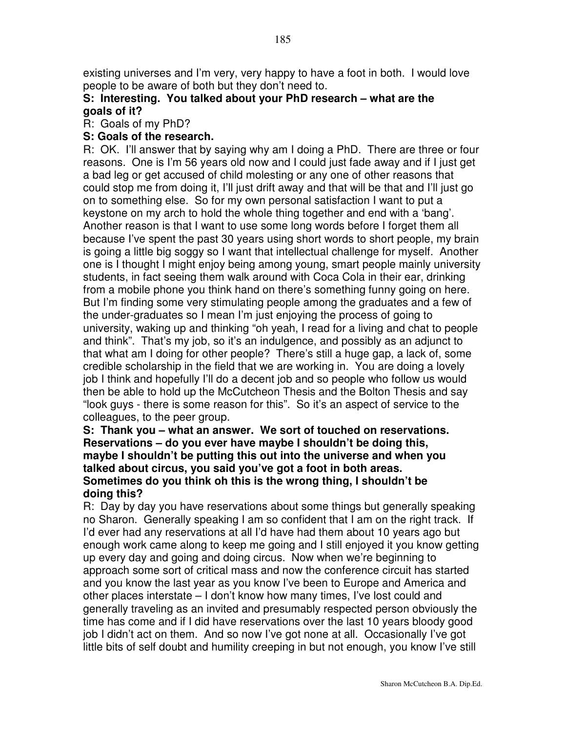existing universes and I'm very, very happy to have a foot in both. I would love people to be aware of both but they don't need to.

# **S: Interesting. You talked about your PhD research – what are the goals of it?**

R: Goals of my PhD?

## **S: Goals of the research.**

R: OK. I'll answer that by saying why am I doing a PhD. There are three or four reasons. One is I'm 56 years old now and I could just fade away and if I just get a bad leg or get accused of child molesting or any one of other reasons that could stop me from doing it, I'll just drift away and that will be that and I'll just go on to something else. So for my own personal satisfaction I want to put a keystone on my arch to hold the whole thing together and end with a 'bang'. Another reason is that I want to use some long words before I forget them all because I've spent the past 30 years using short words to short people, my brain is going a little big soggy so I want that intellectual challenge for myself. Another one is I thought I might enjoy being among young, smart people mainly university students, in fact seeing them walk around with Coca Cola in their ear, drinking from a mobile phone you think hand on there's something funny going on here. But I'm finding some very stimulating people among the graduates and a few of the under-graduates so I mean I'm just enjoying the process of going to university, waking up and thinking "oh yeah, I read for a living and chat to people and think". That's my job, so it's an indulgence, and possibly as an adjunct to that what am I doing for other people? There's still a huge gap, a lack of, some credible scholarship in the field that we are working in. You are doing a lovely job I think and hopefully I'll do a decent job and so people who follow us would then be able to hold up the McCutcheon Thesis and the Bolton Thesis and say "look guys - there is some reason for this". So it's an aspect of service to the colleagues, to the peer group.

## **S: Thank you – what an answer. We sort of touched on reservations. Reservations – do you ever have maybe I shouldn't be doing this, maybe I shouldn't be putting this out into the universe and when you talked about circus, you said you've got a foot in both areas. Sometimes do you think oh this is the wrong thing, I shouldn't be doing this?**

R: Day by day you have reservations about some things but generally speaking no Sharon. Generally speaking I am so confident that I am on the right track. If I'd ever had any reservations at all I'd have had them about 10 years ago but enough work came along to keep me going and I still enjoyed it you know getting up every day and going and doing circus. Now when we're beginning to approach some sort of critical mass and now the conference circuit has started and you know the last year as you know I've been to Europe and America and other places interstate – I don't know how many times, I've lost could and generally traveling as an invited and presumably respected person obviously the time has come and if I did have reservations over the last 10 years bloody good job I didn't act on them. And so now I've got none at all. Occasionally I've got little bits of self doubt and humility creeping in but not enough, you know I've still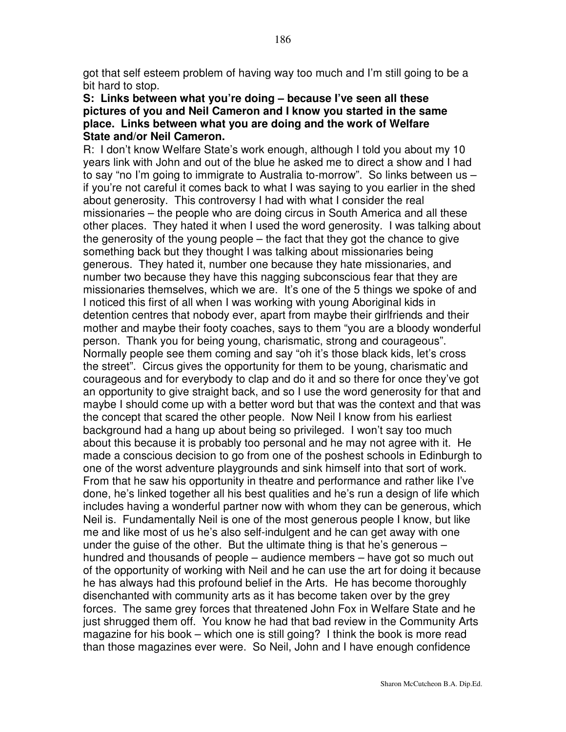got that self esteem problem of having way too much and I'm still going to be a bit hard to stop.

### **S: Links between what you're doing – because I've seen all these pictures of you and Neil Cameron and I know you started in the same place. Links between what you are doing and the work of Welfare State and/or Neil Cameron.**

R: I don't know Welfare State's work enough, although I told you about my 10 years link with John and out of the blue he asked me to direct a show and I had to say "no I'm going to immigrate to Australia to-morrow". So links between us – if you're not careful it comes back to what I was saying to you earlier in the shed about generosity. This controversy I had with what I consider the real missionaries – the people who are doing circus in South America and all these other places. They hated it when I used the word generosity. I was talking about the generosity of the young people – the fact that they got the chance to give something back but they thought I was talking about missionaries being generous. They hated it, number one because they hate missionaries, and number two because they have this nagging subconscious fear that they are missionaries themselves, which we are. It's one of the 5 things we spoke of and I noticed this first of all when I was working with young Aboriginal kids in detention centres that nobody ever, apart from maybe their girlfriends and their mother and maybe their footy coaches, says to them "you are a bloody wonderful person. Thank you for being young, charismatic, strong and courageous". Normally people see them coming and say "oh it's those black kids, let's cross the street". Circus gives the opportunity for them to be young, charismatic and courageous and for everybody to clap and do it and so there for once they've got an opportunity to give straight back, and so I use the word generosity for that and maybe I should come up with a better word but that was the context and that was the concept that scared the other people. Now Neil I know from his earliest background had a hang up about being so privileged. I won't say too much about this because it is probably too personal and he may not agree with it. He made a conscious decision to go from one of the poshest schools in Edinburgh to one of the worst adventure playgrounds and sink himself into that sort of work. From that he saw his opportunity in theatre and performance and rather like I've done, he's linked together all his best qualities and he's run a design of life which includes having a wonderful partner now with whom they can be generous, which Neil is. Fundamentally Neil is one of the most generous people I know, but like me and like most of us he's also self-indulgent and he can get away with one under the guise of the other. But the ultimate thing is that he's generous – hundred and thousands of people – audience members – have got so much out of the opportunity of working with Neil and he can use the art for doing it because he has always had this profound belief in the Arts. He has become thoroughly disenchanted with community arts as it has become taken over by the grey forces. The same grey forces that threatened John Fox in Welfare State and he just shrugged them off. You know he had that bad review in the Community Arts magazine for his book – which one is still going? I think the book is more read than those magazines ever were. So Neil, John and I have enough confidence